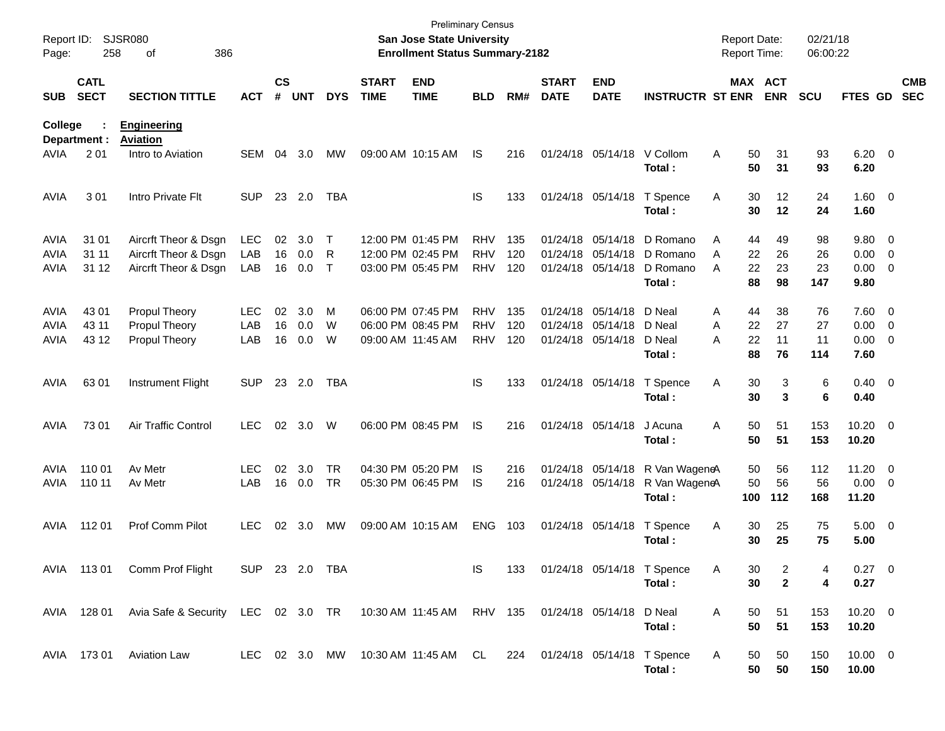| Report ID:<br>Page: | 258                        | <b>SJSR080</b><br>386<br>οf                                  |                |                    |            |              |                             | <b>Preliminary Census</b><br>San Jose State University<br><b>Enrollment Status Summary-2182</b> |            |     |                             |                           |                                | <b>Report Date:</b><br>Report Time: |                       | 02/21/18<br>06:00:22 |                        |                          |
|---------------------|----------------------------|--------------------------------------------------------------|----------------|--------------------|------------|--------------|-----------------------------|-------------------------------------------------------------------------------------------------|------------|-----|-----------------------------|---------------------------|--------------------------------|-------------------------------------|-----------------------|----------------------|------------------------|--------------------------|
| <b>SUB</b>          | <b>CATL</b><br><b>SECT</b> | <b>SECTION TITTLE</b>                                        | <b>ACT</b>     | $\mathsf{cs}$<br># | <b>UNT</b> | <b>DYS</b>   | <b>START</b><br><b>TIME</b> | <b>END</b><br><b>TIME</b>                                                                       | <b>BLD</b> | RM# | <b>START</b><br><b>DATE</b> | <b>END</b><br><b>DATE</b> | <b>INSTRUCTR ST ENR</b>        |                                     | MAX ACT<br><b>ENR</b> | <b>SCU</b>           | FTES GD                | <b>CMB</b><br><b>SEC</b> |
| College             | Department :               | <b>Engineering</b><br><b>Aviation</b>                        |                |                    |            |              |                             |                                                                                                 |            |     |                             |                           |                                |                                     |                       |                      |                        |                          |
| AVIA                | 2 0 1                      | Intro to Aviation                                            | SEM            | 04                 | 3.0        | MW           |                             | 09:00 AM 10:15 AM                                                                               | <b>IS</b>  | 216 |                             | 01/24/18 05/14/18         | V Collom<br>Total :            | A                                   | 50<br>31<br>50<br>31  | 93<br>93             | $6.20 \quad 0$<br>6.20 |                          |
| <b>AVIA</b>         | 301                        | Intro Private Flt                                            | <b>SUP</b>     |                    | 23 2.0     | <b>TBA</b>   |                             |                                                                                                 | IS         | 133 |                             | 01/24/18 05/14/18         | T Spence<br>Total :            | Α                                   | 12<br>30<br>12<br>30  | 24<br>24             | $1.60 \t 0$<br>1.60    |                          |
| <b>AVIA</b>         | 31 01                      | Aircrft Theor & Dsgn                                         | LEC            | 02                 | 3.0        | $\top$       |                             | 12:00 PM 01:45 PM                                                                               | <b>RHV</b> | 135 |                             | 01/24/18 05/14/18         | D Romano                       | Α                                   | 44<br>49              | 98                   | 9.80 0                 |                          |
| AVIA                | 31 11                      | Aircrft Theor & Dsgn                                         | LAB            | 16                 | 0.0        | R            |                             | 12:00 PM 02:45 PM                                                                               | <b>RHV</b> | 120 |                             | 01/24/18 05/14/18         | D Romano                       | A                                   | 22<br>26              | 26                   | $0.00 \t 0$            |                          |
| AVIA                | 31 12                      | Aircrft Theor & Dsgn                                         | LAB            | 16                 | 0.0        | $\mathsf{T}$ |                             | 03:00 PM 05:45 PM                                                                               | <b>RHV</b> | 120 |                             | 01/24/18 05/14/18         | D Romano                       | A                                   | 22<br>23              | 23                   | $0.00 \t 0$            |                          |
|                     |                            |                                                              |                |                    |            |              |                             |                                                                                                 |            |     |                             |                           | Total :                        |                                     | 88<br>98              | 147                  | 9.80                   |                          |
| <b>AVIA</b>         | 43 01                      | <b>Propul Theory</b>                                         | <b>LEC</b>     | 02                 | 3.0        | M            |                             | 06:00 PM 07:45 PM                                                                               | <b>RHV</b> | 135 |                             | 01/24/18 05/14/18         | D Neal                         | Α                                   | 44<br>38              | 76                   | 7.60 0                 |                          |
| <b>AVIA</b>         | 43 11                      | <b>Propul Theory</b>                                         | LAB            | 16                 | 0.0        | W            |                             | 06:00 PM 08:45 PM                                                                               | <b>RHV</b> | 120 |                             | 01/24/18 05/14/18         | D Neal                         | A                                   | 22<br>27              | 27                   | $0.00 \ 0$             |                          |
| AVIA                | 43 12                      | <b>Propul Theory</b>                                         | LAB            | 16                 | 0.0        | W            | 09:00 AM 11:45 AM           |                                                                                                 | <b>RHV</b> | 120 |                             | 01/24/18 05/14/18         | D Neal                         | A                                   | 22<br>11              | 11                   | $0.00 \t 0$            |                          |
|                     |                            |                                                              |                |                    |            |              |                             |                                                                                                 |            |     |                             |                           | Total:                         |                                     | 88<br>76              | 114                  | 7.60                   |                          |
| <b>AVIA</b>         | 63 01                      | Instrument Flight                                            | <b>SUP</b>     |                    | 23 2.0     | <b>TBA</b>   |                             |                                                                                                 | <b>IS</b>  | 133 |                             | 01/24/18 05/14/18         | T Spence                       | Α                                   | 3<br>30               | 6                    | $0.40 \quad 0$         |                          |
|                     |                            |                                                              |                |                    |            |              |                             |                                                                                                 |            |     |                             |                           | Total:                         |                                     | 30<br>3               | 6                    | 0.40                   |                          |
| <b>AVIA</b>         | 73 01                      | <b>Air Traffic Control</b>                                   | <b>LEC</b>     | 02 <sub>o</sub>    | 3.0        | W            |                             | 06:00 PM 08:45 PM                                                                               | <b>IS</b>  | 216 |                             | 01/24/18 05/14/18         | J Acuna                        | Α                                   | 50<br>51              | 153                  | $10.20 \t 0$           |                          |
|                     |                            |                                                              |                |                    |            |              |                             |                                                                                                 |            |     |                             |                           | Total:                         |                                     | 50<br>51              | 153                  | 10.20                  |                          |
| AVIA                | 110 01                     | Av Metr                                                      | <b>LEC</b>     | 02                 | 3.0        | <b>TR</b>    |                             | 04:30 PM 05:20 PM                                                                               | IS         | 216 |                             | 01/24/18 05/14/18         | R Van WageneA                  |                                     | 56<br>50              | 112                  | 11.20 0                |                          |
| AVIA                | 110 11                     | Av Metr                                                      | LAB            | 16                 | 0.0        | <b>TR</b>    |                             | 05:30 PM 06:45 PM                                                                               | <b>IS</b>  | 216 |                             | 01/24/18 05/14/18         | R Van WageneA                  |                                     | 50<br>56              | 56                   | $0.00 \t 0$            |                          |
|                     |                            |                                                              |                |                    |            |              |                             |                                                                                                 |            |     |                             |                           | Total:                         | 100                                 | 112                   | 168                  | 11.20                  |                          |
| AVIA                | 112 01                     | Prof Comm Pilot                                              | <b>LEC</b>     | 02                 | 3.0        | MW           |                             | 09:00 AM 10:15 AM                                                                               | <b>ENG</b> | 103 |                             | 01/24/18 05/14/18         | T Spence                       | Α                                   | 30<br>25              | 75                   | $5.00 \t 0$            |                          |
|                     |                            |                                                              |                |                    |            |              |                             |                                                                                                 |            |     |                             |                           | Total:                         |                                     | 25<br>30              | 75                   | 5.00                   |                          |
|                     | AVIA 113 01                | Comm Prof Flight                                             | SUP 23 2.0 TBA |                    |            |              |                             |                                                                                                 | IS.        | 133 |                             |                           | 01/24/18 05/14/18 T Spence     | A                                   | 30<br>2               |                      | $0.27$ 0               |                          |
|                     |                            |                                                              |                |                    |            |              |                             |                                                                                                 |            |     |                             |                           | Total:                         |                                     | 30<br>$\mathbf{2}$    | 4                    | 0.27                   |                          |
|                     | AVIA 128 01                | Avia Safe & Security LEC 02 3.0 TR 10:30 AM 11:45 AM RHV 135 |                |                    |            |              |                             |                                                                                                 |            |     |                             | 01/24/18 05/14/18 D Neal  |                                | A                                   | 50<br>51              | 153                  | $10.20 \t 0$           |                          |
|                     |                            |                                                              |                |                    |            |              |                             |                                                                                                 |            |     |                             |                           | Total:                         |                                     | 50<br>51              | 153                  | 10.20                  |                          |
|                     | AVIA 173 01                | <b>Aviation Law</b>                                          |                |                    |            |              |                             | LEC 02 3.0 MW 10:30 AM 11:45 AM CL                                                              |            |     |                             |                           | 224 01/24/18 05/14/18 T Spence | A                                   | 50<br>50              | 150                  | $10.00 \t 0$           |                          |
|                     |                            |                                                              |                |                    |            |              |                             |                                                                                                 |            |     |                             |                           | Total:                         |                                     | 50<br>50              | 150                  | 10.00                  |                          |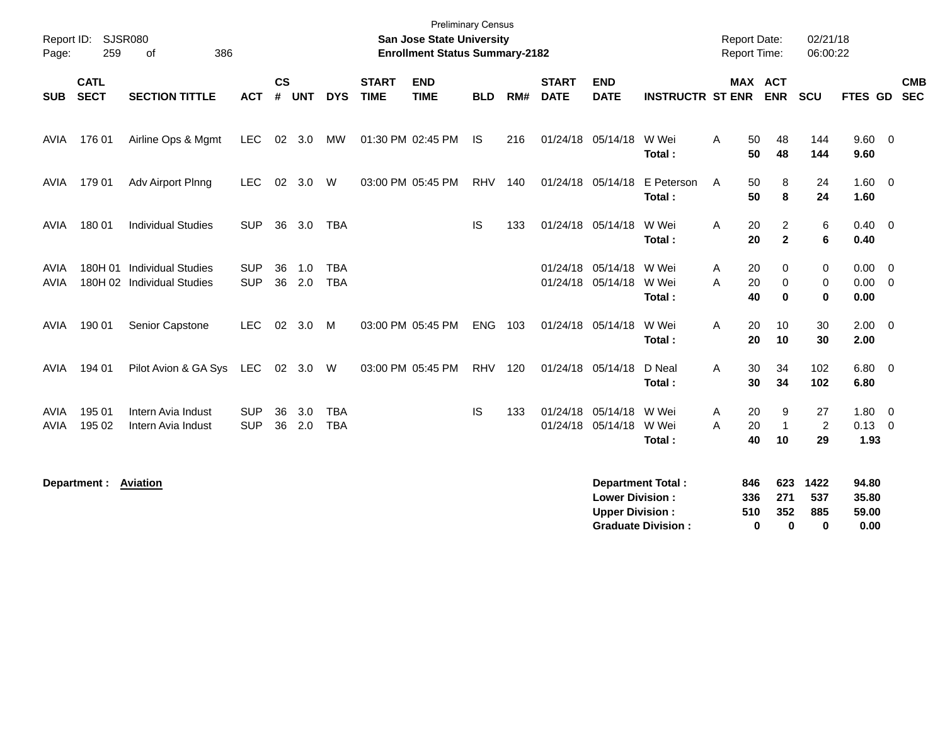| Report ID:<br>Page: | 259                        | <b>SJSR080</b><br>386<br>0f                              |                          |                    |            |                          |                             | <b>Preliminary Census</b><br><b>San Jose State University</b><br><b>Enrollment Status Summary-2182</b> |            |     |                             |                                                  |                                                       | <b>Report Date:</b><br><b>Report Time:</b> |                             | 02/21/18<br>06:00:22              |                                 |                                           |  |
|---------------------|----------------------------|----------------------------------------------------------|--------------------------|--------------------|------------|--------------------------|-----------------------------|--------------------------------------------------------------------------------------------------------|------------|-----|-----------------------------|--------------------------------------------------|-------------------------------------------------------|--------------------------------------------|-----------------------------|-----------------------------------|---------------------------------|-------------------------------------------|--|
| <b>SUB</b>          | <b>CATL</b><br><b>SECT</b> | <b>SECTION TITTLE</b>                                    | <b>ACT</b>               | $\mathsf{cs}$<br># | <b>UNT</b> | <b>DYS</b>               | <b>START</b><br><b>TIME</b> | <b>END</b><br><b>TIME</b>                                                                              | <b>BLD</b> | RM# | <b>START</b><br><b>DATE</b> | <b>END</b><br><b>DATE</b>                        | <b>INSTRUCTR ST ENR ENR</b>                           |                                            | MAX ACT                     | <b>SCU</b>                        | FTES GD                         | <b>CMB</b><br><b>SEC</b>                  |  |
| AVIA                | 176 01                     | Airline Ops & Mgmt                                       | <b>LEC</b>               |                    | 02 3.0     | MW                       |                             | 01:30 PM 02:45 PM                                                                                      | <b>IS</b>  | 216 |                             | 01/24/18 05/14/18                                | W Wei<br>Total:                                       | Α<br>50<br>50                              | 48<br>48                    | 144<br>144                        | 9.60 0<br>9.60                  |                                           |  |
| AVIA                | 179 01                     | Adv Airport Plnng                                        | <b>LEC</b>               | 02                 | 3.0        | W                        |                             | 03:00 PM 05:45 PM                                                                                      | <b>RHV</b> | 140 |                             | 01/24/18 05/14/18                                | E Peterson<br>Total:                                  | A<br>50<br>50                              | 8<br>8                      | 24<br>24                          | 1.60<br>1.60                    | $\overline{0}$                            |  |
| AVIA                | 180 01                     | <b>Individual Studies</b>                                | <b>SUP</b>               | 36                 | 3.0        | <b>TBA</b>               |                             |                                                                                                        | IS         | 133 |                             | 01/24/18 05/14/18                                | W Wei<br>Total:                                       | A<br>20<br>20                              | 2<br>$\overline{2}$         | 6<br>6                            | 0.40<br>0.40                    | $\overline{\mathbf{0}}$                   |  |
| AVIA<br><b>AVIA</b> |                            | 180H 01 Individual Studies<br>180H 02 Individual Studies | <b>SUP</b><br><b>SUP</b> | 36<br>36           | 1.0<br>2.0 | <b>TBA</b><br><b>TBA</b> |                             |                                                                                                        |            |     |                             | 01/24/18 05/14/18<br>01/24/18 05/14/18           | W Wei<br>W Wei<br>Total:                              | 20<br>Α<br>20<br>A<br>40                   | 0<br>$\Omega$<br>$\bf{0}$   | 0<br>0<br>$\bf{0}$                | 0.00<br>0.00<br>0.00            | $\overline{0}$<br>$\overline{\mathbf{0}}$ |  |
| <b>AVIA</b>         | 190 01                     | Senior Capstone                                          | <b>LEC</b>               |                    | 02 3.0     | M                        |                             | 03:00 PM 05:45 PM                                                                                      | <b>ENG</b> | 103 |                             | 01/24/18 05/14/18                                | W Wei<br>Total:                                       | Α<br>20<br>20                              | 10<br>10                    | 30<br>30                          | $2.00 \t 0$<br>2.00             |                                           |  |
| <b>AVIA</b>         | 194 01                     | Pilot Avion & GA Sys LEC                                 |                          |                    | 02 3.0 W   |                          |                             | 03:00 PM 05:45 PM                                                                                      | RHV        | 120 |                             | 01/24/18 05/14/18                                | D Neal<br>Total:                                      | 30<br>A<br>30                              | 34<br>34                    | 102<br>102                        | 6.80<br>6.80                    | $\overline{\mathbf{0}}$                   |  |
| AVIA<br><b>AVIA</b> | 195 01<br>195 02           | Intern Avia Indust<br>Intern Avia Indust                 | <b>SUP</b><br><b>SUP</b> | 36<br>36           | 3.0<br>2.0 | <b>TBA</b><br><b>TBA</b> |                             |                                                                                                        | <b>IS</b>  | 133 |                             | 01/24/18 05/14/18<br>01/24/18 05/14/18           | W Wei<br>W Wei<br>Total:                              | 20<br>Α<br>A<br>20<br>40                   | 9<br>$\overline{1}$<br>10   | 27<br>2<br>29                     | 1.80<br>0.13<br>1.93            | $\overline{\mathbf{0}}$<br>$\overline{0}$ |  |
|                     | Department: Aviation       |                                                          |                          |                    |            |                          |                             |                                                                                                        |            |     |                             | <b>Lower Division:</b><br><b>Upper Division:</b> | <b>Department Total:</b><br><b>Graduate Division:</b> | 846<br>336<br>510                          | 623<br>271<br>352<br>0<br>0 | 1422<br>537<br>885<br>$\mathbf 0$ | 94.80<br>35.80<br>59.00<br>0.00 |                                           |  |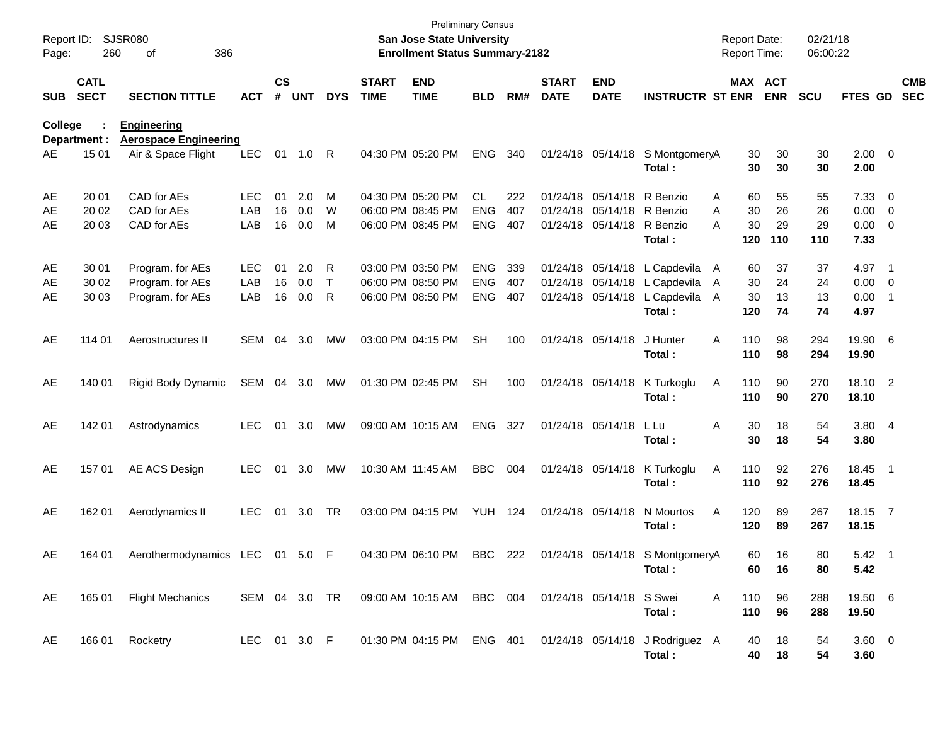| Report ID:<br>Page: | 260                        | SJSR080<br>386<br>οf                               |              |                    |            |            |                             | <b>Preliminary Census</b><br>San Jose State University<br><b>Enrollment Status Summary-2182</b> |                          |            |                             |                                        |                                           | <b>Report Date:</b><br><b>Report Time:</b> |                       | 02/21/18<br>06:00:22 |                        |                                                     |                          |
|---------------------|----------------------------|----------------------------------------------------|--------------|--------------------|------------|------------|-----------------------------|-------------------------------------------------------------------------------------------------|--------------------------|------------|-----------------------------|----------------------------------------|-------------------------------------------|--------------------------------------------|-----------------------|----------------------|------------------------|-----------------------------------------------------|--------------------------|
| <b>SUB</b>          | <b>CATL</b><br><b>SECT</b> | <b>SECTION TITTLE</b>                              | <b>ACT</b>   | $\mathsf{cs}$<br># | <b>UNT</b> | <b>DYS</b> | <b>START</b><br><b>TIME</b> | <b>END</b><br><b>TIME</b>                                                                       | <b>BLD</b>               | RM#        | <b>START</b><br><b>DATE</b> | <b>END</b><br><b>DATE</b>              | <b>INSTRUCTR ST ENR</b>                   |                                            | MAX ACT<br><b>ENR</b> | <b>SCU</b>           | FTES GD                |                                                     | <b>CMB</b><br><b>SEC</b> |
| College             | Department :               | <b>Engineering</b><br><b>Aerospace Engineering</b> |              |                    |            |            |                             |                                                                                                 |                          |            |                             |                                        |                                           |                                            |                       |                      |                        |                                                     |                          |
| AE                  | 15 01                      | Air & Space Flight                                 | <b>LEC</b>   | 01                 | 1.0        | R          |                             | 04:30 PM 05:20 PM                                                                               | <b>ENG</b>               | 340        |                             | 01/24/18 05/14/18                      | S MontgomeryA<br>Total:                   | 30<br>30                                   | 30<br>30              | 30<br>30             | $2.00 \t 0$<br>2.00    |                                                     |                          |
| AE                  | 20 01                      | CAD for AEs                                        | LEC          | 01                 | 2.0        | M          |                             | 04:30 PM 05:20 PM                                                                               | CL.                      | 222        |                             | 01/24/18 05/14/18                      | R Benzio                                  | 60<br>A                                    | 55                    | 55                   | 7.33                   | $\overline{\phantom{0}}$                            |                          |
| AE<br>AE            | 20 02<br>20 03             | CAD for AEs<br>CAD for AEs                         | LAB<br>LAB   | 16<br>16           | 0.0<br>0.0 | W<br>M     |                             | 06:00 PM 08:45 PM<br>06:00 PM 08:45 PM                                                          | <b>ENG</b><br><b>ENG</b> | 407<br>407 |                             | 01/24/18 05/14/18<br>01/24/18 05/14/18 | R Benzio<br>R Benzio<br>Total:            | 30<br>A<br>30<br>A<br>120                  | 26<br>29<br>110       | 26<br>29<br>110      | 0.00<br>0.00<br>7.33   | $\overline{\mathbf{0}}$<br>$\overline{\phantom{0}}$ |                          |
| AE                  | 30 01                      | Program. for AEs                                   | <b>LEC</b>   | 01                 | 2.0        | R          |                             | 03:00 PM 03:50 PM                                                                               | <b>ENG</b>               | 339        |                             | 01/24/18 05/14/18                      | L Capdevila                               | 60<br>$\mathsf{A}$                         | 37                    | 37                   | 4.97                   | $\overline{\phantom{1}}$                            |                          |
| AE                  | 30 02                      | Program. for AEs                                   | LAB          | 16                 | 0.0        | $\top$     |                             | 06:00 PM 08:50 PM                                                                               | <b>ENG</b>               | 407        |                             | 01/24/18 05/14/18                      | L Capdevila                               | 30<br>A                                    | 24                    | 24                   | 0.00                   | $\overline{\mathbf{0}}$                             |                          |
| AE                  | 30 03                      | Program. for AEs                                   | LAB          | 16                 | 0.0        | R          |                             | 06:00 PM 08:50 PM                                                                               | <b>ENG</b>               | 407        |                             | 01/24/18 05/14/18                      | L Capdevila<br>Total:                     | A<br>30<br>120                             | 13<br>74              | 13<br>74             | 0.00<br>4.97           | $\overline{1}$                                      |                          |
| AE                  | 114 01                     | Aerostructures II                                  | SEM          | 04                 | 3.0        | МW         |                             | 03:00 PM 04:15 PM                                                                               | <b>SH</b>                | 100        |                             | 01/24/18 05/14/18                      | J Hunter<br>Total:                        | A<br>110<br>110                            | 98<br>98              | 294<br>294           | 19.90 6<br>19.90       |                                                     |                          |
| AE                  | 140 01                     | Rigid Body Dynamic                                 | SEM          |                    | 04 3.0     | MW         |                             | 01:30 PM 02:45 PM                                                                               | <b>SH</b>                | 100        |                             | 01/24/18 05/14/18                      | K Turkoglu<br>Total:                      | Α<br>110<br>110                            | 90<br>90              | 270<br>270           | 18.10 2<br>18.10       |                                                     |                          |
| AE                  | 142 01                     | Astrodynamics                                      | <b>LEC</b>   | 01                 | 3.0        | МW         |                             | 09:00 AM 10:15 AM                                                                               | <b>ENG</b>               | 327        |                             | 01/24/18 05/14/18                      | L Lu<br>Total:                            | Α<br>30<br>30                              | 18<br>18              | 54<br>54             | 3.80 4<br>3.80         |                                                     |                          |
| AE                  | 157 01                     | AE ACS Design                                      | <b>LEC</b>   | 01                 | 3.0        | МW         |                             | 10:30 AM 11:45 AM                                                                               | <b>BBC</b>               | 004        |                             | 01/24/18 05/14/18                      | K Turkoglu<br>Total:                      | Α<br>110<br>110                            | 92<br>92              | 276<br>276           | 18.45<br>18.45         | $\overline{\phantom{0}}$                            |                          |
| AE                  | 162 01                     | Aerodynamics II                                    | <b>LEC</b>   | 01                 | 3.0        | TR         |                             | 03:00 PM 04:15 PM                                                                               | <b>YUH 124</b>           |            |                             | 01/24/18 05/14/18                      | N Mourtos<br>Total:                       | 120<br>Α<br>120                            | 89<br>89              | 267<br>267           | 18.15 7<br>18.15       |                                                     |                          |
| AE                  | 164 01                     | Aerothermodynamics LEC 01 5.0 F                    |              |                    |            |            |                             | 04:30 PM 06:10 PM BBC 222                                                                       |                          |            |                             | 01/24/18 05/14/18                      | S MontgomeryA<br>Total:                   | 60                                         | 60<br>16<br>16        | 80<br>80             | $5.42 \quad 1$<br>5.42 |                                                     |                          |
| AE                  | 165 01                     | <b>Flight Mechanics</b>                            |              |                    |            |            |                             | SEM 04 3.0 TR  09:00 AM  10:15 AM  BBC  004                                                     |                          |            |                             | 01/24/18 05/14/18 S Swei               | Total:                                    | A<br>110<br>110                            | 96<br>96              | 288<br>288           | 19.50 6<br>19.50       |                                                     |                          |
| AE                  | 166 01                     | Rocketry                                           | LEC 01 3.0 F |                    |            |            |                             | 01:30 PM 04:15 PM ENG 401                                                                       |                          |            |                             |                                        | 01/24/18 05/14/18 J Rodriguez A<br>Total: | 40<br>40                                   | 18<br>18              | 54<br>54             | $3.60 \ 0$<br>3.60     |                                                     |                          |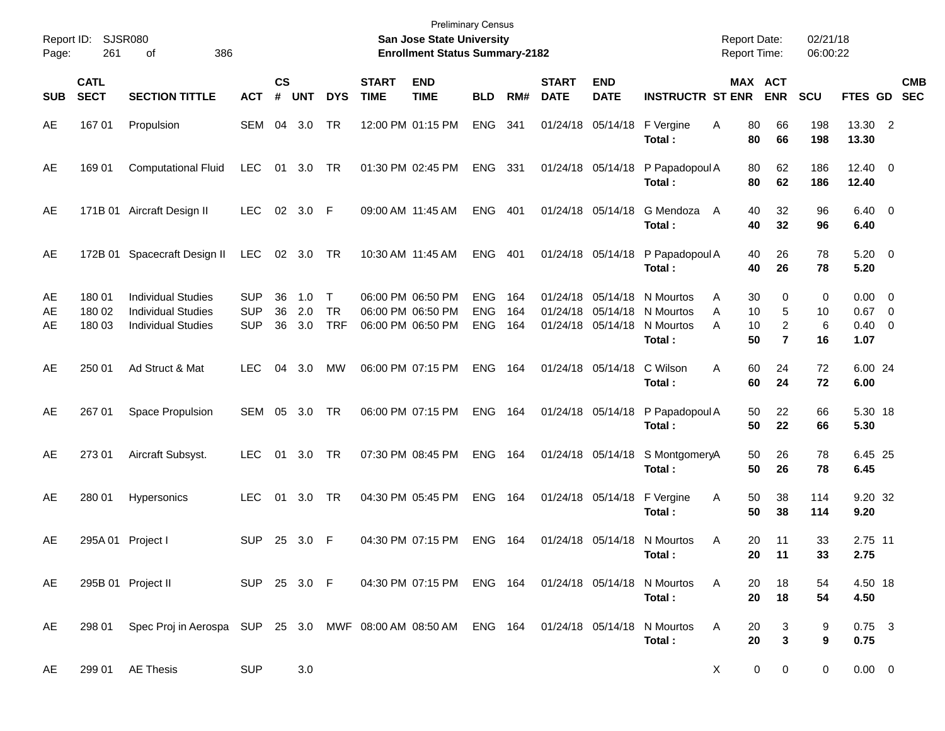| Report ID:<br>Page: | 261                        | SJSR080<br>386<br>οf                                                                             |                                        |                    |                   |                                   |                             | <b>Preliminary Census</b><br>San Jose State University<br><b>Enrollment Status Summary-2182</b> |                                        |                   |                             |                                        |                                                                                  | <b>Report Date:</b><br><b>Report Time:</b> |                               | 02/21/18<br>06:00:22 |                                               |                          |
|---------------------|----------------------------|--------------------------------------------------------------------------------------------------|----------------------------------------|--------------------|-------------------|-----------------------------------|-----------------------------|-------------------------------------------------------------------------------------------------|----------------------------------------|-------------------|-----------------------------|----------------------------------------|----------------------------------------------------------------------------------|--------------------------------------------|-------------------------------|----------------------|-----------------------------------------------|--------------------------|
| <b>SUB</b>          | <b>CATL</b><br><b>SECT</b> | <b>SECTION TITTLE</b>                                                                            | <b>ACT</b>                             | $\mathsf{cs}$<br># | <b>UNT</b>        | <b>DYS</b>                        | <b>START</b><br><b>TIME</b> | <b>END</b><br><b>TIME</b>                                                                       | <b>BLD</b>                             | RM#               | <b>START</b><br><b>DATE</b> | <b>END</b><br><b>DATE</b>              | <b>INSTRUCTR ST ENR</b>                                                          |                                            | MAX ACT<br><b>ENR</b>         | <b>SCU</b>           | FTES GD                                       | <b>CMB</b><br><b>SEC</b> |
| AE                  | 16701                      | Propulsion                                                                                       | SEM                                    | 04                 | 3.0               | TR                                |                             | 12:00 PM 01:15 PM                                                                               | <b>ENG</b>                             | 341               |                             | 01/24/18 05/14/18                      | F Vergine<br>Total:                                                              | Α<br>80<br>80                              | 66<br>66                      | 198<br>198           | 13.30 2<br>13.30                              |                          |
| AE                  | 169 01                     | <b>Computational Fluid</b>                                                                       | <b>LEC</b>                             |                    | 01 3.0            | TR                                |                             | 01:30 PM 02:45 PM                                                                               | <b>ENG</b>                             | - 331             |                             |                                        | 01/24/18 05/14/18 P Papadopoul A<br>Total:                                       | 80<br>80                                   | 62<br>62                      | 186<br>186           | $12.40 \t 0$<br>12.40                         |                          |
| AE                  |                            | 171B 01 Aircraft Design II                                                                       | <b>LEC</b>                             |                    | 02 3.0            | - F                               |                             | 09:00 AM 11:45 AM                                                                               | <b>ENG</b>                             | 401               |                             | 01/24/18 05/14/18                      | G Mendoza<br>Total:                                                              | 40<br>A<br>40                              | 32<br>32                      | 96<br>96             | $6.40 \quad 0$<br>6.40                        |                          |
| AE                  |                            | 172B 01 Spacecraft Design II                                                                     | <b>LEC</b>                             |                    | 02 3.0            | TR                                |                             | 10:30 AM 11:45 AM                                                                               | <b>ENG</b>                             | 401               |                             |                                        | 01/24/18 05/14/18 P Papadopoul A<br>Total:                                       | 40<br>40                                   | 26<br>26                      | 78<br>78             | $5.20 \ 0$<br>5.20                            |                          |
| AE<br>AE<br>AE      | 18001<br>180 02<br>180 03  | <b>Individual Studies</b><br><b>Individual Studies</b><br><b>Individual Studies</b>              | <b>SUP</b><br><b>SUP</b><br><b>SUP</b> | 36<br>36<br>36     | 1.0<br>2.0<br>3.0 | $\top$<br><b>TR</b><br><b>TRF</b> |                             | 06:00 PM 06:50 PM<br>06:00 PM 06:50 PM<br>06:00 PM 06:50 PM                                     | <b>ENG</b><br><b>ENG</b><br><b>ENG</b> | 164<br>164<br>164 |                             | 01/24/18 05/14/18<br>01/24/18 05/14/18 | N Mourtos<br>01/24/18 05/14/18 N Mourtos<br>N Mourtos<br>Total:                  | 30<br>A<br>A<br>10<br>A<br>10<br>50        | 0<br>5<br>2<br>$\overline{7}$ | 0<br>10<br>6<br>16   | $0.00 \t 0$<br>$0.67$ 0<br>$0.40 \ 0$<br>1.07 |                          |
| AE                  | 250 01                     | Ad Struct & Mat                                                                                  | <b>LEC</b>                             | 04                 | 3.0               | MW                                |                             | 06:00 PM 07:15 PM                                                                               | <b>ENG</b>                             | 164               |                             | 01/24/18 05/14/18                      | C Wilson<br>Total:                                                               | A<br>60<br>60                              | 24<br>24                      | 72<br>72             | 6.00 24<br>6.00                               |                          |
| AE                  | 267 01                     | Space Propulsion                                                                                 | SEM                                    | 05                 | 3.0               | TR                                |                             | 06:00 PM 07:15 PM                                                                               | <b>ENG</b>                             | 164               |                             |                                        | 01/24/18 05/14/18 P Papadopoul A<br>Total:                                       | 50<br>50                                   | 22<br>22                      | 66<br>66             | 5.30 18<br>5.30                               |                          |
| AE                  | 273 01                     | Aircraft Subsyst.                                                                                | <b>LEC</b>                             | 01                 | 3.0               | TR                                |                             | 07:30 PM 08:45 PM                                                                               | <b>ENG</b>                             | 164               |                             |                                        | 01/24/18 05/14/18 S MontgomeryA<br>Total:                                        | 50<br>50                                   | 26<br>26                      | 78<br>78             | 6.45 25<br>6.45                               |                          |
| AE                  | 280 01                     | Hypersonics                                                                                      | <b>LEC</b>                             |                    | 01 3.0            | TR                                |                             | 04:30 PM 05:45 PM                                                                               | <b>ENG</b>                             | 164               |                             | 01/24/18 05/14/18                      | F Vergine<br>Total:                                                              | 50<br>Α<br>50                              | 38<br>38                      | 114<br>114           | 9.20 32<br>9.20                               |                          |
| AE                  |                            | 295A 01 Project I                                                                                | <b>SUP</b>                             | 25                 | 3.0               | -F                                |                             | 04:30 PM 07:15 PM                                                                               | <b>ENG</b>                             | 164               |                             |                                        | 01/24/18 05/14/18 N Mourtos<br>Total:                                            | Α<br>20<br>20                              | 11<br>11                      | 33<br>33             | 2.75 11<br>2.75                               |                          |
| AE.                 |                            | 295B 01 Project II                                                                               |                                        |                    |                   |                                   |                             |                                                                                                 |                                        |                   |                             |                                        | SUP 25 3.0 F  04:30 PM 07:15 PM ENG 164  01/24/18  05/14/18  N Mourtos<br>Total: | A<br>20<br>20                              | 18<br>18                      | 54<br>54             | 4.50 18<br>4.50                               |                          |
| AE.                 |                            | 298 01 Spec Proj in Aerospa SUP 25 3.0 MWF 08:00 AM 08:50 AM ENG 164 01/24/18 05/14/18 N Mourtos |                                        |                    |                   |                                   |                             |                                                                                                 |                                        |                   |                             |                                        | Total:                                                                           | 20<br>A<br>20                              | 3<br>3                        | 9<br>9               | $0.75$ 3<br>0.75                              |                          |
| AE                  |                            | 299 01 AE Thesis                                                                                 | <b>SUP</b>                             |                    | 3.0               |                                   |                             |                                                                                                 |                                        |                   |                             |                                        |                                                                                  | X                                          | $\overline{0}$<br>0           | 0                    | $0.00 \t 0$                                   |                          |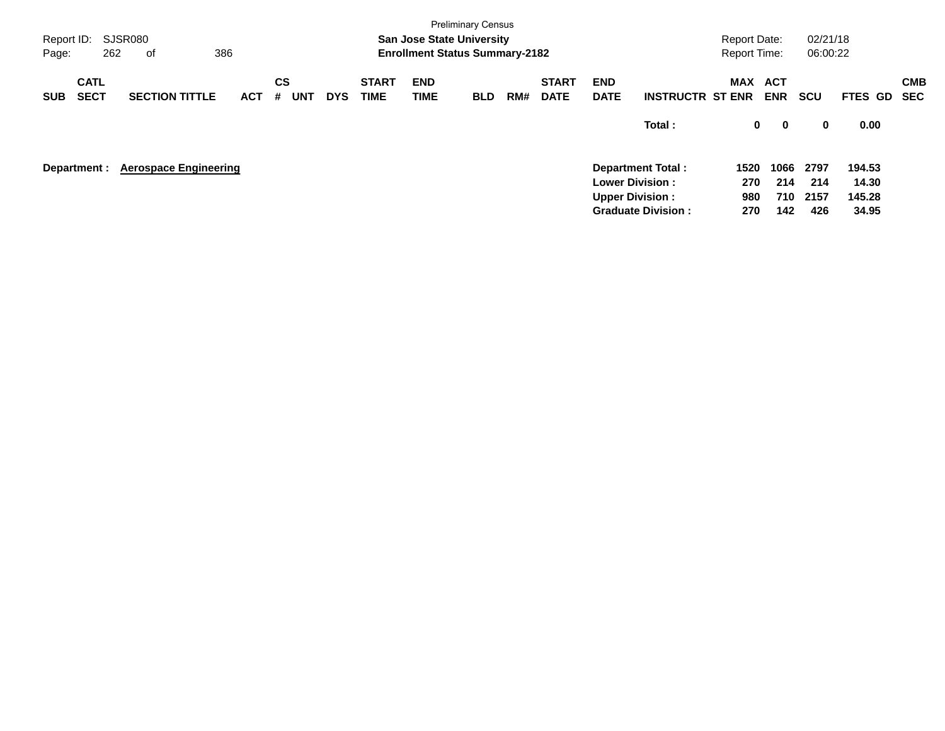| Report ID:<br>Page: |                            | <b>Preliminary Census</b><br>SJSR080<br><b>San Jose State University</b><br>386<br>262<br><b>Enrollment Status Summary-2182</b><br>оf<br><b>CS</b><br><b>START</b><br><b>START</b><br><b>END</b><br><b>END</b> |            |                 |            |             |      |            |     |             |                        |                           |         |             | 02/21/18<br>06:00:22 |         |                          |
|---------------------|----------------------------|----------------------------------------------------------------------------------------------------------------------------------------------------------------------------------------------------------------|------------|-----------------|------------|-------------|------|------------|-----|-------------|------------------------|---------------------------|---------|-------------|----------------------|---------|--------------------------|
| <b>SUB</b>          | <b>CATL</b><br><b>SECT</b> | <b>SECTION TITTLE</b>                                                                                                                                                                                          | <b>ACT</b> | <b>UNT</b><br># | <b>DYS</b> | <b>TIME</b> | TIME | <b>BLD</b> | RM# | <b>DATE</b> | <b>DATE</b>            | <b>INSTRUCTR ST ENR</b>   | MAX ACT | <b>ENR</b>  | <b>SCU</b>           | FTES GD | <b>CMB</b><br><b>SEC</b> |
|                     |                            |                                                                                                                                                                                                                |            |                 |            |             |      |            |     |             |                        | Total:                    | 0       | $\mathbf 0$ | 0                    | 0.00    |                          |
|                     | Department :               | <b>Aerospace Engineering</b>                                                                                                                                                                                   |            |                 |            |             |      |            |     |             |                        | <b>Department Total:</b>  | 1520    | 1066        | 2797                 | 194.53  |                          |
|                     |                            |                                                                                                                                                                                                                |            |                 |            |             |      |            |     |             | <b>Lower Division:</b> |                           | 270     | 214         | 214                  | 14.30   |                          |
|                     |                            |                                                                                                                                                                                                                |            |                 |            |             |      |            |     |             | <b>Upper Division:</b> |                           | 980     | 710         | 2157                 | 145.28  |                          |
|                     |                            |                                                                                                                                                                                                                |            |                 |            |             |      |            |     |             |                        | <b>Graduate Division:</b> | 270     | 142         | 426                  | 34.95   |                          |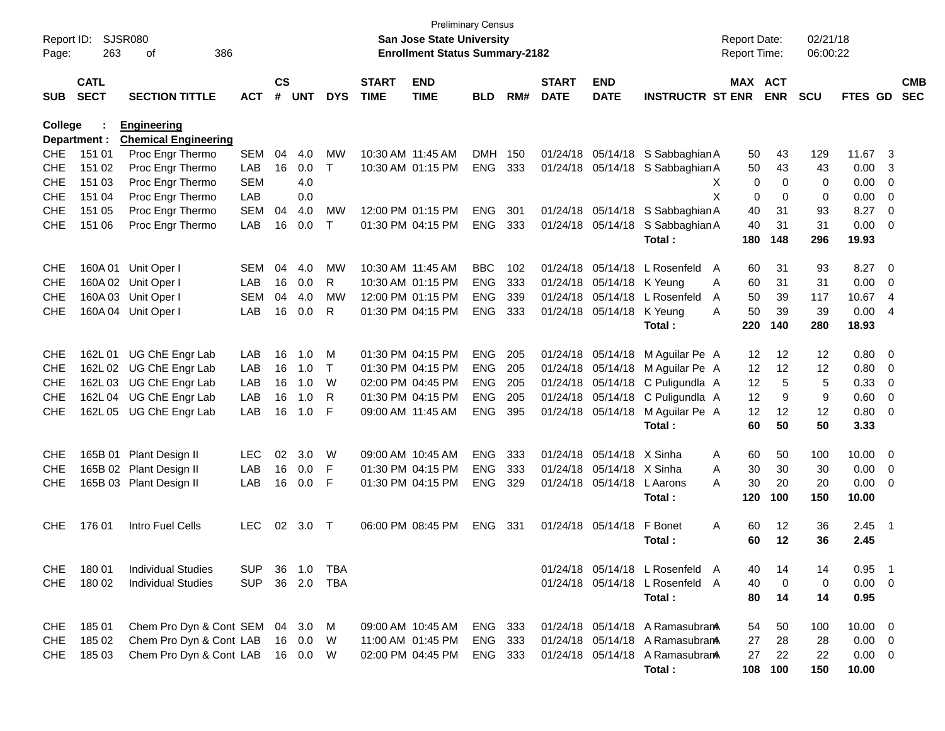| Report ID:<br>Page: | 263                        | <b>SJSR080</b><br>386<br>οf    |            |                    |            |              |                             | <b>San Jose State University</b><br><b>Enrollment Status Summary-2182</b> | <b>Preliminary Census</b> |     |                             |                           |                                 | <b>Report Date:</b><br>Report Time: |            | 02/21/18<br>06:00:22 |             |                          |                          |
|---------------------|----------------------------|--------------------------------|------------|--------------------|------------|--------------|-----------------------------|---------------------------------------------------------------------------|---------------------------|-----|-----------------------------|---------------------------|---------------------------------|-------------------------------------|------------|----------------------|-------------|--------------------------|--------------------------|
| <b>SUB</b>          | <b>CATL</b><br><b>SECT</b> | <b>SECTION TITTLE</b>          | <b>ACT</b> | $\mathsf{cs}$<br># | <b>UNT</b> | <b>DYS</b>   | <b>START</b><br><b>TIME</b> | <b>END</b><br><b>TIME</b>                                                 | <b>BLD</b>                | RM# | <b>START</b><br><b>DATE</b> | <b>END</b><br><b>DATE</b> | <b>INSTRUCTR ST ENR</b>         | MAX ACT                             | <b>ENR</b> | SCU                  | FTES GD     |                          | <b>CMB</b><br><b>SEC</b> |
| <b>College</b>      |                            | <b>Engineering</b>             |            |                    |            |              |                             |                                                                           |                           |     |                             |                           |                                 |                                     |            |                      |             |                          |                          |
|                     | Department :               | <b>Chemical Engineering</b>    |            |                    |            |              |                             |                                                                           |                           |     |                             |                           |                                 |                                     |            |                      |             |                          |                          |
| <b>CHE</b>          | 151 01                     | Proc Engr Thermo               | <b>SEM</b> | 04                 | 4.0        | МW           | 10:30 AM 11:45 AM           |                                                                           | <b>DMH</b>                | 150 | 01/24/18                    | 05/14/18                  | S Sabbaghian A                  | 50                                  | 43         | 129                  | 11.67       | 3                        |                          |
| <b>CHE</b>          | 151 02                     | Proc Engr Thermo               | LAB        | 16                 | 0.0        | $\mathsf{T}$ |                             | 10:30 AM 01:15 PM                                                         | <b>ENG</b>                | 333 | 01/24/18                    | 05/14/18                  | S Sabbaghian A                  | 50                                  | 43         | 43                   | 0.00        | 3                        |                          |
| <b>CHE</b>          | 151 03                     | Proc Engr Thermo               | <b>SEM</b> |                    | 4.0        |              |                             |                                                                           |                           |     |                             |                           |                                 | 0<br>X                              | 0          | 0                    | 0.00        | 0                        |                          |
| <b>CHE</b>          | 151 04                     | Proc Engr Thermo               | LAB        |                    | 0.0        |              |                             |                                                                           |                           |     |                             |                           |                                 | X<br>0                              | 0          | 0                    | 0.00        | 0                        |                          |
| <b>CHE</b>          | 151 05                     | Proc Engr Thermo               | <b>SEM</b> | 04                 | 4.0        | MW           |                             | 12:00 PM 01:15 PM                                                         | <b>ENG</b>                | 301 | 01/24/18                    | 05/14/18                  | S Sabbaghian A                  | 40                                  | 31         | 93                   | 8.27        | 0                        |                          |
| <b>CHE</b>          | 151 06                     | Proc Engr Thermo               | LAB        | 16                 | 0.0        | Т            |                             | 01:30 PM 04:15 PM                                                         | <b>ENG</b>                | 333 | 01/24/18                    | 05/14/18                  | S Sabbaghian A                  | 40                                  | 31         | 31                   | 0.00        | 0                        |                          |
|                     |                            |                                |            |                    |            |              |                             |                                                                           |                           |     |                             |                           | Total:                          | 180                                 | 148        | 296                  | 19.93       |                          |                          |
| <b>CHE</b>          | 160A01                     | Unit Oper I                    | SEM        | 04                 | 4.0        | MW           | 10:30 AM 11:45 AM           |                                                                           | <b>BBC</b>                | 102 | 01/24/18                    | 05/14/18                  | L Rosenfeld                     | 60<br>A                             | 31         | 93                   | 8.27        | 0                        |                          |
| <b>CHE</b>          |                            | 160A 02 Unit Oper I            | LAB        | 16                 | 0.0        | R            |                             | 10:30 AM 01:15 PM                                                         | <b>ENG</b>                | 333 | 01/24/18                    | 05/14/18 K Yeung          |                                 | A<br>60                             | 31         | 31                   | 0.00        | 0                        |                          |
| <b>CHE</b>          |                            | 160A 03 Unit Oper I            | SEM        | 04                 | 4.0        | MW           |                             | 12:00 PM 01:15 PM                                                         | <b>ENG</b>                | 339 | 01/24/18                    | 05/14/18                  | L Rosenfeld                     | A<br>50                             | 39         | 117                  | 10.67       | 4                        |                          |
| <b>CHE</b>          |                            | 160A 04 Unit Oper I            | LAB        | 16                 | 0.0        | R            |                             | 01:30 PM 04:15 PM                                                         | <b>ENG</b>                | 333 | 01/24/18                    | 05/14/18                  | K Yeung                         | A<br>50                             | 39         | 39                   | 0.00        | $\overline{4}$           |                          |
|                     |                            |                                |            |                    |            |              |                             |                                                                           |                           |     |                             |                           | Total:                          | 220                                 | 140        | 280                  | 18.93       |                          |                          |
| <b>CHE</b>          | 162L 01                    | UG ChE Engr Lab                | LAB        | 16                 | 1.0        | M            |                             | 01:30 PM 04:15 PM                                                         | <b>ENG</b>                | 205 | 01/24/18                    | 05/14/18                  | M Aguilar Pe A                  | 12                                  | 12         | 12                   | 0.80        | 0                        |                          |
| <b>CHE</b>          | 162L 02                    | UG ChE Engr Lab                | LAB        | 16                 | 1.0        | $\mathsf{T}$ |                             | 01:30 PM 04:15 PM                                                         | <b>ENG</b>                | 205 | 01/24/18                    | 05/14/18                  | M Aguilar Pe A                  | 12                                  | 12         | 12                   | 0.80        | 0                        |                          |
| <b>CHE</b>          | 162L03                     | UG ChE Engr Lab                | LAB        | 16                 | 1.0        | W            |                             | 02:00 PM 04:45 PM                                                         | <b>ENG</b>                | 205 | 01/24/18                    | 05/14/18                  | C Puligundla A                  | 12                                  | 5          | 5                    | 0.33        | 0                        |                          |
| <b>CHE</b>          | 162L 04                    | UG ChE Engr Lab                | LAB        | 16                 | 1.0        | R            |                             | 01:30 PM 04:15 PM                                                         | <b>ENG</b>                | 205 | 01/24/18                    | 05/14/18                  | C Puligundla A                  | 12                                  | 9          | 9                    | 0.60        | 0                        |                          |
| <b>CHE</b>          |                            | 162L 05 UG ChE Engr Lab        | LAB        | 16                 | 1.0        | F            | 09:00 AM 11:45 AM           |                                                                           | <b>ENG</b>                | 395 | 01/24/18                    |                           | 05/14/18 M Aguilar Pe A         | 12                                  | 12         | 12                   | 0.80        | 0                        |                          |
|                     |                            |                                |            |                    |            |              |                             |                                                                           |                           |     |                             |                           | Total:                          | 60                                  | 50         | 50                   | 3.33        |                          |                          |
| <b>CHE</b>          | 165B 01                    | Plant Design II                | <b>LEC</b> | 02                 | 3.0        | W            | 09:00 AM 10:45 AM           |                                                                           | <b>ENG</b>                | 333 | 01/24/18                    | 05/14/18                  | X Sinha                         | Α<br>60                             | 50         | 100                  | 10.00       | 0                        |                          |
| <b>CHE</b>          | 165B 02                    | Plant Design II                | LAB        | 16                 | 0.0        | F            |                             | 01:30 PM 04:15 PM                                                         | <b>ENG</b>                | 333 | 01/24/18                    | 05/14/18 X Sinha          |                                 | A<br>30                             | 30         | 30                   | 0.00        | 0                        |                          |
| <b>CHE</b>          |                            | 165B 03 Plant Design II        | LAB        | 16                 | 0.0        | F            |                             | 01:30 PM 04:15 PM                                                         | <b>ENG</b>                | 329 | 01/24/18                    | 05/14/18                  | L Aarons                        | A<br>30                             | 20         | 20                   | 0.00        | 0                        |                          |
|                     |                            |                                |            |                    |            |              |                             |                                                                           |                           |     |                             |                           | Total:                          | 120                                 | 100        | 150                  | 10.00       |                          |                          |
| <b>CHE</b>          | 176 01                     | Intro Fuel Cells               | <b>LEC</b> | 02                 | 3.0        | $\top$       |                             | 06:00 PM 08:45 PM                                                         | <b>ENG</b>                | 331 | 01/24/18                    | 05/14/18                  | F Bonet                         | A<br>60                             | 12         | 36                   | 2.45        | - 1                      |                          |
|                     |                            |                                |            |                    |            |              |                             |                                                                           |                           |     |                             |                           | Total :                         | 60                                  | 12         | 36                   | 2.45        |                          |                          |
|                     |                            |                                |            |                    |            |              |                             |                                                                           |                           |     |                             |                           |                                 |                                     |            |                      |             |                          |                          |
| <b>CHE</b>          | 18001                      | <b>Individual Studies</b>      | <b>SUP</b> | 36                 | 1.0        | TBA          |                             |                                                                           |                           |     |                             |                           | 01/24/18 05/14/18 L Rosenfeld A | 40                                  | 14         | 14                   | 0.95        | - 1                      |                          |
| <b>CHE</b>          | 180 02                     | <b>Individual Studies</b>      | <b>SUP</b> | 36                 | 2.0        | <b>TBA</b>   |                             |                                                                           |                           |     |                             |                           | 01/24/18 05/14/18 L Rosenfeld A | 40                                  | 0          | $\mathbf 0$          | $0.00 \t 0$ |                          |                          |
|                     |                            |                                |            |                    |            |              |                             |                                                                           |                           |     |                             |                           | Total:                          | 80                                  | 14         | 14                   | 0.95        |                          |                          |
| <b>CHE</b>          | 18501                      | Chem Pro Dyn & Cont SEM 04 3.0 |            |                    |            | M            | 09:00 AM 10:45 AM           |                                                                           | ENG 333                   |     |                             |                           | 01/24/18 05/14/18 A Ramasubrana | 54                                  | 50         | 100                  | 10.00 0     |                          |                          |
| <b>CHE</b>          | 185 02                     | Chem Pro Dyn & Cont LAB        |            |                    | 16 0.0     | W            |                             | 11:00 AM 01:45 PM                                                         | ENG                       | 333 |                             |                           | 01/24/18 05/14/18 A Ramasubrana | 27                                  | 28         | 28                   | 0.00        | $\overline{\phantom{0}}$ |                          |
| <b>CHE</b>          | 185 03                     | Chem Pro Dyn & Cont LAB        |            |                    | 16  0.0    | W            |                             | 02:00 PM 04:45 PM                                                         | ENG 333                   |     |                             |                           | 01/24/18 05/14/18 A Ramasubran  | 27                                  | 22         | 22                   | $0.00 \t 0$ |                          |                          |
|                     |                            |                                |            |                    |            |              |                             |                                                                           |                           |     |                             |                           | Total:                          | 108                                 | 100        | 150                  | 10.00       |                          |                          |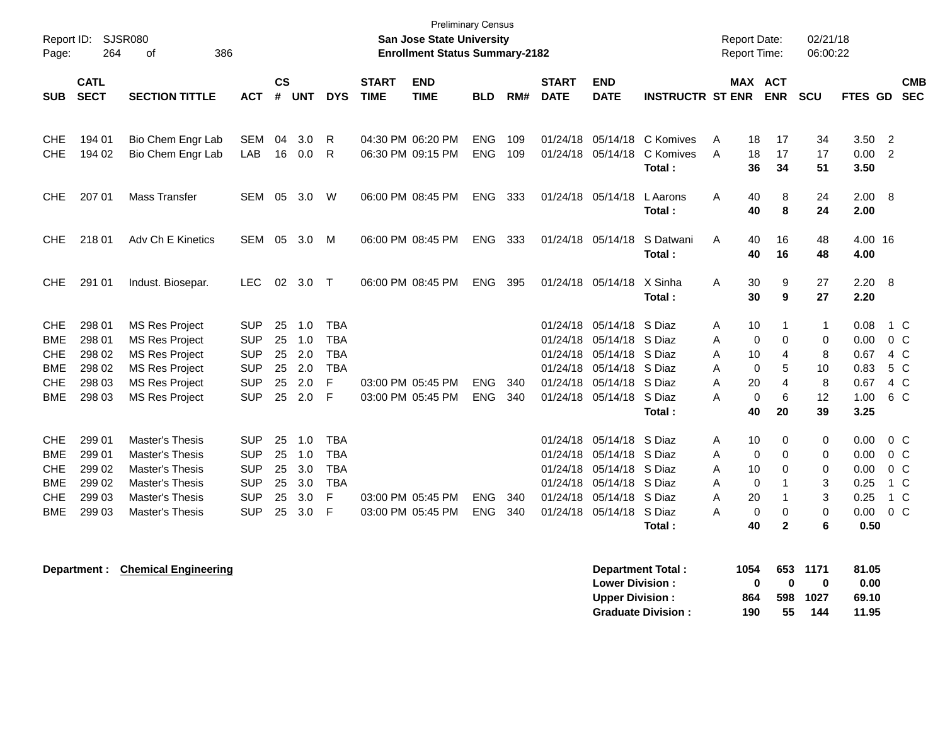| Report ID:<br>Page:                                  | 264                                  | <b>SJSR080</b><br>of<br>386                                                                      |                                                      |                      |                          |                                                      |                             | <b>San Jose State University</b><br><b>Enrollment Status Summary-2182</b> | <b>Preliminary Census</b> |            |                             |                                                                                                              |                                  | <b>Report Date:</b><br>Report Time:                        |                           | 02/21/18<br>06:00:22 |                              |                                                           |
|------------------------------------------------------|--------------------------------------|--------------------------------------------------------------------------------------------------|------------------------------------------------------|----------------------|--------------------------|------------------------------------------------------|-----------------------------|---------------------------------------------------------------------------|---------------------------|------------|-----------------------------|--------------------------------------------------------------------------------------------------------------|----------------------------------|------------------------------------------------------------|---------------------------|----------------------|------------------------------|-----------------------------------------------------------|
| <b>SUB</b>                                           | <b>CATL</b><br><b>SECT</b>           | <b>SECTION TITTLE</b>                                                                            | <b>ACT</b>                                           | <b>CS</b><br>#       | <b>UNT</b>               | <b>DYS</b>                                           | <b>START</b><br><b>TIME</b> | <b>END</b><br><b>TIME</b>                                                 | <b>BLD</b>                | RM#        | <b>START</b><br><b>DATE</b> | <b>END</b><br><b>DATE</b>                                                                                    | <b>INSTRUCTR ST ENR</b>          | MAX ACT                                                    | <b>ENR</b>                | <b>SCU</b>           | FTES GD                      | <b>CMB</b><br><b>SEC</b>                                  |
| <b>CHE</b><br><b>CHE</b>                             | 194 01<br>194 02                     | Bio Chem Engr Lab<br>Bio Chem Engr Lab                                                           | SEM<br>LAB                                           | 04<br>16             | 3.0<br>0.0               | R<br>R                                               |                             | 04:30 PM 06:20 PM<br>06:30 PM 09:15 PM                                    | <b>ENG</b><br><b>ENG</b>  | 109<br>109 |                             | 01/24/18 05/14/18<br>01/24/18 05/14/18                                                                       | C Komives<br>C Komives<br>Total: | Α<br>18<br>A<br>18<br>36                                   | 17<br>17<br>34            | 34<br>17<br>51       | 3.50 2<br>0.00<br>3.50       | $\overline{2}$                                            |
| <b>CHE</b>                                           | 207 01                               | <b>Mass Transfer</b>                                                                             | SEM                                                  | 05                   | 3.0                      | W                                                    |                             | 06:00 PM 08:45 PM                                                         | <b>ENG</b>                | 333        |                             | 01/24/18 05/14/18                                                                                            | L Aarons<br>Total:               | 40<br>Α<br>40                                              | 8<br>8                    | 24<br>24             | 2.00 8<br>2.00               |                                                           |
| <b>CHE</b>                                           | 218 01                               | Adv Ch E Kinetics                                                                                | <b>SEM</b>                                           | 05                   | 3.0                      | M                                                    |                             | 06:00 PM 08:45 PM                                                         | <b>ENG</b>                | 333        |                             | 01/24/18 05/14/18                                                                                            | S Datwani<br>Total:              | 40<br>Α<br>40                                              | 16<br>16                  | 48<br>48             | 4.00 16<br>4.00              |                                                           |
| <b>CHE</b>                                           | 291 01                               | Indust. Biosepar.                                                                                | <b>LEC</b>                                           | 02                   | 3.0                      | $\top$                                               |                             | 06:00 PM 08:45 PM                                                         | <b>ENG</b>                | 395        |                             | 01/24/18 05/14/18                                                                                            | X Sinha<br>Total:                | 30<br>A<br>30                                              | 9<br>9                    | 27<br>27             | 2.20 8<br>2.20               |                                                           |
| <b>CHE</b><br><b>BME</b><br><b>CHE</b><br><b>BME</b> | 298 01<br>298 01<br>298 02<br>298 02 | <b>MS Res Project</b><br><b>MS Res Project</b><br><b>MS Res Project</b><br><b>MS Res Project</b> | <b>SUP</b><br><b>SUP</b><br><b>SUP</b><br><b>SUP</b> | 25<br>25<br>25<br>25 | 1.0<br>1.0<br>2.0<br>2.0 | <b>TBA</b><br><b>TBA</b><br><b>TBA</b><br><b>TBA</b> |                             |                                                                           |                           |            |                             | 01/24/18 05/14/18 S Diaz<br>01/24/18 05/14/18 S Diaz<br>01/24/18 05/14/18<br>01/24/18 05/14/18               | S Diaz<br>S Diaz                 | Α<br>10<br>$\mathbf 0$<br>Α<br>Α<br>10<br>$\mathbf 0$<br>А | 1<br>0<br>4<br>5          | 1<br>0<br>8<br>10    | 0.08<br>0.00<br>0.67<br>0.83 | 1 C<br>$0\,C$<br>4 C<br>5 C                               |
| <b>CHE</b><br><b>BME</b>                             | 298 03<br>298 03                     | <b>MS Res Project</b><br><b>MS Res Project</b>                                                   | <b>SUP</b><br><b>SUP</b>                             | 25<br>25             | 2.0<br>2.0               | F<br>F                                               |                             | 03:00 PM 05:45 PM<br>03:00 PM 05:45 PM                                    | <b>ENG</b><br><b>ENG</b>  | 340<br>340 |                             | 01/24/18 05/14/18<br>01/24/18 05/14/18 S Diaz                                                                | S Diaz<br>Total:                 | А<br>20<br>$\mathbf 0$<br>А<br>40                          | 4<br>6<br>20              | 8<br>12<br>39        | 0.67<br>1.00<br>3.25         | 4 C<br>6 C                                                |
| <b>CHE</b><br><b>BME</b><br><b>CHE</b><br><b>BME</b> | 299 01<br>299 01<br>299 02<br>299 02 | Master's Thesis<br>Master's Thesis<br><b>Master's Thesis</b><br>Master's Thesis                  | <b>SUP</b><br><b>SUP</b><br><b>SUP</b><br><b>SUP</b> | 25<br>25<br>25<br>25 | 1.0<br>1.0<br>3.0<br>3.0 | <b>TBA</b><br><b>TBA</b><br><b>TBA</b><br><b>TBA</b> |                             |                                                                           |                           |            |                             | 01/24/18 05/14/18 S Diaz<br>01/24/18 05/14/18 S Diaz<br>01/24/18 05/14/18 S Diaz<br>01/24/18 05/14/18 S Diaz |                                  | 10<br>A<br>$\Omega$<br>A<br>A<br>10<br>$\mathbf 0$<br>Α    | 0<br>$\Omega$<br>$\Omega$ | 0<br>0<br>0<br>3     | 0.00<br>0.00<br>0.00<br>0.25 | 0 <sup>o</sup><br>0 <sup>o</sup><br>0 <sup>o</sup><br>1 C |
| <b>CHE</b><br>BME                                    | 299 03<br>299 03                     | Master's Thesis<br>Master's Thesis                                                               | <b>SUP</b><br><b>SUP</b>                             | 25<br>25             | 3.0<br>3.0               | F<br>F                                               |                             | 03:00 PM 05:45 PM<br>03:00 PM 05:45 PM                                    | <b>ENG</b><br><b>ENG</b>  | 340<br>340 |                             | 01/24/18 05/14/18 S Diaz<br>01/24/18 05/14/18                                                                | S Diaz<br>Total:                 | 20<br>Α<br>А<br>0<br>40                                    | $\Omega$<br>$\mathbf{2}$  | 3<br>$\Omega$<br>6   | 0.25<br>0.00<br>0.50         | 1 C<br>$0\,C$                                             |

**Department : Chemical Engineering** 

| Department Total:         | 1054 |              | 653 1171 | 81.05 |
|---------------------------|------|--------------|----------|-------|
| <b>Lower Division:</b>    | o    | $\mathbf{u}$ | o        | 0.00  |
| <b>Upper Division:</b>    | 864  | 598          | - 1027   | 69.10 |
| <b>Graduate Division:</b> | 190  | 55           | 144      | 11.95 |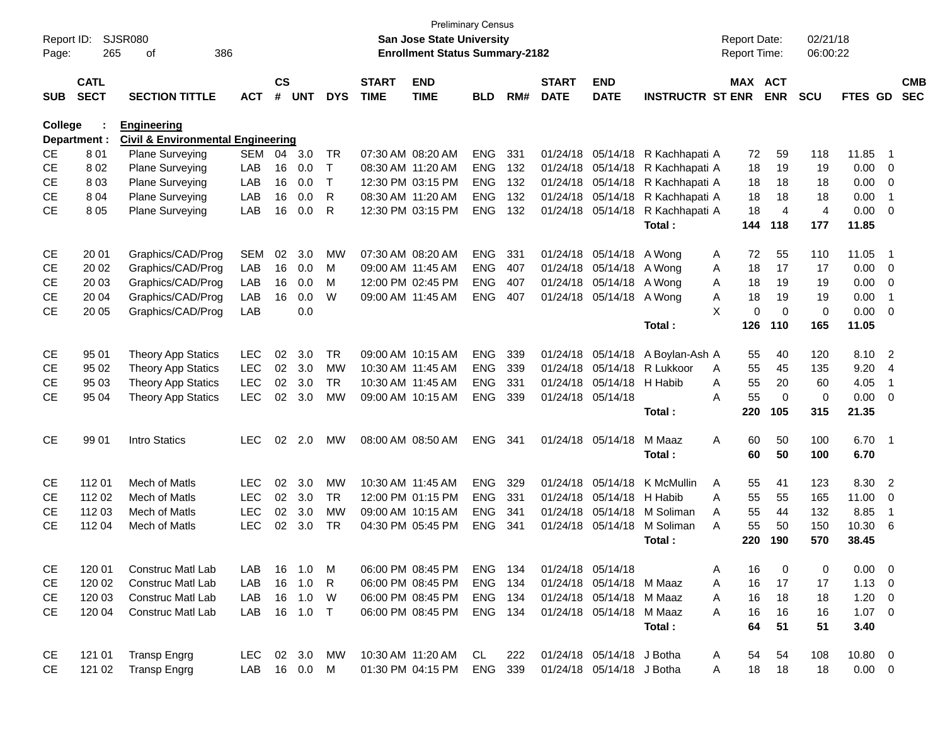| Report ID: |              | <b>SJSR080</b>                               |            |           |            |              |              | <b>San Jose State University</b>      | <b>Preliminary Census</b> |     |              |                           |                         | <b>Report Date:</b> |                | 02/21/18       |             |                          |            |
|------------|--------------|----------------------------------------------|------------|-----------|------------|--------------|--------------|---------------------------------------|---------------------------|-----|--------------|---------------------------|-------------------------|---------------------|----------------|----------------|-------------|--------------------------|------------|
| Page:      | 265          | 386<br>οf                                    |            |           |            |              |              | <b>Enrollment Status Summary-2182</b> |                           |     |              |                           |                         | Report Time:        |                | 06:00:22       |             |                          |            |
|            | <b>CATL</b>  |                                              |            | <b>CS</b> |            |              | <b>START</b> | <b>END</b>                            |                           |     | <b>START</b> | <b>END</b>                |                         | <b>MAX ACT</b>      |                |                |             |                          | <b>CMB</b> |
| <b>SUB</b> | <b>SECT</b>  | <b>SECTION TITTLE</b>                        | <b>ACT</b> | #         | <b>UNT</b> | <b>DYS</b>   | <b>TIME</b>  | <b>TIME</b>                           | <b>BLD</b>                | RM# | <b>DATE</b>  | <b>DATE</b>               | <b>INSTRUCTR ST ENR</b> |                     | <b>ENR</b>     | <b>SCU</b>     | FTES GD     |                          | <b>SEC</b> |
| College    |              | <b>Engineering</b>                           |            |           |            |              |              |                                       |                           |     |              |                           |                         |                     |                |                |             |                          |            |
|            | Department : | <b>Civil &amp; Environmental Engineering</b> |            |           |            |              |              |                                       |                           |     |              |                           |                         |                     |                |                |             |                          |            |
| <b>CE</b>  | 801          | Plane Surveying                              | <b>SEM</b> | 04        | 3.0        | TR           |              | 07:30 AM 08:20 AM                     | <b>ENG</b>                | 331 |              | 01/24/18 05/14/18         | R Kachhapati A          | 72                  | 59             | 118            | 11.85       | - 1                      |            |
| <b>CE</b>  | 802          | Plane Surveying                              | LAB        | 16        | 0.0        | $\mathsf{T}$ |              | 08:30 AM 11:20 AM                     | <b>ENG</b>                | 132 |              | 01/24/18 05/14/18         | R Kachhapati A          | 18                  | 19             | 19             | 0.00        | $\overline{\mathbf{0}}$  |            |
| <b>CE</b>  | 803          | Plane Surveying                              | LAB        | 16        | 0.0        | $\mathsf{T}$ |              | 12:30 PM 03:15 PM                     | <b>ENG</b>                | 132 |              | 01/24/18 05/14/18         | R Kachhapati A          | 18                  | 18             | 18             | 0.00        | 0                        |            |
| <b>CE</b>  | 804          | Plane Surveying                              | LAB        | 16        | 0.0        | R            |              | 08:30 AM 11:20 AM                     | <b>ENG</b>                | 132 |              | 01/24/18 05/14/18         | R Kachhapati A          | 18                  | 18             | 18             | 0.00        | -1                       |            |
| <b>CE</b>  | 8 0 5        | Plane Surveying                              | LAB        | 16        | 0.0        | R            |              | 12:30 PM 03:15 PM                     | <b>ENG</b>                | 132 |              | 01/24/18 05/14/18         | R Kachhapati A          | 18                  | $\overline{4}$ | $\overline{4}$ | 0.00        | $\overline{0}$           |            |
|            |              |                                              |            |           |            |              |              |                                       |                           |     |              |                           | Total:                  | 144                 | 118            | 177            | 11.85       |                          |            |
| CE         | 20 01        | Graphics/CAD/Prog                            | <b>SEM</b> | 02        | 3.0        | <b>MW</b>    |              | 07:30 AM 08:20 AM                     | <b>ENG</b>                | 331 |              | 01/24/18 05/14/18         | A Wong                  | 72<br>A             | 55             | 110            | 11.05       | - 1                      |            |
| <b>CE</b>  | 20 02        | Graphics/CAD/Prog                            | LAB        | 16        | 0.0        | м            |              | 09:00 AM 11:45 AM                     | <b>ENG</b>                | 407 |              | 01/24/18 05/14/18         | A Wong                  | 18<br>A             | 17             | 17             | 0.00        | $\overline{\mathbf{0}}$  |            |
| <b>CE</b>  | 20 03        | Graphics/CAD/Prog                            | LAB        | 16        | 0.0        | M            |              | 12:00 PM 02:45 PM                     | <b>ENG</b>                | 407 |              | 01/24/18 05/14/18 A Wong  |                         | 18<br>A             | 19             | 19             | 0.00        | 0                        |            |
| <b>CE</b>  | 20 04        | Graphics/CAD/Prog                            | LAB        | 16        | 0.0        | W            |              | 09:00 AM 11:45 AM                     | <b>ENG</b>                | 407 |              | 01/24/18 05/14/18 A Wong  |                         | 18<br>A             | 19             | 19             | 0.00        | -1                       |            |
| <b>CE</b>  | 20 05        | Graphics/CAD/Prog                            | LAB        |           | 0.0        |              |              |                                       |                           |     |              |                           |                         | X<br>$\mathbf 0$    | $\mathbf 0$    | 0              | 0.00        | $\overline{0}$           |            |
|            |              |                                              |            |           |            |              |              |                                       |                           |     |              |                           | Total:                  | 126                 | 110            | 165            | 11.05       |                          |            |
| CE         | 95 01        | <b>Theory App Statics</b>                    | <b>LEC</b> | 02        | 3.0        | <b>TR</b>    |              | 09:00 AM 10:15 AM                     | <b>ENG</b>                | 339 |              | 01/24/18 05/14/18         | A Boylan-Ash A          | 55                  | 40             | 120            | 8.10        | $\overline{\phantom{0}}$ |            |
| <b>CE</b>  | 95 02        | <b>Theory App Statics</b>                    | <b>LEC</b> | 02        | 3.0        | <b>MW</b>    |              | 10:30 AM 11:45 AM                     | <b>ENG</b>                | 339 |              | 01/24/18 05/14/18         | R Lukkoor               | 55<br>A             | 45             | 135            | 9.20        | $\overline{4}$           |            |
| <b>CE</b>  | 95 03        | <b>Theory App Statics</b>                    | <b>LEC</b> | 02        | 3.0        | <b>TR</b>    |              | 10:30 AM 11:45 AM                     | <b>ENG</b>                | 331 |              | 01/24/18 05/14/18         | H Habib                 | 55<br>A             | 20             | 60             | 4.05        | $\overline{\mathbf{1}}$  |            |
| <b>CE</b>  | 95 04        | <b>Theory App Statics</b>                    | <b>LEC</b> | 02        | 3.0        | <b>MW</b>    |              | 09:00 AM 10:15 AM                     | <b>ENG</b>                | 339 |              | 01/24/18 05/14/18         |                         | 55<br>A             | $\mathbf 0$    | 0              | 0.00        | $\overline{0}$           |            |
|            |              |                                              |            |           |            |              |              |                                       |                           |     |              |                           | Total:                  | 220                 | 105            | 315            | 21.35       |                          |            |
| <b>CE</b>  | 99 01        | <b>Intro Statics</b>                         | <b>LEC</b> | 02        | 2.0        | MW           |              | 08:00 AM 08:50 AM                     | <b>ENG</b>                | 341 |              | 01/24/18 05/14/18         | M Maaz                  | A<br>60             | 50             | 100            | $6.70$ 1    |                          |            |
|            |              |                                              |            |           |            |              |              |                                       |                           |     |              |                           | Total:                  | 60                  | 50             | 100            | 6.70        |                          |            |
| CE         | 11201        | Mech of Matls                                | <b>LEC</b> | 02        | 3.0        | <b>MW</b>    |              | 10:30 AM 11:45 AM                     | <b>ENG</b>                | 329 |              | 01/24/18 05/14/18         | K McMullin              | A<br>55             | 41             | 123            | 8.30        | $\overline{2}$           |            |
| <b>CE</b>  | 112 02       | Mech of Matls                                | <b>LEC</b> | 02        | 3.0        | <b>TR</b>    |              | 12:00 PM 01:15 PM                     | <b>ENG</b>                | 331 |              | 01/24/18 05/14/18         | H Habib                 | 55<br>A             | 55             | 165            | 11.00       | 0                        |            |
| <b>CE</b>  | 112 03       | Mech of Matls                                | <b>LEC</b> | 02        | 3.0        | <b>MW</b>    |              | 09:00 AM 10:15 AM                     | <b>ENG</b>                | 341 |              | 01/24/18 05/14/18         | M Soliman               | 55<br>A             | 44             | 132            | 8.85        | $\overline{\mathbf{1}}$  |            |
| <b>CE</b>  | 112 04       | Mech of Matls                                | <b>LEC</b> | 02        | 3.0        | TR.          |              | 04:30 PM 05:45 PM                     | <b>ENG</b>                | 341 |              | 01/24/18 05/14/18         | M Soliman               | 55<br>A             | 50             | 150            | 10.30       | 6                        |            |
|            |              |                                              |            |           |            |              |              |                                       |                           |     |              |                           | Total :                 | 220                 | 190            | 570            | 38.45       |                          |            |
| CE         | 120 01       | Construc Matl Lab                            | LAB        |           | 16 1.0     | M            |              | 06:00 PM 08:45 PM                     | ENG 134                   |     |              | 01/24/18 05/14/18         |                         | 16<br>Α             | 0              | 0              | $0.00 \t 0$ |                          |            |
| CE         | 120 02       | <b>Construc Matl Lab</b>                     | LAB        | 16        | 1.0        | $\mathsf{R}$ |              | 06:00 PM 08:45 PM                     | ENG                       | 134 |              | 01/24/18 05/14/18 M Maaz  |                         | 16<br>Α             | 17             | 17             | $1.13 \ 0$  |                          |            |
| <b>CE</b>  | 120 03       | <b>Construc Matl Lab</b>                     | LAB        | 16        | 1.0        | W            |              | 06:00 PM 08:45 PM                     | ENG 134                   |     |              | 01/24/18 05/14/18 M Maaz  |                         | 16<br>Α             | 18             | 18             | $1.20 \t 0$ |                          |            |
| <b>CE</b>  | 120 04       | Construc Matl Lab                            | LAB        |           | 16  1.0  T |              |              | 06:00 PM 08:45 PM                     | ENG 134                   |     |              | 01/24/18 05/14/18 M Maaz  |                         | 16<br>Α             | 16             | 16             | $1.07 \t 0$ |                          |            |
|            |              |                                              |            |           |            |              |              |                                       |                           |     |              |                           | Total:                  | 64                  | 51             | 51             | 3.40        |                          |            |
| CE         | 121 01       | <b>Transp Engrg</b>                          | LEC        |           | 02 3.0     | MW           |              | 10:30 AM 11:20 AM                     | CL                        | 222 |              | 01/24/18 05/14/18 J Botha |                         | 54<br>A             | 54             | 108            | 10.80 0     |                          |            |
| <b>CE</b>  | 121 02       | <b>Transp Engrg</b>                          | LAB        |           | 16  0.0  M |              |              | 01:30 PM 04:15 PM                     | ENG                       | 339 |              | 01/24/18 05/14/18 J Botha |                         | 18<br>A             | 18             | 18             | $0.00 \t 0$ |                          |            |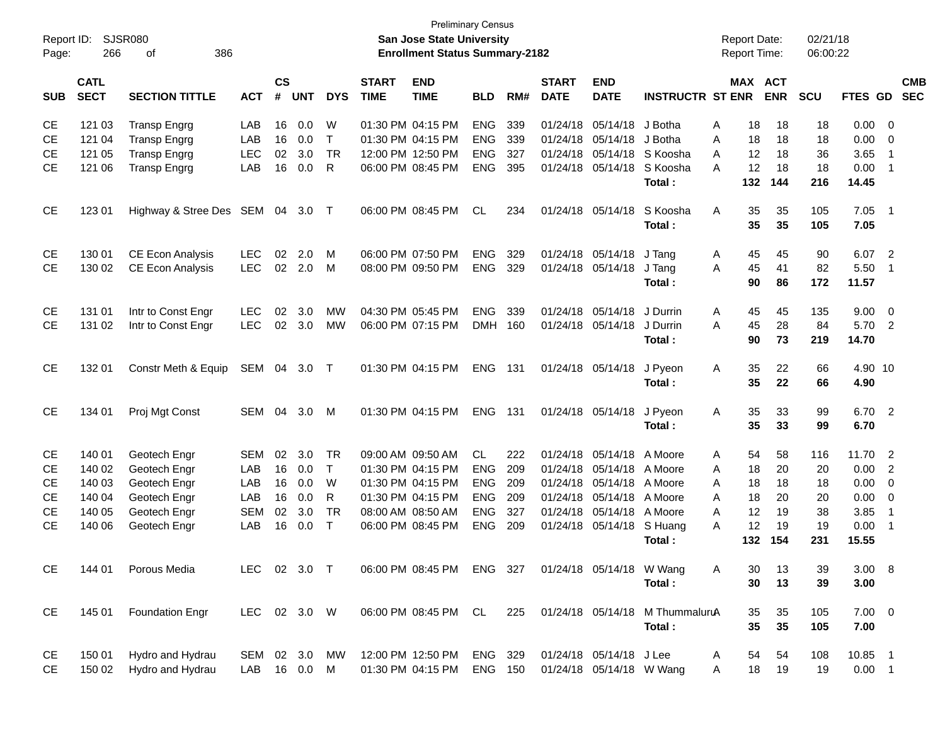| Report ID:<br>Page: | 266                        | <b>SJSR080</b><br>386<br>of |              |                    |            |              |                             | <b>Preliminary Census</b><br><b>San Jose State University</b><br><b>Enrollment Status Summary-2182</b> |                |     |                             |                           |                                 |   | <b>Report Date:</b><br>Report Time: |            | 02/21/18<br>06:00:22 |             |                            |                          |
|---------------------|----------------------------|-----------------------------|--------------|--------------------|------------|--------------|-----------------------------|--------------------------------------------------------------------------------------------------------|----------------|-----|-----------------------------|---------------------------|---------------------------------|---|-------------------------------------|------------|----------------------|-------------|----------------------------|--------------------------|
| <b>SUB</b>          | <b>CATL</b><br><b>SECT</b> | <b>SECTION TITTLE</b>       | <b>ACT</b>   | $\mathsf{cs}$<br># | <b>UNT</b> | <b>DYS</b>   | <b>START</b><br><b>TIME</b> | <b>END</b><br><b>TIME</b>                                                                              | <b>BLD</b>     | RM# | <b>START</b><br><b>DATE</b> | <b>END</b><br><b>DATE</b> | <b>INSTRUCTR ST ENR</b>         |   | MAX ACT                             | <b>ENR</b> | SCU                  | FTES GD     |                            | <b>CMB</b><br><b>SEC</b> |
| <b>CE</b>           | 121 03                     | <b>Transp Engrg</b>         | LAB          | 16                 | 0.0        | W            |                             | 01:30 PM 04:15 PM                                                                                      | <b>ENG</b>     | 339 | 01/24/18                    | 05/14/18                  | J Botha                         | A | 18                                  | 18         | 18                   | 0.00        | - 0                        |                          |
| <b>CE</b>           | 121 04                     | <b>Transp Engrg</b>         | LAB          | 16                 | 0.0        | T            |                             | 01:30 PM 04:15 PM                                                                                      | <b>ENG</b>     | 339 | 01/24/18                    | 05/14/18                  | J Botha                         | A | 18                                  | 18         | 18                   | 0.00        | $\overline{0}$             |                          |
| <b>CE</b>           | 121 05                     | <b>Transp Engrg</b>         | <b>LEC</b>   | 02                 | 3.0        | <b>TR</b>    |                             | 12:00 PM 12:50 PM                                                                                      | <b>ENG</b>     | 327 | 01/24/18                    | 05/14/18                  | S Koosha                        | A | 12                                  | 18         | 36                   | 3.65        | $\overline{1}$             |                          |
| <b>CE</b>           | 121 06                     | <b>Transp Engrg</b>         | LAB          | 16                 | 0.0        | R            |                             | 06:00 PM 08:45 PM                                                                                      | <b>ENG</b>     | 395 | 01/24/18                    | 05/14/18                  | S Koosha                        | A | 12                                  | 18         | 18                   | 0.00        | $\overline{1}$             |                          |
|                     |                            |                             |              |                    |            |              |                             |                                                                                                        |                |     |                             |                           | Total:                          |   | 132                                 | 144        | 216                  | 14.45       |                            |                          |
| <b>CE</b>           | 123 01                     | Highway & Stree Des SEM     |              | 04                 | 3.0        | $\top$       |                             | 06:00 PM 08:45 PM                                                                                      | <b>CL</b>      | 234 | 01/24/18                    | 05/14/18                  | S Koosha                        | A | 35                                  | 35         | 105                  | 7.05        | $\overline{\phantom{0}}$ 1 |                          |
|                     |                            |                             |              |                    |            |              |                             |                                                                                                        |                |     |                             |                           | Total:                          |   | 35                                  | 35         | 105                  | 7.05        |                            |                          |
| <b>CE</b>           | 130 01                     | <b>CE Econ Analysis</b>     | <b>LEC</b>   | 02                 | 2.0        | M            |                             | 06:00 PM 07:50 PM                                                                                      | <b>ENG</b>     | 329 | 01/24/18                    | 05/14/18                  | J Tang                          | Α | 45                                  | 45         | 90                   | 6.07        | $\overline{2}$             |                          |
| <b>CE</b>           | 130 02                     | CE Econ Analysis            | <b>LEC</b>   | 02                 | 2.0        | M            |                             | 08:00 PM 09:50 PM                                                                                      | <b>ENG</b>     | 329 | 01/24/18                    | 05/14/18                  | J Tang                          | A | 45                                  | 41         | 82                   | 5.50        | $\overline{1}$             |                          |
|                     |                            |                             |              |                    |            |              |                             |                                                                                                        |                |     |                             |                           | Total:                          |   | 90                                  | 86         | 172                  | 11.57       |                            |                          |
| <b>CE</b>           | 131 01                     | Intr to Const Engr          | <b>LEC</b>   | 02                 | 3.0        | <b>MW</b>    |                             | 04:30 PM 05:45 PM                                                                                      | <b>ENG</b>     | 339 | 01/24/18                    | 05/14/18                  | J Durrin                        | A | 45                                  | 45         | 135                  | 9.00        | $\overline{0}$             |                          |
| <b>CE</b>           | 131 02                     | Intr to Const Engr          | <b>LEC</b>   | 02                 | 3.0        | <b>MW</b>    |                             | 06:00 PM 07:15 PM                                                                                      | <b>DMH</b>     | 160 | 01/24/18                    | 05/14/18                  | J Durrin                        | A | 45                                  | 28         | 84                   | 5.70        | $\overline{2}$             |                          |
|                     |                            |                             |              |                    |            |              |                             |                                                                                                        |                |     |                             |                           | Total:                          |   | 90                                  | 73         | 219                  | 14.70       |                            |                          |
| <b>CE</b>           | 132 01                     | Constr Meth & Equip         | SEM          | 04                 | 3.0        | $\top$       |                             | 01:30 PM 04:15 PM                                                                                      | <b>ENG</b>     | 131 |                             | 01/24/18 05/14/18         | J Pyeon                         | Α | 35                                  | 22         | 66                   | 4.90 10     |                            |                          |
|                     |                            |                             |              |                    |            |              |                             |                                                                                                        |                |     |                             |                           | Total:                          |   | 35                                  | 22         | 66                   | 4.90        |                            |                          |
| <b>CE</b>           | 134 01                     | Proj Mgt Const              | SEM          | 04                 | 3.0        | M            |                             | 01:30 PM 04:15 PM                                                                                      | <b>ENG</b>     | 131 |                             | 01/24/18 05/14/18         | J Pyeon                         | A | 35                                  | 33         | 99                   | 6.70 2      |                            |                          |
|                     |                            |                             |              |                    |            |              |                             |                                                                                                        |                |     |                             |                           | Total:                          |   | 35                                  | 33         | 99                   | 6.70        |                            |                          |
| <b>CE</b>           | 140 01                     | Geotech Engr                | <b>SEM</b>   | 02                 | 3.0        | <b>TR</b>    |                             | 09:00 AM 09:50 AM                                                                                      | <b>CL</b>      | 222 | 01/24/18                    | 05/14/18                  | A Moore                         | A | 54                                  | 58         | 116                  | 11.70       | $\overline{2}$             |                          |
| <b>CE</b>           | 140 02                     | Geotech Engr                | LAB          | 16                 | 0.0        | T            |                             | 01:30 PM 04:15 PM                                                                                      | <b>ENG</b>     | 209 | 01/24/18                    | 05/14/18                  | A Moore                         | A | 18                                  | 20         | 20                   | 0.00        | $\overline{2}$             |                          |
| <b>CE</b>           | 140 03                     | Geotech Engr                | LAB          | 16                 | 0.0        | W            |                             | 01:30 PM 04:15 PM                                                                                      | <b>ENG</b>     | 209 | 01/24/18                    | 05/14/18                  | A Moore                         | A | 18                                  | 18         | 18                   | 0.00        | $\mathbf 0$                |                          |
| <b>CE</b>           | 140 04                     | Geotech Engr                | LAB          | 16                 | 0.0        | R            |                             | 01:30 PM 04:15 PM                                                                                      | <b>ENG</b>     | 209 | 01/24/18                    | 05/14/18                  | A Moore                         | A | 18                                  | 20         | 20                   | 0.00        | $\overline{\mathbf{0}}$    |                          |
| <b>CE</b>           | 140 05                     | Geotech Engr                | <b>SEM</b>   | 02                 | 3.0        | TR           |                             | 08:00 AM 08:50 AM                                                                                      | <b>ENG</b>     | 327 | 01/24/18                    | 05/14/18                  | A Moore                         | A | 12                                  | 19         | 38                   | 3.85        | $\overline{1}$             |                          |
| <b>CE</b>           | 140 06                     | Geotech Engr                | LAB          | 16                 | 0.0        | $\mathsf{T}$ |                             | 06:00 PM 08:45 PM                                                                                      | <b>ENG</b>     | 209 | 01/24/18                    | 05/14/18                  | S Huang                         | A | 12                                  | 19         | 19                   | 0.00        | $\overline{1}$             |                          |
|                     |                            |                             |              |                    |            |              |                             |                                                                                                        |                |     |                             |                           | Total:                          |   | 132                                 | 154        | 231                  | 15.55       |                            |                          |
| <b>CE</b>           | 144 01                     | Porous Media                | LEC 02 3.0 T |                    |            |              |                             | 06:00 PM 08:45 PM                                                                                      | ENG 327        |     |                             | 01/24/18 05/14/18 W Wang  |                                 | A | 30                                  | 13         | 39                   | 3.00 8      |                            |                          |
|                     |                            |                             |              |                    |            |              |                             |                                                                                                        |                |     |                             |                           | Total:                          |   | 30                                  | 13         | 39                   | 3.00        |                            |                          |
| CE                  | 145 01                     | <b>Foundation Engr</b>      | LEC 02 3.0 W |                    |            |              |                             | 06:00 PM 08:45 PM CL                                                                                   |                | 225 |                             |                           | 01/24/18 05/14/18 M ThummaluruA |   | 35                                  | 35         | 105                  | $7.00 \t 0$ |                            |                          |
|                     |                            |                             |              |                    |            |              |                             |                                                                                                        |                |     |                             |                           | Total:                          |   | 35                                  | 35         | 105                  | 7.00        |                            |                          |
| CE                  | 150 01                     | Hydro and Hydrau            | SEM 02 3.0   |                    |            | MW           |                             | 12:00 PM 12:50 PM                                                                                      | ENG 329        |     |                             | 01/24/18 05/14/18 J Lee   |                                 | A | 54                                  | 54         | 108                  | 10.85 1     |                            |                          |
| <b>CE</b>           | 150 02                     | Hydro and Hydrau            | LAB          |                    | 16 0.0     | M            |                             | 01:30 PM 04:15 PM                                                                                      | <b>ENG 150</b> |     |                             | 01/24/18 05/14/18 W Wang  |                                 | A | 18                                  | 19         | 19                   | $0.00$ 1    |                            |                          |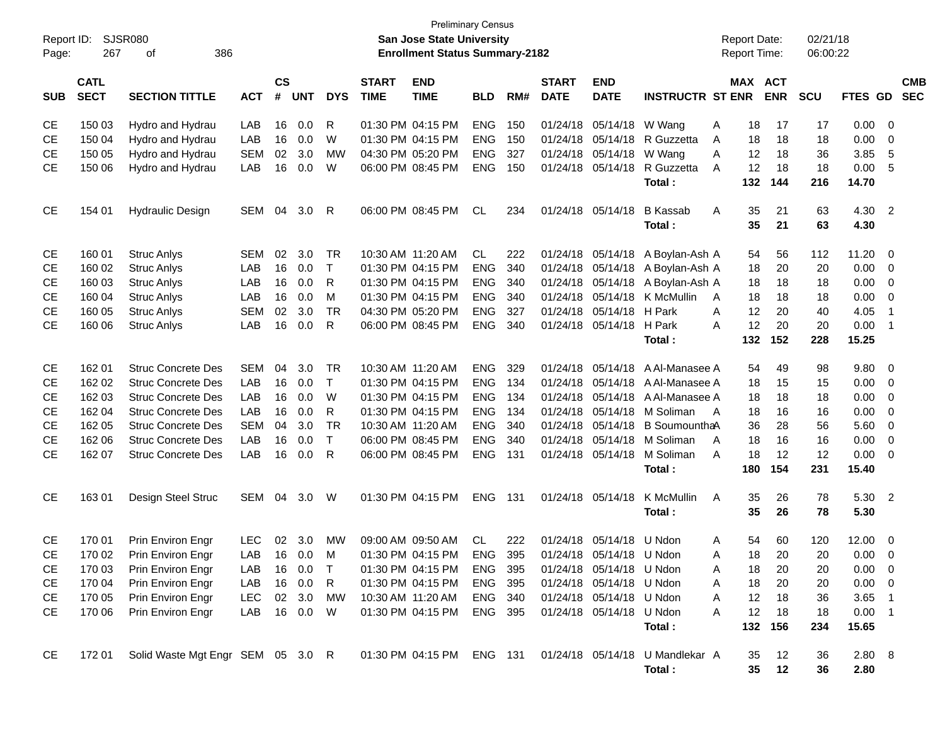| Report ID:<br>Page: | 267                        | SJSR080<br>386<br>οf              |            |                    |                |              |                             | <b>Preliminary Census</b><br>San Jose State University<br><b>Enrollment Status Summary-2182</b> |            |     |                             |                                  |                                                                     |                | <b>Report Date:</b><br><b>Report Time:</b> |            | 02/21/18<br>06:00:22 |                |                |                          |
|---------------------|----------------------------|-----------------------------------|------------|--------------------|----------------|--------------|-----------------------------|-------------------------------------------------------------------------------------------------|------------|-----|-----------------------------|----------------------------------|---------------------------------------------------------------------|----------------|--------------------------------------------|------------|----------------------|----------------|----------------|--------------------------|
| <b>SUB</b>          | <b>CATL</b><br><b>SECT</b> | <b>SECTION TITTLE</b>             | <b>ACT</b> | $\mathsf{cs}$<br># | <b>UNT</b>     | <b>DYS</b>   | <b>START</b><br><b>TIME</b> | <b>END</b><br><b>TIME</b>                                                                       | <b>BLD</b> | RM# | <b>START</b><br><b>DATE</b> | <b>END</b><br><b>DATE</b>        | <b>INSTRUCTR ST ENR</b>                                             |                | MAX ACT                                    | <b>ENR</b> | <b>SCU</b>           | FTES GD        |                | <b>CMB</b><br><b>SEC</b> |
| <b>CE</b>           | 150 03                     | Hydro and Hydrau                  | LAB        | 16                 | 0.0            | R            |                             | 01:30 PM 04:15 PM                                                                               | <b>ENG</b> | 150 | 01/24/18                    | 05/14/18                         | W Wang                                                              | A              | 18                                         | 17         | 17                   | 0.00           | $\mathbf 0$    |                          |
| <b>CE</b>           | 150 04                     | Hydro and Hydrau                  | LAB        | 16                 | 0.0            | W            |                             | 01:30 PM 04:15 PM                                                                               | <b>ENG</b> | 150 | 01/24/18                    | 05/14/18                         | R Guzzetta                                                          | Α              | 18                                         | 18         | 18                   | 0.00           | 0              |                          |
| <b>CE</b>           | 150 05                     | Hydro and Hydrau                  | <b>SEM</b> | 02                 | 3.0            | MW           |                             | 04:30 PM 05:20 PM                                                                               | <b>ENG</b> | 327 | 01/24/18                    | 05/14/18                         | W Wang                                                              | A              | 12                                         | 18         | 36                   | 3.85           | 5              |                          |
| <b>CE</b>           | 150 06                     | Hydro and Hydrau                  | LAB        | 16                 | 0.0            | W            |                             | 06:00 PM 08:45 PM                                                                               | <b>ENG</b> | 150 | 01/24/18                    | 05/14/18                         | R Guzzetta                                                          | A              | 12                                         | 18         | 18                   | 0.00           | -5             |                          |
|                     |                            |                                   |            |                    |                |              |                             |                                                                                                 |            |     |                             |                                  | Total:                                                              |                | 132                                        | 144        | 216                  | 14.70          |                |                          |
| CE                  | 154 01                     | <b>Hydraulic Design</b>           | SEM        | 04                 | 3.0            | R            |                             | 06:00 PM 08:45 PM                                                                               | CL.        | 234 | 01/24/18                    | 05/14/18                         | <b>B</b> Kassab                                                     | A              | 35                                         | 21         | 63                   | 4.30           | $\overline{2}$ |                          |
|                     |                            |                                   |            |                    |                |              |                             |                                                                                                 |            |     |                             |                                  | Total:                                                              |                | 35                                         | 21         | 63                   | 4.30           |                |                          |
| <b>CE</b>           | 160 01                     | <b>Struc Anlys</b>                | <b>SEM</b> | 02                 | 3.0            | <b>TR</b>    |                             | 10:30 AM 11:20 AM                                                                               | CL.        | 222 | 01/24/18                    | 05/14/18                         | A Boylan-Ash A                                                      |                | 54                                         | 56         | 112                  | 11.20          | $\mathbf 0$    |                          |
| <b>CE</b>           | 160 02                     | <b>Struc Anlys</b>                | LAB        | 16                 | 0.0            | $\mathsf{T}$ |                             | 01:30 PM 04:15 PM                                                                               | <b>ENG</b> | 340 | 01/24/18                    | 05/14/18                         | A Boylan-Ash A                                                      |                | 18                                         | 20         | 20                   | 0.00           | 0              |                          |
| <b>CE</b>           | 160 03                     | <b>Struc Anlys</b>                | LAB        | 16                 | 0.0            | R            |                             | 01:30 PM 04:15 PM                                                                               | <b>ENG</b> | 340 | 01/24/18                    | 05/14/18                         | A Boylan-Ash A                                                      |                | 18                                         | 18         | 18                   | 0.00           | $\mathbf 0$    |                          |
| <b>CE</b>           | 160 04                     | <b>Struc Anlys</b>                | LAB        | 16                 | 0.0            | м            |                             | 01:30 PM 04:15 PM                                                                               | <b>ENG</b> | 340 | 01/24/18                    | 05/14/18                         | K McMullin                                                          | A              | 18                                         | 18         | 18                   | 0.00           | $\mathbf 0$    |                          |
| <b>CE</b>           | 160 05                     | <b>Struc Anlys</b>                | <b>SEM</b> | 02                 | 3.0            | <b>TR</b>    |                             | 04:30 PM 05:20 PM                                                                               | <b>ENG</b> | 327 | 01/24/18                    | 05/14/18                         | H Park                                                              | A              | 12                                         | 20         | 40                   | 4.05           | $\overline{1}$ |                          |
| <b>CE</b>           | 160 06                     | <b>Struc Anlys</b>                | LAB        | 16                 | 0.0            | R            |                             | 06:00 PM 08:45 PM                                                                               | <b>ENG</b> | 340 | 01/24/18                    | 05/14/18                         | H Park                                                              | Α              | 12                                         | 20         | 20                   | 0.00           | $\overline{1}$ |                          |
|                     |                            |                                   |            |                    |                |              |                             |                                                                                                 |            |     |                             |                                  | Total:                                                              |                | 132                                        | 152        | 228                  | 15.25          |                |                          |
| <b>CE</b>           | 162 01                     | <b>Struc Concrete Des</b>         | <b>SEM</b> | 04                 | 3.0            | <b>TR</b>    | 10:30 AM 11:20 AM           |                                                                                                 | <b>ENG</b> | 329 | 01/24/18                    | 05/14/18                         | A Al-Manasee A                                                      |                | 54                                         | 49         | 98                   | 9.80           | $\mathbf 0$    |                          |
| <b>CE</b>           | 162 02                     | <b>Struc Concrete Des</b>         | LAB        | 16                 | 0.0            | T            |                             | 01:30 PM 04:15 PM                                                                               | <b>ENG</b> | 134 | 01/24/18                    | 05/14/18                         | A Al-Manasee A                                                      |                | 18                                         | 15         | 15                   | 0.00           | 0              |                          |
| <b>CE</b>           | 162 03                     | <b>Struc Concrete Des</b>         | LAB        | 16                 | 0.0            | W            |                             | 01:30 PM 04:15 PM                                                                               | <b>ENG</b> | 134 | 01/24/18                    | 05/14/18                         | A Al-Manasee A                                                      |                | 18                                         | 18         | 18                   | 0.00           | $\mathbf 0$    |                          |
| <b>CE</b>           | 162 04                     | <b>Struc Concrete Des</b>         | LAB        | 16                 | 0.0            | R            |                             | 01:30 PM 04:15 PM                                                                               | <b>ENG</b> | 134 | 01/24/18                    | 05/14/18                         | M Soliman                                                           | A              | 18                                         | 16         | 16                   | 0.00           | $\mathbf 0$    |                          |
| <b>CE</b>           | 162 05                     | <b>Struc Concrete Des</b>         | <b>SEM</b> | 04                 | 3.0            | <b>TR</b>    | 10:30 AM 11:20 AM           |                                                                                                 | <b>ENG</b> | 340 | 01/24/18                    | 05/14/18                         | B SoumounthaA                                                       |                | 36                                         | 28         | 56                   | 5.60           | $\mathbf 0$    |                          |
| <b>CE</b>           | 162 06                     | <b>Struc Concrete Des</b>         | LAB        | 16                 | 0.0            | Τ            |                             | 06:00 PM 08:45 PM                                                                               | <b>ENG</b> | 340 | 01/24/18                    | 05/14/18                         | M Soliman                                                           | $\overline{A}$ | 18                                         | 16         | 16                   | 0.00           | $\mathbf 0$    |                          |
| <b>CE</b>           | 162 07                     | <b>Struc Concrete Des</b>         | LAB        | 16                 | 0.0            | R            |                             | 06:00 PM 08:45 PM                                                                               | <b>ENG</b> | 131 | 01/24/18                    | 05/14/18                         | M Soliman                                                           | A              | 18                                         | 12         | 12                   | 0.00           | $\mathbf 0$    |                          |
|                     |                            |                                   |            |                    |                |              |                             |                                                                                                 |            |     |                             |                                  | Total:                                                              |                | 180                                        | 154        | 231                  | 15.40          |                |                          |
| CE                  | 16301                      | Design Steel Struc                | SEM        | 04                 | 3.0            | W            |                             | 01:30 PM 04:15 PM                                                                               | <b>ENG</b> | 131 | 01/24/18                    | 05/14/18                         | K McMullin                                                          | A              | 35                                         | 26         | 78                   | 5.30           | $\overline{2}$ |                          |
|                     |                            |                                   |            |                    |                |              |                             |                                                                                                 |            |     |                             |                                  | Total:                                                              |                | 35                                         | 26         | 78                   | 5.30           |                |                          |
| <b>CE</b>           | 170 01                     | <b>Prin Environ Engr</b>          | <b>LEC</b> |                    | $02 \quad 3.0$ | <b>MW</b>    |                             | 09:00 AM 09:50 AM                                                                               | CL.        | 222 |                             | 01/24/18 05/14/18                | U Ndon                                                              | A              | 54                                         | 60         | 120                  | 12.00          | 0              |                          |
| CE                  |                            | 170 02 Prin Environ Engr          | LAB        |                    | 16  0.0  M     |              |                             | 01:30 PM 04:15 PM                                                                               |            |     |                             | ENG 395 01/24/18 05/14/18 U Ndon |                                                                     | A              | 18                                         | 20         | 20                   | $0.00 \t 0$    |                |                          |
| СE                  | 170 03                     | Prin Environ Engr                 | LAB        |                    | 16 0.0         | $\top$       |                             | 01:30 PM 04:15 PM                                                                               | ENG 395    |     |                             | 01/24/18 05/14/18 U Ndon         |                                                                     | A              | 18                                         | 20         | 20                   | $0.00 \t 0$    |                |                          |
| CE                  | 170 04                     | Prin Environ Engr                 | LAB        |                    | 16 0.0         | R            |                             | 01:30 PM 04:15 PM                                                                               | ENG 395    |     |                             | 01/24/18 05/14/18 U Ndon         |                                                                     | A              | 18                                         | 20         | 20                   | $0.00 \t 0$    |                |                          |
| CE                  | 170 05                     | Prin Environ Engr                 | <b>LEC</b> |                    | 02 3.0         | MW           |                             | 10:30 AM 11:20 AM                                                                               | ENG 340    |     |                             | 01/24/18 05/14/18 U Ndon         |                                                                     | A              | 12                                         | 18         | 36                   | 3.65           | $\blacksquare$ |                          |
| CE                  | 170 06                     | Prin Environ Engr                 | LAB        |                    | 16 0.0         | W            |                             | 01:30 PM 04:15 PM                                                                               | ENG 395    |     |                             | 01/24/18 05/14/18 U Ndon         |                                                                     | A              | 12                                         | 18         | 18                   | $0.00$ 1       |                |                          |
|                     |                            |                                   |            |                    |                |              |                             |                                                                                                 |            |     |                             |                                  | Total:                                                              |                |                                            | 132 156    | 234                  | 15.65          |                |                          |
| CE                  | 172 01                     | Solid Waste Mgt Engr SEM 05 3.0 R |            |                    |                |              |                             |                                                                                                 |            |     |                             |                                  | 01:30 PM 04:15 PM ENG 131 01/24/18 05/14/18 U Mandlekar A<br>Total: |                | 35<br>35                                   | 12<br>12   | 36<br>36             | 2.80 8<br>2.80 |                |                          |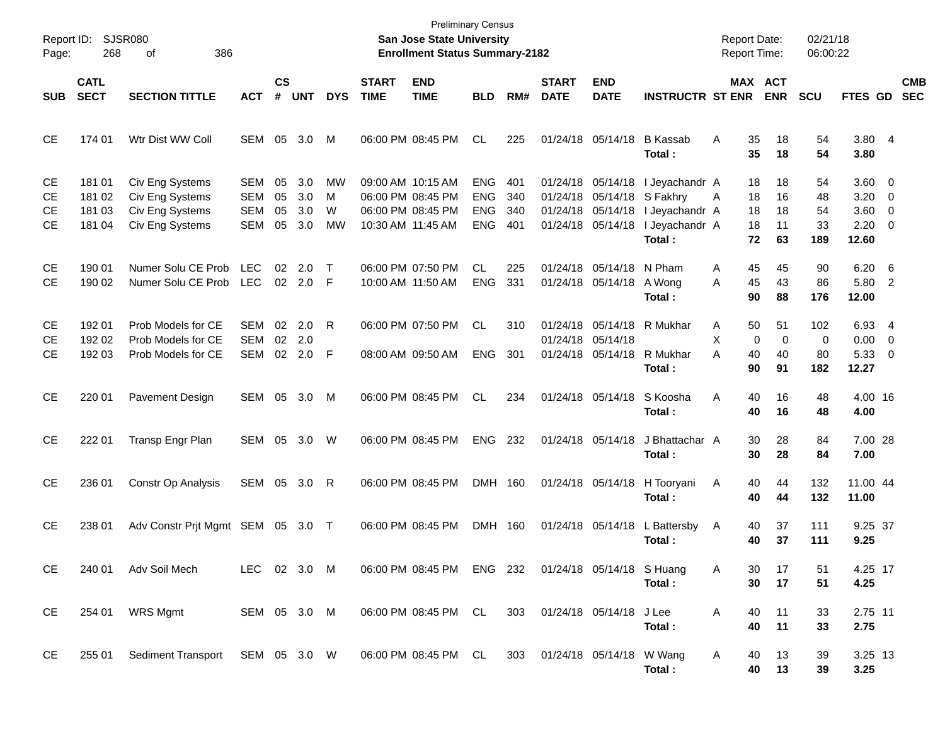| Report ID:<br>Page:         | 268                                  | SJSR080<br>386<br>οf                                                     |                                               |                      |                          |                    |                             | <b>Preliminary Census</b><br><b>San Jose State University</b><br><b>Enrollment Status Summary-2182</b> |                                                      |                          |                              |                                                                                           |                                                              | <b>Report Date:</b><br><b>Report Time:</b> |                               | 02/21/18<br>06:00:22            |                                                  |                                                      |                          |
|-----------------------------|--------------------------------------|--------------------------------------------------------------------------|-----------------------------------------------|----------------------|--------------------------|--------------------|-----------------------------|--------------------------------------------------------------------------------------------------------|------------------------------------------------------|--------------------------|------------------------------|-------------------------------------------------------------------------------------------|--------------------------------------------------------------|--------------------------------------------|-------------------------------|---------------------------------|--------------------------------------------------|------------------------------------------------------|--------------------------|
| <b>SUB</b>                  | <b>CATL</b><br><b>SECT</b>           | <b>SECTION TITTLE</b>                                                    | <b>ACT</b>                                    | $\mathsf{cs}$<br>#   | <b>UNT</b>               | <b>DYS</b>         | <b>START</b><br><b>TIME</b> | <b>END</b><br><b>TIME</b>                                                                              | <b>BLD</b>                                           | RM#                      | <b>START</b><br><b>DATE</b>  | <b>END</b><br><b>DATE</b>                                                                 | <b>INSTRUCTR ST ENR</b>                                      |                                            | <b>MAX ACT</b><br><b>ENR</b>  | <b>SCU</b>                      | FTES GD                                          |                                                      | <b>CMB</b><br><b>SEC</b> |
| <b>CE</b>                   | 174 01                               | Wtr Dist WW Coll                                                         | SEM                                           | 05                   | 3.0                      | M                  |                             | 06:00 PM 08:45 PM                                                                                      | CL.                                                  | 225                      |                              | 01/24/18 05/14/18                                                                         | <b>B</b> Kassab<br>Total:                                    | A<br>35<br>35                              | 18<br>18                      | 54<br>54                        | 3.80 4<br>3.80                                   |                                                      |                          |
| СE<br>СE<br>СE<br><b>CE</b> | 181 01<br>181 02<br>181 03<br>181 04 | Civ Eng Systems<br>Civ Eng Systems<br>Civ Eng Systems<br>Civ Eng Systems | SEM<br><b>SEM</b><br><b>SEM</b><br><b>SEM</b> | 05<br>05<br>05<br>05 | 3.0<br>3.0<br>3.0<br>3.0 | МW<br>M<br>W<br>МW |                             | 09:00 AM 10:15 AM<br>06:00 PM 08:45 PM<br>06:00 PM 08:45 PM<br>10:30 AM 11:45 AM                       | <b>ENG</b><br><b>ENG</b><br><b>ENG</b><br><b>ENG</b> | 401<br>340<br>340<br>401 |                              | 01/24/18 05/14/18<br>01/24/18 05/14/18 S Fakhry<br>01/24/18 05/14/18<br>01/24/18 05/14/18 | I Jeyachandr A<br>I Jeyachandr A<br>I Jeyachandr A<br>Total: | 18<br>18<br>A<br>18<br>18<br>72            | 18<br>16<br>18<br>11<br>63    | 54<br>48<br>54<br>33<br>189     | 3.60 0<br>3.20<br>3.60 0<br>$2.20 \t 0$<br>12.60 | $\overline{\phantom{0}}$                             |                          |
| СE<br><b>CE</b>             | 190 01<br>190 02                     | Numer Solu CE Prob<br>Numer Solu CE Prob                                 | <b>LEC</b><br><b>LEC</b>                      | 02                   | 2.0<br>02 2.0            | $\top$<br>-F       |                             | 06:00 PM 07:50 PM<br>10:00 AM 11:50 AM                                                                 | <b>CL</b><br><b>ENG</b>                              | 225<br>331               |                              | 01/24/18 05/14/18 N Pham<br>01/24/18 05/14/18 A Wong                                      | Total:                                                       | 45<br>A<br>45<br>A<br>90                   | 45<br>43<br>88                | 90<br>86<br>176                 | 6.20<br>5.80<br>12.00                            | - 6<br>$\overline{2}$                                |                          |
| СE<br>СE<br><b>CE</b>       | 192 01<br>192 02<br>192 03           | Prob Models for CE<br>Prob Models for CE<br>Prob Models for CE           | <b>SEM</b><br><b>SEM</b><br>SEM               | 02<br>02             | 2.0<br>2.0<br>02 2.0     | R<br>-F            |                             | 06:00 PM 07:50 PM<br>08:00 AM 09:50 AM                                                                 | <b>CL</b><br><b>ENG</b>                              | 310<br>301               |                              | 01/24/18 05/14/18<br>01/24/18 05/14/18                                                    | 01/24/18 05/14/18 R Mukhar<br>R Mukhar<br>Total :            | 50<br>Α<br>X<br>0<br>A<br>40<br>90         | 51<br>$\mathbf 0$<br>40<br>91 | 102<br>$\mathbf 0$<br>80<br>182 | 6.93 4<br>0.00<br>5.33<br>12.27                  | $\overline{\phantom{0}}$<br>$\overline{\phantom{0}}$ |                          |
| <b>CE</b>                   | 220 01                               | Pavement Design                                                          | SEM                                           | 05                   | 3.0                      | M                  |                             | 06:00 PM 08:45 PM                                                                                      | <b>CL</b>                                            | 234                      |                              | 01/24/18 05/14/18                                                                         | S Koosha<br>Total :                                          | A<br>40<br>40                              | 16<br>16                      | 48<br>48                        | 4.00 16<br>4.00                                  |                                                      |                          |
| <b>CE</b>                   | 222 01                               | Transp Engr Plan                                                         | SEM                                           | 05                   | 3.0                      | W                  |                             | 06:00 PM 08:45 PM                                                                                      | <b>ENG</b>                                           | 232                      |                              | 01/24/18 05/14/18                                                                         | J Bhattachar A<br>Total :                                    | 30<br>30                                   | 28<br>28                      | 84<br>84                        | 7.00 28<br>7.00                                  |                                                      |                          |
| <b>CE</b>                   | 236 01                               | Constr Op Analysis                                                       | SEM                                           | 05                   | 3.0                      | R                  |                             | 06:00 PM 08:45 PM                                                                                      | DMH 160                                              |                          |                              |                                                                                           | 01/24/18 05/14/18 H Tooryani<br>Total :                      | 40<br>A<br>40                              | 44<br>44                      | 132<br>132                      | 11.00 44<br>11.00                                |                                                      |                          |
| <b>CE</b>                   | 238 01                               | Adv Constr Prjt Mgmt SEM 05 3.0 T                                        |                                               |                      |                          |                    |                             | 06:00 PM 08:45 PM                                                                                      | DMH 160                                              |                          |                              | 01/24/18 05/14/18                                                                         | L Battersby<br>Total :                                       | 40<br>A<br>40                              | 37<br>37                      | 111<br>111                      | 9.25 37<br>9.25                                  |                                                      |                          |
| CE                          | 240 01                               | Adv Soil Mech                                                            | LEC 02 3.0 M                                  |                      |                          |                    |                             | 06:00 PM 08:45 PM ENG 232 01/24/18 05/14/18 S Huang                                                    |                                                      |                          |                              |                                                                                           | Total:                                                       | 30<br>A<br>30                              | 17<br>17                      | 51<br>51                        | 4.25 17<br>4.25                                  |                                                      |                          |
| CE                          | 254 01                               | <b>WRS Mgmt</b>                                                          | SEM 05 3.0 M                                  |                      |                          |                    |                             | 06:00 PM 08:45 PM CL                                                                                   |                                                      |                          | 303 01/24/18 05/14/18 J Lee  |                                                                                           | Total:                                                       | A<br>40<br>40                              | 11<br>11                      | 33<br>33                        | 2.75 11<br>2.75                                  |                                                      |                          |
| CE                          | 255 01                               | Sediment Transport SEM 05 3.0 W 06:00 PM 08:45 PM CL                     |                                               |                      |                          |                    |                             |                                                                                                        |                                                      |                          | 303 01/24/18 05/14/18 W Wang |                                                                                           | Total:                                                       | A<br>40<br>40                              | 13<br>13                      | 39<br>39                        | 3.25 13<br>3.25                                  |                                                      |                          |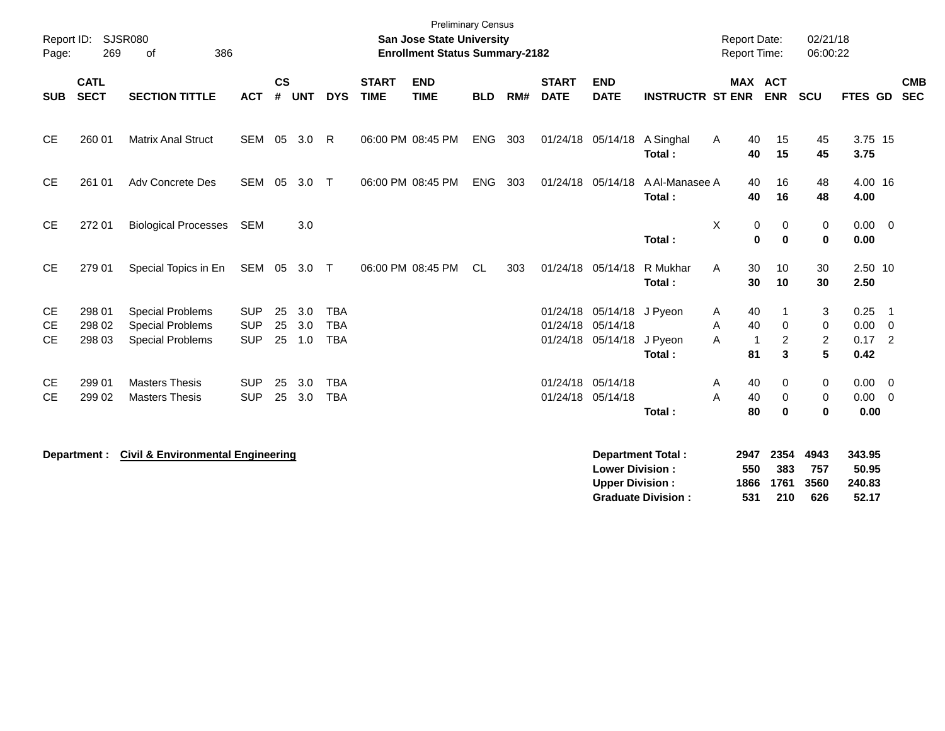| Report ID:<br>Page:                 | 269                        | <b>SJSR080</b><br>386<br>of                                                   |                                        |                |                   |                                        |                             | <b>Preliminary Census</b><br><b>San Jose State University</b><br><b>Enrollment Status Summary-2182</b> |            |     |                             |                                                                     |                                                       | <b>Report Date:</b><br>Report Time: |                                                          | 02/21/18<br>06:00:22          |                                    |                                                              |                          |
|-------------------------------------|----------------------------|-------------------------------------------------------------------------------|----------------------------------------|----------------|-------------------|----------------------------------------|-----------------------------|--------------------------------------------------------------------------------------------------------|------------|-----|-----------------------------|---------------------------------------------------------------------|-------------------------------------------------------|-------------------------------------|----------------------------------------------------------|-------------------------------|------------------------------------|--------------------------------------------------------------|--------------------------|
| <b>SUB</b>                          | <b>CATL</b><br><b>SECT</b> | <b>SECTION TITTLE</b>                                                         | <b>ACT</b>                             | <b>CS</b><br># | <b>UNT</b>        | <b>DYS</b>                             | <b>START</b><br><b>TIME</b> | <b>END</b><br><b>TIME</b>                                                                              | <b>BLD</b> | RM# | <b>START</b><br><b>DATE</b> | <b>END</b><br><b>DATE</b>                                           | <b>INSTRUCTR ST ENR</b>                               |                                     | <b>MAX ACT</b><br><b>ENR</b>                             | <b>SCU</b>                    | <b>FTES GD</b>                     |                                                              | <b>CMB</b><br><b>SEC</b> |
| <b>CE</b>                           | 260 01                     | <b>Matrix Anal Struct</b>                                                     | <b>SEM</b>                             | 05             | 3.0               | R                                      |                             | 06:00 PM 08:45 PM                                                                                      | <b>ENG</b> | 303 |                             | 01/24/18 05/14/18                                                   | A Singhal<br>Total:                                   | A                                   | 15<br>40<br>40<br>15                                     | 45<br>45                      | 3.75 15<br>3.75                    |                                                              |                          |
| <b>CE</b>                           | 261 01                     | <b>Adv Concrete Des</b>                                                       | <b>SEM</b>                             | 05             | 3.0               | $\top$                                 |                             | 06:00 PM 08:45 PM                                                                                      | ENG        | 303 | 01/24/18 05/14/18           |                                                                     | A Al-Manasee A<br>Total:                              |                                     | 40<br>16<br>40<br>16                                     | 48<br>48                      | 4.00 16<br>4.00                    |                                                              |                          |
| <b>CE</b>                           | 272 01                     | <b>Biological Processes</b>                                                   | <b>SEM</b>                             |                | 3.0               |                                        |                             |                                                                                                        |            |     |                             |                                                                     | Total:                                                | X                                   | 0<br>0<br>$\bf{0}$<br>$\mathbf 0$                        | 0<br>$\mathbf 0$              | 0.00<br>0.00                       | $\overline{\mathbf{0}}$                                      |                          |
| <b>CE</b>                           | 279 01                     | Special Topics in En                                                          | SEM 05                                 |                | 3.0               | $\top$                                 |                             | 06:00 PM 08:45 PM                                                                                      | <b>CL</b>  | 303 | 01/24/18 05/14/18           |                                                                     | R Mukhar<br>Total:                                    | A                                   | 30<br>10<br>30<br>10                                     | 30<br>30                      | 2.50 10<br>2.50                    |                                                              |                          |
| <b>CE</b><br><b>CE</b><br><b>CE</b> | 298 01<br>298 02<br>298 03 | <b>Special Problems</b><br><b>Special Problems</b><br><b>Special Problems</b> | <b>SUP</b><br><b>SUP</b><br><b>SUP</b> | 25<br>25<br>25 | 3.0<br>3.0<br>1.0 | <b>TBA</b><br><b>TBA</b><br><b>TBA</b> |                             |                                                                                                        |            |     |                             | 01/24/18 05/14/18 J Pyeon<br>01/24/18 05/14/18<br>01/24/18 05/14/18 | J Pyeon<br>Total:                                     | A<br>Α<br>A<br>81                   | 40<br>40<br>$\mathbf 0$<br>2<br>$\overline{1}$<br>3      | 3<br>0<br>$\overline{2}$<br>5 | 0.25<br>0.00<br>0.17<br>0.42       | $\overline{1}$<br>$\overline{\phantom{0}}$<br>$\overline{2}$ |                          |
| <b>CE</b><br><b>CE</b>              | 299 01<br>299 02           | <b>Masters Thesis</b><br><b>Masters Thesis</b>                                | <b>SUP</b><br><b>SUP</b>               | 25<br>25       | 3.0<br>3.0        | <b>TBA</b><br><b>TBA</b>               |                             |                                                                                                        |            |     | 01/24/18 05/14/18           | 01/24/18 05/14/18                                                   | Total:                                                | A<br>A                              | 40<br>$\mathbf 0$<br>40<br>$\mathbf 0$<br>80<br>$\bf{0}$ | 0<br>0<br>$\bf{0}$            | 0.00<br>0.00<br>0.00               | $\overline{\mathbf{0}}$<br>$\overline{\mathbf{0}}$           |                          |
|                                     | Department :               | <b>Civil &amp; Environmental Engineering</b>                                  |                                        |                |                   |                                        |                             |                                                                                                        |            |     |                             | <b>Lower Division:</b><br><b>Upper Division:</b>                    | <b>Department Total:</b><br><b>Graduate Division:</b> | 2947<br>550<br>1866<br>531          | 2354<br>383<br>1761<br>210                               | 4943<br>757<br>3560<br>626    | 343.95<br>50.95<br>240.83<br>52.17 |                                                              |                          |

**Graduate Division : 531 210 626 52.17**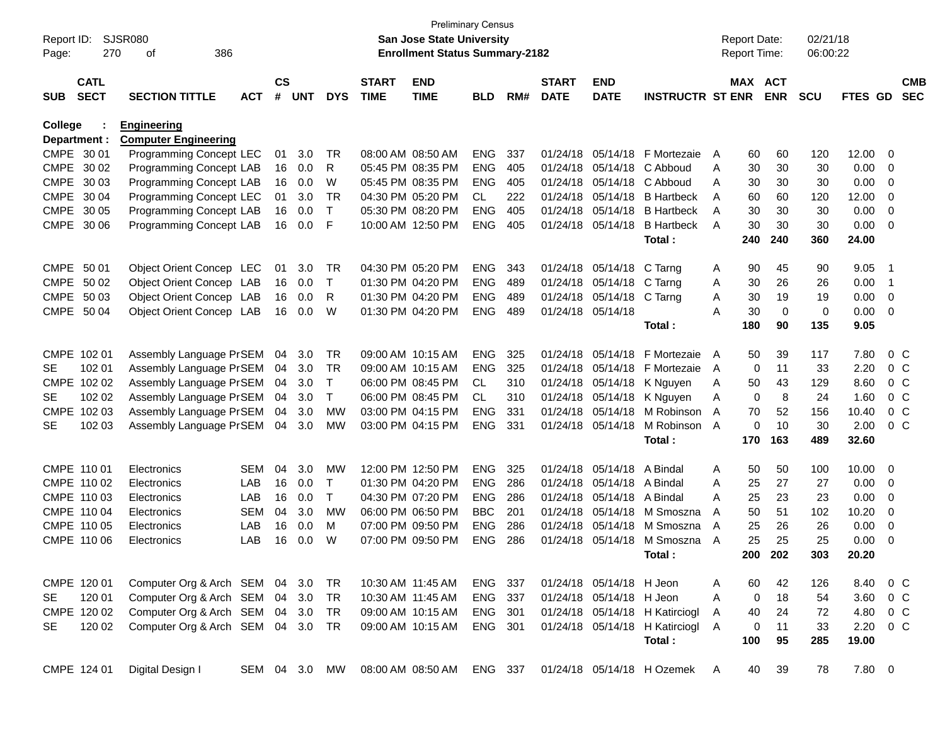| Report ID:<br>Page: | 270                        | <b>SJSR080</b><br>386<br>οf       |               |                    |            |              |                             | <b>Preliminary Census</b><br><b>San Jose State University</b><br><b>Enrollment Status Summary-2182</b> |            |     |                             |                           |                                |   | <b>Report Date:</b><br><b>Report Time:</b> |                       | 02/21/18<br>06:00:22 |          |                          |                          |
|---------------------|----------------------------|-----------------------------------|---------------|--------------------|------------|--------------|-----------------------------|--------------------------------------------------------------------------------------------------------|------------|-----|-----------------------------|---------------------------|--------------------------------|---|--------------------------------------------|-----------------------|----------------------|----------|--------------------------|--------------------------|
| <b>SUB</b>          | <b>CATL</b><br><b>SECT</b> | <b>SECTION TITTLE</b>             | <b>ACT</b>    | $\mathsf{cs}$<br># | <b>UNT</b> | <b>DYS</b>   | <b>START</b><br><b>TIME</b> | <b>END</b><br><b>TIME</b>                                                                              | <b>BLD</b> | RM# | <b>START</b><br><b>DATE</b> | <b>END</b><br><b>DATE</b> | <b>INSTRUCTR ST ENR</b>        |   |                                            | MAX ACT<br><b>ENR</b> | <b>SCU</b>           | FTES GD  |                          | <b>CMB</b><br><b>SEC</b> |
| College             |                            | <b>Engineering</b>                |               |                    |            |              |                             |                                                                                                        |            |     |                             |                           |                                |   |                                            |                       |                      |          |                          |                          |
|                     | Department :               | <b>Computer Engineering</b>       |               |                    |            |              |                             |                                                                                                        |            |     |                             |                           |                                |   |                                            |                       |                      |          |                          |                          |
|                     | CMPE 30 01                 | Programming Concept LEC           |               | 01                 | 3.0        | TR           |                             | 08:00 AM 08:50 AM                                                                                      | <b>ENG</b> | 337 |                             | 01/24/18 05/14/18         | F Mortezaie                    | A | 60                                         | 60                    | 120                  | 12.00 0  |                          |                          |
|                     | CMPE 30 02                 | Programming Concept LAB           |               | 16                 | 0.0        | R            |                             | 05:45 PM 08:35 PM                                                                                      | <b>ENG</b> | 405 | 01/24/18                    | 05/14/18                  | C Abboud                       | A | 30                                         | 30                    | 30                   | 0.00     | $\overline{\phantom{0}}$ |                          |
|                     | CMPE 30 03                 | Programming Concept LAB           |               | 16                 | 0.0        | W            |                             | 05:45 PM 08:35 PM                                                                                      | <b>ENG</b> | 405 | 01/24/18                    | 05/14/18                  | C Abboud                       | Α | 30                                         | 30                    | 30                   | 0.00     | $\overline{\mathbf{0}}$  |                          |
|                     | CMPE 30 04                 | Programming Concept LEC           |               | 01                 | 3.0        | <b>TR</b>    |                             | 04:30 PM 05:20 PM                                                                                      | CL.        | 222 |                             | 01/24/18 05/14/18         | <b>B</b> Hartbeck              | A | 60                                         | 60                    | 120                  | 12.00    | $\overline{\phantom{0}}$ |                          |
|                     | CMPE 30 05                 | Programming Concept LAB           |               | 16                 | 0.0        | $\top$       |                             | 05:30 PM 08:20 PM                                                                                      | <b>ENG</b> | 405 |                             | 01/24/18 05/14/18         | <b>B</b> Hartbeck              | A | 30                                         | 30                    | 30                   | 0.00     | $\overline{\phantom{0}}$ |                          |
|                     | CMPE 30 06                 | Programming Concept LAB           |               | 16                 | 0.0        | F            |                             | 10:00 AM 12:50 PM                                                                                      | <b>ENG</b> | 405 |                             | 01/24/18 05/14/18         | <b>B</b> Hartbeck              | A | 30                                         | 30                    | 30                   | 0.00     | $\overline{\phantom{0}}$ |                          |
|                     |                            |                                   |               |                    |            |              |                             |                                                                                                        |            |     |                             |                           | Total:                         |   | 240                                        | 240                   | 360                  | 24.00    |                          |                          |
| CMPE 50 01          |                            | Object Orient Concep LEC          |               | 01                 | 3.0        | TR           |                             | 04:30 PM 05:20 PM                                                                                      | <b>ENG</b> | 343 |                             | 01/24/18 05/14/18         | C Tarng                        | A | 90                                         | 45                    | 90                   | 9.05     | - 1                      |                          |
|                     | CMPE 50 02                 | Object Orient Concep LAB          |               | 16                 | 0.0        | T            |                             | 01:30 PM 04:20 PM                                                                                      | <b>ENG</b> | 489 |                             | 01/24/18 05/14/18         | C Tarng                        | A | 30                                         | 26                    | 26                   | 0.00     | - 1                      |                          |
|                     | CMPE 50 03                 | Object Orient Concep LAB          |               | 16                 | 0.0        | R            |                             | 01:30 PM 04:20 PM                                                                                      | <b>ENG</b> | 489 |                             | 01/24/18 05/14/18         | C Tarng                        | Α | 30                                         | 19                    | 19                   | 0.00     | $\overline{\mathbf{0}}$  |                          |
|                     | CMPE 50 04                 | Object Orient Concep LAB          |               | 16                 | 0.0        | W            |                             | 01:30 PM 04:20 PM                                                                                      | <b>ENG</b> | 489 |                             | 01/24/18 05/14/18         |                                | Α | 30                                         | $\mathbf 0$           | 0                    | 0.00     | $\overline{\mathbf{0}}$  |                          |
|                     |                            |                                   |               |                    |            |              |                             |                                                                                                        |            |     |                             |                           | Total:                         |   | 180                                        | 90                    | 135                  | 9.05     |                          |                          |
|                     | CMPE 102 01                | Assembly Language PrSEM           |               | 04                 | 3.0        | <b>TR</b>    |                             | 09:00 AM 10:15 AM                                                                                      | <b>ENG</b> | 325 | 01/24/18                    | 05/14/18                  | F Mortezaie                    | A | 50                                         | 39                    | 117                  | 7.80     |                          | 0 <sup>o</sup>           |
| SE                  | 102 01                     | Assembly Language PrSEM           |               | 04                 | 3.0        | TR           |                             | 09:00 AM 10:15 AM                                                                                      | <b>ENG</b> | 325 | 01/24/18                    | 05/14/18                  | F Mortezaie                    | A | 0                                          | 11                    | 33                   | 2.20     |                          | 0 <sup>o</sup>           |
|                     | CMPE 102 02                | Assembly Language PrSEM           |               | 04                 | 3.0        | T            |                             | 06:00 PM 08:45 PM                                                                                      | CL         | 310 |                             | 01/24/18 05/14/18         | K Nguyen                       | A | 50                                         | 43                    | 129                  | 8.60     |                          | 0 <sup>o</sup>           |
| SE                  | 102 02                     | Assembly Language PrSEM           |               | 04                 | 3.0        | $\top$       |                             | 06:00 PM 08:45 PM                                                                                      | <b>CL</b>  | 310 |                             | 01/24/18 05/14/18         | K Nguyen                       | A | 0                                          | 8                     | 24                   | 1.60     |                          | 0 <sup>o</sup>           |
|                     | CMPE 102 03                | Assembly Language PrSEM           |               | 04                 | 3.0        | <b>MW</b>    |                             | 03:00 PM 04:15 PM                                                                                      | <b>ENG</b> | 331 |                             | 01/24/18 05/14/18         | M Robinson                     | A | 70                                         | 52                    | 156                  | 10.40    |                          | 0 <sup>o</sup>           |
| <b>SE</b>           | 102 03                     | Assembly Language PrSEM           |               | 04                 | 3.0        | MW           |                             | 03:00 PM 04:15 PM                                                                                      | <b>ENG</b> | 331 |                             | 01/24/18 05/14/18         | M Robinson                     | A | 0                                          | 10                    | 30                   | 2.00     |                          | 0 <sup>o</sup>           |
|                     |                            |                                   |               |                    |            |              |                             |                                                                                                        |            |     |                             |                           | Total:                         |   | 170                                        | 163                   | 489                  | 32.60    |                          |                          |
|                     | CMPE 110 01                | Electronics                       | <b>SEM</b>    | 04                 | 3.0        | <b>MW</b>    |                             | 12:00 PM 12:50 PM                                                                                      | <b>ENG</b> | 325 |                             | 01/24/18 05/14/18         | A Bindal                       | Α | 50                                         | 50                    | 100                  | 10.00 0  |                          |                          |
|                     | CMPE 110 02                | Electronics                       | LAB           | 16                 | 0.0        | $\top$       |                             | 01:30 PM 04:20 PM                                                                                      | <b>ENG</b> | 286 | 01/24/18                    | 05/14/18                  | A Bindal                       | Α | 25                                         | 27                    | 27                   | 0.00     | $\overline{\phantom{0}}$ |                          |
|                     | CMPE 110 03                | Electronics                       | LAB           | 16                 | 0.0        | $\mathsf{T}$ |                             | 04:30 PM 07:20 PM                                                                                      | <b>ENG</b> | 286 | 01/24/18                    | 05/14/18                  | A Bindal                       | Α | 25                                         | 23                    | 23                   | 0.00     | $\overline{\mathbf{0}}$  |                          |
|                     | CMPE 110 04                | Electronics                       | <b>SEM</b>    | 04                 | 3.0        | <b>MW</b>    |                             | 06:00 PM 06:50 PM                                                                                      | <b>BBC</b> | 201 | 01/24/18                    | 05/14/18                  | M Smoszna                      | A | 50                                         | 51                    | 102                  | 10.20    | $\overline{\mathbf{0}}$  |                          |
|                     | CMPE 110 05                | Electronics                       | LAB           | 16                 | 0.0        | м            |                             | 07:00 PM 09:50 PM                                                                                      | <b>ENG</b> | 286 | 01/24/18                    | 05/14/18                  | M Smoszna                      | A | 25                                         | 26                    | 26                   | 0.00     | $\overline{\mathbf{0}}$  |                          |
|                     | CMPE 110 06                | Electronics                       | LAB           | 16                 | 0.0        | W            |                             | 07:00 PM 09:50 PM                                                                                      | <b>ENG</b> | 286 |                             | 01/24/18 05/14/18         | M Smoszna                      | A | 25                                         | 25                    | 25                   | 0.00     | - 0                      |                          |
|                     |                            |                                   |               |                    |            |              |                             |                                                                                                        |            |     |                             |                           | Total:                         |   | 200                                        | 202                   | 303                  | 20.20    |                          |                          |
|                     | CMPE 120 01                | Computer Org & Arch SEM 04 3.0    |               |                    |            | TR           |                             | 10:30 AM 11:45 AM                                                                                      | ENG 337    |     |                             | 01/24/18 05/14/18 H Jeon  |                                | A | 60                                         | 42                    | 126                  | 8.40 0 C |                          |                          |
| <b>SE</b>           | 120 01                     | Computer Org & Arch SEM           |               |                    | 04 3.0     | <b>TR</b>    |                             | 10:30 AM 11:45 AM                                                                                      | ENG        | 337 |                             | 01/24/18 05/14/18 H Jeon  |                                | Α | 0                                          | 18                    | 54                   | 3.60 0 C |                          |                          |
|                     | CMPE 120 02                | Computer Org & Arch SEM 04 3.0    |               |                    |            | TR           |                             | 09:00 AM 10:15 AM                                                                                      | ENG 301    |     |                             |                           | 01/24/18 05/14/18 H Katirciogl | A | 40                                         | 24                    | 72                   | 4.80 0 C |                          |                          |
| SE.                 | 120 02                     | Computer Org & Arch SEM 04 3.0 TR |               |                    |            |              |                             | 09:00 AM 10:15 AM                                                                                      | ENG 301    |     |                             |                           | 01/24/18 05/14/18 H Katirciogl | A | 0                                          | 11                    | 33                   | 2.20 0 C |                          |                          |
|                     |                            |                                   |               |                    |            |              |                             |                                                                                                        |            |     |                             |                           | Total:                         |   | 100                                        | 95                    | 285                  | 19.00    |                          |                          |
|                     | CMPE 124 01                | Digital Design I                  | SEM 04 3.0 MW |                    |            |              |                             | 08:00 AM 08:50 AM                                                                                      | ENG 337    |     |                             |                           | 01/24/18 05/14/18 H Ozemek     | A | 40                                         | 39                    | 78                   | 7.80 0   |                          |                          |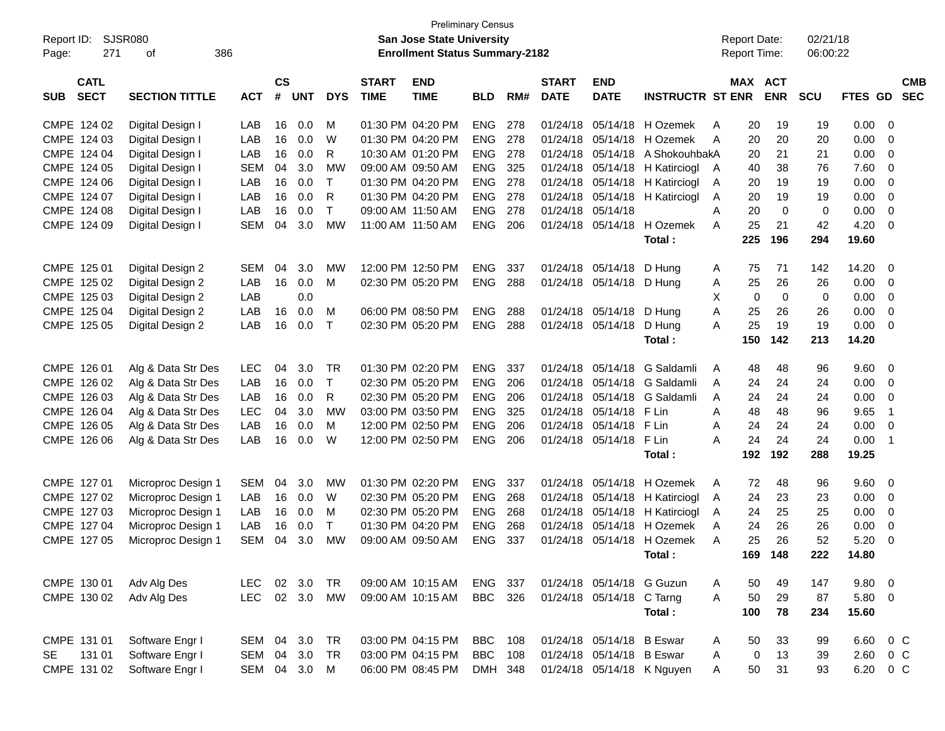|                           |                       |            |               |            |              |              | <b>Preliminary Census</b>             |            |     |              |                           |                            |                     |     |             |            |         |                         |            |
|---------------------------|-----------------------|------------|---------------|------------|--------------|--------------|---------------------------------------|------------|-----|--------------|---------------------------|----------------------------|---------------------|-----|-------------|------------|---------|-------------------------|------------|
| Report ID:                | <b>SJSR080</b>        |            |               |            |              |              | <b>San Jose State University</b>      |            |     |              |                           |                            | <b>Report Date:</b> |     |             | 02/21/18   |         |                         |            |
| 271<br>Page:              | 386<br>οf             |            |               |            |              |              | <b>Enrollment Status Summary-2182</b> |            |     |              |                           |                            | Report Time:        |     |             | 06:00:22   |         |                         |            |
| <b>CATL</b>               |                       |            | $\mathsf{cs}$ |            |              | <b>START</b> | <b>END</b>                            |            |     | <b>START</b> | <b>END</b>                |                            | MAX                 |     | <b>ACT</b>  |            |         |                         | <b>CMB</b> |
| <b>SECT</b><br><b>SUB</b> | <b>SECTION TITTLE</b> | <b>ACT</b> | #             | <b>UNT</b> | <b>DYS</b>   | <b>TIME</b>  | <b>TIME</b>                           | <b>BLD</b> | RM# | <b>DATE</b>  | <b>DATE</b>               | <b>INSTRUCTR ST ENR</b>    |                     |     | <b>ENR</b>  | <b>SCU</b> | FTES GD |                         | <b>SEC</b> |
| CMPE 124 02               | Digital Design I      | LAB        | 16            | 0.0        | м            |              | 01:30 PM 04:20 PM                     | <b>ENG</b> | 278 | 01/24/18     |                           | 05/14/18 H Ozemek          | A                   | 20  | 19          | 19         | 0.00    | 0                       |            |
| CMPE 124 03               | Digital Design I      | LAB        | 16            | 0.0        | W            |              | 01:30 PM 04:20 PM                     | <b>ENG</b> | 278 | 01/24/18     | 05/14/18                  | H Ozemek                   | A                   | 20  | 20          | 20         | 0.00    | 0                       |            |
| CMPE 124 04               | Digital Design I      | LAB        | 16            | 0.0        | R            |              | 10:30 AM 01:20 PM                     | <b>ENG</b> | 278 | 01/24/18     | 05/14/18                  | A ShokouhbakA              |                     | 20  | 21          | 21         | 0.00    | 0                       |            |
| CMPE 124 05               | Digital Design I      | <b>SEM</b> | 04            | 3.0        | МW           |              | 09:00 AM 09:50 AM                     | <b>ENG</b> | 325 | 01/24/18     | 05/14/18                  | H Katirciogl               | A                   | 40  | 38          | 76         | 7.60    | 0                       |            |
| CMPE 124 06               | Digital Design I      | LAB        | 16            | 0.0        | $\mathsf{T}$ |              | 01:30 PM 04:20 PM                     | <b>ENG</b> | 278 | 01/24/18     | 05/14/18                  | H Katirciogl               | A                   | 20  | 19          | 19         | 0.00    | $\mathbf 0$             |            |
| CMPE 124 07               | Digital Design I      | LAB        | 16            | 0.0        | R            |              | 01:30 PM 04:20 PM                     | <b>ENG</b> | 278 | 01/24/18     | 05/14/18                  | H Katirciogl               | Α                   | 20  | 19          | 19         | 0.00    | $\overline{0}$          |            |
| CMPE 124 08               | Digital Design I      | LAB        | 16            | 0.0        | T            |              | 09:00 AM 11:50 AM                     | <b>ENG</b> | 278 | 01/24/18     | 05/14/18                  |                            | A                   | 20  | 0           | 0          | 0.00    | $\overline{0}$          |            |
| CMPE 124 09               | Digital Design I      | <b>SEM</b> | 04            | 3.0        | <b>MW</b>    |              | 11:00 AM 11:50 AM                     | <b>ENG</b> | 206 | 01/24/18     | 05/14/18                  | H Ozemek                   | A                   | 25  | 21          | 42         | 4.20    | $\overline{\mathbf{0}}$ |            |
|                           |                       |            |               |            |              |              |                                       |            |     |              |                           | Total:                     |                     | 225 | 196         | 294        | 19.60   |                         |            |
| CMPE 125 01               | Digital Design 2      | <b>SEM</b> | 04            | 3.0        | МW           |              | 12:00 PM 12:50 PM                     | <b>ENG</b> | 337 | 01/24/18     | 05/14/18                  | D Hung                     | A                   | 75  | 71          | 142        | 14.20   | - 0                     |            |
| CMPE 125 02               | Digital Design 2      | LAB        | 16            | 0.0        | м            |              | 02:30 PM 05:20 PM                     | <b>ENG</b> | 288 | 01/24/18     | 05/14/18 D Hung           |                            | A                   | 25  | 26          | 26         | 0.00    | $\overline{0}$          |            |
| CMPE 125 03               | Digital Design 2      | LAB        |               | 0.0        |              |              |                                       |            |     |              |                           |                            | X                   | 0   | $\mathbf 0$ | 0          | 0.00    | $\overline{0}$          |            |
| CMPE 125 04               | Digital Design 2      | LAB        | 16            | 0.0        | M            |              | 06:00 PM 08:50 PM                     | <b>ENG</b> | 288 | 01/24/18     | 05/14/18                  | D Hung                     | Α                   | 25  | 26          | 26         | 0.00    | $\overline{0}$          |            |
| CMPE 125 05               | Digital Design 2      | LAB        | 16            | 0.0        | $\mathsf T$  |              | 02:30 PM 05:20 PM                     | <b>ENG</b> | 288 |              | 01/24/18 05/14/18         | D Hung                     | A                   | 25  | 19          | 19         | 0.00    | $\overline{\mathbf{0}}$ |            |
|                           |                       |            |               |            |              |              |                                       |            |     |              |                           | Total:                     |                     | 150 | 142         | 213        | 14.20   |                         |            |
| CMPE 126 01               | Alg & Data Str Des    | <b>LEC</b> | 04            | 3.0        | <b>TR</b>    |              | 01:30 PM 02:20 PM                     | <b>ENG</b> | 337 | 01/24/18     | 05/14/18                  | G Saldamli                 | A                   | 48  | 48          | 96         | 9.60    | 0                       |            |
| CMPE 126 02               | Alg & Data Str Des    | LAB        | 16            | 0.0        | T            |              | 02:30 PM 05:20 PM                     | <b>ENG</b> | 206 | 01/24/18     | 05/14/18                  | G Saldamli                 | A                   | 24  | 24          | 24         | 0.00    | 0                       |            |
| CMPE 126 03               | Alg & Data Str Des    | LAB        | 16            | 0.0        | R            |              | 02:30 PM 05:20 PM                     | <b>ENG</b> | 206 | 01/24/18     | 05/14/18                  | G Saldamli                 | Α                   | 24  | 24          | 24         | 0.00    | $\overline{0}$          |            |
| CMPE 126 04               | Alg & Data Str Des    | LEC        | 04            | 3.0        | MW           |              | 03:00 PM 03:50 PM                     | <b>ENG</b> | 325 | 01/24/18     | 05/14/18                  | F Lin                      | A                   | 48  | 48          | 96         | 9.65    | $\overline{1}$          |            |
| CMPE 126 05               | Alg & Data Str Des    | LAB        | 16            | 0.0        | м            |              | 12:00 PM 02:50 PM                     | <b>ENG</b> | 206 | 01/24/18     | 05/14/18                  | F Lin                      | A                   | 24  | 24          | 24         | 0.00    | $\overline{0}$          |            |
| CMPE 126 06               | Alg & Data Str Des    | LAB        | 16            | 0.0        | W            |              | 12:00 PM 02:50 PM                     | <b>ENG</b> | 206 | 01/24/18     | 05/14/18                  | F Lin                      | Α                   | 24  | 24          | 24         | 0.00    | $\overline{1}$          |            |
|                           |                       |            |               |            |              |              |                                       |            |     |              |                           | Total:                     |                     | 192 | 192         | 288        | 19.25   |                         |            |
| CMPE 127 01               | Microproc Design 1    | <b>SEM</b> | 04            | 3.0        | <b>MW</b>    |              | 01:30 PM 02:20 PM                     | <b>ENG</b> | 337 | 01/24/18     | 05/14/18                  | H Ozemek                   | A                   | 72  | 48          | 96         | 9.60    | 0                       |            |
| CMPE 127 02               | Microproc Design 1    | LAB        | 16            | 0.0        | W            |              | 02:30 PM 05:20 PM                     | <b>ENG</b> | 268 | 01/24/18     | 05/14/18                  | H Katirciogl               | A                   | 24  | 23          | 23         | 0.00    | 0                       |            |
| CMPE 127 03               | Microproc Design 1    | LAB        | 16            | 0.0        | M            |              | 02:30 PM 05:20 PM                     | <b>ENG</b> | 268 | 01/24/18     | 05/14/18                  | H Katirciogl               | A                   | 24  | 25          | 25         | 0.00    | 0                       |            |
| CMPE 127 04               | Microproc Design 1    | LAB        | 16            | 0.0        | т            |              | 01:30 PM 04:20 PM                     | <b>ENG</b> | 268 | 01/24/18     | 05/14/18                  | H Ozemek                   | A                   | 24  | 26          | 26         | 0.00    | 0                       |            |
| CMPE 127 05               | Microproc Design 1    | <b>SEM</b> | 04            | 3.0        | МW           |              | 09:00 AM 09:50 AM                     | <b>ENG</b> | 337 | 01/24/18     |                           | 05/14/18 H Ozemek          | A                   | 25  | 26          | 52         | 5.20    | 0                       |            |
|                           |                       |            |               |            |              |              |                                       |            |     |              |                           | Total:                     |                     |     | 169 148     | 222        | 14.80   |                         |            |
| CMPE 130 01               | Adv Alg Des           | LEC.       |               | 02 3.0     | TR           |              | 09:00 AM 10:15 AM                     | ENG 337    |     |              | 01/24/18 05/14/18 G Guzun |                            | A                   | 50  | 49          | 147        | 9.80 0  |                         |            |
| CMPE 130 02               | Adv Alg Des           | <b>LEC</b> |               | 02 3.0     | MW           |              | 09:00 AM 10:15 AM                     | BBC 326    |     |              | 01/24/18 05/14/18 C Tarng |                            | A                   | 50  | 29          | 87         | 5.80 0  |                         |            |
|                           |                       |            |               |            |              |              |                                       |            |     |              |                           | Total:                     |                     | 100 | 78          | 234        | 15.60   |                         |            |
| CMPE 131 01               | Software Engr I       | SEM        |               | 04 3.0     | TR           |              | 03:00 PM 04:15 PM                     | BBC        | 108 |              | 01/24/18 05/14/18 B Eswar |                            | A                   | 50  | 33          | 99         | 6.60    | 0 C                     |            |
| 131 01<br>SE              | Software Engr I       | SEM        | 04            | 3.0        | TR           |              | 03:00 PM 04:15 PM                     | <b>BBC</b> | 108 |              | 01/24/18 05/14/18 B Eswar |                            | Α                   | 0   | 13          | 39         | 2.60    | 0 C                     |            |
| CMPE 131 02               | Software Engr I       | <b>SEM</b> |               | 04 3.0     | M            |              | 06:00 PM 08:45 PM                     | DMH 348    |     |              |                           | 01/24/18 05/14/18 K Nguyen | Α                   | 50  | 31          | 93         | 6.20    | $0\,C$                  |            |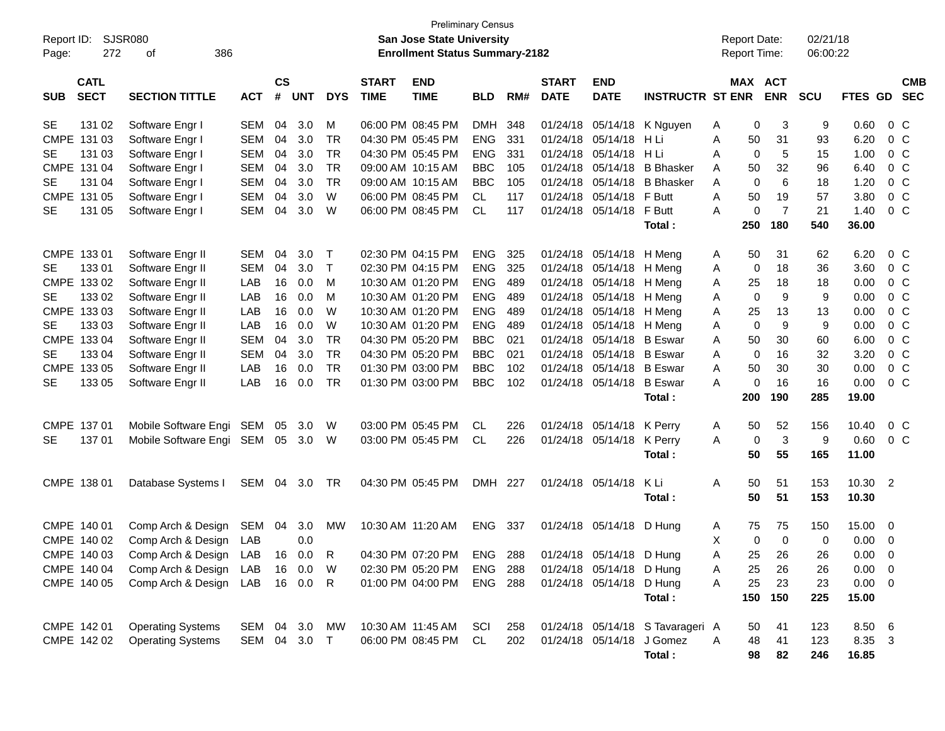| Report ID:                               | <b>Preliminary Census</b><br><b>SJSR080</b><br>San Jose State University<br><b>Enrollment Status Summary-2182</b> |              |                |            |              |                             |                                        |                          |            |                             |                                                      |                                  |        | <b>Report Date:</b> |                | 02/21/18 |                |                                  |                          |
|------------------------------------------|-------------------------------------------------------------------------------------------------------------------|--------------|----------------|------------|--------------|-----------------------------|----------------------------------------|--------------------------|------------|-----------------------------|------------------------------------------------------|----------------------------------|--------|---------------------|----------------|----------|----------------|----------------------------------|--------------------------|
| 272<br>Page:                             | 386<br>οf                                                                                                         |              |                |            |              |                             |                                        |                          |            |                             |                                                      |                                  |        | <b>Report Time:</b> |                | 06:00:22 |                |                                  |                          |
| <b>CATL</b><br><b>SECT</b><br><b>SUB</b> | <b>SECTION TITTLE</b>                                                                                             | <b>ACT</b>   | <b>CS</b><br># | <b>UNT</b> | <b>DYS</b>   | <b>START</b><br><b>TIME</b> | <b>END</b><br><b>TIME</b>              | <b>BLD</b>               | RM#        | <b>START</b><br><b>DATE</b> | <b>END</b><br><b>DATE</b>                            | <b>INSTRUCTR ST ENR</b>          |        | MAX ACT             | <b>ENR</b>     | SCU      | <b>FTES GD</b> |                                  | <b>CMB</b><br><b>SEC</b> |
| 131 02<br><b>SE</b>                      | Software Engr I                                                                                                   | SEM          | 04             | 3.0        | м            |                             | 06:00 PM 08:45 PM                      | <b>DMH</b>               | 348        |                             |                                                      | 01/24/18 05/14/18 K Nguyen       | A      | 0                   | 3              | 9        | 0.60           | $0\,C$                           |                          |
| CMPE 131 03                              | Software Engr I                                                                                                   | SEM          | 04             | 3.0        | <b>TR</b>    |                             | 04:30 PM 05:45 PM                      | <b>ENG</b>               | 331        | 01/24/18                    | 05/14/18                                             | H Li                             | A      | 50                  | 31             | 93       | 6.20           | $0\,C$                           |                          |
| <b>SE</b><br>131 03                      | Software Engr I                                                                                                   | <b>SEM</b>   | 04             | 3.0        | <b>TR</b>    |                             | 04:30 PM 05:45 PM                      | <b>ENG</b>               | 331        | 01/24/18                    | 05/14/18 H Li                                        |                                  | A      | $\mathbf 0$         | 5              | 15       | 1.00           | 0 <sup>C</sup>                   |                          |
| CMPE 131 04                              | Software Engr I                                                                                                   | <b>SEM</b>   | 04             | 3.0        | <b>TR</b>    |                             | 09:00 AM 10:15 AM                      | <b>BBC</b>               | 105        | 01/24/18                    | 05/14/18                                             | <b>B</b> Bhasker                 | A      | 50                  | 32             | 96       | 6.40           | 0 <sup>C</sup>                   |                          |
| <b>SE</b><br>131 04                      | Software Engr I                                                                                                   | <b>SEM</b>   | 04             | 3.0        | <b>TR</b>    |                             | 09:00 AM 10:15 AM                      | <b>BBC</b>               | 105        | 01/24/18                    | 05/14/18                                             | <b>B</b> Bhasker                 | A      | $\Omega$            | 6              | 18       | 1.20           | 0 <sup>C</sup>                   |                          |
| CMPE 131 05                              | Software Engr I                                                                                                   | <b>SEM</b>   | 04             | 3.0        | W            |                             | 06:00 PM 08:45 PM                      | CL                       | 117        |                             | 01/24/18 05/14/18 F Butt                             |                                  | A      | 50                  | 19             | 57       | 3.80           | 0 <sup>C</sup>                   |                          |
| <b>SE</b><br>131 05                      | Software Engr I                                                                                                   | SEM          | 04             | 3.0        | W            |                             | 06:00 PM 08:45 PM                      | CL                       | 117        |                             | 01/24/18 05/14/18 F Butt                             |                                  | A      | $\mathbf 0$         | $\overline{7}$ | 21       | 1.40           | 0 <sup>C</sup>                   |                          |
|                                          |                                                                                                                   |              |                |            |              |                             |                                        |                          |            |                             |                                                      | Total:                           |        | 250                 | 180            | 540      | 36.00          |                                  |                          |
|                                          |                                                                                                                   |              |                |            |              |                             |                                        |                          |            |                             |                                                      |                                  |        |                     |                |          |                |                                  |                          |
| CMPE 133 01                              | Software Engr II                                                                                                  | SEM          | 04             | 3.0        | $\top$       |                             | 02:30 PM 04:15 PM                      | <b>ENG</b>               | 325        |                             | 01/24/18 05/14/18 H Meng                             |                                  | A      | 50                  | 31             | 62       | 6.20           | $0\,C$                           |                          |
| 133 01<br><b>SE</b>                      | Software Engr II                                                                                                  | <b>SEM</b>   | 04             | 3.0        | $\mathsf{T}$ |                             | 02:30 PM 04:15 PM                      | <b>ENG</b>               | 325        |                             | 01/24/18 05/14/18 H Meng                             |                                  | Α      | 0                   | 18             | 36       | 3.60           | 0 C                              |                          |
| CMPE 133 02                              | Software Engr II                                                                                                  | LAB          | 16             | 0.0        | м            |                             | 10:30 AM 01:20 PM                      | <b>ENG</b>               | 489        |                             | 01/24/18 05/14/18 H Meng<br>01/24/18 05/14/18 H Meng |                                  | Α      | 25<br>$\mathbf 0$   | 18<br>9        | 18<br>9  | 0.00           | 0 <sup>C</sup>                   |                          |
| 133 02<br><b>SE</b><br>CMPE 133 03       | Software Engr II<br>Software Engr II                                                                              | LAB<br>LAB   | 16<br>16       | 0.0<br>0.0 | м<br>W       |                             | 10:30 AM 01:20 PM<br>10:30 AM 01:20 PM | <b>ENG</b><br><b>ENG</b> | 489<br>489 |                             |                                                      |                                  | Α      |                     |                | 13       | 0.00<br>0.00   | 0 <sup>C</sup><br>0 <sup>C</sup> |                          |
| 133 03<br><b>SE</b>                      | Software Engr II                                                                                                  | LAB          | 16             | 0.0        | W            |                             | 10:30 AM 01:20 PM                      | <b>ENG</b>               | 489        |                             | 01/24/18 05/14/18 H Meng<br>01/24/18 05/14/18 H Meng |                                  | Α<br>Α | 25<br>$\Omega$      | 13<br>9        | 9        | 0.00           | $0\,C$                           |                          |
| CMPE 133 04                              | Software Engr II                                                                                                  | <b>SEM</b>   | 04             | 3.0        | <b>TR</b>    |                             | 04:30 PM 05:20 PM                      | <b>BBC</b>               | 021        |                             | 01/24/18 05/14/18 B Eswar                            |                                  | A      | 50                  | 30             | 60       | 6.00           | 0 <sup>C</sup>                   |                          |
| 133 04<br><b>SE</b>                      | Software Engr II                                                                                                  | <b>SEM</b>   | 04             | 3.0        | <b>TR</b>    |                             | 04:30 PM 05:20 PM                      | <b>BBC</b>               | 021        |                             | 01/24/18 05/14/18 B Eswar                            |                                  | A      | $\mathbf 0$         | 16             | 32       | 3.20           | 0 <sup>C</sup>                   |                          |
| CMPE 133 05                              | Software Engr II                                                                                                  | LAB          | 16             | 0.0        | <b>TR</b>    |                             | 01:30 PM 03:00 PM                      | <b>BBC</b>               | 102        |                             | 01/24/18 05/14/18 B Eswar                            |                                  | A      | 50                  | 30             | 30       | 0.00           | $0\,C$                           |                          |
| 133 05<br><b>SE</b>                      | Software Engr II                                                                                                  | LAB          | 16             | 0.0        | <b>TR</b>    |                             | 01:30 PM 03:00 PM                      | <b>BBC</b>               | 102        |                             | 01/24/18 05/14/18 B Eswar                            |                                  | A      | $\mathbf 0$         | 16             | 16       | 0.00           | 0 <sup>C</sup>                   |                          |
|                                          |                                                                                                                   |              |                |            |              |                             |                                        |                          |            |                             |                                                      | Total:                           |        | 200                 | 190            | 285      | 19.00          |                                  |                          |
|                                          |                                                                                                                   |              |                |            |              |                             |                                        |                          |            |                             |                                                      |                                  |        |                     |                |          |                |                                  |                          |
| CMPE 137 01                              | Mobile Software Engi SEM                                                                                          |              | 05             | 3.0        | W            |                             | 03:00 PM 05:45 PM                      | CL.                      | 226        |                             | 01/24/18 05/14/18 K Perry                            |                                  | A      | 50                  | 52             | 156      | 10.40          | $0\,C$                           |                          |
| <b>SE</b><br>137 01                      | Mobile Software Engi SEM                                                                                          |              | 05             | 3.0        | W            |                             | 03:00 PM 05:45 PM                      | <b>CL</b>                | 226        |                             | 01/24/18 05/14/18                                    | K Perry                          | A      | 0                   | $\mathbf{3}$   | 9        | 0.60           | 0 C                              |                          |
|                                          |                                                                                                                   |              |                |            |              |                             |                                        |                          |            |                             |                                                      | Total:                           |        | 50                  | 55             | 165      | 11.00          |                                  |                          |
| CMPE 138 01                              | Database Systems I                                                                                                | SEM 04 3.0   |                |            | TR           |                             | 04:30 PM 05:45 PM                      | DMH 227                  |            |                             | 01/24/18 05/14/18                                    | K Li                             | Α      | 50                  | 51             | 153      | 10.30 2        |                                  |                          |
|                                          |                                                                                                                   |              |                |            |              |                             |                                        |                          |            |                             |                                                      | Total:                           |        | 50                  | 51             | 153      | 10.30          |                                  |                          |
|                                          |                                                                                                                   |              |                |            |              |                             |                                        |                          |            |                             |                                                      |                                  |        |                     |                |          |                |                                  |                          |
| CMPE 140 01                              | Comp Arch & Design                                                                                                | SEM          | 04             | 3.0        | MW           |                             | 10:30 AM 11:20 AM                      | ENG                      | 337        |                             | 01/24/18 05/14/18 D Hung                             |                                  | A      | 75                  | 75             | 150      | 15.00 0        |                                  |                          |
| CMPE 140 02                              | Comp Arch & Design                                                                                                | <b>LAB</b>   |                | 0.0        |              |                             |                                        |                          |            |                             |                                                      |                                  | X      | $\Omega$            | $\Omega$       | $\Omega$ | 0.00           | $\overline{\phantom{0}}$         |                          |
| CMPE 140 03                              | Comp Arch & Design LAB                                                                                            |              |                | 16  0.0    | R            |                             | 04:30 PM 07:20 PM ENG 288              |                          |            |                             | 01/24/18 05/14/18 D Hung                             |                                  | Α      | 25                  | 26             | 26       | $0.00\,$       | $\overline{\phantom{0}}$         |                          |
| CMPE 140 04                              | Comp Arch & Design LAB                                                                                            |              |                | 16 0.0     | W            |                             | 02:30 PM 05:20 PM                      | ENG                      | 288        |                             | 01/24/18 05/14/18 D Hung                             |                                  | Α      | 25                  | 26             | 26       | $0.00 \t 0$    |                                  |                          |
| CMPE 140 05                              | Comp Arch & Design LAB                                                                                            |              |                | 16  0.0    | R            |                             | 01:00 PM 04:00 PM                      | <b>ENG 288</b>           |            |                             | 01/24/18 05/14/18 D Hung                             |                                  | Α      | 25                  | 23             | 23       | $0.00 \t 0$    |                                  |                          |
|                                          |                                                                                                                   |              |                |            |              |                             |                                        |                          |            |                             |                                                      | Total:                           |        | 150                 | 150            | 225      | 15.00          |                                  |                          |
|                                          |                                                                                                                   |              |                |            |              |                             |                                        |                          |            |                             |                                                      |                                  |        |                     |                |          |                |                                  |                          |
| CMPE 142 01                              | <b>Operating Systems</b>                                                                                          | SEM 04 3.0   |                |            | МW           |                             | 10:30 AM 11:45 AM                      | SCI                      | 258        |                             |                                                      | 01/24/18 05/14/18 S Tavarageri A |        | 50                  | 41             | 123      | 8.50 6         |                                  |                          |
| CMPE 142 02                              | <b>Operating Systems</b>                                                                                          | SEM 04 3.0 T |                |            |              |                             | 06:00 PM 08:45 PM                      | CL                       | 202        |                             | 01/24/18 05/14/18 J Gomez                            |                                  | A      | 48                  | 41             | 123      | 8.35 3         |                                  |                          |
|                                          |                                                                                                                   |              |                |            |              |                             |                                        |                          |            |                             |                                                      | Total:                           |        | 98                  | 82             | 246      | 16.85          |                                  |                          |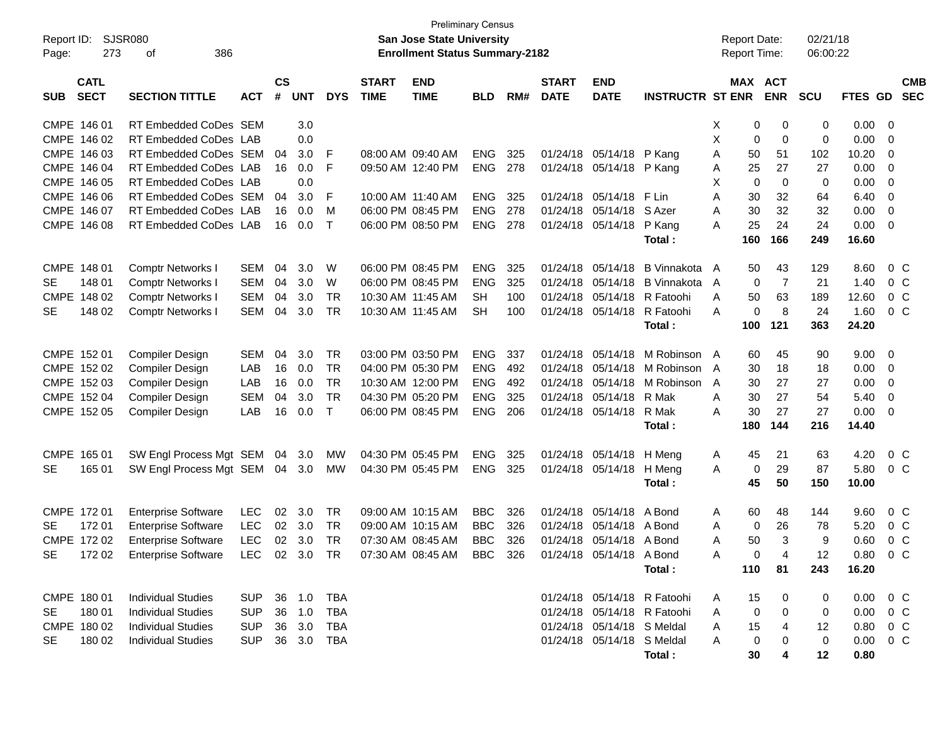| Report ID:<br>Page: | 273                        | <b>SJSR080</b><br>386<br>οf                                            |            |                |            |              |                             | San Jose State University<br><b>Enrollment Status Summary-2182</b> | <b>Preliminary Census</b> |     |                             |                            |                             |    | <b>Report Date:</b><br><b>Report Time:</b> |                              | 02/21/18<br>06:00:22 |          |                |                          |
|---------------------|----------------------------|------------------------------------------------------------------------|------------|----------------|------------|--------------|-----------------------------|--------------------------------------------------------------------|---------------------------|-----|-----------------------------|----------------------------|-----------------------------|----|--------------------------------------------|------------------------------|----------------------|----------|----------------|--------------------------|
| <b>SUB</b>          | <b>CATL</b><br><b>SECT</b> | <b>SECTION TITTLE</b>                                                  | <b>ACT</b> | <b>CS</b><br># | <b>UNT</b> | <b>DYS</b>   | <b>START</b><br><b>TIME</b> | <b>END</b><br><b>TIME</b>                                          | <b>BLD</b>                | RM# | <b>START</b><br><b>DATE</b> | <b>END</b><br><b>DATE</b>  | <b>INSTRUCTR ST ENR</b>     |    |                                            | <b>MAX ACT</b><br><b>ENR</b> | <b>SCU</b>           | FTES GD  |                | <b>CMB</b><br><b>SEC</b> |
| CMPE 146 01         |                            | RT Embedded CoDes SEM                                                  |            |                | 3.0        |              |                             |                                                                    |                           |     |                             |                            |                             | X. | 0                                          | 0                            | 0                    | 0.00     | 0              |                          |
|                     | CMPE 146 02                | RT Embedded CoDes LAB                                                  |            |                | 0.0        |              |                             |                                                                    |                           |     |                             |                            |                             | X  | 0                                          | 0                            | 0                    | 0.00     | 0              |                          |
|                     | CMPE 146 03                | RT Embedded CoDes SEM                                                  |            | 04             | 3.0        | F            |                             | 08:00 AM 09:40 AM                                                  | <b>ENG</b>                | 325 |                             | 01/24/18 05/14/18          | P Kang                      | Α  | 50                                         | 51                           | 102                  | 10.20    | 0              |                          |
|                     | CMPE 146 04                | RT Embedded CoDes LAB                                                  |            | 16             | 0.0        | F            |                             | 09:50 AM 12:40 PM                                                  | <b>ENG</b>                | 278 |                             | 01/24/18 05/14/18 P Kang   |                             | Α  | 25                                         | 27                           | 27                   | 0.00     | 0              |                          |
| CMPE 146 05         |                            | RT Embedded CoDes LAB                                                  |            |                | 0.0        |              |                             |                                                                    |                           |     |                             |                            |                             | X  | 0                                          | $\mathbf 0$                  | 0                    | 0.00     | 0              |                          |
|                     | CMPE 146 06                | RT Embedded CoDes SEM                                                  |            | 04             | 3.0        | F            |                             | 10:00 AM 11:40 AM                                                  | <b>ENG</b>                | 325 |                             | 01/24/18 05/14/18          | F Lin                       | A  | 30                                         | 32                           | 64                   | 6.40     | 0              |                          |
| CMPE 146 07         |                            | RT Embedded CoDes LAB                                                  |            | 16             | 0.0        | м            |                             | 06:00 PM 08:45 PM                                                  | <b>ENG</b>                | 278 |                             | 01/24/18 05/14/18          | S Azer                      | Α  | 30                                         | 32                           | 32                   | 0.00     | 0              |                          |
|                     | CMPE 146 08                | RT Embedded CoDes LAB                                                  |            | 16             | 0.0        | $\mathsf{T}$ |                             | 06:00 PM 08:50 PM                                                  | <b>ENG</b>                | 278 |                             | 01/24/18 05/14/18          | P Kang                      | A  | 25                                         | 24                           | 24                   | 0.00     | $\mathbf 0$    |                          |
|                     |                            |                                                                        |            |                |            |              |                             |                                                                    |                           |     |                             |                            | Total:                      |    | 160                                        | 166                          | 249                  | 16.60    |                |                          |
| CMPE 148 01         |                            | <b>Comptr Networks I</b>                                               | SEM        | 04             | 3.0        | W            |                             | 06:00 PM 08:45 PM                                                  | <b>ENG</b>                | 325 | 01/24/18                    | 05/14/18                   | B Vinnakota A               |    | 50                                         | 43                           | 129                  | 8.60     | $0\,$ C        |                          |
| <b>SE</b>           | 148 01                     | Comptr Networks I                                                      | <b>SEM</b> | 04             | 3.0        | W            |                             | 06:00 PM 08:45 PM                                                  | <b>ENG</b>                | 325 | 01/24/18                    | 05/14/18                   | <b>B</b> Vinnakota          | A  | 0                                          | $\overline{7}$               | 21                   | 1.40     | $0\,C$         |                          |
| <b>CMPE</b>         | 148 02                     | Comptr Networks I                                                      | <b>SEM</b> | 04             | 3.0        | TR           |                             | 10:30 AM 11:45 AM                                                  | SН                        | 100 | 01/24/18                    | 05/14/18                   | R Fatoohi                   | Α  | 50                                         | 63                           | 189                  | 12.60    | 0 <sup>o</sup> |                          |
| <b>SE</b>           | 148 02                     | <b>Comptr Networks I</b>                                               | <b>SEM</b> | 04             | 3.0        | TR           |                             | 10:30 AM 11:45 AM                                                  | <b>SH</b>                 | 100 |                             | 01/24/18 05/14/18          | R Fatoohi                   | Α  | 0                                          | 8                            | 24                   | 1.60     | 0 <sup>o</sup> |                          |
|                     |                            |                                                                        |            |                |            |              |                             |                                                                    |                           |     |                             |                            | Total:                      |    | 100                                        | 121                          | 363                  | 24.20    |                |                          |
| CMPE 152 01         |                            | Compiler Design                                                        | <b>SEM</b> | 04             | 3.0        | TR           |                             | 03:00 PM 03:50 PM                                                  | <b>ENG</b>                | 337 | 01/24/18                    | 05/14/18                   | M Robinson A                |    | 60                                         | 45                           | 90                   | 9.00     | 0              |                          |
|                     | CMPE 152 02                | <b>Compiler Design</b>                                                 | LAB        | 16             | 0.0        | TR           |                             | 04:00 PM 05:30 PM                                                  | <b>ENG</b>                | 492 | 01/24/18                    | 05/14/18                   | M Robinson                  | A  | 30                                         | 18                           | 18                   | 0.00     | 0              |                          |
|                     | CMPE 152 03                | <b>Compiler Design</b>                                                 | LAB        | 16             | 0.0        | <b>TR</b>    |                             | 10:30 AM 12:00 PM                                                  | <b>ENG</b>                | 492 | 01/24/18                    | 05/14/18                   | M Robinson                  | A  | 30                                         | 27                           | 27                   | 0.00     | 0              |                          |
| CMPE 152 04         |                            | <b>Compiler Design</b>                                                 | <b>SEM</b> | 04             | 3.0        | <b>TR</b>    |                             | 04:30 PM 05:20 PM                                                  | <b>ENG</b>                | 325 | 01/24/18                    | 05/14/18                   | R Mak                       | Α  | 30                                         | 27                           | 54                   | 5.40     | 0              |                          |
| CMPE 152 05         |                            | Compiler Design                                                        | LAB        | 16             | 0.0        | $\mathsf{T}$ |                             | 06:00 PM 08:45 PM                                                  | <b>ENG</b>                | 206 |                             | 01/24/18 05/14/18          | R Mak                       | Α  | 30                                         | 27                           | 27                   | 0.00     | $\mathbf 0$    |                          |
|                     |                            |                                                                        |            |                |            |              |                             |                                                                    |                           |     |                             |                            | Total:                      |    | 180                                        | 144                          | 216                  | 14.40    |                |                          |
| CMPE 165 01         |                            | SW Engl Process Mgt SEM                                                |            | 04             | 3.0        | <b>MW</b>    |                             | 04:30 PM 05:45 PM                                                  | ENG                       | 325 |                             | 01/24/18 05/14/18          | H Meng                      | A  | 45                                         | 21                           | 63                   | 4.20     | $0\,$ C        |                          |
| <b>SE</b>           | 165 01                     | SW Engl Process Mgt SEM                                                |            | 04             | 3.0        | <b>MW</b>    |                             | 04:30 PM 05:45 PM                                                  | <b>ENG</b>                | 325 |                             | 01/24/18 05/14/18          | H Meng                      | A  | 0                                          | 29                           | 87                   | 5.80     | 0 <sup>o</sup> |                          |
|                     |                            |                                                                        |            |                |            |              |                             |                                                                    |                           |     |                             |                            | Total:                      |    | 45                                         | 50                           | 150                  | 10.00    |                |                          |
| CMPE 172 01         |                            | <b>Enterprise Software</b>                                             | LEC        | 02             | 3.0        | TR           |                             | 09:00 AM 10:15 AM                                                  | <b>BBC</b>                | 326 | 01/24/18                    | 05/14/18                   | A Bond                      | A  | 60                                         | 48                           | 144                  | 9.60     | $0\,$ C        |                          |
| <b>SE</b>           | 17201                      | <b>Enterprise Software</b>                                             | <b>LEC</b> | 02             | 3.0        | TR           |                             | 09:00 AM 10:15 AM                                                  | <b>BBC</b>                | 326 | 01/24/18                    | 05/14/18                   | A Bond                      | Α  | 0                                          | 26                           | 78                   | 5.20     | 0 <sup>o</sup> |                          |
|                     | CMPE 172 02                | <b>Enterprise Software</b>                                             | <b>LEC</b> | 02             | 3.0        | <b>TR</b>    |                             | 07:30 AM 08:45 AM                                                  | <b>BBC</b>                | 326 |                             | 01/24/18 05/14/18 A Bond   |                             | Α  | 50                                         | 3                            | 9                    | 0.60     | 0 <sup>o</sup> |                          |
| <b>SE</b>           |                            | 172 02 Enterprise Software LEC 02 3.0 TR  07:30 AM  08:45 AM  BBC  326 |            |                |            |              |                             |                                                                    |                           |     |                             | 01/24/18 05/14/18 A Bond   |                             | Α  | 0                                          | 4                            | 12                   | 0.80 0 C |                |                          |
|                     |                            |                                                                        |            |                |            |              |                             |                                                                    |                           |     |                             |                            | Total:                      |    | 110                                        | 81                           | 243                  | 16.20    |                |                          |
| CMPE 180 01         |                            | <b>Individual Studies</b>                                              | <b>SUP</b> |                | 36 1.0     | <b>TBA</b>   |                             |                                                                    |                           |     |                             |                            | 01/24/18 05/14/18 R Fatoohi | A  | 15                                         | 0                            | 0                    | 0.00     | $0\,$ C        |                          |
| SE                  | 180 01                     | <b>Individual Studies</b>                                              | <b>SUP</b> |                | 36 1.0     | <b>TBA</b>   |                             |                                                                    |                           |     |                             |                            | 01/24/18 05/14/18 R Fatoohi | Α  | 0                                          | 0                            | 0                    | 0.00     | $0\,C$         |                          |
|                     | CMPE 180 02                | <b>Individual Studies</b>                                              | <b>SUP</b> | 36             | 3.0        | TBA          |                             |                                                                    |                           |     |                             | 01/24/18 05/14/18 S Meldal |                             | Α  | 15                                         | 4                            | 12                   | 0.80     | $0\,C$         |                          |
| SE                  | 180 02                     | <b>Individual Studies</b>                                              | <b>SUP</b> |                | 36 3.0     | TBA          |                             |                                                                    |                           |     |                             | 01/24/18 05/14/18 S Meldal |                             | Α  | 0                                          | 0                            | 0                    | 0.00     | $0\,C$         |                          |
|                     |                            |                                                                        |            |                |            |              |                             |                                                                    |                           |     |                             |                            | Total:                      |    | 30                                         | 4                            | 12                   | 0.80     |                |                          |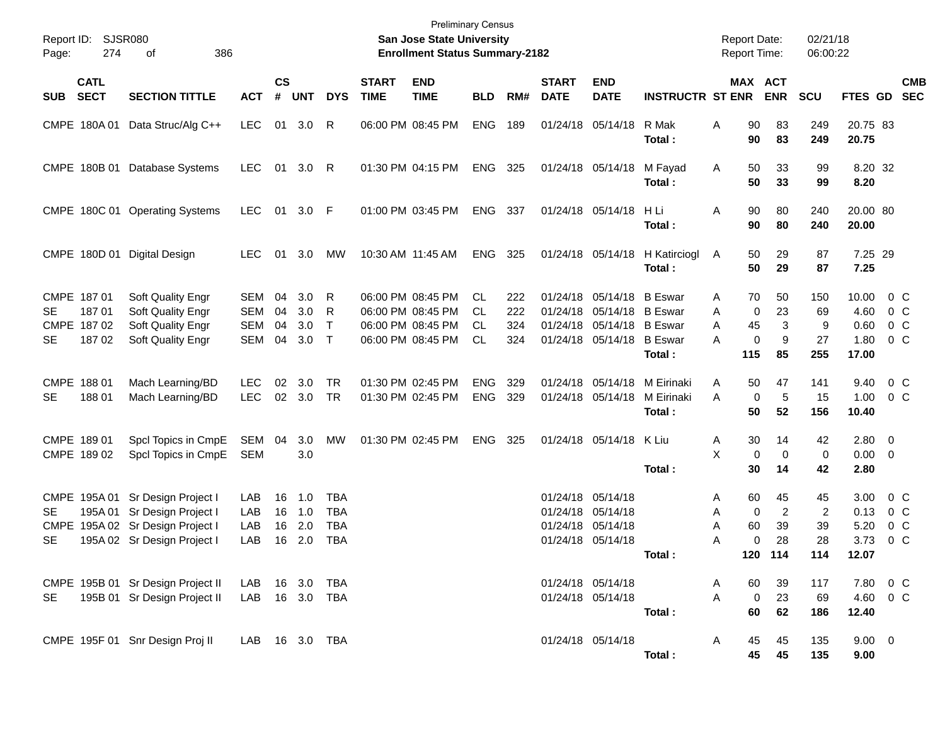| Page:                  | Report ID: SJSR080<br>274                    | 386                                                                                                           |                                                      |                      |                          |                                  | <b>Preliminary Census</b><br>San Jose State University<br><b>Enrollment Status Summary-2182</b> |                                                                                  |                             |                          |                             |                                                                                                                  |                                          |                  | <b>Report Date:</b><br><b>Report Time:</b> | 02/21/18<br>06:00:22                    |                                         |                                        |                                                |
|------------------------|----------------------------------------------|---------------------------------------------------------------------------------------------------------------|------------------------------------------------------|----------------------|--------------------------|----------------------------------|-------------------------------------------------------------------------------------------------|----------------------------------------------------------------------------------|-----------------------------|--------------------------|-----------------------------|------------------------------------------------------------------------------------------------------------------|------------------------------------------|------------------|--------------------------------------------|-----------------------------------------|-----------------------------------------|----------------------------------------|------------------------------------------------|
| <b>SUB</b>             | <b>CATL</b><br><b>SECT</b>                   | <b>SECTION TITTLE</b>                                                                                         | <b>ACT</b>                                           | $\mathsf{cs}$<br>#   | <b>UNT</b>               | <b>DYS</b>                       | <b>START</b><br><b>TIME</b>                                                                     | <b>END</b><br><b>TIME</b>                                                        | <b>BLD</b>                  | RM#                      | <b>START</b><br><b>DATE</b> | <b>END</b><br><b>DATE</b>                                                                                        | <b>INSTRUCTR ST ENR</b>                  |                  |                                            | MAX ACT<br><b>ENR</b>                   | <b>SCU</b>                              | <b>FTES GD</b>                         | <b>CMB</b><br><b>SEC</b>                       |
|                        | CMPE 180A 01                                 | Data Struc/Alg C++                                                                                            | <b>LEC</b>                                           | 01                   | 3.0                      | R                                |                                                                                                 | 06:00 PM 08:45 PM                                                                | <b>ENG</b>                  | 189                      |                             | 01/24/18 05/14/18                                                                                                | R Mak<br>Total:                          | Α                | 90<br>90                                   | 83<br>83                                | 249<br>249                              | 20.75 83<br>20.75                      |                                                |
|                        |                                              | CMPE 180B 01 Database Systems                                                                                 | LEC.                                                 | 01                   | 3.0                      | R                                |                                                                                                 | 01:30 PM 04:15 PM                                                                | ENG                         | 325                      |                             | 01/24/18 05/14/18                                                                                                | M Fayad<br>Total:                        | A                | 50<br>50                                   | 33<br>33                                | 99<br>99                                | 8.20 32<br>8.20                        |                                                |
|                        |                                              | CMPE 180C 01 Operating Systems                                                                                | LEC.                                                 | 01                   | 3.0 F                    |                                  |                                                                                                 | 01:00 PM 03:45 PM                                                                | ENG                         | 337                      |                             | 01/24/18 05/14/18                                                                                                | H Li<br>Total :                          | Α                | 90<br>90                                   | 80<br>80                                | 240<br>240                              | 20.00 80<br>20.00                      |                                                |
|                        |                                              | CMPE 180D 01 Digital Design                                                                                   | LEC.                                                 | 01                   | 3.0                      | МW                               |                                                                                                 | 10:30 AM 11:45 AM                                                                | ENG                         | 325                      |                             |                                                                                                                  | 01/24/18 05/14/18 H Katirciogl<br>Total: | A                | 50<br>50                                   | 29<br>29                                | 87<br>87                                | 7.25 29<br>7.25                        |                                                |
| SE<br>SE               | CMPE 187 01<br>18701<br>CMPE 187 02<br>18702 | Soft Quality Engr<br>Soft Quality Engr<br>Soft Quality Engr<br>Soft Quality Engr                              | <b>SEM</b><br><b>SEM</b><br><b>SEM</b><br><b>SEM</b> | 04<br>04<br>04<br>04 | 3.0<br>3.0<br>3.0<br>3.0 | R<br>R<br>$\mathsf{T}$<br>$\top$ |                                                                                                 | 06:00 PM 08:45 PM<br>06:00 PM 08:45 PM<br>06:00 PM 08:45 PM<br>06:00 PM 08:45 PM | CL<br>CL<br>CL<br><b>CL</b> | 222<br>222<br>324<br>324 |                             | 01/24/18 05/14/18 B Eswar<br>01/24/18 05/14/18 B Eswar<br>01/24/18 05/14/18 B Eswar<br>01/24/18 05/14/18 B Eswar | Total:                                   | A<br>A<br>A<br>A | 70<br>0<br>45<br>0<br>115                  | 50<br>23<br>3<br>9<br>85                | 150<br>69<br>9<br>27<br>255             | 10.00<br>4.60<br>0.60<br>1.80<br>17.00 | $0\,$ C<br>$0\,$ C<br>$0\,$ C<br>$0\,C$        |
| CMPE 188 01<br>SE      | 18801                                        | Mach Learning/BD<br>Mach Learning/BD                                                                          | <b>LEC</b><br><b>LEC</b>                             | 02                   | 3.0<br>02 3.0            | <b>TR</b><br><b>TR</b>           |                                                                                                 | 01:30 PM 02:45 PM<br>01:30 PM 02:45 PM                                           | <b>ENG</b><br><b>ENG</b>    | 329<br>329               |                             | 01/24/18 05/14/18<br>01/24/18 05/14/18                                                                           | M Eirinaki<br>M Eirinaki<br>Total:       | A<br>A           | 50<br>0<br>50                              | 47<br>5<br>52                           | 141<br>15<br>156                        | 9.40<br>1.00<br>10.40                  | 0 <sup>o</sup><br>$0\,C$                       |
|                        | CMPE 189 01<br>CMPE 189 02                   | Spcl Topics in CmpE<br>Spcl Topics in CmpE                                                                    | SEM<br><b>SEM</b>                                    | 04                   | 3.0<br>3.0               | MW                               |                                                                                                 | 01:30 PM 02:45 PM                                                                | ENG                         | 325                      |                             | 01/24/18 05/14/18                                                                                                | K Liu<br>Total:                          | A<br>X           | 30<br>0<br>30                              | 14<br>$\mathbf 0$<br>14                 | 42<br>0<br>42                           | 2.80<br>$0.00 \t 0$<br>2.80            | $\overline{\mathbf{0}}$                        |
| <b>SE</b><br><b>SE</b> | CMPE 195A 01<br>195A 01                      | Sr Design Project I<br>Sr Design Project I<br>CMPE 195A 02 Sr Design Project I<br>195A 02 Sr Design Project I | LAB<br>LAB<br>LAB<br>LAB                             | 16<br>16<br>16<br>16 | 1.0<br>1.0<br>2.0<br>2.0 | TBA<br>TBA<br>TBA<br><b>TBA</b>  |                                                                                                 |                                                                                  |                             |                          |                             | 01/24/18 05/14/18<br>01/24/18 05/14/18<br>01/24/18 05/14/18<br>01/24/18 05/14/18                                 | Total :                                  | A<br>Α<br>Α<br>А | 60<br>0<br>60<br>0<br>120                  | 45<br>$\overline{2}$<br>39<br>28<br>114 | 45<br>$\overline{2}$<br>39<br>28<br>114 | 3.00<br>0.13<br>5.20<br>3.73<br>12.07  | $0\,$ C<br>$0\,$ C<br>$0\,C$<br>0 <sup>C</sup> |
| SE                     |                                              | CMPE 195B 01 Sr Design Project II LAB 16 3.0 TBA<br>195B 01 Sr Design Project II LAB 16 3.0 TBA               |                                                      |                      |                          |                                  |                                                                                                 |                                                                                  |                             |                          |                             | 01/24/18 05/14/18<br>01/24/18 05/14/18                                                                           | Total:                                   | A<br>A           | 60<br>0<br>60                              | 39<br>23<br>62                          | 117<br>69<br>186                        | 12.40                                  | 7.80 0 C<br>4.60 0 C                           |
|                        |                                              | CMPE 195F 01 Snr Design Proj II                                                                               | LAB  16  3.0  TBA                                    |                      |                          |                                  |                                                                                                 |                                                                                  |                             |                          |                             | 01/24/18 05/14/18                                                                                                | Total:                                   | A                | 45<br>45                                   | 45<br>45                                | 135<br>135                              | $9.00 \t 0$<br>9.00                    |                                                |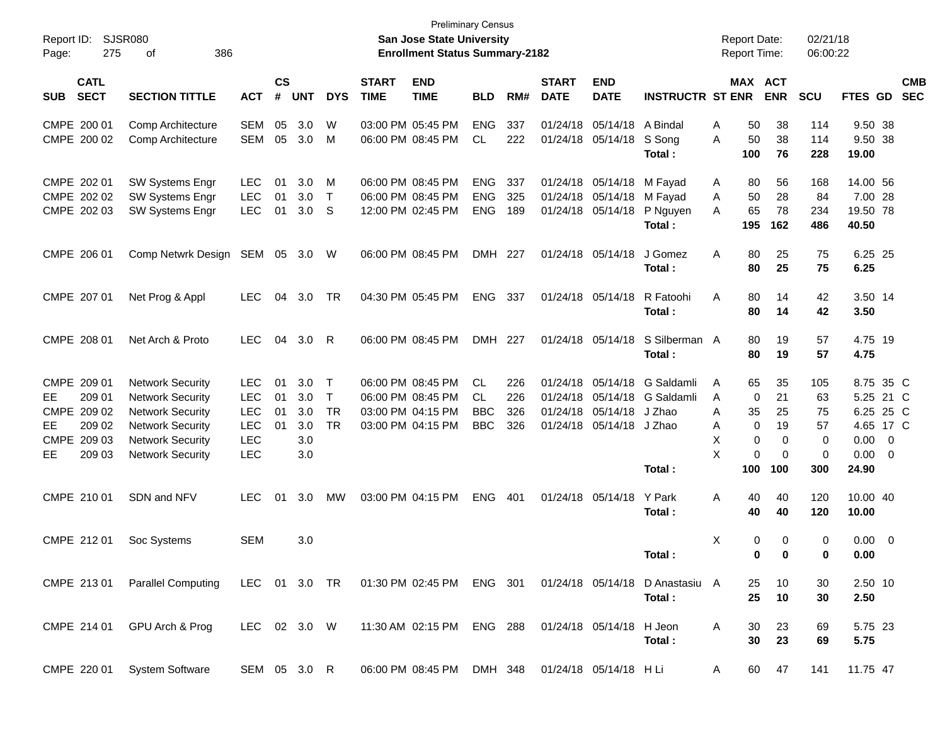| Report ID:<br>Page:                                                                        | SJSR080<br>275<br>386<br>оf                                                                                                                                    |                                                             |                      |                                        |                                            |                             | <b>San Jose State University</b><br><b>Enrollment Status Summary-2182</b>        | <b>Preliminary Census</b>                          |                          |                                  |                                                                             |                                                      | <b>Report Date:</b>               | <b>Report Time:</b>                                                   | 02/21/18<br>06:00:22                   |                                                                                         |                          |
|--------------------------------------------------------------------------------------------|----------------------------------------------------------------------------------------------------------------------------------------------------------------|-------------------------------------------------------------|----------------------|----------------------------------------|--------------------------------------------|-----------------------------|----------------------------------------------------------------------------------|----------------------------------------------------|--------------------------|----------------------------------|-----------------------------------------------------------------------------|------------------------------------------------------|-----------------------------------|-----------------------------------------------------------------------|----------------------------------------|-----------------------------------------------------------------------------------------|--------------------------|
| <b>CATL</b><br><b>SECT</b><br><b>SUB</b>                                                   | <b>SECTION TITTLE</b>                                                                                                                                          | <b>ACT</b>                                                  | $\mathsf{cs}$<br>#   | <b>UNT</b>                             | <b>DYS</b>                                 | <b>START</b><br><b>TIME</b> | <b>END</b><br><b>TIME</b>                                                        | <b>BLD</b>                                         | RM#                      | <b>START</b><br><b>DATE</b>      | <b>END</b><br><b>DATE</b>                                                   | <b>INSTRUCTR ST ENR</b>                              |                                   | MAX ACT<br><b>ENR</b>                                                 | <b>SCU</b>                             | FTES GD                                                                                 | <b>CMB</b><br><b>SEC</b> |
| CMPE 200 01<br>CMPE 200 02                                                                 | Comp Architecture<br>Comp Architecture                                                                                                                         | <b>SEM</b><br><b>SEM</b>                                    | 05<br>05             | 3.0<br>3.0                             | W<br>M                                     |                             | 03:00 PM 05:45 PM<br>06:00 PM 08:45 PM                                           | <b>ENG</b><br>CL                                   | 337<br>222               |                                  | 01/24/18 05/14/18 A Bindal<br>01/24/18 05/14/18                             | S Song<br>Total:                                     | Α<br>A<br>100                     | 50<br>38<br>50<br>38<br>76                                            | 114<br>114<br>228                      | 9.50 38<br>9.50 38<br>19.00                                                             |                          |
| CMPE 202 01<br>CMPE 202 02<br>CMPE 202 03                                                  | <b>SW Systems Engr</b><br>SW Systems Engr<br><b>SW Systems Engr</b>                                                                                            | <b>LEC</b><br>LEC<br><b>LEC</b>                             | 01<br>01<br>01       | 3.0<br>3.0<br>3.0                      | M<br>$\top$<br>-S                          |                             | 06:00 PM 08:45 PM<br>06:00 PM 08:45 PM<br>12:00 PM 02:45 PM                      | <b>ENG</b><br><b>ENG</b><br><b>ENG</b>             | 337<br>325<br>189        |                                  | 01/24/18 05/14/18 M Fayad<br>01/24/18 05/14/18 M Fayad<br>01/24/18 05/14/18 | P Nguyen<br>Total:                                   | A<br>A<br>A<br>195                | 80<br>56<br>50<br>28<br>65<br>78<br>162                               | 168<br>84<br>234<br>486                | 14.00 56<br>7.00 28<br>19.50 78<br>40.50                                                |                          |
| CMPE 206 01                                                                                | Comp Netwrk Design                                                                                                                                             | SEM                                                         | 05                   | 3.0 <sub>2</sub>                       | W                                          |                             | 06:00 PM 08:45 PM                                                                | DMH 227                                            |                          |                                  | 01/24/18 05/14/18                                                           | J Gomez<br>Total:                                    | Α                                 | 80<br>25<br>80<br>25                                                  | 75<br>75                               | 6.25 25<br>6.25                                                                         |                          |
| CMPE 207 01                                                                                | Net Prog & Appl                                                                                                                                                | <b>LEC</b>                                                  | 04                   | 3.0                                    | TR                                         |                             | 04:30 PM 05:45 PM                                                                | <b>ENG</b>                                         | 337                      |                                  | 01/24/18 05/14/18                                                           | R Fatoohi<br>Total:                                  | A                                 | 80<br>14<br>80<br>14                                                  | 42<br>42                               | 3.50 14<br>3.50                                                                         |                          |
| CMPE 208 01                                                                                | Net Arch & Proto                                                                                                                                               | <b>LEC</b>                                                  | 04                   | 3.0                                    | R                                          |                             | 06:00 PM 08:45 PM                                                                | DMH 227                                            |                          |                                  | 01/24/18 05/14/18                                                           | S Silberman A<br>Total:                              |                                   | 19<br>80<br>80<br>19                                                  | 57<br>57                               | 4.75 19<br>4.75                                                                         |                          |
| CMPE 209 01<br>209 01<br>EE.<br>CMPE 209 02<br>209 02<br>EE<br>CMPE 209 03<br>209 03<br>EE | <b>Network Security</b><br><b>Network Security</b><br><b>Network Security</b><br><b>Network Security</b><br><b>Network Security</b><br><b>Network Security</b> | <b>LEC</b><br>LEC<br>LEC<br>LEC<br><b>LEC</b><br><b>LEC</b> | 01<br>01<br>01<br>01 | 3.0<br>3.0<br>3.0<br>3.0<br>3.0<br>3.0 | $\top$<br>$\top$<br><b>TR</b><br><b>TR</b> |                             | 06:00 PM 08:45 PM<br>06:00 PM 08:45 PM<br>03:00 PM 04:15 PM<br>03:00 PM 04:15 PM | <b>CL</b><br><b>CL</b><br><b>BBC</b><br><b>BBC</b> | 226<br>226<br>326<br>326 | 01/24/18<br>01/24/18<br>01/24/18 | 05/14/18 J Zhao<br>01/24/18 05/14/18 J Zhao                                 | 05/14/18 G Saldamli<br>05/14/18 G Saldamli<br>Total: | Α<br>A<br>A<br>Α<br>X<br>X<br>100 | 65<br>35<br>0<br>21<br>35<br>25<br>0<br>19<br>0<br>0<br>0<br>0<br>100 | 105<br>63<br>75<br>57<br>0<br>0<br>300 | 8.75 35 C<br>5.25 21 C<br>6.25 25 C<br>4.65 17 C<br>$0.00 \t 0$<br>$0.00 \t 0$<br>24.90 |                          |
| CMPE 210 01                                                                                | SDN and NFV                                                                                                                                                    | <b>LEC</b>                                                  | 01                   | 3.0                                    | <b>MW</b>                                  |                             | 03:00 PM 04:15 PM                                                                | <b>ENG</b>                                         | 401                      |                                  | 01/24/18 05/14/18                                                           | Y Park<br>Total:                                     | Α                                 | 40<br>40<br>40<br>40                                                  | 120<br>120                             | 10.00 40<br>10.00                                                                       |                          |
| CMPE 212 01                                                                                | Soc Systems                                                                                                                                                    | <b>SEM</b>                                                  |                      | 3.0                                    |                                            |                             |                                                                                  |                                                    |                          |                                  |                                                                             | Total:                                               | X                                 | 0<br>0<br>0<br>$\bf{0}$                                               | 0<br>0                                 | $0.00 \ 0$<br>0.00                                                                      |                          |
| CMPE 213 01                                                                                | Parallel Computing LEC 01 3.0 TR 01:30 PM 02:45 PM ENG 301 01/24/18 05/14/18 D Anastasiu A                                                                     |                                                             |                      |                                        |                                            |                             |                                                                                  |                                                    |                          |                                  |                                                                             | Total:                                               |                                   | 25<br>10<br>25<br>10                                                  | 30<br>30                               | 2.50 10<br>2.50                                                                         |                          |
| CMPE 214 01                                                                                | GPU Arch & Prog                                                                                                                                                | LEC 02 3.0 W                                                |                      |                                        |                                            |                             | 11:30 AM 02:15 PM ENG 288 01/24/18 05/14/18 H Jeon                               |                                                    |                          |                                  |                                                                             | Total:                                               | A                                 | 30<br>23<br>30<br>23                                                  | 69<br>69                               | 5.75 23<br>5.75                                                                         |                          |
| CMPE 220 01                                                                                | <b>System Software</b>                                                                                                                                         | SEM 05 3.0 R                                                |                      |                                        |                                            |                             | 06:00 PM 08:45 PM DMH 348 01/24/18 05/14/18 H Li                                 |                                                    |                          |                                  |                                                                             |                                                      | A                                 | 60<br>47                                                              | 141                                    | 11.75 47                                                                                |                          |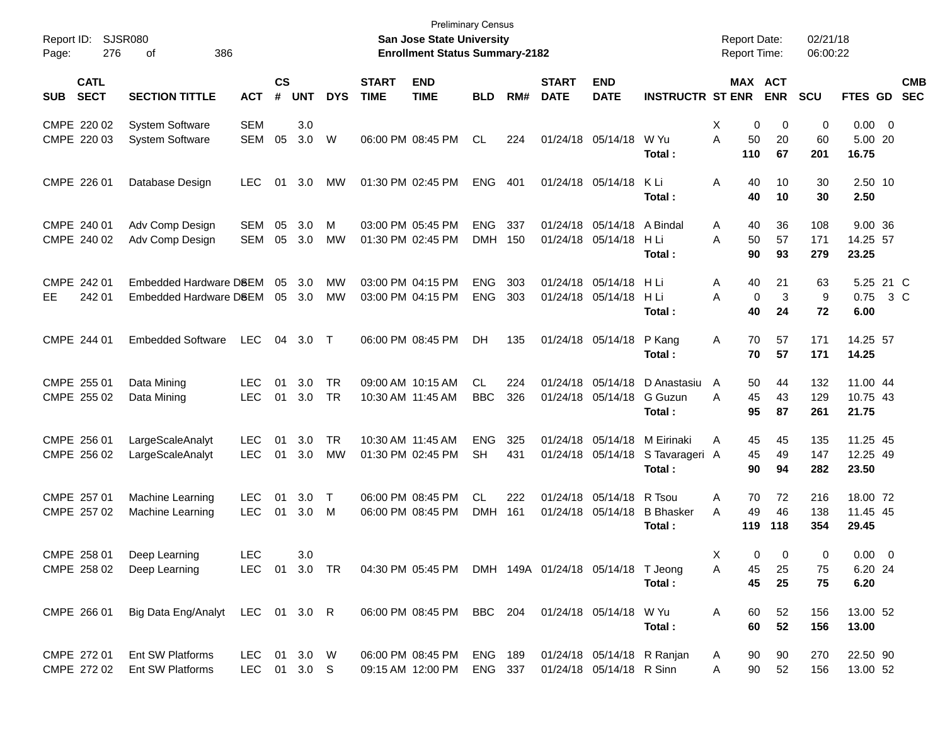| Report ID:<br>276<br>Page:               | <b>SJSR080</b><br>386<br>οf                      |                            |                    |                  |                        |                             | <b>Preliminary Census</b><br>San Jose State University<br><b>Enrollment Status Summary-2182</b> |                          |            |                             |                                                        |                                                 | <b>Report Date:</b><br><b>Report Time:</b> |                              | 02/21/18<br>06:00:22     |                                 |                          |
|------------------------------------------|--------------------------------------------------|----------------------------|--------------------|------------------|------------------------|-----------------------------|-------------------------------------------------------------------------------------------------|--------------------------|------------|-----------------------------|--------------------------------------------------------|-------------------------------------------------|--------------------------------------------|------------------------------|--------------------------|---------------------------------|--------------------------|
| <b>CATL</b><br><b>SECT</b><br><b>SUB</b> | <b>SECTION TITTLE</b>                            | <b>ACT</b>                 | $\mathsf{cs}$<br># | <b>UNT</b>       | <b>DYS</b>             | <b>START</b><br><b>TIME</b> | <b>END</b><br><b>TIME</b>                                                                       | <b>BLD</b>               | RM#        | <b>START</b><br><b>DATE</b> | <b>END</b><br><b>DATE</b>                              | <b>INSTRUCTR ST ENR</b>                         |                                            | <b>MAX ACT</b><br><b>ENR</b> | <b>SCU</b>               | <b>FTES GD</b>                  | <b>CMB</b><br><b>SEC</b> |
| CMPE 220 02<br>CMPE 220 03               | <b>System Software</b><br><b>System Software</b> | <b>SEM</b><br><b>SEM</b>   | 05                 | 3.0<br>3.0       | W                      |                             | 06:00 PM 08:45 PM                                                                               | <b>CL</b>                | 224        |                             | 01/24/18 05/14/18 W Yu                                 | Total:                                          | Χ<br>0<br>A<br>50<br>110                   | 0<br>20<br>67                | $\mathbf 0$<br>60<br>201 | $0.00 \t 0$<br>5.00 20<br>16.75 |                          |
| CMPE 226 01                              | Database Design                                  | <b>LEC</b>                 | 01                 | 3.0              | MW                     |                             | 01:30 PM 02:45 PM                                                                               | <b>ENG</b>               | 401        |                             | 01/24/18 05/14/18 KLi                                  | Total:                                          | A<br>40<br>40                              | 10<br>10                     | 30<br>30                 | 2.50 10<br>2.50                 |                          |
| CMPE 240 01<br>CMPE 240 02               | Adv Comp Design<br>Adv Comp Design               | SEM<br>SEM                 | 05<br>05           | 3.0<br>3.0       | м<br>MW                |                             | 03:00 PM 05:45 PM<br>01:30 PM 02:45 PM                                                          | ENG.<br><b>DMH</b>       | 337<br>150 |                             | 01/24/18 05/14/18 A Bindal<br>01/24/18 05/14/18 H Li   | Total:                                          | 40<br>Α<br>A<br>50<br>90                   | 36<br>57<br>93               | 108<br>171<br>279        | 9.00 36<br>14.25 57<br>23.25    |                          |
| CMPE 242 01<br>242 01<br>EЕ              | Embedded Hardware D8EM<br>Embedded Hardware DSEM |                            | 05<br>05           | 3.0<br>3.0       | МW<br>МW               |                             | 03:00 PM 04:15 PM<br>03:00 PM 04:15 PM                                                          | <b>ENG</b><br><b>ENG</b> | 303<br>303 |                             | 01/24/18 05/14/18 H Li<br>01/24/18 05/14/18            | H Li<br>Total:                                  | 40<br>Α<br>A<br>$\mathbf 0$<br>40          | 21<br>3<br>24                | 63<br>9<br>72            | 5.25 21 C<br>0.75<br>6.00       | 3 C                      |
| CMPE 244 01                              | <b>Embedded Software</b>                         | <b>LEC</b>                 | 04                 | 3.0              | $\top$                 |                             | 06:00 PM 08:45 PM                                                                               | <b>DH</b>                | 135        |                             | 01/24/18 05/14/18                                      | P Kang<br>Total:                                | 70<br>A<br>70                              | 57<br>57                     | 171<br>171               | 14.25 57<br>14.25               |                          |
| CMPE 255 01<br>CMPE 255 02               | Data Mining<br>Data Mining                       | <b>LEC</b><br><b>LEC</b>   | 01<br>01           | 3.0<br>3.0       | <b>TR</b><br><b>TR</b> |                             | 09:00 AM 10:15 AM<br>10:30 AM 11:45 AM                                                          | CL<br><b>BBC</b>         | 224<br>326 | 01/24/18<br>01/24/18        | 05/14/18                                               | 05/14/18 D Anastasiu<br>G Guzun<br>Total:       | 50<br>A<br>45<br>A<br>95                   | 44<br>43<br>87               | 132<br>129<br>261        | 11.00 44<br>10.75 43<br>21.75   |                          |
| CMPE 256 01<br>CMPE 256 02               | LargeScaleAnalyt<br>LargeScaleAnalyt             | <b>LEC</b><br><b>LEC</b>   | 01<br>01           | 3.0<br>3.0       | TR.<br><b>MW</b>       |                             | 10:30 AM 11:45 AM<br>01:30 PM 02:45 PM                                                          | <b>ENG</b><br><b>SH</b>  | 325<br>431 | 01/24/18<br>01/24/18        | 05/14/18                                               | 05/14/18 M Eirinaki<br>S Tavarageri A<br>Total: | 45<br>A<br>45<br>90                        | 45<br>49<br>94               | 135<br>147<br>282        | 11.25 45<br>12.25 49<br>23.50   |                          |
| CMPE 257 01<br>CMPE 257 02               | Machine Learning<br>Machine Learning             | <b>LEC</b><br><b>LEC</b>   | 01<br>01           | 3.0<br>3.0       | $\top$<br>M            |                             | 06:00 PM 08:45 PM<br>06:00 PM 08:45 PM                                                          | CL.<br><b>DMH</b>        | 222<br>161 | 01/24/18                    | 05/14/18 R Tsou<br>01/24/18 05/14/18                   | <b>B</b> Bhasker<br>Total:                      | A<br>70<br>49<br>A<br>119                  | 72<br>46<br>118              | 216<br>138<br>354        | 18.00 72<br>11.45 45<br>29.45   |                          |
| CMPE 258 01<br>CMPE 258 02               | Deep Learning<br>Deep Learning                   | <b>LEC</b><br><b>LEC</b>   |                    | 3.0<br>01 3.0 TR |                        |                             | 04:30 PM 05:45 PM                                                                               |                          |            |                             | DMH 149A 01/24/18 05/14/18 T Jeong                     | Total:                                          | Х<br>0<br>Α<br>45<br>45                    | 0<br>25<br>25                | 0<br>75<br>75            | $0.00 \t 0$<br>6.20 24<br>6.20  |                          |
| CMPE 266 01                              | Big Data Eng/Analyt LEC 01 3.0 R                 |                            |                    |                  |                        |                             | 06:00 PM 08:45 PM                                                                               | BBC 204                  |            |                             | 01/24/18 05/14/18 W Yu                                 | Total:                                          | 60<br>Α<br>60                              | 52<br>52                     | 156<br>156               | 13.00 52<br>13.00               |                          |
| CMPE 272 01<br>CMPE 272 02               | Ent SW Platforms<br>Ent SW Platforms             | <b>LEC</b><br>LEC 01 3.0 S |                    | 01 3.0 W         |                        |                             | 06:00 PM 08:45 PM<br>09:15 AM 12:00 PM                                                          | ENG 189<br>ENG 337       |            |                             | 01/24/18 05/14/18 R Ranjan<br>01/24/18 05/14/18 R Sinn |                                                 | 90<br>A<br>Α<br>90                         | 90<br>52                     | 270<br>156               | 22.50 90<br>13.00 52            |                          |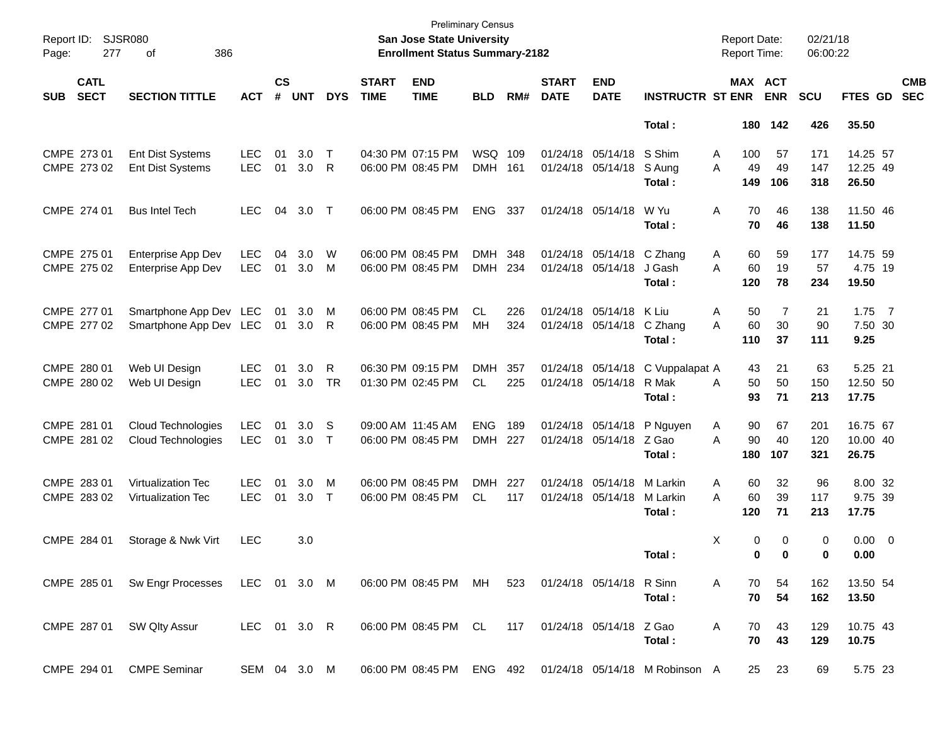| Report ID:<br>Page: | 277                        | SJSR080<br>386<br>οf                                                |                          |                    |            |            |                             | <b>Preliminary Census</b><br><b>San Jose State University</b><br><b>Enrollment Status Summary-2182</b> |                    |     |                             |                                        |                                                          | <b>Report Date:</b><br><b>Report Time:</b> |            | 02/21/18<br>06:00:22 |                     |                          |
|---------------------|----------------------------|---------------------------------------------------------------------|--------------------------|--------------------|------------|------------|-----------------------------|--------------------------------------------------------------------------------------------------------|--------------------|-----|-----------------------------|----------------------------------------|----------------------------------------------------------|--------------------------------------------|------------|----------------------|---------------------|--------------------------|
| <b>SUB</b>          | <b>CATL</b><br><b>SECT</b> | <b>SECTION TITTLE</b>                                               | <b>ACT</b>               | $\mathsf{cs}$<br># | <b>UNT</b> | <b>DYS</b> | <b>START</b><br><b>TIME</b> | <b>END</b><br><b>TIME</b>                                                                              | <b>BLD</b>         | RM# | <b>START</b><br><b>DATE</b> | <b>END</b><br><b>DATE</b>              | <b>INSTRUCTR ST ENR</b>                                  | MAX ACT                                    | <b>ENR</b> | <b>SCU</b>           | FTES GD             | <b>CMB</b><br><b>SEC</b> |
|                     |                            |                                                                     |                          |                    |            |            |                             |                                                                                                        |                    |     |                             |                                        | Total:                                                   |                                            | 180 142    | 426                  | 35.50               |                          |
|                     | CMPE 273 01                | <b>Ent Dist Systems</b>                                             | <b>LEC</b>               | 01                 | 3.0        | $\top$     |                             | 04:30 PM 07:15 PM                                                                                      | WSQ 109            |     |                             | 01/24/18 05/14/18                      | S Shim                                                   | 100<br>A                                   | 57         | 171                  | 14.25 57            |                          |
|                     | CMPE 273 02                | <b>Ent Dist Systems</b>                                             | <b>LEC</b>               | 01                 | 3.0        | -R         |                             | 06:00 PM 08:45 PM                                                                                      | DMH 161            |     |                             | 01/24/18 05/14/18                      | S Aung<br>Total:                                         | 49<br>A<br>149                             | 49<br>106  | 147<br>318           | 12.25 49<br>26.50   |                          |
|                     | CMPE 274 01                | <b>Bus Intel Tech</b>                                               | <b>LEC</b>               | 04                 | 3.0        | T          |                             | 06:00 PM 08:45 PM                                                                                      | <b>ENG</b>         | 337 |                             | 01/24/18 05/14/18                      | W Yu<br>Total:                                           | Α<br>70<br>70                              | 46<br>46   | 138<br>138           | 11.50 46<br>11.50   |                          |
|                     |                            |                                                                     |                          |                    |            |            |                             |                                                                                                        |                    |     |                             |                                        |                                                          |                                            |            |                      |                     |                          |
|                     | CMPE 275 01<br>CMPE 275 02 | Enterprise App Dev<br>Enterprise App Dev                            | <b>LEC</b><br><b>LEC</b> | 04<br>01           | 3.0<br>3.0 | W<br>M     |                             | 06:00 PM 08:45 PM<br>06:00 PM 08:45 PM                                                                 | DMH 348<br>DMH 234 |     |                             | 01/24/18 05/14/18<br>01/24/18 05/14/18 | C Zhang<br>J Gash                                        | Α<br>60<br>A<br>60                         | 59<br>19   | 177<br>57            | 14.75 59<br>4.75 19 |                          |
|                     |                            |                                                                     |                          |                    |            |            |                             |                                                                                                        |                    |     |                             |                                        | Total:                                                   | 120                                        | 78         | 234                  | 19.50               |                          |
|                     | CMPE 277 01                | Smartphone App Dev LEC                                              |                          | 01                 | 3.0        | M          |                             | 06:00 PM 08:45 PM                                                                                      | CL                 | 226 |                             | 01/24/18 05/14/18                      | K Liu                                                    | Α<br>50                                    | 7          | 21                   | 1.75                | $\overline{7}$           |
|                     | CMPE 277 02                | Smartphone App Dev LEC                                              |                          | 01                 | 3.0        | -R         |                             | 06:00 PM 08:45 PM                                                                                      | MН                 | 324 |                             | 01/24/18 05/14/18                      | C Zhang                                                  | 60<br>A                                    | 30         | 90                   | 7.50 30             |                          |
|                     |                            |                                                                     |                          |                    |            |            |                             |                                                                                                        |                    |     |                             |                                        | Total:                                                   | 110                                        | 37         | 111                  | 9.25                |                          |
|                     | CMPE 280 01                | Web UI Design                                                       | <b>LEC</b>               | 01                 | 3.0        | R          |                             | 06:30 PM 09:15 PM                                                                                      | <b>DMH</b>         | 357 |                             | 01/24/18 05/14/18                      | C Vuppalapat A                                           | 43                                         | 21         | 63                   | 5.25 21             |                          |
|                     | CMPE 280 02                | Web UI Design                                                       | <b>LEC</b>               | 01                 | 3.0        | TR         |                             | 01:30 PM 02:45 PM                                                                                      | CL.                | 225 |                             | 01/24/18 05/14/18                      | R Mak                                                    | 50<br>A                                    | 50         | 150                  | 12.50 50            |                          |
|                     |                            |                                                                     |                          |                    |            |            |                             |                                                                                                        |                    |     |                             |                                        | Total:                                                   | 93                                         | 71         | 213                  | 17.75               |                          |
|                     | CMPE 281 01                | Cloud Technologies                                                  | <b>LEC</b>               | 01                 | 3.0        | S          |                             | 09:00 AM 11:45 AM                                                                                      | <b>ENG</b>         | 189 |                             | 01/24/18 05/14/18                      | P Nguyen                                                 | Α<br>90                                    | 67         | 201                  | 16.75 67            |                          |
|                     | CMPE 281 02                | Cloud Technologies                                                  | <b>LEC</b>               | 01                 | 3.0        | $\top$     |                             | 06:00 PM 08:45 PM                                                                                      | DMH 227            |     |                             | 01/24/18 05/14/18                      | Z Gao                                                    | 90<br>A                                    | 40         | 120                  | 10.00 40            |                          |
|                     |                            |                                                                     |                          |                    |            |            |                             |                                                                                                        |                    |     |                             |                                        | Total:                                                   | 180                                        | 107        | 321                  | 26.75               |                          |
|                     | CMPE 283 01                | <b>Virtualization Tec</b>                                           | <b>LEC</b>               | 01                 | 3.0        | M          |                             | 06:00 PM 08:45 PM                                                                                      | DMH                | 227 |                             | 01/24/18 05/14/18                      | M Larkin                                                 | Α<br>60                                    | 32         | 96                   | 8.00 32             |                          |
|                     | CMPE 283 02                | <b>Virtualization Tec</b>                                           | <b>LEC</b>               | 01                 | 3.0        | $\top$     |                             | 06:00 PM 08:45 PM                                                                                      | CL                 | 117 |                             | 01/24/18 05/14/18                      | M Larkin                                                 | 60<br>A                                    | 39         | 117                  | 9.75 39             |                          |
|                     |                            |                                                                     |                          |                    |            |            |                             |                                                                                                        |                    |     |                             |                                        | Total:                                                   | 120                                        | 71         | 213                  | 17.75               |                          |
|                     | CMPE 284 01                | Storage & Nwk Virt                                                  | <b>LEC</b>               |                    | 3.0        |            |                             |                                                                                                        |                    |     |                             |                                        |                                                          | Χ<br>0                                     | 0          | 0                    | $0.00 \t 0$         |                          |
|                     |                            |                                                                     |                          |                    |            |            |                             |                                                                                                        |                    |     |                             |                                        | Total:                                                   | $\bf{0}$                                   | $\bf{0}$   | 0                    | 0.00                |                          |
|                     |                            | CMPE 285 01 Sw Engr Processes LEC 01 3.0 M 06:00 PM 08:45 PM MH 523 |                          |                    |            |            |                             |                                                                                                        |                    |     |                             | 01/24/18 05/14/18 R Sinn               |                                                          | A<br>70                                    | 54         | 162                  | 13.50 54            |                          |
|                     |                            |                                                                     |                          |                    |            |            |                             |                                                                                                        |                    |     |                             |                                        | Total:                                                   | 70                                         | 54         | 162                  | 13.50               |                          |
|                     | CMPE 287 01                | SW Qlty Assur                                                       | LEC 01 3.0 R             |                    |            |            |                             | 06:00 PM 08:45 PM CL                                                                                   |                    | 117 |                             | 01/24/18 05/14/18 Z Gao                |                                                          | A<br>70                                    | 43         | 129                  | 10.75 43            |                          |
|                     |                            |                                                                     |                          |                    |            |            |                             |                                                                                                        |                    |     |                             |                                        | Total:                                                   | 70                                         | 43         | 129                  | 10.75               |                          |
|                     | CMPE 294 01                | <b>CMPE Seminar</b>                                                 | SEM 04 3.0 M             |                    |            |            |                             |                                                                                                        |                    |     |                             |                                        | 06:00 PM 08:45 PM ENG 492 01/24/18 05/14/18 M Robinson A |                                            | 25 23      | 69                   | 5.75 23             |                          |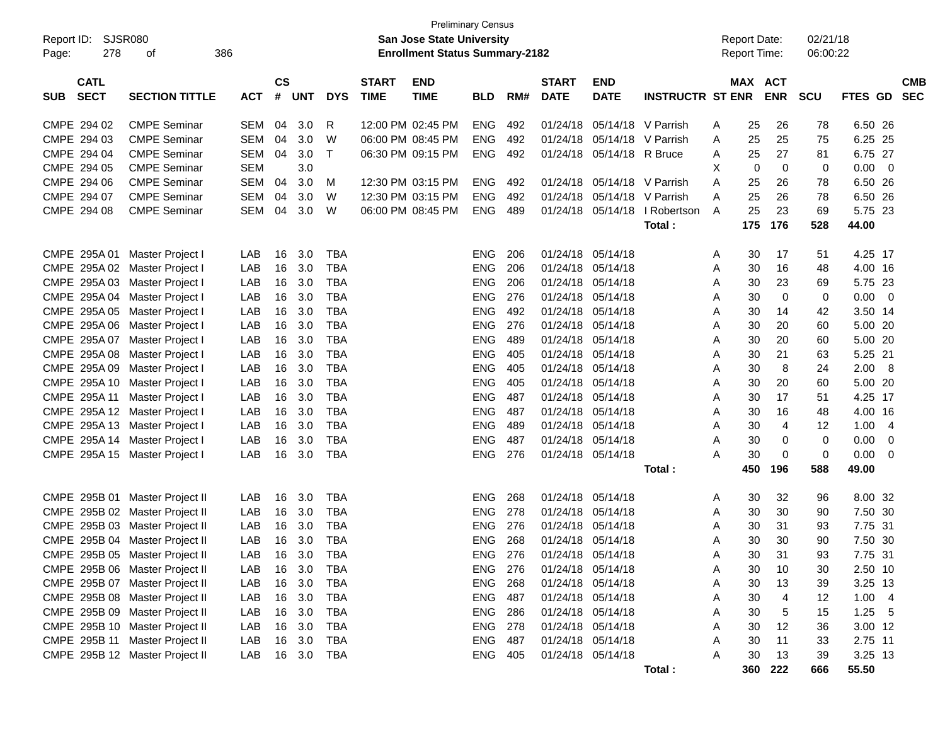| Report ID:<br>278<br>Page:               | SJSR080<br>386<br>οf           |            |                    |            |            |                             | <b>Preliminary Census</b><br><b>San Jose State University</b><br><b>Enrollment Status Summary-2182</b> |                |     |                             |                           |                         |   | <b>Report Date:</b><br><b>Report Time:</b> |             | 02/21/18<br>06:00:22 |         |     |                          |
|------------------------------------------|--------------------------------|------------|--------------------|------------|------------|-----------------------------|--------------------------------------------------------------------------------------------------------|----------------|-----|-----------------------------|---------------------------|-------------------------|---|--------------------------------------------|-------------|----------------------|---------|-----|--------------------------|
| <b>CATL</b><br><b>SECT</b><br><b>SUB</b> | <b>SECTION TITTLE</b>          | <b>ACT</b> | $\mathsf{cs}$<br># | <b>UNT</b> | <b>DYS</b> | <b>START</b><br><b>TIME</b> | <b>END</b><br><b>TIME</b>                                                                              | <b>BLD</b>     | RM# | <b>START</b><br><b>DATE</b> | <b>END</b><br><b>DATE</b> | <b>INSTRUCTR ST ENR</b> |   | MAX ACT                                    | <b>ENR</b>  | <b>SCU</b>           | FTES GD |     | <b>CMB</b><br><b>SEC</b> |
| CMPE 294 02                              | <b>CMPE Seminar</b>            | SEM        | 04                 | 3.0        | R          |                             | 12:00 PM 02:45 PM                                                                                      | <b>ENG</b>     | 492 | 01/24/18                    | 05/14/18                  | V Parrish               | A | 25                                         | 26          | 78                   | 6.50 26 |     |                          |
| CMPE 294 03                              | <b>CMPE Seminar</b>            | <b>SEM</b> | 04                 | 3.0        | W          |                             | 06:00 PM 08:45 PM                                                                                      | <b>ENG</b>     | 492 | 01/24/18                    | 05/14/18                  | V Parrish               | A | 25                                         | 25          | 75                   | 6.25    | 25  |                          |
| CMPE 294 04                              | <b>CMPE Seminar</b>            | SEM        | 04                 | 3.0        | $\top$     |                             | 06:30 PM 09:15 PM                                                                                      | <b>ENG</b>     | 492 | 01/24/18                    | 05/14/18                  | R Bruce                 | A | 25                                         | 27          | 81                   | 6.75 27 |     |                          |
| CMPE 294 05                              | <b>CMPE Seminar</b>            | <b>SEM</b> |                    | 3.0        |            |                             |                                                                                                        |                |     |                             |                           |                         | X | 0                                          | $\mathbf 0$ | 0                    | 0.00    | - 0 |                          |
| CMPE 294 06                              | <b>CMPE Seminar</b>            | <b>SEM</b> | 04                 | 3.0        | M          |                             | 12:30 PM 03:15 PM                                                                                      | <b>ENG</b>     | 492 | 01/24/18                    | 05/14/18                  | V Parrish               | A | 25                                         | 26          | 78                   | 6.50    | 26  |                          |
| CMPE 294 07                              | <b>CMPE Seminar</b>            | <b>SEM</b> | 04                 | 3.0        | W          |                             | 12:30 PM 03:15 PM                                                                                      | <b>ENG</b>     | 492 | 01/24/18                    | 05/14/18                  | V Parrish               | A | 25                                         | 26          | 78                   | 6.50    | 26  |                          |
| CMPE 294 08                              | <b>CMPE Seminar</b>            | SEM        | 04                 | 3.0        | W          |                             | 06:00 PM 08:45 PM                                                                                      | <b>ENG</b>     | 489 | 01/24/18                    | 05/14/18                  | I Robertson             | A | 25                                         | 23          | 69                   | 5.75 23 |     |                          |
|                                          |                                |            |                    |            |            |                             |                                                                                                        |                |     |                             |                           | Total:                  |   | 175                                        | 176         | 528                  | 44.00   |     |                          |
| CMPE 295A 01 Master Project I            |                                | LAB        | 16                 | 3.0        | <b>TBA</b> |                             |                                                                                                        | <b>ENG</b>     | 206 | 01/24/18                    | 05/14/18                  |                         | Α | 30                                         | 17          | 51                   | 4.25 17 |     |                          |
| CMPE 295A 02 Master Project I            |                                | LAB        | 16                 | 3.0        | <b>TBA</b> |                             |                                                                                                        | <b>ENG</b>     | 206 | 01/24/18                    | 05/14/18                  |                         | Α | 30                                         | 16          | 48                   | 4.00 16 |     |                          |
| CMPE 295A 03 Master Project I            |                                | LAB        | 16                 | 3.0        | <b>TBA</b> |                             |                                                                                                        | <b>ENG</b>     | 206 | 01/24/18                    | 05/14/18                  |                         | Α | 30                                         | 23          | 69                   | 5.75 23 |     |                          |
| CMPE 295A 04 Master Project I            |                                | LAB        | 16                 | 3.0        | <b>TBA</b> |                             |                                                                                                        | <b>ENG</b>     | 276 | 01/24/18                    | 05/14/18                  |                         | Α | 30                                         | $\mathbf 0$ | 0                    | 0.00    | - 0 |                          |
| CMPE 295A 05 Master Project I            |                                | LAB        | 16                 | 3.0        | <b>TBA</b> |                             |                                                                                                        | <b>ENG</b>     | 492 | 01/24/18                    | 05/14/18                  |                         | Α | 30                                         | 14          | 42                   | 3.50 14 |     |                          |
| CMPE 295A 06 Master Project I            |                                | LAB        | 16                 | 3.0        | <b>TBA</b> |                             |                                                                                                        | <b>ENG</b>     | 276 | 01/24/18                    | 05/14/18                  |                         | Α | 30                                         | 20          | 60                   | 5.00    | -20 |                          |
| CMPE 295A 07 Master Project I            |                                | LAB        | 16                 | 3.0        | <b>TBA</b> |                             |                                                                                                        | <b>ENG</b>     | 489 | 01/24/18                    | 05/14/18                  |                         | Α | 30                                         | 20          | 60                   | 5.00    | -20 |                          |
| CMPE 295A 08 Master Project I            |                                | LAB        | 16                 | 3.0        | <b>TBA</b> |                             |                                                                                                        | <b>ENG</b>     | 405 | 01/24/18                    | 05/14/18                  |                         | Α | 30                                         | 21          | 63                   | 5.25    | 21  |                          |
| CMPE 295A 09 Master Project I            |                                | LAB        | 16                 | 3.0        | <b>TBA</b> |                             |                                                                                                        | <b>ENG</b>     | 405 | 01/24/18                    | 05/14/18                  |                         | Α | 30                                         | 8           | 24                   | 2.00    | - 8 |                          |
| CMPE 295A 10 Master Project I            |                                | LAB        | 16                 | 3.0        | <b>TBA</b> |                             |                                                                                                        | <b>ENG</b>     | 405 | 01/24/18                    | 05/14/18                  |                         | Α | 30                                         | 20          | 60                   | 5.00    | -20 |                          |
| CMPE 295A 11 Master Project I            |                                | LAB        | 16                 | 3.0        | <b>TBA</b> |                             |                                                                                                        | <b>ENG</b>     | 487 | 01/24/18                    | 05/14/18                  |                         | Α | 30                                         | 17          | 51                   | 4.25 17 |     |                          |
| CMPE 295A 12 Master Project I            |                                | LAB        | 16                 | 3.0        | <b>TBA</b> |                             |                                                                                                        | <b>ENG</b>     | 487 | 01/24/18                    | 05/14/18                  |                         | Α | 30                                         | 16          | 48                   | 4.00 16 |     |                          |
| CMPE 295A 13 Master Project I            |                                | LAB        | 16                 | 3.0        | <b>TBA</b> |                             |                                                                                                        | <b>ENG</b>     | 489 | 01/24/18                    | 05/14/18                  |                         | Α | 30                                         | 4           | 12                   | 1.00    | -4  |                          |
| CMPE 295A 14 Master Project I            |                                | LAB        | 16                 | 3.0        | <b>TBA</b> |                             |                                                                                                        | <b>ENG</b>     | 487 | 01/24/18                    | 05/14/18                  |                         | Α | 30                                         | 0           | 0                    | 0.00    | 0   |                          |
| CMPE 295A 15 Master Project I            |                                | LAB        | 16                 | 3.0        | <b>TBA</b> |                             |                                                                                                        | <b>ENG</b>     | 276 | 01/24/18 05/14/18           |                           |                         | Α | 30                                         | 0           | 0                    | 0.00    | 0   |                          |
|                                          |                                |            |                    |            |            |                             |                                                                                                        |                |     |                             |                           | Total:                  |   | 450                                        | 196         | 588                  | 49.00   |     |                          |
|                                          | CMPE 295B 01 Master Project II | LAB        | 16                 | 3.0        | <b>TBA</b> |                             |                                                                                                        | <b>ENG</b>     | 268 | 01/24/18                    | 05/14/18                  |                         | A | 30                                         | 32          | 96                   | 8.00 32 |     |                          |
|                                          | CMPE 295B 02 Master Project II | LAB        | 16                 | 3.0        | <b>TBA</b> |                             |                                                                                                        | <b>ENG</b>     | 278 | 01/24/18                    | 05/14/18                  |                         | Α | 30                                         | 30          | 90                   | 7.50 30 |     |                          |
|                                          | CMPE 295B 03 Master Project II | LAB        | 16                 | 3.0        | <b>TBA</b> |                             |                                                                                                        | <b>ENG</b>     | 276 | 01/24/18                    | 05/14/18                  |                         | A | 30                                         | 31          | 93                   | 7.75 31 |     |                          |
|                                          | CMPE 295B 04 Master Project II | LAB        | 16                 | 3.0        | <b>TBA</b> |                             |                                                                                                        | <b>ENG</b>     | 268 | 01/24/18 05/14/18           |                           |                         | A | 30                                         | 30          | 90                   | 7.50 30 |     |                          |
|                                          | CMPE 295B 05 Master Project II | LAB        |                    | 16 3.0     | <b>TBA</b> |                             |                                                                                                        | ENG            | 276 | 01/24/18 05/14/18           |                           |                         | Α | 30                                         | 31          | 93                   | 7.75 31 |     |                          |
|                                          | CMPE 295B 06 Master Project II | LAB        | 16                 | 3.0        | TBA        |                             |                                                                                                        | ENG 276        |     | 01/24/18 05/14/18           |                           |                         | Α | 30                                         | 10          | 30                   | 2.50 10 |     |                          |
|                                          | CMPE 295B 07 Master Project II | LAB        | 16                 | 3.0        | <b>TBA</b> |                             |                                                                                                        | ENG 268        |     | 01/24/18 05/14/18           |                           |                         | A | 30                                         | 13          | 39                   | 3.25 13 |     |                          |
|                                          | CMPE 295B 08 Master Project II | LAB        | 16                 | 3.0        | <b>TBA</b> |                             |                                                                                                        | ENG 487        |     | 01/24/18 05/14/18           |                           |                         | Α | 30                                         | 4           | 12                   | 1.004   |     |                          |
|                                          | CMPE 295B 09 Master Project II | LAB        | 16                 | 3.0        | <b>TBA</b> |                             |                                                                                                        | <b>ENG 286</b> |     | 01/24/18 05/14/18           |                           |                         | Α | 30                                         | 5           | 15                   | 1.25    | - 5 |                          |
|                                          | CMPE 295B 10 Master Project II | LAB        | 16                 | 3.0        | <b>TBA</b> |                             |                                                                                                        | ENG 278        |     | 01/24/18 05/14/18           |                           |                         | Α | 30                                         | 12          | 36                   | 3.00 12 |     |                          |
|                                          | CMPE 295B 11 Master Project II | LAB        | 16                 | 3.0        | <b>TBA</b> |                             |                                                                                                        | ENG 487        |     | 01/24/18 05/14/18           |                           |                         | Α | 30                                         | 11          | 33                   | 2.75 11 |     |                          |
|                                          | CMPE 295B 12 Master Project II | LAB        | 16                 | 3.0        | <b>TBA</b> |                             |                                                                                                        | ENG 405        |     | 01/24/18 05/14/18           |                           |                         | A | 30                                         | 13          | 39                   | 3.25 13 |     |                          |
|                                          |                                |            |                    |            |            |                             |                                                                                                        |                |     |                             |                           | Total:                  |   | 360                                        | 222         | 666                  | 55.50   |     |                          |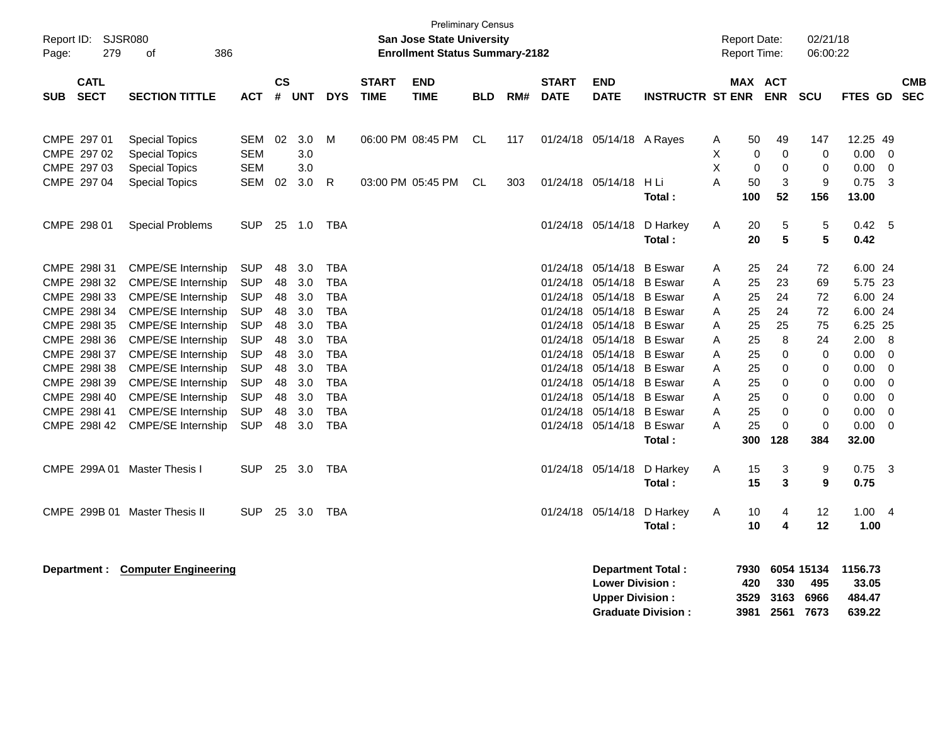| Report ID:<br>Page: | 279                                                          | <b>SJSR080</b><br>386<br>οf                                                                                      |                                                      |                      |                          |                                                      |                             | <b>Preliminary Census</b><br><b>San Jose State University</b><br><b>Enrollment Status Summary-2182</b> |            |     |                                              |                                                                              |                          |                  | <b>Report Date:</b><br>Report Time: |                        | 02/21/18<br>06:00:22              |                                    |                              |                          |
|---------------------|--------------------------------------------------------------|------------------------------------------------------------------------------------------------------------------|------------------------------------------------------|----------------------|--------------------------|------------------------------------------------------|-----------------------------|--------------------------------------------------------------------------------------------------------|------------|-----|----------------------------------------------|------------------------------------------------------------------------------|--------------------------|------------------|-------------------------------------|------------------------|-----------------------------------|------------------------------------|------------------------------|--------------------------|
| <b>SUB</b>          | <b>CATL</b><br><b>SECT</b>                                   | <b>SECTION TITTLE</b>                                                                                            | <b>ACT</b>                                           | $\mathsf{cs}$        | # UNT                    | <b>DYS</b>                                           | <b>START</b><br><b>TIME</b> | <b>END</b><br><b>TIME</b>                                                                              | <b>BLD</b> | RM# | <b>START</b><br><b>DATE</b>                  | <b>END</b><br><b>DATE</b>                                                    | <b>INSTRUCTR ST ENR</b>  |                  | MAX ACT                             | <b>ENR</b>             | <b>SCU</b>                        | FTES GD                            |                              | <b>CMB</b><br><b>SEC</b> |
|                     | CMPE 297 01<br>CMPE 297 02<br>CMPE 297 03                    | <b>Special Topics</b><br><b>Special Topics</b><br><b>Special Topics</b>                                          | SEM<br><b>SEM</b><br><b>SEM</b>                      | 02                   | 3.0<br>3.0<br>3.0        | M                                                    |                             | 06:00 PM 08:45 PM                                                                                      | CL         | 117 |                                              | 01/24/18 05/14/18 A Rayes                                                    |                          | Α<br>X<br>X      | 50<br>0<br>$\Omega$                 | 49<br>$\mathbf 0$<br>0 | 147<br>$\mathbf 0$<br>$\mathbf 0$ | 12.25 49<br>0.00<br>0.00           | 0<br>0                       |                          |
|                     | CMPE 297 04                                                  | <b>Special Topics</b>                                                                                            | <b>SEM</b>                                           | 02                   | 3.0                      | R                                                    |                             | 03:00 PM 05:45 PM                                                                                      | CL         | 303 |                                              | 01/24/18 05/14/18                                                            | H Li<br>Total:           | A                | 50<br>100                           | 3<br>52                | 9<br>156                          | 0.75<br>13.00                      | $\overline{3}$               |                          |
|                     | CMPE 298 01                                                  | <b>Special Problems</b>                                                                                          | <b>SUP</b>                                           | 25                   | 1.0                      | <b>TBA</b>                                           |                             |                                                                                                        |            |     | 01/24/18                                     | 05/14/18                                                                     | D Harkey<br>Total:       | A                | 20<br>20                            | 5<br>5                 | 5<br>5                            | 0.42<br>0.42                       | - 5                          |                          |
|                     | CMPE 298131<br>CMPE 2981 32<br>CMPE 2981 33                  | <b>CMPE/SE Internship</b><br><b>CMPE/SE Internship</b><br><b>CMPE/SE Internship</b>                              | <b>SUP</b><br><b>SUP</b><br><b>SUP</b>               | 48<br>48<br>48       | 3.0<br>3.0<br>3.0        | <b>TBA</b><br><b>TBA</b><br><b>TBA</b>               |                             |                                                                                                        |            |     | 01/24/18<br>01/24/18<br>01/24/18             | 05/14/18<br>05/14/18 B Eswar<br>05/14/18 B Eswar                             | <b>B</b> Eswar           | A<br>A<br>A      | 25<br>25<br>25                      | 24<br>23<br>24         | 72<br>69<br>72                    | 6.00 24<br>5.75 23<br>6.00 24      |                              |                          |
|                     | CMPE 298I 34<br>CMPE 2981 35<br>CMPE 2981 36<br>CMPE 298I 37 | CMPE/SE Internship<br><b>CMPE/SE Internship</b><br><b>CMPE/SE Internship</b>                                     | <b>SUP</b><br><b>SUP</b><br><b>SUP</b>               | 48<br>48<br>48       | 3.0<br>3.0<br>3.0        | <b>TBA</b><br><b>TBA</b><br><b>TBA</b><br><b>TBA</b> |                             |                                                                                                        |            |     | 01/24/18<br>01/24/18<br>01/24/18             | 05/14/18 B Eswar<br>05/14/18 B Eswar<br>05/14/18 B Eswar                     |                          | A<br>A<br>A      | 25<br>25<br>25                      | 24<br>25<br>8          | 72<br>75<br>24                    | 6.00 24<br>6.25 25<br>2.00<br>0.00 | - 8                          |                          |
|                     | CMPE 2981 38<br>CMPE 2981 39<br>CMPE 2981 40                 | <b>CMPE/SE Internship</b><br><b>CMPE/SE Internship</b><br><b>CMPE/SE Internship</b><br><b>CMPE/SE Internship</b> | <b>SUP</b><br><b>SUP</b><br><b>SUP</b><br><b>SUP</b> | 48<br>48<br>48<br>48 | 3.0<br>3.0<br>3.0<br>3.0 | <b>TBA</b><br><b>TBA</b><br><b>TBA</b>               |                             |                                                                                                        |            |     | 01/24/18<br>01/24/18<br>01/24/18<br>01/24/18 | 05/14/18 B Eswar<br>05/14/18 B Eswar<br>05/14/18 B Eswar<br>05/14/18 B Eswar |                          | A<br>Α<br>Α<br>A | 25<br>25<br>25<br>25                | 0<br>0<br>0<br>0       | 0<br>0<br>0<br>0                  | 0.00<br>0.00<br>0.00               | 0<br>0<br>- 0<br>$\mathbf 0$ |                          |
|                     | CMPE 298141<br>CMPE 2981 42                                  | CMPE/SE Internship<br><b>CMPE/SE Internship</b>                                                                  | <b>SUP</b><br><b>SUP</b>                             | 48<br>48             | 3.0<br>3.0               | <b>TBA</b><br><b>TBA</b>                             |                             |                                                                                                        |            |     | 01/24/18                                     | 05/14/18 B Eswar<br>01/24/18 05/14/18 B Eswar                                | Total:                   | A<br>Α           | 25<br>25<br>300                     | 0<br>0<br>128          | 0<br>$\mathbf 0$<br>384           | 0.00<br>0.00<br>32.00              | 0<br>- 0                     |                          |
|                     | CMPE 299A 01                                                 | Master Thesis I                                                                                                  | <b>SUP</b>                                           | 25                   | 3.0                      | TBA                                                  |                             |                                                                                                        |            |     |                                              | 01/24/18 05/14/18                                                            | D Harkey<br>Total:       | Α                | 15<br>15                            | 3<br>3                 | 9<br>9                            | 0.75<br>0.75                       | - 3                          |                          |
|                     |                                                              | CMPE 299B 01 Master Thesis II                                                                                    | <b>SUP</b>                                           | 25                   | 3.0                      | <b>TBA</b>                                           |                             |                                                                                                        |            |     |                                              | 01/24/18 05/14/18                                                            | D Harkey<br>Total:       | A                | 10<br>10                            | 4<br>4                 | 12<br>12                          | 1.00<br>1.00                       | $\overline{4}$               |                          |
|                     | Department :                                                 | <b>Computer Engineering</b>                                                                                      |                                                      |                      |                          |                                                      |                             |                                                                                                        |            |     |                                              | <b>Lower Division:</b>                                                       | <b>Department Total:</b> |                  | 7930<br>420                         | 330                    | 6054 15134<br>495                 | 1156.73<br>33.05                   |                              |                          |

**Upper Division : 3529 3163 6966 484.47<br>Graduate Division : 3981 2561 7673 639.22** 

**Graduate Division : 3981 2561 7673 639.22**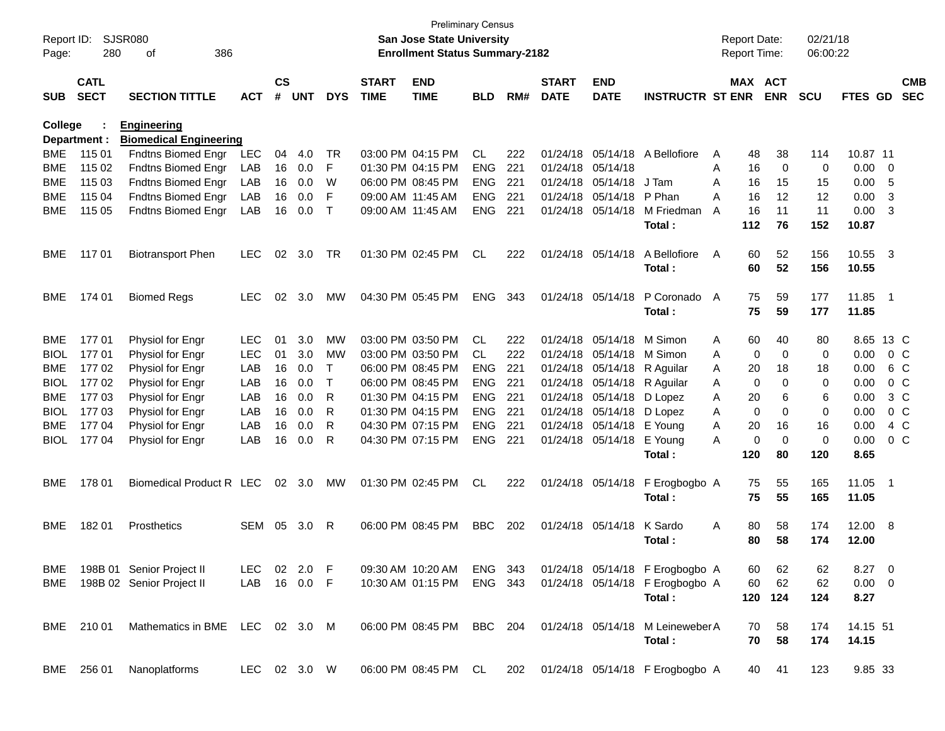| Page:          | <b>SJSR080</b><br>Report ID:<br>280<br>386<br>οf<br><b>CATL</b> |                                 |              |                    |            |             |                             | <b>Preliminary Census</b><br><b>San Jose State University</b><br><b>Enrollment Status Summary-2182</b> |            |     |                             |                           |                                                          |   | <b>Report Date:</b><br>Report Time: |             | 02/21/18<br>06:00:22 |                |     |                          |
|----------------|-----------------------------------------------------------------|---------------------------------|--------------|--------------------|------------|-------------|-----------------------------|--------------------------------------------------------------------------------------------------------|------------|-----|-----------------------------|---------------------------|----------------------------------------------------------|---|-------------------------------------|-------------|----------------------|----------------|-----|--------------------------|
| <b>SUB</b>     | <b>SECT</b>                                                     | <b>SECTION TITTLE</b>           | <b>ACT</b>   | $\mathsf{cs}$<br># | <b>UNT</b> | <b>DYS</b>  | <b>START</b><br><b>TIME</b> | <b>END</b><br><b>TIME</b>                                                                              | <b>BLD</b> | RM# | <b>START</b><br><b>DATE</b> | <b>END</b><br><b>DATE</b> | <b>INSTRUCTR ST ENR</b>                                  |   | MAX ACT                             | <b>ENR</b>  | <b>SCU</b>           | FTES GD        |     | <b>CMB</b><br><b>SEC</b> |
| <b>College</b> |                                                                 | <b>Engineering</b>              |              |                    |            |             |                             |                                                                                                        |            |     |                             |                           |                                                          |   |                                     |             |                      |                |     |                          |
|                | Department :                                                    | <b>Biomedical Engineering</b>   |              |                    |            |             |                             |                                                                                                        |            |     |                             |                           |                                                          |   |                                     |             |                      |                |     |                          |
| <b>BME</b>     | 115 01                                                          | Fndtns Biomed Engr              | <b>LEC</b>   | 04                 | 4.0        | TR          |                             | 03:00 PM 04:15 PM                                                                                      | <b>CL</b>  | 222 | 01/24/18                    | 05/14/18                  | A Bellofiore                                             | A | 48                                  | 38          | 114                  | 10.87 11       |     |                          |
| <b>BME</b>     | 115 02                                                          | Fndtns Biomed Engr              | LAB          | 16                 | 0.0        | F           |                             | 01:30 PM 04:15 PM                                                                                      | <b>ENG</b> | 221 | 01/24/18                    | 05/14/18                  |                                                          | Α | 16                                  | 0           | 0                    | 0.00           | 0   |                          |
| <b>BME</b>     | 115 03                                                          | Fndtns Biomed Engr              | LAB          | 16                 | 0.0        | W           |                             | 06:00 PM 08:45 PM                                                                                      | <b>ENG</b> | 221 | 01/24/18                    | 05/14/18                  | J Tam                                                    | A | 16                                  | 15          | 15                   | 0.00           | 5   |                          |
| <b>BME</b>     | 115 04                                                          | Fndtns Biomed Engr              | LAB          | 16                 | 0.0        | F           | 09:00 AM 11:45 AM           |                                                                                                        | <b>ENG</b> | 221 | 01/24/18                    | 05/14/18                  | P Phan                                                   | A | 16                                  | 12          | 12                   | 0.00           | 3   |                          |
| <b>BME</b>     | 115 05                                                          | Fndtns Biomed Engr              | LAB          | 16                 | 0.0        | $\mathsf T$ | 09:00 AM 11:45 AM           |                                                                                                        | <b>ENG</b> | 221 | 01/24/18                    | 05/14/18                  | M Friedman                                               | A | 16                                  | 11          | 11                   | 0.00           | 3   |                          |
|                |                                                                 |                                 |              |                    |            |             |                             |                                                                                                        |            |     |                             |                           | Total:                                                   |   | 112                                 | 76          | 152                  | 10.87          |     |                          |
| <b>BME</b>     | 117 01                                                          | <b>Biotransport Phen</b>        | <b>LEC</b>   | 02                 | 3.0        | TR          |                             | 01:30 PM 02:45 PM                                                                                      | <b>CL</b>  | 222 | 01/24/18                    | 05/14/18                  | A Bellofiore                                             | A | 60                                  | 52          | 156                  | 10.55 3        |     |                          |
|                |                                                                 |                                 |              |                    |            |             |                             |                                                                                                        |            |     |                             |                           | Total:                                                   |   | 60                                  | 52          | 156                  | 10.55          |     |                          |
| <b>BME</b>     | 174 01                                                          | <b>Biomed Regs</b>              | <b>LEC</b>   | 02                 | 3.0        | МW          |                             | 04:30 PM 05:45 PM                                                                                      | <b>ENG</b> | 343 | 01/24/18                    | 05/14/18                  | P Coronado                                               | A | 75                                  | 59          | 177                  | 11.85          | - 1 |                          |
|                |                                                                 |                                 |              |                    |            |             |                             |                                                                                                        |            |     |                             |                           | Total:                                                   |   | 75                                  | 59          | 177                  | 11.85          |     |                          |
| <b>BME</b>     | 17701                                                           | Physiol for Engr                | <b>LEC</b>   | 01                 | 3.0        | <b>MW</b>   |                             | 03:00 PM 03:50 PM                                                                                      | <b>CL</b>  | 222 | 01/24/18                    | 05/14/18                  | M Simon                                                  | A | 60                                  | 40          | 80                   | 8.65 13 C      |     |                          |
| <b>BIOL</b>    | 17701                                                           | Physiol for Engr                | <b>LEC</b>   | 01                 | 3.0        | MW          |                             | 03:00 PM 03:50 PM                                                                                      | <b>CL</b>  | 222 | 01/24/18                    | 05/14/18                  | M Simon                                                  | A | 0                                   | 0           | 0                    | 0.00           |     | $0\,$ C                  |
| <b>BME</b>     | 17702                                                           | Physiol for Engr                | LAB          | 16                 | 0.0        | Т           |                             | 06:00 PM 08:45 PM                                                                                      | <b>ENG</b> | 221 | 01/24/18                    | 05/14/18                  | R Aguilar                                                | A | 20                                  | 18          | 18                   | 0.00           |     | 6 C                      |
| <b>BIOL</b>    | 17702                                                           | Physiol for Engr                | LAB          | 16                 | 0.0        | Т           |                             | 06:00 PM 08:45 PM                                                                                      | <b>ENG</b> | 221 | 01/24/18                    | 05/14/18                  | R Aguilar                                                | A | 0                                   | 0           | 0                    | 0.00           |     | $0\,C$                   |
| <b>BME</b>     | 177 03                                                          | Physiol for Engr                | LAB          | 16                 | 0.0        | R           |                             | 01:30 PM 04:15 PM                                                                                      | <b>ENG</b> | 221 | 01/24/18                    | 05/14/18                  | D Lopez                                                  | A | 20                                  | 6           | 6                    | 0.00           |     | $3\,C$                   |
| <b>BIOL</b>    | 177 03                                                          | Physiol for Engr                | LAB          | 16                 | 0.0        | R           | 01:30 PM 04:15 PM           |                                                                                                        | <b>ENG</b> | 221 | 01/24/18                    | 05/14/18                  | D Lopez                                                  | A | 0                                   | $\Omega$    | 0                    | 0.00           |     | 0 <sup>C</sup>           |
| <b>BME</b>     | 177 04                                                          | Physiol for Engr                | LAB          | 16                 | 0.0        | R           |                             | 04:30 PM 07:15 PM                                                                                      | <b>ENG</b> | 221 | 01/24/18                    | 05/14/18                  | E Young                                                  | A | 20                                  | 16          | 16                   | 0.00           |     | 4 C                      |
| <b>BIOL</b>    | 177 04                                                          | Physiol for Engr                | LAB          | 16                 | 0.0        | R           |                             | 04:30 PM 07:15 PM                                                                                      | <b>ENG</b> | 221 | 01/24/18                    | 05/14/18                  | E Young                                                  | A | 0                                   | $\mathbf 0$ | 0                    | 0.00           |     | $0\,C$                   |
|                |                                                                 |                                 |              |                    |            |             |                             |                                                                                                        |            |     |                             |                           | Total:                                                   |   | 120                                 | 80          | 120                  | 8.65           |     |                          |
| <b>BME</b>     | 178 01                                                          | Biomedical Product R LEC        |              | 02                 | 3.0        | МW          |                             | 01:30 PM 02:45 PM                                                                                      | <b>CL</b>  | 222 |                             | 01/24/18 05/14/18         | F Erogbogbo A                                            |   | 75                                  | 55          | 165                  | 11.05          | - 1 |                          |
|                |                                                                 |                                 |              |                    |            |             |                             |                                                                                                        |            |     |                             |                           | Total:                                                   |   | 75                                  | 55          | 165                  | 11.05          |     |                          |
| <b>BME</b>     | 18201                                                           | Prosthetics                     | SEM          | 05                 | 3.0        | R           |                             | 06:00 PM 08:45 PM                                                                                      | <b>BBC</b> | 202 | 01/24/18                    | 05/14/18                  | K Sardo                                                  | A | 80                                  | 58          | 174                  | 12.00 8        |     |                          |
|                |                                                                 |                                 |              |                    |            |             |                             |                                                                                                        |            |     |                             |                           | Total:                                                   |   | 80                                  | 58          | 174                  | 12.00          |     |                          |
| BME            |                                                                 | 198B 01 Senior Project II       | LEC 02 2.0 F |                    |            |             |                             | 09:30 AM 10:20 AM                                                                                      | ENG 343    |     |                             |                           | 01/24/18 05/14/18 F Erogbogbo A                          |   | 60                                  | 62          | 62                   | $8.27 \quad 0$ |     |                          |
| BME            |                                                                 | 198B 02 Senior Project II       | LAB          |                    | 16  0.0  F |             |                             | 10:30 AM 01:15 PM                                                                                      | ENG 343    |     |                             |                           | 01/24/18 05/14/18 F Erogbogbo A                          |   | 60                                  | 62          | 62                   | $0.00 \t 0$    |     |                          |
|                |                                                                 |                                 |              |                    |            |             |                             |                                                                                                        |            |     |                             |                           | Total:                                                   |   | 120                                 | 124         | 124                  | 8.27           |     |                          |
|                | BME 210 01                                                      | Mathematics in BME LEC 02 3.0 M |              |                    |            |             |                             | 06:00 PM 08:45 PM BBC 204                                                                              |            |     |                             |                           | 01/24/18 05/14/18 M Leineweber A                         |   | 70                                  | 58          | 174                  | 14.15 51       |     |                          |
|                |                                                                 |                                 |              |                    |            |             |                             |                                                                                                        |            |     |                             |                           | Total:                                                   |   | 70                                  | 58          | 174                  | 14.15          |     |                          |
|                | BME 256 01                                                      | Nanoplatforms                   | LEC 02 3.0 W |                    |            |             |                             |                                                                                                        |            |     |                             |                           | 06:00 PM 08:45 PM CL 202 01/24/18 05/14/18 F Erogbogbo A |   | 40                                  | 41          | 123                  | 9.85 33        |     |                          |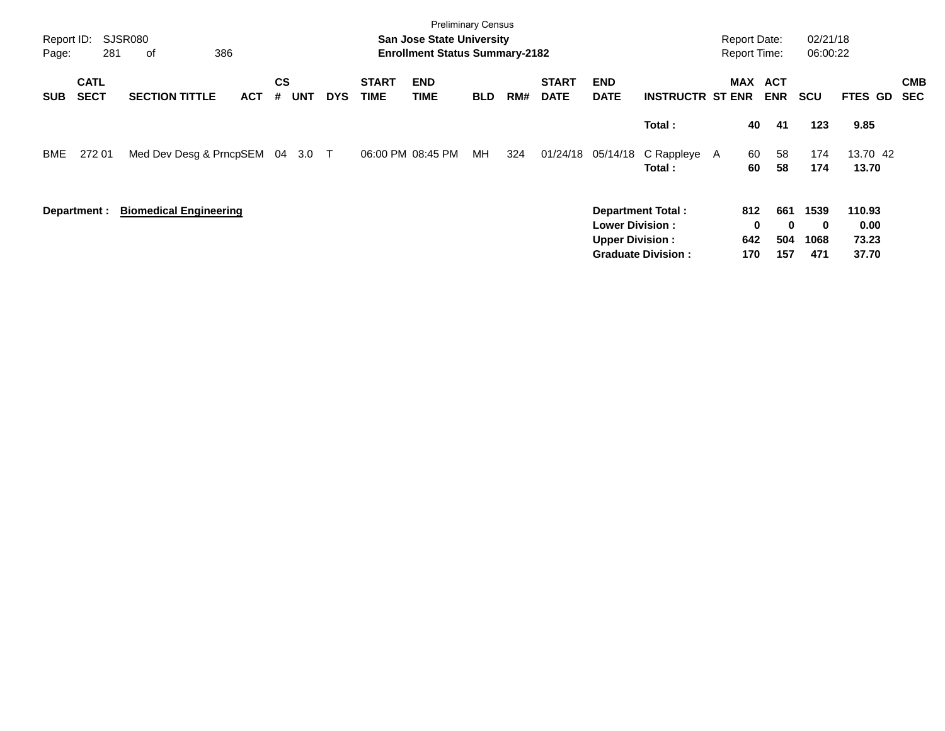| Report ID:<br>Page: | 281                        | SJSR080<br>of<br>386          |            |                |            |            |                             | <b>San Jose State University</b><br><b>Enrollment Status Summary-2182</b> |            |     |                             |                                                  |                                                       | <b>Report Date:</b><br><b>Report Time:</b> |                               | 02/21/18<br>06:00:22               |                                  |                          |
|---------------------|----------------------------|-------------------------------|------------|----------------|------------|------------|-----------------------------|---------------------------------------------------------------------------|------------|-----|-----------------------------|--------------------------------------------------|-------------------------------------------------------|--------------------------------------------|-------------------------------|------------------------------------|----------------------------------|--------------------------|
| <b>SUB</b>          | <b>CATL</b><br><b>SECT</b> | <b>SECTION TITTLE</b>         | <b>ACT</b> | <b>CS</b><br># | <b>UNT</b> | <b>DYS</b> | <b>START</b><br><b>TIME</b> | <b>END</b><br><b>TIME</b>                                                 | <b>BLD</b> | RM# | <b>START</b><br><b>DATE</b> | <b>END</b><br><b>DATE</b>                        | <b>INSTRUCTR ST ENR</b>                               | <b>MAX</b>                                 | ACT<br><b>ENR</b>             | <b>SCU</b>                         | <b>FTES GD</b>                   | <b>CMB</b><br><b>SEC</b> |
|                     |                            |                               |            |                |            |            |                             |                                                                           |            |     |                             |                                                  | Total:                                                | 40                                         | 41                            | 123                                | 9.85                             |                          |
| BME                 | 272 01                     | Med Dev Desg & PrncpSEM 04    |            |                | 3.0        | $\top$     |                             | 06:00 PM 08:45 PM                                                         | МH         | 324 | 01/24/18                    | 05/14/18                                         | C Rappleye A<br>Total:                                | 60<br>60                                   | 58<br>58                      | 174<br>174                         | 13.70 42<br>13.70                |                          |
|                     | Department :               | <b>Biomedical Engineering</b> |            |                |            |            |                             |                                                                           |            |     |                             | <b>Lower Division:</b><br><b>Upper Division:</b> | <b>Department Total:</b><br><b>Graduate Division:</b> | 812<br>0<br>642<br>170                     | 661<br>$\bf{0}$<br>504<br>157 | 1539<br>$\mathbf 0$<br>1068<br>471 | 110.93<br>0.00<br>73.23<br>37.70 |                          |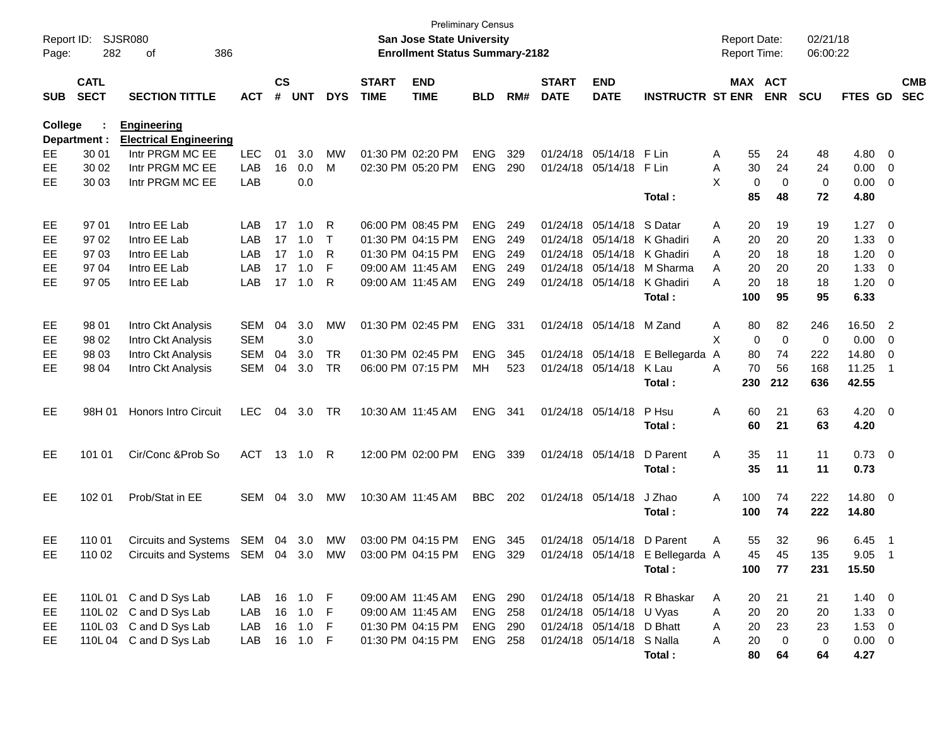| Report ID:<br>Page: | 282                        | SJSR080<br>386<br>of                                         |            |                    |            |            |                             | <b>Preliminary Census</b><br><b>San Jose State University</b><br><b>Enrollment Status Summary-2182</b> |                |     |                             |                           |                                  | <b>Report Date:</b><br><b>Report Time:</b> |                   | 02/21/18<br>06:00:22 |                        |                          |                          |
|---------------------|----------------------------|--------------------------------------------------------------|------------|--------------------|------------|------------|-----------------------------|--------------------------------------------------------------------------------------------------------|----------------|-----|-----------------------------|---------------------------|----------------------------------|--------------------------------------------|-------------------|----------------------|------------------------|--------------------------|--------------------------|
| <b>SUB</b>          | <b>CATL</b><br><b>SECT</b> | <b>SECTION TITTLE</b>                                        | <b>ACT</b> | $\mathsf{cs}$<br># | <b>UNT</b> | <b>DYS</b> | <b>START</b><br><b>TIME</b> | <b>END</b><br><b>TIME</b>                                                                              | <b>BLD</b>     | RM# | <b>START</b><br><b>DATE</b> | <b>END</b><br><b>DATE</b> | <b>INSTRUCTR ST ENR</b>          | MAX ACT                                    | <b>ENR</b>        | <b>SCU</b>           | FTES GD                |                          | <b>CMB</b><br><b>SEC</b> |
| <b>College</b>      | Department :               | <b>Engineering</b><br><b>Electrical Engineering</b>          |            |                    |            |            |                             |                                                                                                        |                |     |                             |                           |                                  |                                            |                   |                      |                        |                          |                          |
| EЕ                  | 30 01                      | Intr PRGM MC EE                                              | <b>LEC</b> | 01                 | 3.0        | МW         |                             | 01:30 PM 02:20 PM                                                                                      | <b>ENG</b>     | 329 | 01/24/18                    | 05/14/18                  | F Lin                            | 55<br>Α                                    | 24                | 48                   | 4.80                   | $\mathbf{0}$             |                          |
| EE                  | 30 02                      | Intr PRGM MC EE                                              | LAB        | 16                 | 0.0        | M          |                             | 02:30 PM 05:20 PM                                                                                      | <b>ENG</b>     | 290 | 01/24/18                    | 05/14/18                  | F Lin                            | A<br>30                                    | 24                | 24                   | 0.00                   | 0                        |                          |
| EЕ                  | 30 03                      | Intr PRGM MC EE                                              | LAB        |                    | 0.0        |            |                             |                                                                                                        |                |     |                             |                           |                                  | X<br>0                                     | 0                 | $\mathbf 0$          | 0.00                   | 0                        |                          |
|                     |                            |                                                              |            |                    |            |            |                             |                                                                                                        |                |     |                             |                           | Total:                           | 85                                         | 48                | 72                   | 4.80                   |                          |                          |
| EE                  | 97 01                      | Intro EE Lab                                                 | LAB        | 17                 | 1.0        | R          |                             | 06:00 PM 08:45 PM                                                                                      | <b>ENG</b>     | 249 | 01/24/18                    | 05/14/18                  | S Datar                          | 20<br>Α                                    | 19                | 19                   | 1.27                   | 0                        |                          |
| EE                  | 97 02                      | Intro EE Lab                                                 | LAB        | 17                 | 1.0        | $\top$     |                             | 01:30 PM 04:15 PM                                                                                      | <b>ENG</b>     | 249 | 01/24/18                    | 05/14/18                  | K Ghadiri                        | 20<br>Α                                    | 20                | 20                   | 1.33                   | 0                        |                          |
| EE                  | 97 03                      | Intro EE Lab                                                 | LAB        | 17                 | 1.0        | R          |                             | 01:30 PM 04:15 PM                                                                                      | <b>ENG</b>     | 249 | 01/24/18                    | 05/14/18                  | K Ghadiri                        | 20<br>Α                                    | 18                | 18                   | 1.20                   | 0                        |                          |
| EЕ                  | 97 04                      | Intro EE Lab                                                 | LAB        | 17                 | 1.0        | F          | 09:00 AM 11:45 AM           |                                                                                                        | <b>ENG</b>     | 249 | 01/24/18                    | 05/14/18                  | M Sharma                         | 20<br>Α                                    | 20                | 20                   | 1.33                   | 0                        |                          |
| EЕ                  | 97 05                      | Intro EE Lab                                                 | LAB        | 17                 | 1.0        | R          | 09:00 AM 11:45 AM           |                                                                                                        | <b>ENG</b>     | 249 |                             | 01/24/18 05/14/18         | K Ghadiri                        | А<br>20                                    | 18                | 18                   | 1.20                   | $\mathbf 0$              |                          |
|                     |                            |                                                              |            |                    |            |            |                             |                                                                                                        |                |     |                             |                           | Total:                           | 100                                        | 95                | 95                   | 6.33                   |                          |                          |
| EE                  | 98 01                      | Intro Ckt Analysis                                           | <b>SEM</b> | 04                 | 3.0        | MW         |                             | 01:30 PM 02:45 PM                                                                                      | <b>ENG</b>     | 331 |                             | 01/24/18 05/14/18         | M Zand                           | Α<br>80                                    | 82                | 246                  | 16.50                  | $\overline{2}$           |                          |
| EE                  | 98 02                      | Intro Ckt Analysis                                           | <b>SEM</b> |                    | 3.0        |            |                             |                                                                                                        |                |     |                             |                           |                                  | X<br>0                                     | 0                 | $\mathbf 0$          | 0.00                   | 0                        |                          |
| EЕ                  | 98 03                      | Intro Ckt Analysis                                           | <b>SEM</b> | 04                 | 3.0        | <b>TR</b>  |                             | 01:30 PM 02:45 PM                                                                                      | <b>ENG</b>     | 345 |                             | 01/24/18 05/14/18         | E Bellegarda                     | 80<br>A                                    | 74                | 222                  | 14.80                  | 0                        |                          |
| EЕ                  | 98 04                      | Intro Ckt Analysis                                           | <b>SEM</b> | 04                 | 3.0        | <b>TR</b>  |                             | 06:00 PM 07:15 PM                                                                                      | МH             | 523 |                             | 01/24/18 05/14/18         | K Lau                            | A<br>70                                    | 56                | 168                  | 11.25                  | $\overline{1}$           |                          |
|                     |                            |                                                              |            |                    |            |            |                             |                                                                                                        |                |     |                             |                           | Total:                           | 230                                        | 212               | 636                  | 42.55                  |                          |                          |
| EE                  | 98H 01                     | <b>Honors Intro Circuit</b>                                  | <b>LEC</b> | 04                 | 3.0        | <b>TR</b>  |                             | 10:30 AM 11:45 AM                                                                                      | <b>ENG</b>     | 341 |                             | 01/24/18 05/14/18         | P Hsu                            | Α<br>60                                    | 21                | 63                   | 4.20                   | $\overline{\mathbf{0}}$  |                          |
|                     |                            |                                                              |            |                    |            |            |                             |                                                                                                        |                |     |                             |                           | Total:                           | 60                                         | 21                | 63                   | 4.20                   |                          |                          |
| EE                  | 101 01                     | Cir/Conc & Prob So                                           | <b>ACT</b> |                    | 13 1.0     | R          |                             | 12:00 PM 02:00 PM                                                                                      | <b>ENG</b>     | 339 |                             | 01/24/18 05/14/18         | D Parent<br>Total:               | A<br>35<br>35                              | 11<br>11          | 11<br>11             | $0.73 \quad 0$<br>0.73 |                          |                          |
| EE                  | 102 01                     | Prob/Stat in EE                                              | SEM        | 04                 | 3.0        | МW         | 10:30 AM 11:45 AM           |                                                                                                        | <b>BBC</b>     | 202 |                             | 01/24/18 05/14/18         | J Zhao<br>Total:                 | 100<br>A<br>100                            | 74<br>74          | 222<br>222           | 14.80<br>14.80         | $\overline{\mathbf{0}}$  |                          |
| EE                  | 110 01                     | <b>Circuits and Systems</b>                                  | SEM 04 3.0 |                    |            | MW         |                             | 03:00 PM 04:15 PM                                                                                      | <b>ENG</b>     | 345 | 01/24/18                    | 05/14/18                  | D Parent                         | 55<br>Α                                    | 32                | 96                   | 6.45                   | $\overline{\phantom{0}}$ |                          |
| EE                  | 110 02                     | Circuits and Systems SEM 04 3.0 MW 03:00 PM 04:15 PM ENG 329 |            |                    |            |            |                             |                                                                                                        |                |     |                             |                           | 01/24/18 05/14/18 E Bellegarda A | 45                                         | 45                | 135                  | $9.05$ 1               |                          |                          |
|                     |                            |                                                              |            |                    |            |            |                             |                                                                                                        |                |     |                             |                           | Total:                           | 100                                        | 77                | 231                  | 15.50                  |                          |                          |
| EE                  |                            | 110L 01 C and D Sys Lab                                      | LAB        |                    | 16 1.0 F   |            |                             | 09:00 AM 11:45 AM                                                                                      | <b>ENG 290</b> |     |                             |                           | 01/24/18 05/14/18 R Bhaskar      | A<br>20                                    | 21                | 21                   | $1.40 \ 0$             |                          |                          |
| EE.                 |                            | 110L 02 C and D Sys Lab                                      | LAB        |                    | 16 1.0     | -F         | 09:00 AM 11:45 AM           |                                                                                                        | ENG 258        |     |                             | 01/24/18 05/14/18 U Vyas  |                                  | 20<br>Α                                    | 20                | 20                   | $1.33 \ 0$             |                          |                          |
| EE.                 |                            | 110L 03 C and D Sys Lab                                      | LAB        |                    | 16 1.0     | -F         |                             | 01:30 PM 04:15 PM                                                                                      | <b>ENG 290</b> |     |                             | 01/24/18 05/14/18 D Bhatt |                                  | 20<br>Α                                    | 23                | 23                   | $1.53 \t 0$            |                          |                          |
| EE                  |                            | 110L04 C and D Sys Lab                                       | LAB        |                    | 16 1.0 F   |            |                             | 01:30 PM 04:15 PM                                                                                      | <b>ENG 258</b> |     |                             | 01/24/18 05/14/18 S Nalla | Total:                           | 20<br>Α<br>80                              | $\mathbf 0$<br>64 | 0<br>64              | $0.00 \t 0$<br>4.27    |                          |                          |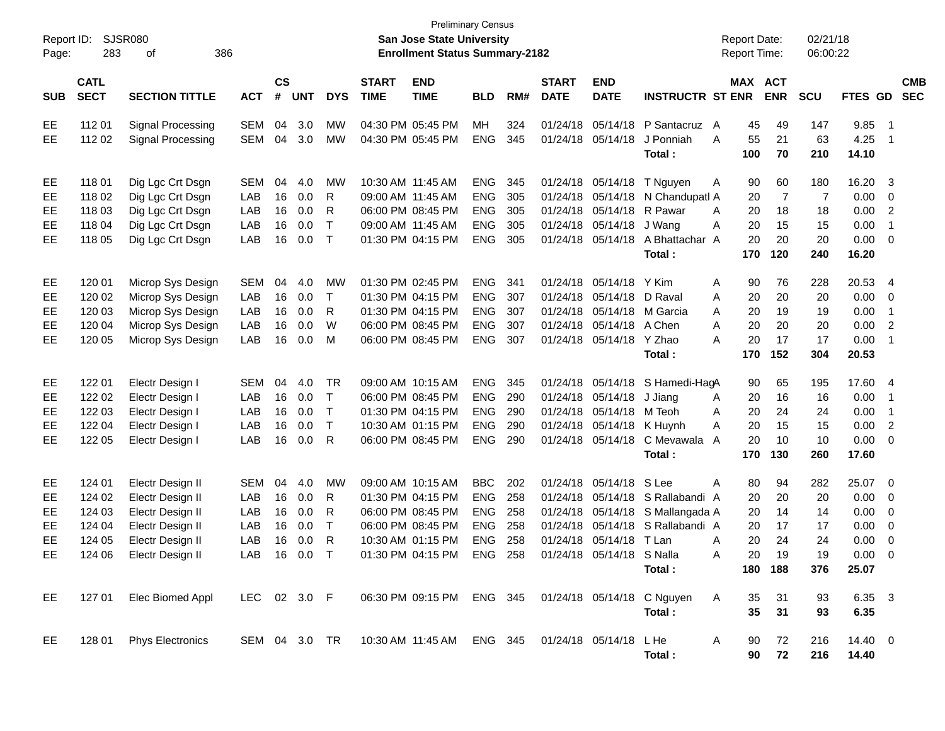| Report ID:<br>Page:              | 283                                                      | SJSR080<br>386<br>οf                                                                                                 |                                               |                            |                                           |                                                  |                             | <b>Preliminary Census</b><br><b>San Jose State University</b><br><b>Enrollment Status Summary-2182</b>                             |                                                                    |                                 |                                                          |                                                                        |                                                                                         | <b>Report Date:</b><br><b>Report Time:</b>                 |                                               | 02/21/18<br>06:00:22                           |                                                        |                                                                                              |                          |
|----------------------------------|----------------------------------------------------------|----------------------------------------------------------------------------------------------------------------------|-----------------------------------------------|----------------------------|-------------------------------------------|--------------------------------------------------|-----------------------------|------------------------------------------------------------------------------------------------------------------------------------|--------------------------------------------------------------------|---------------------------------|----------------------------------------------------------|------------------------------------------------------------------------|-----------------------------------------------------------------------------------------|------------------------------------------------------------|-----------------------------------------------|------------------------------------------------|--------------------------------------------------------|----------------------------------------------------------------------------------------------|--------------------------|
| <b>SUB</b>                       | <b>CATL</b><br><b>SECT</b>                               | <b>SECTION TITTLE</b>                                                                                                | <b>ACT</b>                                    | $\mathsf{cs}$<br>#         | <b>UNT</b>                                | <b>DYS</b>                                       | <b>START</b><br><b>TIME</b> | <b>END</b><br><b>TIME</b>                                                                                                          | <b>BLD</b>                                                         | RM#                             | <b>START</b><br><b>DATE</b>                              | <b>END</b><br><b>DATE</b>                                              | <b>INSTRUCTR ST ENR</b>                                                                 | MAX ACT                                                    | <b>ENR</b>                                    | <b>SCU</b>                                     | FTES GD                                                |                                                                                              | <b>CMB</b><br><b>SEC</b> |
| EE<br>EE                         | 112 01<br>112 02                                         | Signal Processing<br>Signal Processing                                                                               | <b>SEM</b><br><b>SEM</b>                      | 04<br>04                   | 3.0<br>3.0                                | МW<br>MW                                         |                             | 04:30 PM 05:45 PM<br>04:30 PM 05:45 PM                                                                                             | MН<br><b>ENG</b>                                                   | 324<br>345                      | 01/24/18<br>01/24/18                                     | 05/14/18<br>05/14/18                                                   | P Santacruz A<br>J Ponniah<br>Total:                                                    | 45<br>A<br>55<br>100                                       | 49<br>21<br>70                                | 147<br>63<br>210                               | 9.85<br>4.25<br>14.10                                  | $\overline{\phantom{1}}$<br>$\overline{1}$                                                   |                          |
| EE<br>EЕ<br>EE<br>EE<br>EE       | 118 01<br>118 02<br>118 03<br>118 04<br>118 05           | Dig Lgc Crt Dsgn<br>Dig Lgc Crt Dsgn<br>Dig Lgc Crt Dsgn<br>Dig Lgc Crt Dsgn<br>Dig Lgc Crt Dsgn                     | <b>SEM</b><br>LAB<br>LAB<br>LAB<br>LAB        | 04<br>16<br>16<br>16<br>16 | 4.0<br>0.0<br>0.0<br>0.0<br>0.0           | МW<br>R<br>R<br>$\top$<br>$\top$                 |                             | 10:30 AM 11:45 AM<br>09:00 AM 11:45 AM<br>06:00 PM 08:45 PM<br>09:00 AM 11:45 AM<br>01:30 PM 04:15 PM                              | <b>ENG</b><br><b>ENG</b><br><b>ENG</b><br><b>ENG</b><br><b>ENG</b> | 345<br>305<br>305<br>305<br>305 | 01/24/18<br>01/24/18<br>01/24/18<br>01/24/18<br>01/24/18 | 05/14/18<br>05/14/18<br>05/14/18<br>05/14/18<br>05/14/18               | T Nguyen<br>N Chandupatl A<br>R Pawar<br>J Wang<br>A Bhattachar A<br>Total:             | 90<br>A<br>20<br>A<br>20<br>20<br>Α<br>20<br>170           | 60<br>$\overline{7}$<br>18<br>15<br>20<br>120 | 180<br>$\overline{7}$<br>18<br>15<br>20<br>240 | 16.20<br>0.00<br>0.00<br>0.00<br>0.00<br>16.20         | $\overline{\mathbf{3}}$<br>$\mathbf 0$<br>$\overline{2}$<br>$\overline{1}$<br>$\overline{0}$ |                          |
| EE<br>EЕ<br>EE<br>EE<br>EE       | 120 01<br>120 02<br>120 03<br>120 04<br>120 05           | Microp Sys Design<br>Microp Sys Design<br>Microp Sys Design<br>Microp Sys Design<br>Microp Sys Design                | <b>SEM</b><br>LAB<br>LAB<br>LAB<br>LAB        | 04<br>16<br>16<br>16<br>16 | 4.0<br>0.0<br>0.0<br>0.0<br>0.0           | МW<br>$\top$<br>R<br>W<br>M                      |                             | 01:30 PM 02:45 PM<br>01:30 PM 04:15 PM<br>01:30 PM 04:15 PM<br>06:00 PM 08:45 PM<br>06:00 PM 08:45 PM                              | <b>ENG</b><br><b>ENG</b><br><b>ENG</b><br><b>ENG</b><br><b>ENG</b> | 341<br>307<br>307<br>307<br>307 | 01/24/18<br>01/24/18<br>01/24/18<br>01/24/18<br>01/24/18 | 05/14/18<br>05/14/18<br>05/14/18 A Chen<br>05/14/18                    | Y Kim<br>D Raval<br>05/14/18 M Garcia<br>Y Zhao<br>Total:                               | Α<br>90<br>20<br>Α<br>20<br>A<br>A<br>20<br>A<br>20<br>170 | 76<br>20<br>19<br>20<br>17<br>152             | 228<br>20<br>19<br>20<br>17<br>304             | 20.53<br>0.00<br>0.00<br>0.00<br>0.00<br>20.53         | $\overline{4}$<br>0<br>$\overline{1}$<br>$\overline{2}$<br>$\overline{1}$                    |                          |
| EE<br>EЕ<br>EE<br>EE<br>EE       | 122 01<br>122 02<br>122 03<br>122 04<br>122 05           | Electr Design I<br>Electr Design I<br>Electr Design I<br>Electr Design I<br>Electr Design I                          | <b>SEM</b><br>LAB<br>LAB<br>LAB<br>LAB        | 04<br>16<br>16<br>16<br>16 | 4.0<br>0.0<br>0.0<br>0.0<br>0.0           | TR<br>$\top$<br>$\top$<br>$\top$<br>$\mathsf{R}$ |                             | 09:00 AM 10:15 AM<br>06:00 PM 08:45 PM<br>01:30 PM 04:15 PM<br>10:30 AM 01:15 PM<br>06:00 PM 08:45 PM                              | <b>ENG</b><br><b>ENG</b><br><b>ENG</b><br><b>ENG</b><br><b>ENG</b> | 345<br>290<br>290<br>290<br>290 | 01/24/18<br>01/24/18<br>01/24/18<br>01/24/18<br>01/24/18 | 05/14/18<br>05/14/18<br>05/14/18 K Huynh<br>05/14/18                   | 05/14/18 S Hamedi-HagA<br>J Jiang<br>M Teoh<br>C Mevawala<br>Total:                     | 90<br>20<br>A<br>20<br>Α<br>20<br>A<br>20<br>A<br>170      | 65<br>16<br>24<br>15<br>10<br>130             | 195<br>16<br>24<br>15<br>10<br>260             | 17.60 4<br>0.00<br>0.00<br>0.00<br>0.00<br>17.60       | $\overline{1}$<br>$\overline{1}$<br>$\overline{2}$<br>$\overline{0}$                         |                          |
| EE<br>EЕ<br>EE<br>EE<br>EE<br>EE | 124 01<br>124 02<br>124 03<br>124 04<br>124 05<br>124 06 | Electr Design II<br>Electr Design II<br>Electr Design II<br>Electr Design II<br>Electr Design II<br>Electr Design II | <b>SEM</b><br>LAB<br>LAB<br>LAB<br>LAB<br>LAB | 04<br>16<br>16<br>16<br>16 | 4.0<br>0.0<br>0.0<br>0.0<br>0.0<br>16 0.0 | MW<br>R<br>R<br>$\top$<br>R<br>$\top$            |                             | 09:00 AM 10:15 AM<br>01:30 PM 04:15 PM<br>06:00 PM 08:45 PM<br>06:00 PM 08:45 PM<br>10:30 AM 01:15 PM<br>01:30 PM 04:15 PM ENG 258 | <b>BBC</b><br><b>ENG</b><br><b>ENG</b><br><b>ENG</b><br><b>ENG</b> | 202<br>258<br>258<br>258<br>258 | 01/24/18<br>01/24/18<br>01/24/18<br>01/24/18             | 05/14/18 S Lee<br>01/24/18 05/14/18 T Lan<br>01/24/18 05/14/18 S Nalla | 05/14/18 S Rallabandi A<br>05/14/18 S Mallangada A<br>05/14/18 S Rallabandi A<br>Total: | A<br>80<br>20<br>20<br>20<br>20<br>Α<br>20<br>Α            | 94<br>20<br>14<br>17<br>24<br>19<br>180 188   | 282<br>20<br>14<br>17<br>24<br>19<br>376       | 25.07<br>0.00<br>0.00<br>0.00<br>0.00<br>0.00<br>25.07 | $\overline{\phantom{0}}$<br>0<br>0<br>0<br>0<br>- 0                                          |                          |
| EE<br>EE.                        | 128 01                                                   | 127 01 Elec Biomed Appl<br><b>Phys Electronics</b>                                                                   | LEC 02 3.0 F                                  |                            |                                           |                                                  |                             | 06:30 PM 09:15 PM ENG 345 01/24/18 05/14/18 C Nguyen<br>SEM 04 3.0 TR  10:30 AM  11:45 AM  ENG  345  01/24/18  05/14/18  LHe       |                                                                    |                                 |                                                          |                                                                        | Total:<br>Total:                                                                        | $\mathsf{A}$<br>35<br>35<br>A<br>90<br>90                  | 31<br>31<br>72<br>72                          | 93<br>93<br>216<br>216                         | 6.35 3<br>6.35<br>14.40 0<br>14.40                     |                                                                                              |                          |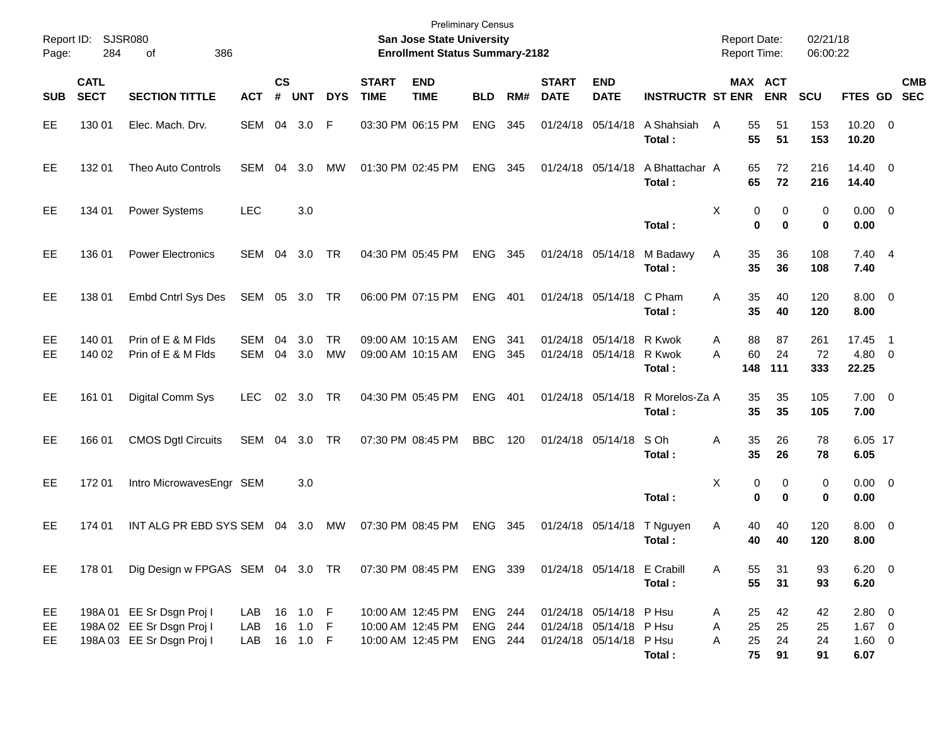| Report ID:<br>Page: | 284                        | SJSR080<br>386<br>οf                                                                |                          |                    |                             |                 |                             | <b>Preliminary Census</b><br><b>San Jose State University</b><br><b>Enrollment Status Summary-2182</b> |                               |            |                             |                                                                               |                          | <b>Report Date:</b><br><b>Report Time:</b> |                              | 02/21/18<br>06:00:22 |                                           |                          |
|---------------------|----------------------------|-------------------------------------------------------------------------------------|--------------------------|--------------------|-----------------------------|-----------------|-----------------------------|--------------------------------------------------------------------------------------------------------|-------------------------------|------------|-----------------------------|-------------------------------------------------------------------------------|--------------------------|--------------------------------------------|------------------------------|----------------------|-------------------------------------------|--------------------------|
| <b>SUB</b>          | <b>CATL</b><br><b>SECT</b> | <b>SECTION TITTLE</b>                                                               | <b>ACT</b>               | $\mathsf{cs}$<br># | <b>UNT</b>                  | <b>DYS</b>      | <b>START</b><br><b>TIME</b> | <b>END</b><br><b>TIME</b>                                                                              | <b>BLD</b>                    | RM#        | <b>START</b><br><b>DATE</b> | <b>END</b><br><b>DATE</b>                                                     | <b>INSTRUCTR ST ENR</b>  |                                            | <b>MAX ACT</b><br><b>ENR</b> | <b>SCU</b>           | FTES GD                                   | <b>CMB</b><br><b>SEC</b> |
| EE                  | 130 01                     | Elec. Mach. Drv.                                                                    | SEM                      | 04                 | 3.0                         | F               |                             | 03:30 PM 06:15 PM                                                                                      | <b>ENG</b>                    | 345        | 01/24/18                    | 05/14/18                                                                      | A Shahsiah<br>Total:     | A<br>55<br>55                              | 51<br>51                     | 153<br>153           | $10.20 \t 0$<br>10.20                     |                          |
| EE                  | 132 01                     | <b>Theo Auto Controls</b>                                                           | <b>SEM</b>               | 04                 | 3.0                         | MW              |                             | 01:30 PM 02:45 PM                                                                                      | <b>ENG</b>                    | 345        | 01/24/18 05/14/18           |                                                                               | A Bhattachar A<br>Total: | 65<br>65                                   | 72<br>72                     | 216<br>216           | 14.40 0<br>14.40                          |                          |
| EE                  | 134 01                     | <b>Power Systems</b>                                                                | <b>LEC</b>               |                    | 3.0                         |                 |                             |                                                                                                        |                               |            |                             |                                                                               | Total:                   | X                                          | 0<br>0<br>0<br>0             | 0<br>0               | $0.00 \t 0$<br>0.00                       |                          |
| EE                  | 136 01                     | <b>Power Electronics</b>                                                            | <b>SEM</b>               | 04                 | 3.0                         | TR              |                             | 04:30 PM 05:45 PM                                                                                      | <b>ENG</b>                    | 345        | 01/24/18 05/14/18           |                                                                               | M Badawy<br>Total :      | 35<br>Α<br>35                              | 36<br>36                     | 108<br>108           | 7.40 4<br>7.40                            |                          |
| EE                  | 138 01                     | Embd Cntrl Sys Des                                                                  | SEM 05 3.0               |                    |                             | TR              |                             | 06:00 PM 07:15 PM                                                                                      | <b>ENG</b>                    | 401        |                             | 01/24/18 05/14/18                                                             | C Pham<br>Total :        | 35<br>A<br>35                              | 40<br>40                     | 120<br>120           | $8.00 \t 0$<br>8.00                       |                          |
| EE<br>EЕ            | 140 01<br>140 02           | Prin of E & M Flds<br>Prin of E & M Flds                                            | <b>SEM</b><br><b>SEM</b> | 04<br>04           | 3.0<br>3.0                  | <b>TR</b><br>MW |                             | 09:00 AM 10:15 AM<br>09:00 AM 10:15 AM                                                                 | <b>ENG</b><br><b>ENG</b>      | 341<br>345 |                             | 01/24/18 05/14/18 R Kwok<br>01/24/18 05/14/18                                 | R Kwok<br>Total :        | 88<br>Α<br>60<br>A<br>148                  | 87<br>24<br>111              | 261<br>72<br>333     | 17.45<br>4.80 0<br>22.25                  | $\overline{\phantom{1}}$ |
| EE                  | 161 01                     | Digital Comm Sys                                                                    | <b>LEC</b>               | 02                 | 3.0                         | TR              |                             | 04:30 PM 05:45 PM                                                                                      | <b>ENG</b>                    | 401        |                             | 01/24/18 05/14/18                                                             | R Morelos-Za A<br>Total: | 35<br>35                                   | 35<br>35                     | 105<br>105           | $7.00 \t 0$<br>7.00                       |                          |
| EE                  | 166 01                     | <b>CMOS Dgtl Circuits</b>                                                           | SEM                      | 04                 | 3.0                         | TR              |                             | 07:30 PM 08:45 PM                                                                                      | <b>BBC</b>                    | 120        |                             | 01/24/18 05/14/18                                                             | S Oh<br>Total :          | 35<br>Α<br>35                              | 26<br>26                     | 78<br>78             | 6.05 17<br>6.05                           |                          |
| EE                  | 17201                      | Intro MicrowavesEngr SEM                                                            |                          |                    | 3.0                         |                 |                             |                                                                                                        |                               |            |                             |                                                                               | Total:                   | X                                          | 0<br>0<br>$\bf{0}$<br>0      | 0<br>0               | $0.00 \t 0$<br>0.00                       |                          |
| EE                  | 174 01                     | INT ALG PR EBD SYS SEM                                                              |                          | 04                 | 3.0                         | <b>MW</b>       |                             | 07:30 PM 08:45 PM                                                                                      | <b>ENG</b>                    | 345        | 01/24/18 05/14/18           |                                                                               | T Nguyen<br>Total:       | 40<br>Α<br>40                              | 40<br>40                     | 120<br>120           | 8.00 0<br>8.00                            |                          |
| EE,                 | 178 01                     | Dig Design w FPGAS SEM 04 3.0 TR 07:30 PM 08:45 PM                                  |                          |                    |                             |                 |                             |                                                                                                        | ENG 339                       |            |                             | 01/24/18 05/14/18 E Crabill                                                   | Total:                   | 55<br>A<br>55                              | 31<br>31                     | 93<br>93             | $6.20 \ 0$<br>6.20                        |                          |
| EE,<br>EE<br>EE     |                            | 198A 01 EE Sr Dsgn Proj I<br>198A 02 EE Sr Dsgn Proj I<br>198A 03 EE Sr Dsgn Proj I | LAB<br>LAB<br>LAB        | 16                 | 16 1.0 F<br>1.0<br>16 1.0 F | - F             |                             | 10:00 AM 12:45 PM<br>10:00 AM 12:45 PM<br>10:00 AM 12:45 PM                                            | ENG 244<br>ENG 244<br>ENG 244 |            |                             | 01/24/18 05/14/18 P Hsu<br>01/24/18 05/14/18 P Hsu<br>01/24/18 05/14/18 P Hsu | Total:                   | 25<br>A<br>25<br>Α<br>25<br>Α<br>75        | 42<br>25<br>24<br>91         | 42<br>25<br>24<br>91 | 2.80 0<br>$1.67$ 0<br>$1.60 \t 0$<br>6.07 |                          |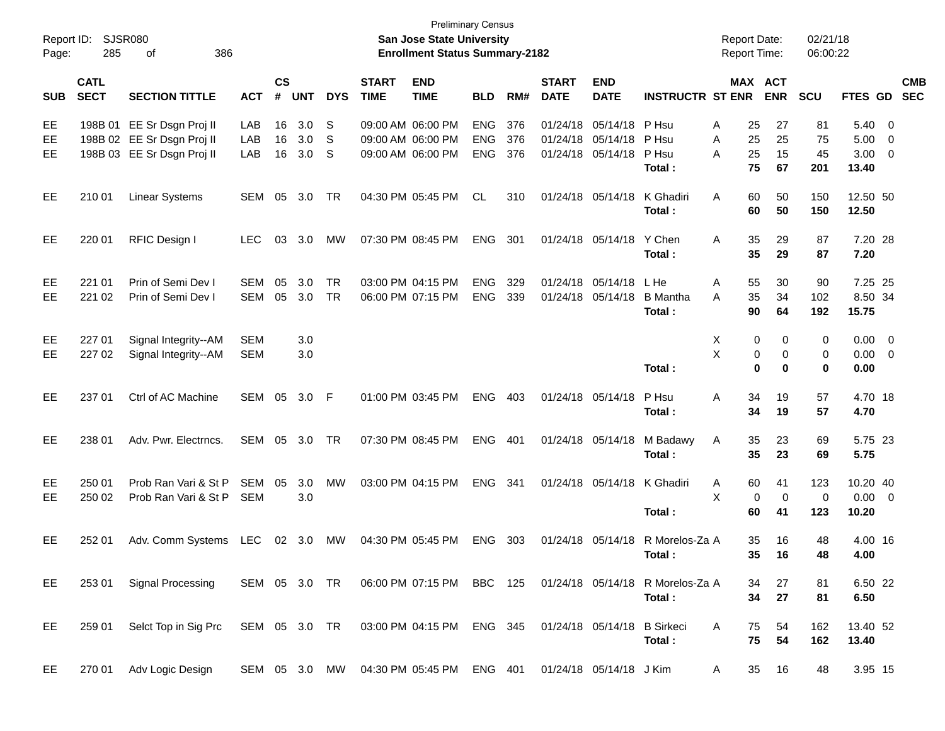| Report ID:<br>Page: | 285                        | SJSR080<br>386<br>οf                                                                     |                          |                |                   |             |                             | <b>Preliminary Census</b><br>San Jose State University<br><b>Enrollment Status Summary-2182</b> |                                        |                   |                             |                                                             |                                                                                         | <b>Report Date:</b><br>Report Time: |                                        | 02/21/18<br>06:00:22  |                                    |                                                                               |                          |
|---------------------|----------------------------|------------------------------------------------------------------------------------------|--------------------------|----------------|-------------------|-------------|-----------------------------|-------------------------------------------------------------------------------------------------|----------------------------------------|-------------------|-----------------------------|-------------------------------------------------------------|-----------------------------------------------------------------------------------------|-------------------------------------|----------------------------------------|-----------------------|------------------------------------|-------------------------------------------------------------------------------|--------------------------|
| <b>SUB</b>          | <b>CATL</b><br><b>SECT</b> | <b>SECTION TITTLE</b>                                                                    | <b>ACT</b>               | <b>CS</b><br># | <b>UNT</b>        | <b>DYS</b>  | <b>START</b><br><b>TIME</b> | <b>END</b><br><b>TIME</b>                                                                       | <b>BLD</b>                             | RM#               | <b>START</b><br><b>DATE</b> | <b>END</b><br><b>DATE</b>                                   | <b>INSTRUCTR ST ENR</b>                                                                 |                                     | MAX ACT<br><b>ENR</b>                  | <b>SCU</b>            | <b>FTES GD</b>                     |                                                                               | <b>CMB</b><br><b>SEC</b> |
| EE<br>EE<br>EЕ      |                            | 198B 01 EE Sr Dsgn Proj II<br>198B 02 EE Sr Dsgn Proj II<br>198B 03 EE Sr Dsgn Proj II   | LAB<br>LAB<br>LAB        | 16<br>16<br>16 | 3.0<br>3.0<br>3.0 | S<br>S<br>S |                             | 09:00 AM 06:00 PM<br>09:00 AM 06:00 PM<br>09:00 AM 06:00 PM                                     | <b>ENG</b><br><b>ENG</b><br><b>ENG</b> | 376<br>376<br>376 |                             | 01/24/18 05/14/18<br>01/24/18 05/14/18<br>01/24/18 05/14/18 | P Hsu<br>P Hsu<br>P Hsu<br>Total:                                                       | Α<br>25<br>25<br>A<br>25<br>Α<br>75 | 27<br>25<br>15<br>67                   | 81<br>75<br>45<br>201 | 5.40<br>5.00<br>3.00<br>13.40      | $\overline{\mathbf{0}}$<br>$\overline{\mathbf{0}}$<br>$\overline{\mathbf{0}}$ |                          |
| EE                  | 210 01                     | <b>Linear Systems</b>                                                                    | SEM                      | 05             | 3.0               | TR          |                             | 04:30 PM 05:45 PM                                                                               | <b>CL</b>                              | 310               |                             | 01/24/18 05/14/18                                           | K Ghadiri<br>Total:                                                                     | Α<br>60<br>60                       | 50<br>50                               | 150<br>150            | 12.50 50<br>12.50                  |                                                                               |                          |
| EE                  | 220 01                     | RFIC Design I                                                                            | <b>LEC</b>               | 03             | 3.0               | MW          |                             | 07:30 PM 08:45 PM                                                                               | <b>ENG</b>                             | 301               |                             | 01/24/18 05/14/18                                           | Y Chen<br>Total:                                                                        | A<br>35<br>35                       | 29<br>29                               | 87<br>87              | 7.20 28<br>7.20                    |                                                                               |                          |
| EE<br>EЕ            | 221 01<br>221 02           | Prin of Semi Dev I<br>Prin of Semi Dev I                                                 | <b>SEM</b><br>SEM        | 05<br>05       | 3.0<br>3.0        | TR<br>TR    |                             | 03:00 PM 04:15 PM<br>06:00 PM 07:15 PM                                                          | <b>ENG</b><br><b>ENG</b>               | 329<br>339        |                             | 01/24/18 05/14/18<br>01/24/18 05/14/18                      | L He<br><b>B</b> Mantha<br>Total:                                                       | Α<br>55<br>35<br>A<br>90            | 30<br>34<br>64                         | 90<br>102<br>192      | 7.25 25<br>8.50 34<br>15.75        |                                                                               |                          |
| EE<br>EЕ            | 227 01<br>227 02           | Signal Integrity--AM<br>Signal Integrity--AM                                             | <b>SEM</b><br><b>SEM</b> |                | 3.0<br>3.0        |             |                             |                                                                                                 |                                        |                   |                             |                                                             | Total:                                                                                  | Χ<br>X                              | 0<br>0<br>0<br>0<br>$\bf{0}$<br>0      | 0<br>0<br>0           | $0.00 \t 0$<br>$0.00 \t 0$<br>0.00 |                                                                               |                          |
| EE                  | 237 01                     | Ctrl of AC Machine                                                                       | SEM 05                   |                | 3.0               | - F         |                             | 01:00 PM 03:45 PM                                                                               | <b>ENG</b>                             | 403               |                             | 01/24/18 05/14/18                                           | P Hsu<br>Total:                                                                         | 34<br>Α<br>34                       | 19<br>19                               | 57<br>57              | 4.70 18<br>4.70                    |                                                                               |                          |
| EE                  | 238 01                     | Adv. Pwr. Electrncs.                                                                     | SEM                      |                | 05 3.0            | TR          |                             | 07:30 PM 08:45 PM                                                                               | <b>ENG</b>                             | 401               |                             | 01/24/18 05/14/18                                           | M Badawy<br>Total:                                                                      | Α<br>35<br>35                       | 23<br>23                               | 69<br>69              | 5.75 23<br>5.75                    |                                                                               |                          |
| EE<br>EЕ            | 250 01<br>250 02           | Prob Ran Vari & St P<br>Prob Ran Vari & St P                                             | <b>SEM</b><br><b>SEM</b> | 05             | 3.0<br>3.0        | MW          |                             | 03:00 PM 04:15 PM                                                                               | <b>ENG</b>                             | - 341             |                             | 01/24/18 05/14/18                                           | K Ghadiri<br>Total:                                                                     | A<br>60<br>X<br>60                  | 41<br>$\mathbf 0$<br>$\mathbf 0$<br>41 | 123<br>0<br>123       | 10.20 40<br>$0.00 \t 0$<br>10.20   |                                                                               |                          |
| EE                  | 252 01                     | Adv. Comm Systems                                                                        | LEC                      |                | 02 3.0            | MW          |                             | 04:30 PM 05:45 PM                                                                               | <b>ENG</b>                             | 303               |                             | 01/24/18 05/14/18                                           | R Morelos-Za A<br>Total:                                                                | 35<br>35                            | 16<br>16                               | 48<br>48              | 4.00 16<br>4.00                    |                                                                               |                          |
| EE                  | 253 01                     | <b>Signal Processing</b>                                                                 |                          |                |                   |             |                             |                                                                                                 |                                        |                   |                             |                                                             | SEM 05 3.0 TR  06:00 PM 07:15 PM  BBC 125  01/24/18  05/14/18  RMorelos-Za  A<br>Total: | 34<br>34                            | 27<br>27                               | 81<br>81              | 6.50 22<br>6.50                    |                                                                               |                          |
| EE                  | 259 01                     | Selct Top in Sig Prc SEM 05 3.0 TR 03:00 PM 04:15 PM ENG 345 01/24/18 05/14/18 B Sirkeci |                          |                |                   |             |                             |                                                                                                 |                                        |                   |                             |                                                             | Total:                                                                                  | 75<br>A<br>75                       | 54<br>54                               | 162<br>162            | 13.40 52<br>13.40                  |                                                                               |                          |
| EE                  | 270 01                     | Adv Logic Design                                                                         |                          |                |                   |             |                             | SEM 05 3.0 MW 04:30 PM 05:45 PM ENG 401 01/24/18 05/14/18 J Kim                                 |                                        |                   |                             |                                                             |                                                                                         | A                                   | 35<br>16                               | 48                    | 3.95 15                            |                                                                               |                          |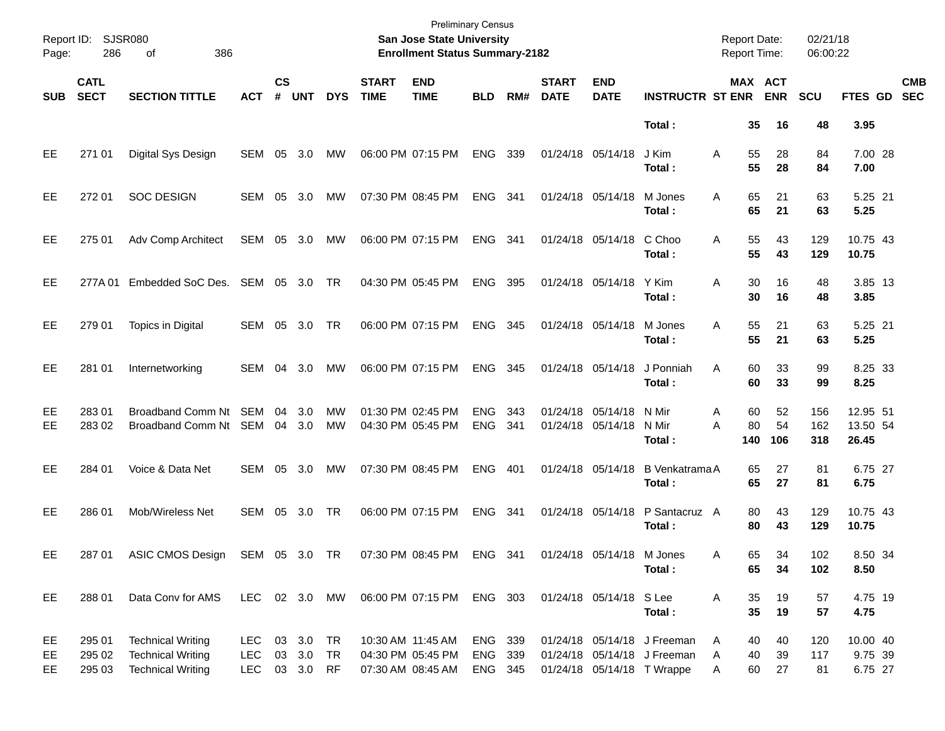| Page:           | Report ID: SJSR080<br>286  | 386<br>οf                                                                        |                                           |                |                        |                        |                             | San Jose State University<br><b>Enrollment Status Summary-2182</b> | <b>Preliminary Census</b>     |            |                             |                                        |                                                                                          | <b>Report Date:</b><br><b>Report Time:</b> |                 | 02/21/18<br>06:00:22 |                                |                          |
|-----------------|----------------------------|----------------------------------------------------------------------------------|-------------------------------------------|----------------|------------------------|------------------------|-----------------------------|--------------------------------------------------------------------|-------------------------------|------------|-----------------------------|----------------------------------------|------------------------------------------------------------------------------------------|--------------------------------------------|-----------------|----------------------|--------------------------------|--------------------------|
| <b>SUB</b>      | <b>CATL</b><br><b>SECT</b> | <b>SECTION TITTLE</b>                                                            | ACT                                       | <b>CS</b><br># | <b>UNT</b>             | <b>DYS</b>             | <b>START</b><br><b>TIME</b> | <b>END</b><br><b>TIME</b>                                          | <b>BLD</b>                    | RM#        | <b>START</b><br><b>DATE</b> | <b>END</b><br><b>DATE</b>              | <b>INSTRUCTR ST ENR</b>                                                                  | <b>MAX ACT</b>                             | <b>ENR</b>      | <b>SCU</b>           | <b>FTES GD</b>                 | <b>CMB</b><br><b>SEC</b> |
|                 |                            |                                                                                  |                                           |                |                        |                        |                             |                                                                    |                               |            |                             |                                        | Total:                                                                                   | 35                                         | 16              | 48                   | 3.95                           |                          |
| EE              | 271 01                     | Digital Sys Design                                                               | SEM 05 3.0                                |                |                        | MW                     |                             | 06:00 PM 07:15 PM                                                  | ENG                           | 339        |                             | 01/24/18 05/14/18                      | J Kim<br>Total:                                                                          | 55<br>A<br>55                              | 28<br>28        | 84<br>84             | 7.00 28<br>7.00                |                          |
| EE              | 272 01                     | <b>SOC DESIGN</b>                                                                | SEM 05 3.0                                |                |                        | MW                     |                             | 07:30 PM 08:45 PM                                                  | ENG                           | 341        |                             | 01/24/18 05/14/18                      | M Jones<br>Total:                                                                        | 65<br>A<br>65                              | 21<br>21        | 63<br>63             | 5.25 21<br>5.25                |                          |
| EE              | 275 01                     | Adv Comp Architect                                                               | SEM 05 3.0                                |                |                        | MW                     |                             | 06:00 PM 07:15 PM                                                  | ENG                           | 341        |                             | 01/24/18 05/14/18                      | C Choo<br>Total:                                                                         | A<br>55<br>55                              | 43<br>43        | 129<br>129           | 10.75 43<br>10.75              |                          |
| EE              | 277A 01                    | Embedded SoC Des. SEM 05 3.0                                                     |                                           |                |                        | -TR                    |                             | 04:30 PM 05:45 PM                                                  | <b>ENG</b>                    | 395        |                             | 01/24/18 05/14/18                      | Y Kim<br>Total:                                                                          | 30<br>A<br>30                              | 16<br>16        | 48<br>48             | 3.85 13<br>3.85                |                          |
| EE              | 279 01                     | Topics in Digital                                                                | SEM 05 3.0                                |                |                        | TR                     |                             | 06:00 PM 07:15 PM                                                  | ENG                           | 345        |                             | 01/24/18 05/14/18                      | M Jones<br>Total:                                                                        | 55<br>A<br>55                              | 21<br>21        | 63<br>63             | 5.25 21<br>5.25                |                          |
| EE              | 281 01                     | Internetworking                                                                  | SEM                                       | 04             | 3.0                    | MW                     |                             | 06:00 PM 07:15 PM                                                  | ENG                           | 345        |                             | 01/24/18 05/14/18                      | J Ponniah<br>Total:                                                                      | 60<br>A<br>60                              | 33<br>33        | 99<br>99             | 8.25 33<br>8.25                |                          |
| EE<br><b>EE</b> | 283 01<br>283 02           | Broadband Comm Nt SEM<br>Broadband Comm Nt SEM                                   |                                           | 04<br>04       | 3.0<br>3.0             | <b>MW</b><br><b>MW</b> |                             | 01:30 PM 02:45 PM<br>04:30 PM 05:45 PM                             | <b>ENG</b><br><b>ENG</b>      | 343<br>341 |                             | 01/24/18 05/14/18<br>01/24/18 05/14/18 | N Mir<br>N Mir<br>Total:                                                                 | 60<br>Α<br>80<br>A<br>140                  | 52<br>54<br>106 | 156<br>162<br>318    | 12.95 51<br>13.50 54<br>26.45  |                          |
| EE              | 284 01                     | Voice & Data Net                                                                 | SEM                                       | 05             | 3.0                    | MW                     |                             | 07:30 PM 08:45 PM                                                  | <b>ENG</b>                    | 401        |                             | 01/24/18 05/14/18                      | <b>B</b> Venkatrama A<br>Total:                                                          | 65<br>65                                   | 27<br>27        | 81<br>81             | 6.75 27<br>6.75                |                          |
| EE              | 286 01                     | Mob/Wireless Net                                                                 | SEM                                       | 05             | 3.0                    | TR                     |                             | 06:00 PM 07:15 PM                                                  | <b>ENG</b>                    | 341        |                             | 01/24/18 05/14/18                      | P Santacruz A<br>Total:                                                                  | 80<br>80                                   | 43<br>43        | 129<br>129           | 10.75 43<br>10.75              |                          |
| EE              | 287 01                     | ASIC CMOS Design SEM 05 3.0 TR                                                   |                                           |                |                        |                        |                             | 07:30 PM 08:45 PM ENG 341 01/24/18 05/14/18                        |                               |            |                             |                                        | M Jones<br>Total:                                                                        | Α<br>65<br>65                              | 34<br>34        | 102<br>102           | 8.50 34<br>8.50                |                          |
| EE              | 288 01                     | Data Conv for AMS                                                                | LEC 02 3.0 MW                             |                |                        |                        |                             | 06:00 PM 07:15 PM ENG 303                                          |                               |            |                             | 01/24/18 05/14/18 S Lee                | Total:                                                                                   | 35<br>Α<br>35                              | 19<br>19        | 57<br>57             | 4.75 19<br>4.75                |                          |
| EE<br>EE<br>EE  | 295 01<br>295 02<br>295 03 | <b>Technical Writing</b><br><b>Technical Writing</b><br><b>Technical Writing</b> | <b>LEC</b><br><b>LEC</b><br>LEC 03 3.0 RF |                | 03 3.0 TR<br>03 3.0 TR |                        |                             | 10:30 AM 11:45 AM<br>04:30 PM 05:45 PM<br>07:30 AM 08:45 AM        | ENG 339<br>ENG 339<br>ENG 345 |            |                             |                                        | 01/24/18 05/14/18 J Freeman<br>01/24/18 05/14/18 J Freeman<br>01/24/18 05/14/18 T Wrappe | 40<br>A<br>40<br>Α<br>60<br>Α              | 40<br>39<br>27  | 120<br>117<br>81     | 10.00 40<br>9.75 39<br>6.75 27 |                          |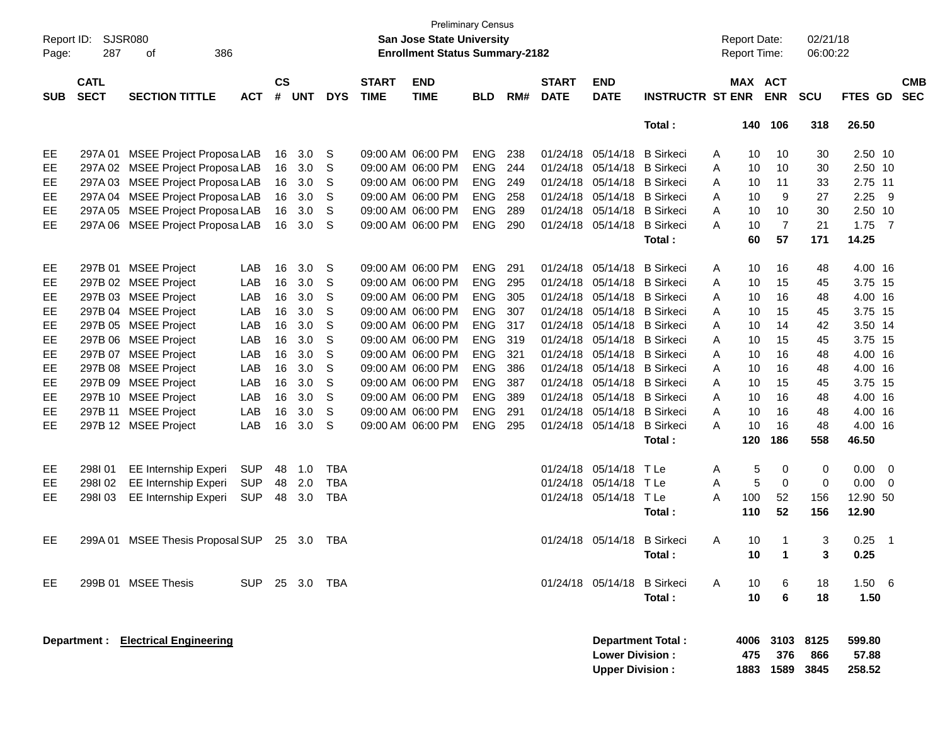| Page:      | Report ID: SJSR080<br>287  | 386<br>οf                           |            |                    |            |            |                             | <b>Preliminary Census</b><br><b>San Jose State University</b><br><b>Enrollment Status Summary-2182</b> |            |      |                             |                                                  |                          |   |                     | <b>Report Date:</b><br><b>Report Time:</b> | 02/21/18<br>06:00:22 |                           |                         |                          |
|------------|----------------------------|-------------------------------------|------------|--------------------|------------|------------|-----------------------------|--------------------------------------------------------------------------------------------------------|------------|------|-----------------------------|--------------------------------------------------|--------------------------|---|---------------------|--------------------------------------------|----------------------|---------------------------|-------------------------|--------------------------|
| <b>SUB</b> | <b>CATL</b><br><b>SECT</b> | <b>SECTION TITTLE</b>               | <b>ACT</b> | $\mathsf{cs}$<br># | <b>UNT</b> | <b>DYS</b> | <b>START</b><br><b>TIME</b> | <b>END</b><br><b>TIME</b>                                                                              | <b>BLD</b> | RM#  | <b>START</b><br><b>DATE</b> | <b>END</b><br><b>DATE</b>                        | <b>INSTRUCTR ST ENR</b>  |   |                     | <b>MAX ACT</b><br><b>ENR</b>               | <b>SCU</b>           | FTES GD                   |                         | <b>CMB</b><br><b>SEC</b> |
|            |                            |                                     |            |                    |            |            |                             |                                                                                                        |            |      |                             |                                                  | Total:                   |   | 140                 | 106                                        | 318                  | 26.50                     |                         |                          |
| EE         | 297A 01                    | <b>MSEE Project Proposa LAB</b>     |            | 16                 | 3.0        | S          |                             | 09:00 AM 06:00 PM                                                                                      | <b>ENG</b> | 238  |                             | 01/24/18 05/14/18                                | <b>B</b> Sirkeci         | A | 10                  | 10                                         | 30                   | 2.50 10                   |                         |                          |
| EE.        |                            | 297A 02 MSEE Project Proposa LAB    |            | 16                 | 3.0        | S          |                             | 09:00 AM 06:00 PM                                                                                      | <b>ENG</b> | 244  | 01/24/18                    | 05/14/18 B Sirkeci                               |                          | A | 10                  | 10                                         | 30                   | 2.50 10                   |                         |                          |
| EE         | 297A 03                    | <b>MSEE Project Proposa LAB</b>     |            | 16                 | 3.0        | S          |                             | 09:00 AM 06:00 PM                                                                                      | <b>ENG</b> | 249  | 01/24/18                    | 05/14/18 B Sirkeci                               |                          | A | 10                  | 11                                         | 33                   | 2.75 11                   |                         |                          |
| EE         |                            | 297A 04 MSEE Project Proposa LAB    |            | 16                 | 3.0        | S          |                             | 09:00 AM 06:00 PM                                                                                      | <b>ENG</b> | 258  | 01/24/18                    | 05/14/18 B Sirkeci                               |                          | A | 10                  | 9                                          | 27                   | 2.25                      | - 9                     |                          |
| EE.        | 297A 05                    | <b>MSEE Project Proposa LAB</b>     |            | 16                 | 3.0        | S          |                             | 09:00 AM 06:00 PM                                                                                      | <b>ENG</b> | 289  | 01/24/18                    | 05/14/18 B Sirkeci                               |                          | A | 10                  | 10                                         | 30                   | 2.50 10                   |                         |                          |
| EE         | 297A 06                    | MSEE Project Proposa LAB            |            | 16                 | 3.0        | S          |                             | 09:00 AM 06:00 PM                                                                                      | <b>ENG</b> | 290  | 01/24/18                    | 05/14/18                                         | <b>B</b> Sirkeci         | A | 10                  | $\overline{7}$                             | 21                   | $1.75$ 7                  |                         |                          |
|            |                            |                                     |            |                    |            |            |                             |                                                                                                        |            |      |                             |                                                  | Total:                   |   | 60                  | 57                                         | 171                  | 14.25                     |                         |                          |
| EE         |                            | 297B 01 MSEE Project                | LAB        | 16                 | 3.0        | S          |                             | 09:00 AM 06:00 PM                                                                                      | <b>ENG</b> | 291  | 01/24/18                    | 05/14/18                                         | <b>B</b> Sirkeci         | A | 10                  | 16                                         | 48                   | 4.00 16                   |                         |                          |
| EE         |                            | 297B 02 MSEE Project                | LAB        | 16                 | 3.0        | S          |                             | 09:00 AM 06:00 PM                                                                                      | <b>ENG</b> | 295  | 01/24/18                    | 05/14/18 B Sirkeci                               |                          | A | 10                  | 15                                         | 45                   | 3.75 15                   |                         |                          |
| EE         |                            | 297B 03 MSEE Project                | LAB        | 16                 | 3.0        | S          |                             | 09:00 AM 06:00 PM                                                                                      | <b>ENG</b> | 305  | 01/24/18                    | 05/14/18 B Sirkeci                               |                          | A | 10                  | 16                                         | 48                   | 4.00 16                   |                         |                          |
| EE         |                            | 297B 04 MSEE Project                | LAB        | 16                 | 3.0        | S          |                             | 09:00 AM 06:00 PM                                                                                      | <b>ENG</b> | 307  | 01/24/18                    | 05/14/18 B Sirkeci                               |                          | A | 10                  | 15                                         | 45                   | 3.75 15                   |                         |                          |
| EE         |                            | 297B 05 MSEE Project                | LAB        | 16                 | 3.0        | S          |                             | 09:00 AM 06:00 PM                                                                                      | ENG        | 317  | 01/24/18                    | 05/14/18 B Sirkeci                               |                          | A | 10                  | 14                                         | 42                   | 3.50 14                   |                         |                          |
| EE         |                            | 297B 06 MSEE Project                | LAB        | 16                 | 3.0        | S          |                             | 09:00 AM 06:00 PM                                                                                      | ENG        | -319 | 01/24/18                    | 05/14/18 B Sirkeci                               |                          | A | 10                  | 15                                         | 45                   | 3.75 15                   |                         |                          |
| EE         | 297B 07                    | <b>MSEE Project</b>                 | LAB        | 16                 | 3.0        | S          |                             | 09:00 AM 06:00 PM                                                                                      | <b>ENG</b> | 321  | 01/24/18                    | 05/14/18 B Sirkeci                               |                          | A | 10                  | 16                                         | 48                   | 4.00 16                   |                         |                          |
| EE         |                            | 297B 08 MSEE Project                | LAB        | 16                 | 3.0        | S          |                             | 09:00 AM 06:00 PM                                                                                      | <b>ENG</b> | 386  | 01/24/18                    | 05/14/18 B Sirkeci                               |                          | A | 10                  | 16                                         | 48                   | 4.00 16                   |                         |                          |
| EE         |                            | 297B 09 MSEE Project                | LAB        | 16                 | 3.0        | S          |                             | 09:00 AM 06:00 PM                                                                                      | <b>ENG</b> | 387  | 01/24/18                    | 05/14/18 B Sirkeci                               |                          | A | 10                  | 15                                         | 45                   | 3.75 15                   |                         |                          |
| EE         |                            | 297B 10 MSEE Project                | LAB        | 16                 | 3.0        | S          |                             | 09:00 AM 06:00 PM                                                                                      | <b>ENG</b> | 389  | 01/24/18                    | 05/14/18 B Sirkeci                               |                          | A | 10                  | 16                                         | 48                   | 4.00 16                   |                         |                          |
| EE         | 297B 11                    | <b>MSEE Project</b>                 | LAB        | 16                 | 3.0        | S          |                             | 09:00 AM 06:00 PM                                                                                      | <b>ENG</b> | 291  | 01/24/18                    | 05/14/18 B Sirkeci                               |                          | A | 10                  | 16                                         | 48                   | 4.00 16                   |                         |                          |
| EE         |                            | 297B 12 MSEE Project                | LAB        | 16                 | 3.0        | S          |                             | 09:00 AM 06:00 PM                                                                                      | <b>ENG</b> | 295  |                             | 01/24/18 05/14/18 B Sirkeci                      |                          | A | 10                  | 16                                         | 48                   | 4.00 16                   |                         |                          |
|            |                            |                                     |            |                    |            |            |                             |                                                                                                        |            |      |                             |                                                  | Total:                   |   | 120                 | 186                                        | 558                  | 46.50                     |                         |                          |
| EE         | 298I01                     | <b>EE Internship Experi</b>         | <b>SUP</b> | 48                 | 1.0        | <b>TBA</b> |                             |                                                                                                        |            |      | 01/24/18 05/14/18           |                                                  | T Le                     | Α | 5                   | 0                                          | 0                    | 0.00                      | $\overline{\mathbf{0}}$ |                          |
| EE         | 298I02                     | <b>EE Internship Experi</b>         | <b>SUP</b> | 48                 | 2.0        | <b>TBA</b> |                             |                                                                                                        |            |      |                             | 01/24/18 05/14/18                                | T Le                     | A | 5                   | 0                                          | $\mathbf 0$          | 0.00                      | - 0                     |                          |
| EE         | 298103                     | <b>EE Internship Experi</b>         | <b>SUP</b> | 48                 | 3.0        | <b>TBA</b> |                             |                                                                                                        |            |      |                             | 01/24/18 05/14/18                                | T Le                     | A | 100                 | 52                                         | 156                  | 12.90 50                  |                         |                          |
|            |                            |                                     |            |                    |            |            |                             |                                                                                                        |            |      |                             |                                                  | Total :                  |   | 110                 | 52                                         | 156                  | 12.90                     |                         |                          |
| EE         | 299A 01                    | <b>MSEE Thesis Proposal SUP</b>     |            |                    | 25 3.0     | TBA        |                             |                                                                                                        |            |      |                             | 01/24/18 05/14/18                                | <b>B</b> Sirkeci         | A | 10                  | -1                                         | 3                    | 0.25                      | $\overline{1}$          |                          |
|            |                            |                                     |            |                    |            |            |                             |                                                                                                        |            |      |                             |                                                  | Total:                   |   | 10                  | 1                                          | 3                    | 0.25                      |                         |                          |
| EE         |                            | 299B 01 MSEE Thesis                 | <b>SUP</b> |                    | 25 3.0 TBA |            |                             |                                                                                                        |            |      |                             | 01/24/18 05/14/18 B Sirkeci                      |                          | A | 10                  | 6                                          | 18                   | $1.50\quad 6$             |                         |                          |
|            |                            |                                     |            |                    |            |            |                             |                                                                                                        |            |      |                             |                                                  | Total:                   |   | 10                  | 6                                          | 18                   | 1.50                      |                         |                          |
|            |                            | Department : Electrical Engineering |            |                    |            |            |                             |                                                                                                        |            |      |                             | <b>Lower Division:</b><br><b>Upper Division:</b> | <b>Department Total:</b> |   | 4006<br>475<br>1883 | 3103<br>376<br>1589                        | 8125<br>866<br>3845  | 599.80<br>57.88<br>258.52 |                         |                          |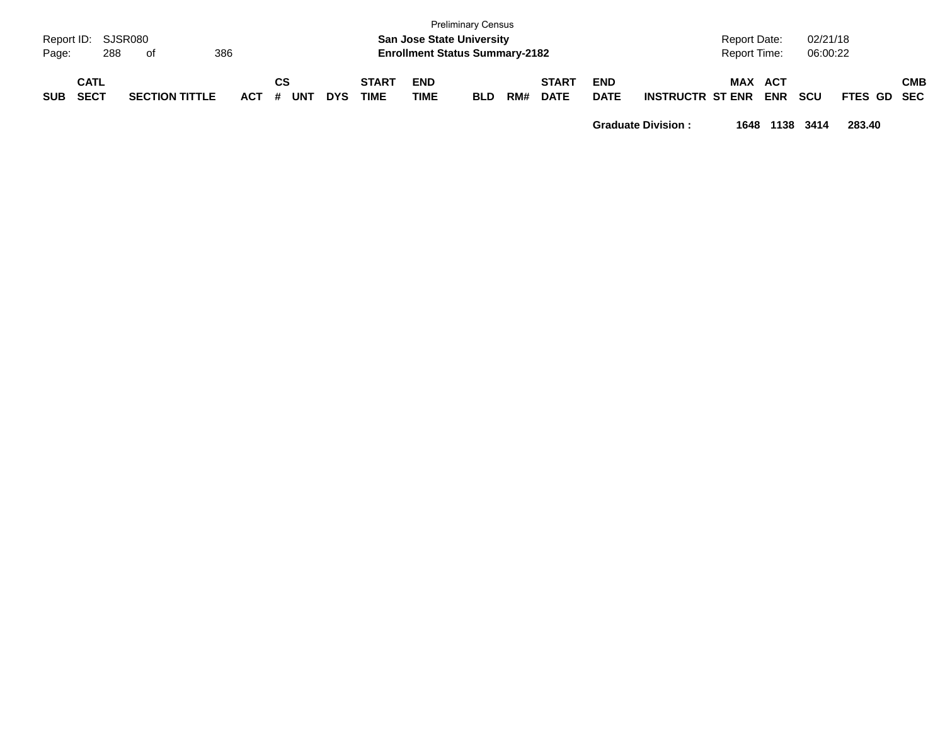| Report ID:<br>Page: | 288                        | SJSR080<br>0f         | 386     |                         |            |                      | <b>San Jose State University</b><br><b>Enrollment Status Summary-2182</b> | <b>Preliminary Census</b> |     |                             |                           |                         | <b>Report Date:</b><br><b>Report Time:</b> |                          | 02/21/18<br>06:00:22 |             |     |
|---------------------|----------------------------|-----------------------|---------|-------------------------|------------|----------------------|---------------------------------------------------------------------------|---------------------------|-----|-----------------------------|---------------------------|-------------------------|--------------------------------------------|--------------------------|----------------------|-------------|-----|
| <b>SUB</b>          | <b>CATL</b><br><b>SECT</b> | <b>SECTION TITTLE</b> | $ACT$ # | <b>CS</b><br><b>UNT</b> | <b>DYS</b> | <b>START</b><br>TIME | <b>END</b><br><b>TIME</b>                                                 | <b>BLD</b>                | RM# | <b>START</b><br><b>DATE</b> | <b>END</b><br><b>DATE</b> | <b>INSTRUCTR ST ENR</b> | <b>MAX</b>                                 | <b>ACT</b><br><b>ENR</b> | <b>SCU</b>           | FTES GD SEC | СМВ |

**Graduate Division : 1648 1138 3414 283.40**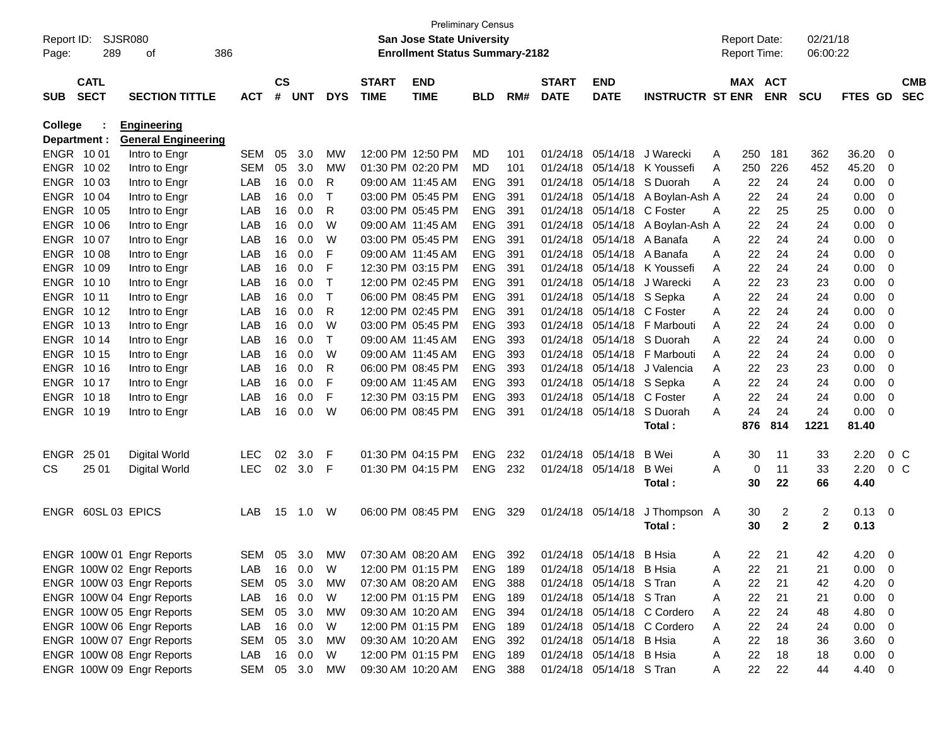| Report ID:   |                    | SJSR080                    |               |               |         |             |                   | <b>Preliminary Census</b><br><b>San Jose State University</b> |                |     |              |                          |                             |   | <b>Report Date:</b> |                | 02/21/18       |                |                          |            |
|--------------|--------------------|----------------------------|---------------|---------------|---------|-------------|-------------------|---------------------------------------------------------------|----------------|-----|--------------|--------------------------|-----------------------------|---|---------------------|----------------|----------------|----------------|--------------------------|------------|
| Page:        | 289                | 386<br>οf                  |               |               |         |             |                   | <b>Enrollment Status Summary-2182</b>                         |                |     |              |                          |                             |   | <b>Report Time:</b> |                | 06:00:22       |                |                          |            |
|              |                    |                            |               |               |         |             |                   |                                                               |                |     |              |                          |                             |   |                     |                |                |                |                          |            |
|              | <b>CATL</b>        |                            |               | $\mathsf{cs}$ |         |             | <b>START</b>      | <b>END</b>                                                    |                |     | <b>START</b> | <b>END</b>               |                             |   | MAX ACT             |                |                |                |                          | <b>CMB</b> |
| <b>SUB</b>   | <b>SECT</b>        | <b>SECTION TITTLE</b>      | <b>ACT</b>    |               | # UNT   | <b>DYS</b>  | <b>TIME</b>       | <b>TIME</b>                                                   | <b>BLD</b>     | RM# | <b>DATE</b>  | <b>DATE</b>              | <b>INSTRUCTR ST ENR</b>     |   |                     | <b>ENR</b>     | <b>SCU</b>     | <b>FTES GD</b> |                          | <b>SEC</b> |
| College      |                    | <b>Engineering</b>         |               |               |         |             |                   |                                                               |                |     |              |                          |                             |   |                     |                |                |                |                          |            |
| Department : |                    | <b>General Engineering</b> |               |               |         |             |                   |                                                               |                |     |              |                          |                             |   |                     |                |                |                |                          |            |
| ENGR 1001    |                    | Intro to Engr              | <b>SEM</b>    | 05            | 3.0     | MW          |                   | 12:00 PM 12:50 PM                                             | MD.            | 101 | 01/24/18     | 05/14/18                 | J Warecki                   | A | 250                 | 181            | 362            | 36.20          | - 0                      |            |
| ENGR 1002    |                    | Intro to Engr              | <b>SEM</b>    | 05            | 3.0     | MW          | 01:30 PM 02:20 PM |                                                               | MD.            | 101 | 01/24/18     |                          | 05/14/18 K Youssefi         | A | 250                 | 226            | 452            | 45.20          | - 0                      |            |
| ENGR 1003    |                    | Intro to Engr              | LAB           | 16            | 0.0     | R           | 09:00 AM 11:45 AM |                                                               | <b>ENG</b>     | 391 | 01/24/18     | 05/14/18                 | S Duorah                    | A | 22                  | 24             | 24             | 0.00           | - 0                      |            |
| ENGR 1004    |                    | Intro to Engr              | LAB           | 16            | 0.0     | $\mathsf T$ | 03:00 PM 05:45 PM |                                                               | <b>ENG</b>     | 391 | 01/24/18     |                          | 05/14/18 A Boylan-Ash A     |   | 22                  | 24             | 24             | 0.00           | - 0                      |            |
| ENGR 1005    |                    | Intro to Engr              | LAB           | 16            | 0.0     | R           | 03:00 PM 05:45 PM |                                                               | <b>ENG</b>     | 391 | 01/24/18     | 05/14/18 C Foster        |                             | A | 22                  | 25             | 25             | 0.00           | - 0                      |            |
| ENGR 1006    |                    | Intro to Engr              | LAB           | 16            | 0.0     | W           | 09:00 AM 11:45 AM |                                                               | <b>ENG</b>     | 391 | 01/24/18     |                          | 05/14/18 A Boylan-Ash A     |   | 22                  | 24             | 24             | 0.00           | - 0                      |            |
| ENGR 1007    |                    | Intro to Engr              | LAB           | 16            | 0.0     | W           | 03:00 PM 05:45 PM |                                                               | <b>ENG</b>     | 391 | 01/24/18     | 05/14/18 A Banafa        |                             | A | 22                  | 24             | 24             | 0.00           | - 0                      |            |
| ENGR 1008    |                    | Intro to Engr              | LAB           | 16            | 0.0     | F           | 09:00 AM 11:45 AM |                                                               | <b>ENG</b>     | 391 | 01/24/18     | 05/14/18 A Banafa        |                             | A | 22                  | 24             | 24             | 0.00           | - 0                      |            |
| ENGR 1009    |                    | Intro to Engr              | LAB           | 16            | 0.0     | F           | 12:30 PM 03:15 PM |                                                               | <b>ENG</b>     | 391 | 01/24/18     |                          | 05/14/18 K Youssefi         | A | 22                  | 24             | 24             | 0.00           | - 0                      |            |
| ENGR 1010    |                    | Intro to Engr              | LAB           | 16            | 0.0     | $\mathsf T$ | 12:00 PM 02:45 PM |                                                               | <b>ENG</b>     | 391 | 01/24/18     |                          | 05/14/18 J Warecki          | A | 22                  | 23             | 23             | 0.00           | - 0                      |            |
| ENGR 1011    |                    | Intro to Engr              | LAB           | 16            | 0.0     | $\mathsf T$ | 06:00 PM 08:45 PM |                                                               | <b>ENG</b>     | 391 | 01/24/18     | 05/14/18 S Sepka         |                             | A | 22                  | 24             | 24             | 0.00           | - 0                      |            |
| ENGR 1012    |                    | Intro to Engr              | LAB           | 16            | 0.0     | R           | 12:00 PM 02:45 PM |                                                               | <b>ENG</b>     | 391 | 01/24/18     | 05/14/18 C Foster        |                             | A | 22                  | 24             | 24             | 0.00           | - 0                      |            |
| ENGR 1013    |                    | Intro to Engr              | LAB           | 16            | 0.0     | W           | 03:00 PM 05:45 PM |                                                               | <b>ENG</b>     | 393 | 01/24/18     |                          | 05/14/18 F Marbouti         | A | 22                  | 24             | 24             | 0.00           | - 0                      |            |
| ENGR 1014    |                    | Intro to Engr              | LAB           | 16            | 0.0     | $\top$      | 09:00 AM 11:45 AM |                                                               | <b>ENG</b>     | 393 | 01/24/18     | 05/14/18                 | S Duorah                    | A | 22                  | 24             | 24             | 0.00           | - 0                      |            |
| ENGR 1015    |                    | Intro to Engr              | LAB           | 16            | 0.0     | W           | 09:00 AM 11:45 AM |                                                               | <b>ENG</b>     | 393 | 01/24/18     | 05/14/18                 | F Marbouti                  | A | 22                  | 24             | 24             | 0.00           | - 0                      |            |
| ENGR 1016    |                    | Intro to Engr              | LAB           | 16            | 0.0     | R           | 06:00 PM 08:45 PM |                                                               | <b>ENG</b>     | 393 | 01/24/18     | 05/14/18                 | J Valencia                  | A | 22                  | 23             | 23             | 0.00           | - 0                      |            |
| ENGR 1017    |                    | Intro to Engr              | LAB           | 16            | 0.0     | F           | 09:00 AM 11:45 AM |                                                               | <b>ENG</b>     | 393 | 01/24/18     | 05/14/18                 | S Sepka                     | A | 22                  | 24             | 24             | 0.00           | - 0                      |            |
| ENGR 1018    |                    | Intro to Engr              | LAB           | 16            | 0.0     | F           | 12:30 PM 03:15 PM |                                                               | <b>ENG</b>     | 393 | 01/24/18     | 05/14/18 C Foster        |                             | A | 22                  | 24             | 24             | 0.00           | - 0                      |            |
| ENGR 1019    |                    | Intro to Engr              | LAB           | 16            | 0.0     | W           | 06:00 PM 08:45 PM |                                                               | <b>ENG</b>     | 391 | 01/24/18     | 05/14/18                 | S Duorah                    | A | 24                  | 24             | 24             | 0.00           | - 0                      |            |
|              |                    |                            |               |               |         |             |                   |                                                               |                |     |              |                          | Total :                     |   | 876                 | 814            | 1221           | 81.40          |                          |            |
| <b>ENGR</b>  | 25 01              | Digital World              | <b>LEC</b>    | 02            | 3.0     | F           | 01:30 PM 04:15 PM |                                                               | <b>ENG</b>     | 232 |              | 01/24/18 05/14/18        | B Wei                       | A | 30                  | 11             | 33             | 2.20           | 0 <sup>o</sup>           |            |
| CS.          | 25 01              | Digital World              | <b>LEC</b>    | 02            | 3.0     | F           | 01:30 PM 04:15 PM |                                                               | <b>ENG</b>     | 232 |              | 01/24/18 05/14/18        | <b>B</b> Wei                | A | 0                   | 11             | 33             | 2.20           | $0\,$ C                  |            |
|              |                    |                            |               |               |         |             |                   |                                                               |                |     |              |                          | Total :                     |   | 30                  | 22             | 66             | 4.40           |                          |            |
|              | ENGR 60SL 03 EPICS |                            | LAB           | 15            | 1.0     | W           |                   | 06:00 PM 08:45 PM                                             | <b>ENG</b>     | 329 |              | 01/24/18 05/14/18        | J Thompson A                |   | 30                  | $\overline{2}$ | 2              | $0.13 \ 0$     |                          |            |
|              |                    |                            |               |               |         |             |                   |                                                               |                |     |              |                          | Total :                     |   | 30                  | $\mathbf{2}$   | $\overline{2}$ | 0.13           |                          |            |
|              |                    | ENGR 100W 01 Engr Reports  | SEM 05 3.0    |               |         | MW          |                   | 07:30 AM 08:20 AM                                             | ENG            | 392 |              | 01/24/18 05/14/18        | B Hsia                      | A | 22                  | 21             | 42             | 4.20           | - 0                      |            |
|              |                    | ENGR 100W 02 Engr Reports  | LAB           |               | 16  0.0 | W           |                   | 12:00 PM 01:15 PM                                             | <b>ENG 189</b> |     |              | 01/24/18 05/14/18 B Hsia |                             | A | 22                  | 21             | 21             | 0.00           | $\overline{\phantom{0}}$ |            |
|              |                    | ENGR 100W 03 Engr Reports  | SEM           | 05            | 3.0     | МW          |                   | 07:30 AM 08:20 AM                                             | ENG            | 388 |              | 01/24/18 05/14/18 S Tran |                             | A | 22                  | 21             | 42             | 4.20           | $\overline{\phantom{0}}$ |            |
|              |                    | ENGR 100W 04 Engr Reports  | LAB           |               | 16 0.0  | W           |                   | 12:00 PM 01:15 PM                                             | ENG 189        |     |              | 01/24/18 05/14/18 S Tran |                             | A | 22                  | 21             | 21             | $0.00 \t 0$    |                          |            |
|              |                    | ENGR 100W 05 Engr Reports  | SEM           | 05            | 3.0     | МW          |                   | 09:30 AM 10:20 AM                                             | ENG 394        |     |              |                          | 01/24/18 05/14/18 C Cordero | A | 22                  | 24             | 48             | $4.80\ 0$      |                          |            |
|              |                    | ENGR 100W 06 Engr Reports  | LAB           |               | 16 0.0  | W           |                   | 12:00 PM 01:15 PM                                             | ENG 189        |     |              |                          | 01/24/18 05/14/18 C Cordero | A | 22                  | 24             | 24             | $0.00 \t 0$    |                          |            |
|              |                    | ENGR 100W 07 Engr Reports  | SEM           |               | 05 3.0  | МW          |                   | 09:30 AM 10:20 AM                                             | ENG 392        |     |              | 01/24/18 05/14/18 B Hsia |                             | A | 22                  | 18             | 36             | 3.60 0         |                          |            |
|              |                    | ENGR 100W 08 Engr Reports  | LAB           |               | 16 0.0  | W           |                   | 12:00 PM 01:15 PM                                             | ENG 189        |     |              | 01/24/18 05/14/18 B Hsia |                             | A | 22                  | 18             | 18             | $0.00 \t 0$    |                          |            |
|              |                    | ENGR 100W 09 Engr Reports  | SEM 05 3.0 MW |               |         |             |                   | 09:30 AM 10:20 AM                                             | ENG 388        |     |              | 01/24/18 05/14/18 S Tran |                             | A | 22                  | 22             | 44             | 4.40 0         |                          |            |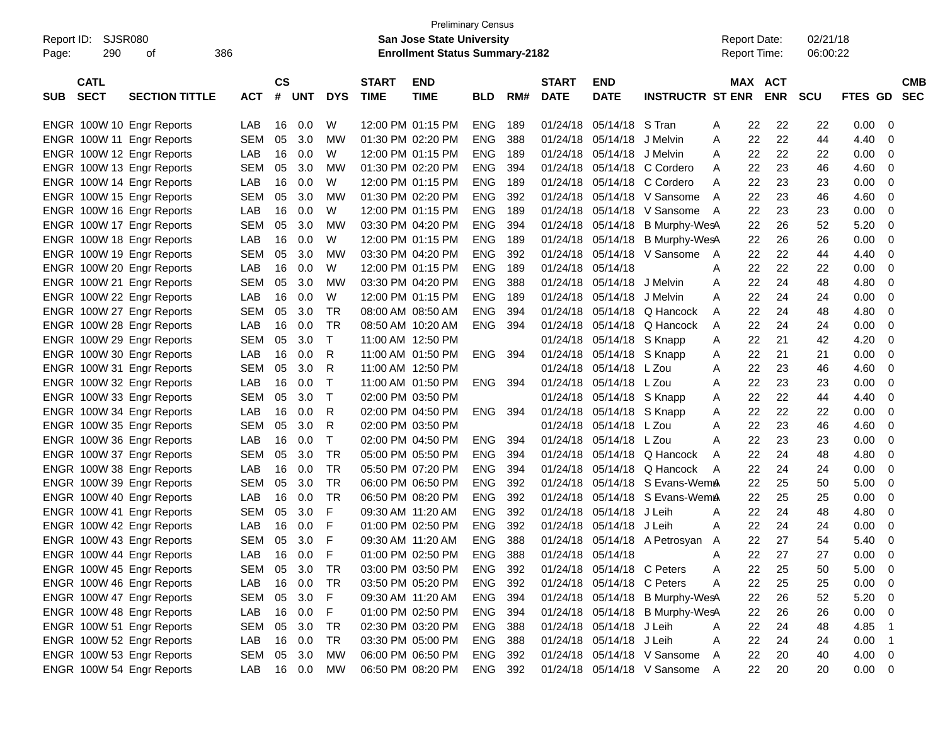|                           |                       |            |           |            |              |              |                                       | <b>Preliminary Census</b> |     |              |                            |                                 |                     |                |            |             |                          |
|---------------------------|-----------------------|------------|-----------|------------|--------------|--------------|---------------------------------------|---------------------------|-----|--------------|----------------------------|---------------------------------|---------------------|----------------|------------|-------------|--------------------------|
| Report ID:                | SJSR080               |            |           |            |              |              | <b>San Jose State University</b>      |                           |     |              |                            |                                 | <b>Report Date:</b> |                | 02/21/18   |             |                          |
| 290<br>Page:              | 386<br>οf             |            |           |            |              |              | <b>Enrollment Status Summary-2182</b> |                           |     |              |                            |                                 | <b>Report Time:</b> |                | 06:00:22   |             |                          |
| <b>CATL</b>               |                       |            | <b>CS</b> |            |              | <b>START</b> | <b>END</b>                            |                           |     | <b>START</b> | <b>END</b>                 |                                 |                     | <b>MAX ACT</b> |            |             | <b>CMB</b>               |
| <b>SECT</b><br><b>SUB</b> | <b>SECTION TITTLE</b> | <b>ACT</b> | #         | <b>UNT</b> | <b>DYS</b>   | <b>TIME</b>  | <b>TIME</b>                           | <b>BLD</b>                | RM# | <b>DATE</b>  | <b>DATE</b>                | <b>INSTRUCTR ST ENR</b>         |                     | <b>ENR</b>     | <b>SCU</b> | FTES GD     | <b>SEC</b>               |
| ENGR 100W 10 Engr Reports |                       | LAB        | 16        | 0.0        | W            |              | 12:00 PM 01:15 PM                     | <b>ENG</b>                | 189 | 01/24/18     | 05/14/18                   | S Tran                          | A                   | 22<br>22       | 22         | 0.00        | - 0                      |
| ENGR 100W 11 Engr Reports |                       | <b>SEM</b> | 05        | 3.0        | <b>MW</b>    |              | 01:30 PM 02:20 PM                     | <b>ENG</b>                | 388 | 01/24/18     | 05/14/18                   | J Melvin                        | A                   | 22<br>22       | 44         | 4.40        | -0                       |
| ENGR 100W 12 Engr Reports |                       | LAB        | 16        | 0.0        | W            |              | 12:00 PM 01:15 PM                     | <b>ENG</b>                | 189 | 01/24/18     | 05/14/18                   | J Melvin                        | A                   | 22<br>22       | 22         | 0.00        | -0                       |
| ENGR 100W 13 Engr Reports |                       | <b>SEM</b> | 05        | 3.0        | <b>MW</b>    |              | 01:30 PM 02:20 PM                     | <b>ENG</b>                | 394 | 01/24/18     | 05/14/18                   | C Cordero                       | A                   | 22<br>23       | 46         | 4.60        | -0                       |
| ENGR 100W 14 Engr Reports |                       | LAB        | 16        | 0.0        | W            |              | 12:00 PM 01:15 PM                     | <b>ENG</b>                | 189 | 01/24/18     | 05/14/18                   | C Cordero                       | A                   | 22<br>23       | 23         | 0.00        | -0                       |
| ENGR 100W 15 Engr Reports |                       | <b>SEM</b> | 05        | 3.0        | <b>MW</b>    |              | 01:30 PM 02:20 PM                     | <b>ENG</b>                | 392 | 01/24/18     | 05/14/18                   | V Sansome                       | A                   | 22<br>23       | 46         | 4.60        | -0                       |
| ENGR 100W 16 Engr Reports |                       | LAB        | 16        | 0.0        | W            |              | 12:00 PM 01:15 PM                     | <b>ENG</b>                | 189 | 01/24/18     | 05/14/18                   | V Sansome                       | A                   | 22<br>23       | 23         | 0.00        | -0                       |
| ENGR 100W 17 Engr Reports |                       | <b>SEM</b> | 05        | 3.0        | <b>MW</b>    |              | 03:30 PM 04:20 PM                     | <b>ENG</b>                | 394 | 01/24/18     | 05/14/18                   | B Murphy-WesA                   |                     | 22<br>26       | 52         | 5.20        | -0                       |
| ENGR 100W 18 Engr Reports |                       | LAB        | 16        | 0.0        | W            |              | 12:00 PM 01:15 PM                     | <b>ENG</b>                | 189 | 01/24/18     | 05/14/18                   | B Murphy-WesA                   |                     | 22<br>26       | 26         | 0.00        | -0                       |
| ENGR 100W 19 Engr Reports |                       | <b>SEM</b> | 05        | 3.0        | <b>MW</b>    |              | 03:30 PM 04:20 PM                     | <b>ENG</b>                | 392 | 01/24/18     | 05/14/18                   | V Sansome                       | A                   | 22<br>22       | 44         | 4.40        | -0                       |
| ENGR 100W 20 Engr Reports |                       | LAB        | 16        | 0.0        | W            |              | 12:00 PM 01:15 PM                     | <b>ENG</b>                | 189 | 01/24/18     | 05/14/18                   |                                 | A                   | 22<br>22       | 22         | 0.00        | -0                       |
| ENGR 100W 21 Engr Reports |                       | <b>SEM</b> | 05        | 3.0        | <b>MW</b>    |              | 03:30 PM 04:20 PM                     | <b>ENG</b>                | 388 | 01/24/18     | 05/14/18                   | J Melvin                        | Α                   | 22<br>24       | 48         | 4.80        | -0                       |
| ENGR 100W 22 Engr Reports |                       | LAB        | 16        | 0.0        | W            |              | 12:00 PM 01:15 PM                     | <b>ENG</b>                | 189 | 01/24/18     | 05/14/18                   | J Melvin                        | A                   | 22<br>24       | 24         | 0.00        | -0                       |
| ENGR 100W 27 Engr Reports |                       | <b>SEM</b> | 05        | 3.0        | <b>TR</b>    |              | 08:00 AM 08:50 AM                     | <b>ENG</b>                | 394 | 01/24/18     | 05/14/18                   | Q Hancock                       | A                   | 22<br>24       | 48         | 4.80        | -0                       |
| ENGR 100W 28 Engr Reports |                       | LAB        | 16        | 0.0        | <b>TR</b>    |              | 08:50 AM 10:20 AM                     | <b>ENG</b>                | 394 | 01/24/18     | 05/14/18                   | Q Hancock                       | A                   | 22<br>24       | 24         | 0.00        | -0                       |
| ENGR 100W 29 Engr Reports |                       | <b>SEM</b> | 05        | 3.0        | $\mathsf{T}$ |              | 11:00 AM 12:50 PM                     |                           |     | 01/24/18     | 05/14/18 S Knapp           |                                 | A                   | 21<br>22       | 42         | 4.20        | -0                       |
| ENGR 100W 30 Engr Reports |                       | LAB        | 16        | 0.0        | R            |              | 11:00 AM 01:50 PM                     | ENG.                      | 394 | 01/24/18     | 05/14/18 S Knapp           |                                 | A                   | 22<br>21       | 21         | 0.00        | -0                       |
| ENGR 100W 31 Engr Reports |                       | <b>SEM</b> | 05        | 3.0        | R            |              | 11:00 AM 12:50 PM                     |                           |     | 01/24/18     | 05/14/18                   | L Zou                           | A                   | 22<br>23       | 46         | 4.60        | -0                       |
| ENGR 100W 32 Engr Reports |                       | LAB        | 16        | 0.0        | $\mathsf{T}$ |              | 11:00 AM 01:50 PM                     | <b>ENG</b>                | 394 | 01/24/18     | 05/14/18                   | L Zou                           | A                   | 22<br>23       | 23         | 0.00        | -0                       |
| ENGR 100W 33 Engr Reports |                       | <b>SEM</b> | 05        | 3.0        | $\top$       |              | 02:00 PM 03:50 PM                     |                           |     | 01/24/18     | 05/14/18 S Knapp           |                                 | A                   | 22<br>22       | 44         | 4.40        | -0                       |
| ENGR 100W 34 Engr Reports |                       | LAB        | 16        | 0.0        | R            |              | 02:00 PM 04:50 PM                     | ENG.                      | 394 | 01/24/18     | 05/14/18 S Knapp           |                                 | Α                   | 22<br>22       | 22         | 0.00        | -0                       |
| ENGR 100W 35 Engr Reports |                       | <b>SEM</b> | 05        | 3.0        | R            |              | 02:00 PM 03:50 PM                     |                           |     | 01/24/18     | 05/14/18 L Zou             |                                 | A                   | 22<br>23       | 46         | 4.60        | -0                       |
| ENGR 100W 36 Engr Reports |                       | LAB        | 16        | 0.0        | T            |              | 02:00 PM 04:50 PM                     | <b>ENG</b>                | 394 | 01/24/18     | 05/14/18                   | L Zou                           | A                   | 22<br>23       | 23         | 0.00        | -0                       |
| ENGR 100W 37 Engr Reports |                       | <b>SEM</b> | 05        | 3.0        | <b>TR</b>    |              | 05:00 PM 05:50 PM                     | <b>ENG</b>                | 394 | 01/24/18     | 05/14/18                   | Q Hancock                       | A                   | 22<br>24       | 48         | 4.80        | 0                        |
| ENGR 100W 38 Engr Reports |                       | LAB        | 16        | 0.0        | <b>TR</b>    |              | 05:50 PM 07:20 PM                     | <b>ENG</b>                | 394 | 01/24/18     | 05/14/18                   | Q Hancock                       | A                   | 22<br>24       | 24         | 0.00        | -0                       |
| ENGR 100W 39 Engr Reports |                       | <b>SEM</b> | 05        | 3.0        | <b>TR</b>    |              | 06:00 PM 06:50 PM                     | <b>ENG</b>                | 392 | 01/24/18     |                            | 05/14/18 S Evans-WemA           |                     | 22<br>25       | 50         | 5.00        | -0                       |
| ENGR 100W 40 Engr Reports |                       | LAB        | 16        | 0.0        | <b>TR</b>    |              | 06:50 PM 08:20 PM                     | <b>ENG</b>                | 392 | 01/24/18     |                            | 05/14/18 S Evans-WemA           |                     | 22<br>25       | 25         | 0.00        | -0                       |
| ENGR 100W 41 Engr Reports |                       | <b>SEM</b> | 05        | 3.0        | F            |              | 09:30 AM 11:20 AM                     | <b>ENG</b>                | 392 | 01/24/18     | 05/14/18                   | J Leih                          | A                   | 22<br>24       | 48         | 4.80        | 0                        |
| ENGR 100W 42 Engr Reports |                       | LAB        | 16        | 0.0        | F            |              | 01:00 PM 02:50 PM                     | <b>ENG</b>                | 392 | 01/24/18     | 05/14/18                   | J Leih                          | A                   | 22<br>24       | 24         | 0.00        | 0                        |
| ENGR 100W 43 Engr Reports |                       | <b>SEM</b> | 05        | 3.0        | F            |              | 09:30 AM 11:20 AM                     | <b>ENG</b>                | 388 |              |                            | 01/24/18 05/14/18 A Petrosyan A |                     | 27<br>22       | 54         | 5.40        | -0                       |
| ENGR 100W 44 Engr Reports |                       | LAB        | 16        | 0.0        | $\mathsf{F}$ |              | 01:00 PM 02:50 PM                     | ENG                       | 388 |              | 01/24/18 05/14/18          |                                 | A                   | 27<br>22       | 27         | 0.00        | - 0                      |
| ENGR 100W 45 Engr Reports |                       | SEM        | 05        | 3.0        | TR           |              | 03:00 PM 03:50 PM                     | <b>ENG</b>                | 392 |              | 01/24/18 05/14/18 C Peters |                                 | A                   | 22<br>25       | 50         | 5.00        | - 0                      |
| ENGR 100W 46 Engr Reports |                       | LAB        | 16        | 0.0        | TR           |              | 03:50 PM 05:20 PM                     | ENG 392                   |     |              | 01/24/18 05/14/18 C Peters |                                 | Α                   | 25<br>22       | 25         | 0.00        | - 0                      |
| ENGR 100W 47 Engr Reports |                       | SEM        | 05        | 3.0        | $\mathsf F$  |              | 09:30 AM 11:20 AM                     | ENG 394                   |     |              |                            | 01/24/18 05/14/18 B Murphy-WesA |                     | 26<br>22       | 52         | 5.20        | - 0                      |
| ENGR 100W 48 Engr Reports |                       | LAB        | 16        | 0.0        | F            |              | 01:00 PM 02:50 PM                     | ENG 394                   |     |              |                            | 01/24/18 05/14/18 B Murphy-WesA |                     | 22<br>26       | 26         | 0.00        | - 0                      |
|                           |                       |            | 05        | 3.0        | TR           |              | 02:30 PM 03:20 PM                     | <b>ENG 388</b>            |     |              | 01/24/18 05/14/18 J Leih   |                                 |                     | 22<br>24       | 48         | 4.85        |                          |
| ENGR 100W 51 Engr Reports |                       | SEM        |           |            |              |              | 03:30 PM 05:00 PM                     |                           |     |              | 01/24/18 05/14/18 J Leih   |                                 | A                   |                |            |             | $\overline{1}$           |
| ENGR 100W 52 Engr Reports |                       | LAB        | 16        | 0.0        | <b>TR</b>    |              |                                       | ENG 388                   |     |              |                            |                                 | A                   | 22<br>24       | 24         | 0.00        | $\overline{1}$           |
| ENGR 100W 53 Engr Reports |                       | <b>SEM</b> | 05        | 3.0        | MW           |              | 06:00 PM 06:50 PM                     | ENG 392                   |     | 01/24/18     |                            | 05/14/18 V Sansome              | A                   | 22<br>20       | 40         | 4.00        | $\overline{\phantom{0}}$ |
| ENGR 100W 54 Engr Reports |                       | LAB        |           | 16 0.0     | MW           |              | 06:50 PM 08:20 PM                     | ENG 392                   |     |              |                            | 01/24/18 05/14/18 V Sansome     | A                   | 22<br>20       | 20         | $0.00 \t 0$ |                          |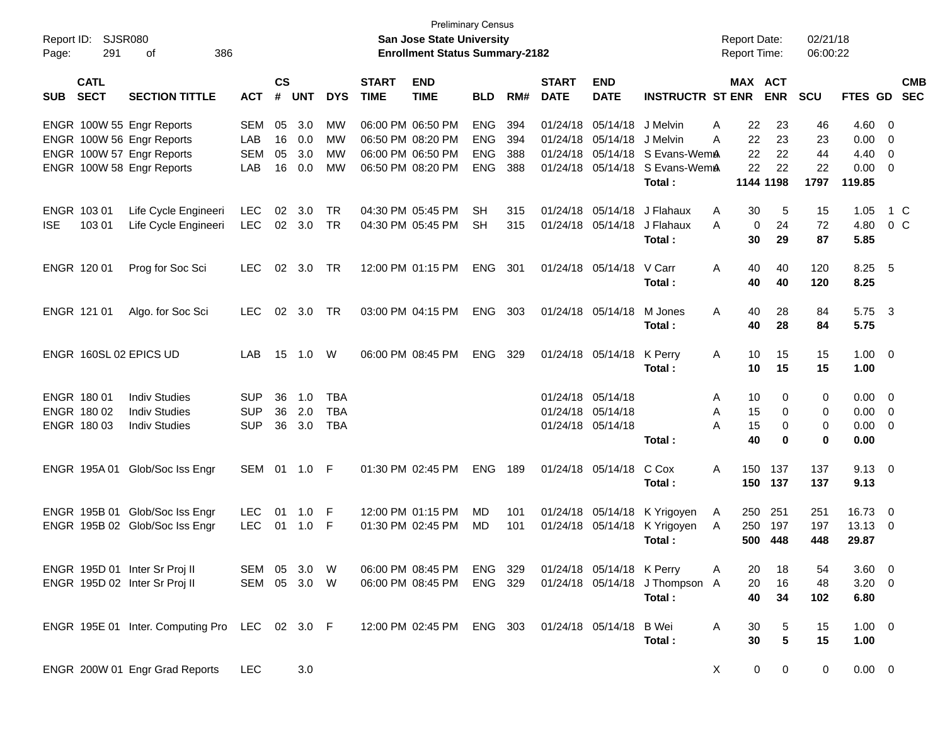|                     |                            |                                                |              |                |            |            |                             | <b>Preliminary Census</b>                                                 |            |     |                             |                           |                                |                                     |             |                       |                      |                |                          |            |
|---------------------|----------------------------|------------------------------------------------|--------------|----------------|------------|------------|-----------------------------|---------------------------------------------------------------------------|------------|-----|-----------------------------|---------------------------|--------------------------------|-------------------------------------|-------------|-----------------------|----------------------|----------------|--------------------------|------------|
| Report ID:<br>Page: | SJSR080<br>291             | 386<br>оf                                      |              |                |            |            |                             | <b>San Jose State University</b><br><b>Enrollment Status Summary-2182</b> |            |     |                             |                           |                                | <b>Report Date:</b><br>Report Time: |             |                       | 02/21/18<br>06:00:22 |                |                          |            |
| <b>SUB</b>          | <b>CATL</b><br><b>SECT</b> | <b>SECTION TITTLE</b>                          | <b>ACT</b>   | <b>CS</b><br># | <b>UNT</b> | <b>DYS</b> | <b>START</b><br><b>TIME</b> | <b>END</b><br><b>TIME</b>                                                 | <b>BLD</b> | RM# | <b>START</b><br><b>DATE</b> | <b>END</b><br><b>DATE</b> | <b>INSTRUCTR ST ENR</b>        |                                     |             | MAX ACT<br><b>ENR</b> | <b>SCU</b>           | FTES GD SEC    |                          | <b>CMB</b> |
|                     |                            | ENGR 100W 55 Engr Reports                      | <b>SEM</b>   | 05             | 3.0        | MW         |                             | 06:00 PM 06:50 PM                                                         | <b>ENG</b> | 394 | 01/24/18                    | 05/14/18                  | J Melvin                       | Α                                   | 22          | 23                    | 46                   | 4.60           | $\overline{\phantom{0}}$ |            |
|                     |                            | ENGR 100W 56 Engr Reports                      | LAB          | 16             | 0.0        | МW         |                             | 06:50 PM 08:20 PM                                                         | <b>ENG</b> | 394 |                             | 01/24/18 05/14/18         | J Melvin                       | А                                   | 22          | 23                    | 23                   | 0.00           | - 0                      |            |
|                     |                            | ENGR 100W 57 Engr Reports                      | <b>SEM</b>   | 05             | 3.0        | <b>MW</b>  |                             | 06:00 PM 06:50 PM                                                         | <b>ENG</b> | 388 |                             | 01/24/18 05/14/18         | S Evans-WemA                   |                                     | 22          | 22                    | 44                   | 4.40           | - 0                      |            |
|                     |                            | ENGR 100W 58 Engr Reports                      | LAB          | 16             | 0.0        | <b>MW</b>  |                             | 06:50 PM 08:20 PM                                                         | <b>ENG</b> | 388 |                             |                           | 01/24/18 05/14/18 S Evans-WemA |                                     | 22          | 22                    | 22                   | 0.00           | - 0                      |            |
|                     |                            |                                                |              |                |            |            |                             |                                                                           |            |     |                             |                           | Total:                         |                                     |             | 1144 1198             | 1797                 | 119.85         |                          |            |
|                     | ENGR 103 01                | Life Cycle Engineeri                           | <b>LEC</b>   | 02             | 3.0        | TR         |                             | 04:30 PM 05:45 PM                                                         | <b>SH</b>  | 315 | 01/24/18                    | 05/14/18                  | J Flahaux                      | Α                                   | 30          | 5                     | 15                   | 1.05           |                          | 1 C        |
| <b>ISE</b>          | 103 01                     | Life Cycle Engineeri                           | <b>LEC</b>   | 02             | 3.0        | <b>TR</b>  |                             | 04:30 PM 05:45 PM                                                         | <b>SH</b>  | 315 |                             | 01/24/18 05/14/18         | J Flahaux                      | А                                   | 0           | 24                    | 72                   | 4.80           |                          | $0\,C$     |
|                     |                            |                                                |              |                |            |            |                             |                                                                           |            |     |                             |                           | Total:                         |                                     | 30          | 29                    | 87                   | 5.85           |                          |            |
|                     | ENGR 120 01                | Prog for Soc Sci                               | <b>LEC</b>   | 02             | 3.0        | TR         |                             | 12:00 PM 01:15 PM                                                         | <b>ENG</b> | 301 |                             | 01/24/18 05/14/18         | V Carr                         | A                                   | 40          | 40                    | 120                  | 8.25           | 5                        |            |
|                     |                            |                                                |              |                |            |            |                             |                                                                           |            |     |                             |                           | Total:                         |                                     | 40          | 40                    | 120                  | 8.25           |                          |            |
|                     | ENGR 121 01                | Algo. for Soc Sci                              | <b>LEC</b>   | 02             | 3.0        | TR         |                             | 03:00 PM 04:15 PM                                                         | <b>ENG</b> | 303 |                             | 01/24/18 05/14/18         | M Jones                        | A                                   | 40          | 28                    | 84                   | 5.75           | $\overline{\mathbf{3}}$  |            |
|                     |                            |                                                |              |                |            |            |                             |                                                                           |            |     |                             |                           | Total:                         |                                     | 40          | 28                    | 84                   | 5.75           |                          |            |
|                     |                            | ENGR 160SL 02 EPICS UD                         | LAB          | 15             | 1.0        | W          |                             | 06:00 PM 08:45 PM                                                         | <b>ENG</b> | 329 |                             | 01/24/18 05/14/18         | K Perry                        | Α                                   | 10          | 15                    | 15                   | 1.00           | $\overline{\phantom{0}}$ |            |
|                     |                            |                                                |              |                |            |            |                             |                                                                           |            |     |                             |                           | Total:                         |                                     | 10          | 15                    | 15                   | 1.00           |                          |            |
|                     | ENGR 180 01                | <b>Indiv Studies</b>                           | <b>SUP</b>   | 36             | 1.0        | <b>TBA</b> |                             |                                                                           |            |     |                             | 01/24/18 05/14/18         |                                | A                                   | 10          | 0                     | 0                    | 0.00           | $\overline{\mathbf{0}}$  |            |
|                     | ENGR 180 02                | <b>Indiv Studies</b>                           | <b>SUP</b>   | 36             | 2.0        | <b>TBA</b> |                             |                                                                           |            |     |                             | 01/24/18 05/14/18         |                                | A                                   | 15          | 0                     | 0                    | 0.00           | - 0                      |            |
|                     | ENGR 180 03                | <b>Indiv Studies</b>                           | <b>SUP</b>   | 36             | 3.0        | <b>TBA</b> |                             |                                                                           |            |     |                             | 01/24/18 05/14/18         |                                | А                                   | 15          | 0                     | 0                    | 0.00           | $\overline{\phantom{0}}$ |            |
|                     |                            |                                                |              |                |            |            |                             |                                                                           |            |     |                             |                           | Total:                         |                                     | 40          | 0                     | 0                    | 0.00           |                          |            |
|                     |                            | ENGR 195A 01 Glob/Soc Iss Engr                 | SEM 01       |                | $1.0$ F    |            |                             | 01:30 PM 02:45 PM                                                         | <b>ENG</b> | 189 |                             | 01/24/18 05/14/18         | C Cox                          | A                                   | 150         | 137                   | 137                  | 9.13           | $\overline{\phantom{0}}$ |            |
|                     |                            |                                                |              |                |            |            |                             |                                                                           |            |     |                             |                           | Total:                         |                                     |             | 150 137               | 137                  | 9.13           |                          |            |
|                     |                            | ENGR 195B 01 Glob/Soc Iss Engr                 | <b>LEC</b>   | 01             | 1.0        | -F         |                             | 12:00 PM 01:15 PM                                                         | MD         | 101 |                             | 01/24/18 05/14/18         | K Yrigoyen                     | A                                   | 250         | 251                   | 251                  | 16.73          | $\overline{\mathbf{0}}$  |            |
|                     |                            | ENGR 195B 02 Glob/Soc Iss Engr                 | <b>LEC</b>   | 01             | 1.0        | -F         |                             | 01:30 PM 02:45 PM                                                         | MD         | 101 |                             | 01/24/18 05/14/18         | K Yrigoyen                     | A                                   | 250         | 197                   | 197                  | 13.13          | $\overline{\mathbf{0}}$  |            |
|                     |                            |                                                |              |                |            |            |                             |                                                                           |            |     |                             |                           | Total:                         |                                     | 500         | 448                   | 448                  | 29.87          |                          |            |
|                     |                            |                                                |              |                |            |            |                             |                                                                           |            |     |                             |                           |                                |                                     |             |                       |                      |                |                          |            |
|                     |                            | ENGR 195D 01 Inter Sr Proj II                  | SEM 05 3.0 W |                |            |            |                             | 06:00 PM 08:45 PM                                                         | ENG 329    |     |                             | 01/24/18 05/14/18 K Perry |                                | A                                   | 20          | 18                    | 54                   | $3.60 \quad 0$ |                          |            |
|                     |                            | ENGR 195D 02 Inter Sr Proj II                  | SEM 05 3.0 W |                |            |            |                             | 06:00 PM 08:45 PM                                                         | ENG 329    |     |                             |                           | 01/24/18 05/14/18 J Thompson A |                                     | 20          | 16                    | 48                   | $3.20 \ 0$     |                          |            |
|                     |                            |                                                |              |                |            |            |                             |                                                                           |            |     |                             |                           | Total:                         |                                     | 40          | 34                    | 102                  | 6.80           |                          |            |
|                     |                            | ENGR 195E 01 Inter. Computing Pro LEC 02 3.0 F |              |                |            |            |                             | 12:00 PM 02:45 PM ENG 303                                                 |            |     |                             | 01/24/18 05/14/18         | B Wei                          | A                                   | 30          | 5                     | 15                   | $1.00 \t 0$    |                          |            |
|                     |                            |                                                |              |                |            |            |                             |                                                                           |            |     |                             |                           | Total:                         |                                     | 30          | $5\phantom{.0}$       | 15                   | 1.00           |                          |            |
|                     |                            | ENGR 200W 01 Engr Grad Reports                 | LEC          |                | 3.0        |            |                             |                                                                           |            |     |                             |                           |                                | X                                   | $\mathbf 0$ | $\overline{0}$        | 0                    | $0.00 \t 0$    |                          |            |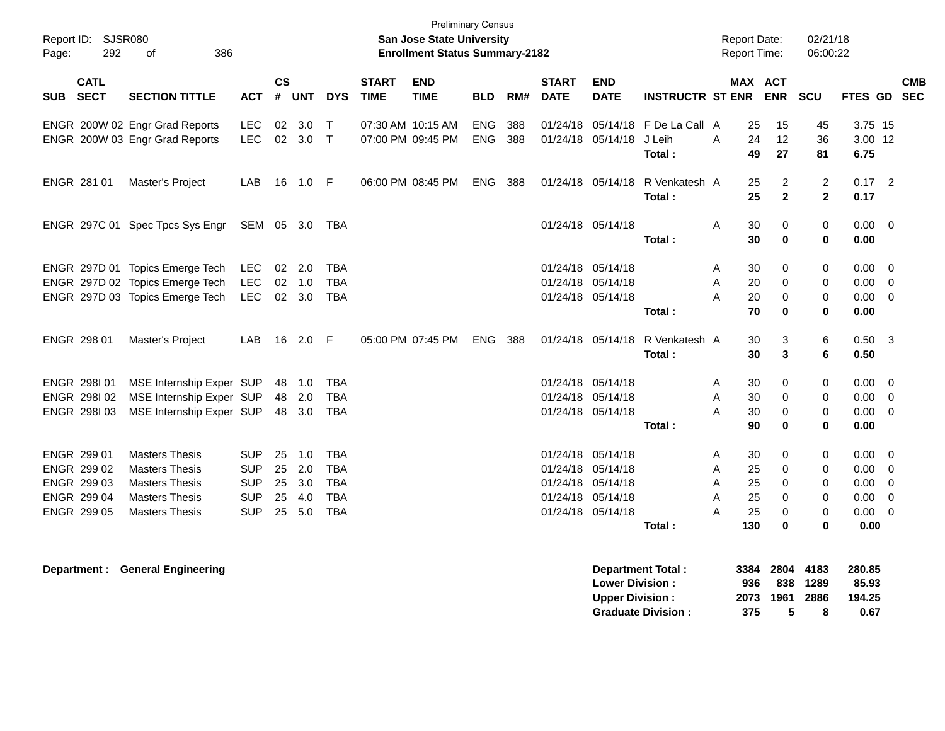| Page: | Report ID: SJSR080<br>292  | 386<br>0f                       |            |                |            |              |                             | <b>Preliminary Census</b><br>San Jose State University<br><b>Enrollment Status Summary-2182</b> |            |     |                             |                                                  |                          |   | <b>Report Date:</b><br><b>Report Time:</b> |                                | 02/21/18<br>06:00:22           |                           |                          |            |
|-------|----------------------------|---------------------------------|------------|----------------|------------|--------------|-----------------------------|-------------------------------------------------------------------------------------------------|------------|-----|-----------------------------|--------------------------------------------------|--------------------------|---|--------------------------------------------|--------------------------------|--------------------------------|---------------------------|--------------------------|------------|
| SUB   | <b>CATL</b><br><b>SECT</b> | <b>SECTION TITTLE</b>           | <b>ACT</b> | <b>CS</b><br># | <b>UNT</b> | <b>DYS</b>   | <b>START</b><br><b>TIME</b> | <b>END</b><br><b>TIME</b>                                                                       | <b>BLD</b> | RM# | <b>START</b><br><b>DATE</b> | <b>END</b><br><b>DATE</b>                        | <b>INSTRUCTR ST ENR</b>  |   |                                            | <b>MAX ACT</b><br><b>ENR</b>   | <b>SCU</b>                     | FTES GD SEC               |                          | <b>CMB</b> |
|       |                            | ENGR 200W 02 Engr Grad Reports  | <b>LEC</b> | 02             | 3.0        | $\mathsf T$  |                             | 07:30 AM 10:15 AM                                                                               | <b>ENG</b> | 388 | 01/24/18                    |                                                  | 05/14/18 FDe La Call A   |   | 25                                         | 15                             | 45                             | 3.75 15                   |                          |            |
|       |                            | ENGR 200W 03 Engr Grad Reports  | <b>LEC</b> | 02             | 3.0        | $\mathsf{T}$ |                             | 07:00 PM 09:45 PM                                                                               | <b>ENG</b> | 388 |                             | 01/24/18 05/14/18                                | J Leih<br>Total:         | A | 24<br>49                                   | 12<br>27                       | 36<br>81                       | 3.00 12<br>6.75           |                          |            |
|       | ENGR 281 01                | Master's Project                | LAB        | 16             | 1.0 F      |              |                             | 06:00 PM 08:45 PM                                                                               | <b>ENG</b> | 388 |                             | 01/24/18 05/14/18                                | R Venkatesh A<br>Total:  |   | 25<br>25                                   | $\overline{c}$<br>$\mathbf{2}$ | $\overline{c}$<br>$\mathbf{2}$ | $0.17$ 2<br>0.17          |                          |            |
|       |                            | ENGR 297C 01 Spec Tpcs Sys Engr | SEM 05 3.0 |                |            | TBA          |                             |                                                                                                 |            |     |                             | 01/24/18 05/14/18                                | Total:                   | A | 30<br>30                                   | 0<br>$\bf{0}$                  | 0<br>$\mathbf 0$               | $0.00 \t 0$<br>0.00       |                          |            |
|       |                            | ENGR 297D 01 Topics Emerge Tech | LEC.       | 02             | 2.0        | <b>TBA</b>   |                             |                                                                                                 |            |     | 01/24/18 05/14/18           |                                                  |                          | A | 30                                         | 0                              | $\mathbf 0$                    | 0.00                      | - 0                      |            |
|       |                            | ENGR 297D 02 Topics Emerge Tech | <b>LEC</b> |                | 02 1.0     | <b>TBA</b>   |                             |                                                                                                 |            |     | 01/24/18 05/14/18           |                                                  |                          | Α | 20                                         | $\Omega$                       | 0                              | 0.00                      | $\overline{0}$           |            |
|       |                            | ENGR 297D 03 Topics Emerge Tech | <b>LEC</b> |                | 02 3.0     | <b>TBA</b>   |                             |                                                                                                 |            |     |                             | 01/24/18 05/14/18                                |                          | A | 20                                         | 0                              | $\mathbf 0$                    | 0.00                      | $\overline{\mathbf{0}}$  |            |
|       |                            |                                 |            |                |            |              |                             |                                                                                                 |            |     |                             |                                                  | Total:                   |   | 70                                         | 0                              | $\bf{0}$                       | 0.00                      |                          |            |
|       | ENGR 298 01                | Master's Project                | LAB        |                | 16 2.0     | -F           |                             | 05:00 PM 07:45 PM                                                                               | ENG        | 388 |                             | 01/24/18 05/14/18                                | R Venkatesh A            |   | 30                                         | 3                              | $\,6$                          | $0.50$ 3                  |                          |            |
|       |                            |                                 |            |                |            |              |                             |                                                                                                 |            |     |                             |                                                  | Total:                   |   | 30                                         | 3                              | 6                              | 0.50                      |                          |            |
|       | ENGR 298101                | MSE Internship Exper SUP        |            |                | 48 1.0     | <b>TBA</b>   |                             |                                                                                                 |            |     | 01/24/18 05/14/18           |                                                  |                          | Α | 30                                         | 0                              | $\mathbf 0$                    | 0.00                      | $\overline{0}$           |            |
|       | ENGR 298102                | MSE Internship Exper SUP        |            |                | 48 2.0     | <b>TBA</b>   |                             |                                                                                                 |            |     | 01/24/18 05/14/18           |                                                  |                          | A | 30                                         | $\Omega$                       | 0                              | 0.00                      | $\overline{\phantom{0}}$ |            |
|       | ENGR 298103                | MSE Internship Exper SUP        |            |                | 48 3.0     | <b>TBA</b>   |                             |                                                                                                 |            |     |                             | 01/24/18 05/14/18                                |                          | A | 30                                         | 0                              | 0                              | 0.00                      | $\mathbf 0$              |            |
|       |                            |                                 |            |                |            |              |                             |                                                                                                 |            |     |                             |                                                  | Total:                   |   | 90                                         | 0                              | 0                              | 0.00                      |                          |            |
|       | ENGR 299 01                | <b>Masters Thesis</b>           | <b>SUP</b> | 25             | 1.0        | <b>TBA</b>   |                             |                                                                                                 |            |     | 01/24/18                    | 05/14/18                                         |                          | A | 30                                         | 0                              | 0                              | 0.00 <sub>1</sub>         | - 0                      |            |
|       | ENGR 299 02                | <b>Masters Thesis</b>           | <b>SUP</b> | 25             | 2.0        | <b>TBA</b>   |                             |                                                                                                 |            |     | 01/24/18 05/14/18           |                                                  |                          | A | 25                                         | 0                              | $\mathbf 0$                    | 0.00                      | 0                        |            |
|       | ENGR 299 03                | <b>Masters Thesis</b>           | <b>SUP</b> | 25             | 3.0        | <b>TBA</b>   |                             |                                                                                                 |            |     | 01/24/18 05/14/18           |                                                  |                          | A | 25                                         | 0                              | 0                              | 0.00                      | $\overline{0}$           |            |
|       | ENGR 299 04                | <b>Masters Thesis</b>           | <b>SUP</b> | 25             | 4.0        | <b>TBA</b>   |                             |                                                                                                 |            |     | 01/24/18                    | 05/14/18                                         |                          | A | 25                                         | $\Omega$                       | 0                              | 0.00                      | $\overline{0}$           |            |
|       | ENGR 299 05                | <b>Masters Thesis</b>           | <b>SUP</b> |                | 25 5.0     | <b>TBA</b>   |                             |                                                                                                 |            |     | 01/24/18 05/14/18           |                                                  |                          | A | 25                                         | 0                              | $\pmb{0}$                      | 0.00                      | $\overline{0}$           |            |
|       |                            |                                 |            |                |            |              |                             |                                                                                                 |            |     |                             |                                                  | Total:                   |   | 130                                        | $\bf{0}$                       | $\bf{0}$                       | 0.00                      |                          |            |
|       | Department :               | <b>General Engineering</b>      |            |                |            |              |                             |                                                                                                 |            |     |                             | <b>Lower Division:</b><br><b>Upper Division:</b> | <b>Department Total:</b> |   | 3384<br>936<br>2073                        | 2804<br>838<br>1961            | 4183<br>1289<br>2886           | 280.85<br>85.93<br>194.25 |                          |            |

**Graduate Division : 375 5 8 0.67**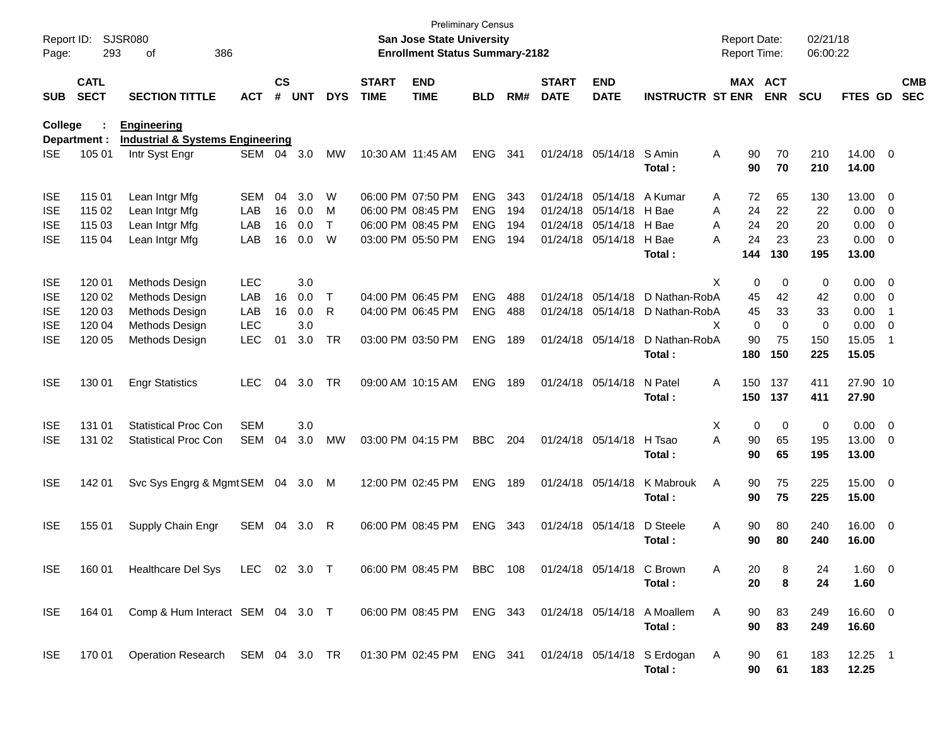| Report ID:<br>Page: | 293                        | <b>SJSR080</b><br>386<br>οf                 |            |                    |            |            |                             | San Jose State University<br><b>Enrollment Status Summary-2182</b> | <b>Preliminary Census</b> |     |                             |                           |                                                                 | <b>Report Date:</b><br>Report Time: |             | 02/21/18<br>06:00:22 |                    |                          |                          |
|---------------------|----------------------------|---------------------------------------------|------------|--------------------|------------|------------|-----------------------------|--------------------------------------------------------------------|---------------------------|-----|-----------------------------|---------------------------|-----------------------------------------------------------------|-------------------------------------|-------------|----------------------|--------------------|--------------------------|--------------------------|
| <b>SUB</b>          | <b>CATL</b><br><b>SECT</b> | <b>SECTION TITTLE</b>                       | <b>ACT</b> | $\mathsf{cs}$<br># | <b>UNT</b> | <b>DYS</b> | <b>START</b><br><b>TIME</b> | <b>END</b><br><b>TIME</b>                                          | <b>BLD</b>                | RM# | <b>START</b><br><b>DATE</b> | <b>END</b><br><b>DATE</b> | <b>INSTRUCTR ST ENR</b>                                         | MAX ACT                             | <b>ENR</b>  | SCU                  | <b>FTES GD</b>     |                          | <b>CMB</b><br><b>SEC</b> |
| College             |                            | <b>Engineering</b>                          |            |                    |            |            |                             |                                                                    |                           |     |                             |                           |                                                                 |                                     |             |                      |                    |                          |                          |
|                     | Department :               | <b>Industrial &amp; Systems Engineering</b> |            |                    |            |            |                             |                                                                    |                           |     |                             |                           |                                                                 |                                     |             |                      |                    |                          |                          |
| <b>ISE</b>          | 105 01                     | Intr Syst Engr                              | <b>SEM</b> | 04                 | 3.0        | MW         | 10:30 AM 11:45 AM           |                                                                    | <b>ENG</b>                | 341 |                             | 01/24/18 05/14/18         | S Amin<br>Total:                                                | Α<br>90<br>90                       | 70<br>70    | 210<br>210           | 14.00 0<br>14.00   |                          |                          |
| <b>ISE</b>          | 115 01                     | Lean Intgr Mfg                              | SEM        | 04                 | 3.0        | W          |                             | 06:00 PM 07:50 PM                                                  | <b>ENG</b>                | 343 |                             | 01/24/18 05/14/18         | A Kumar                                                         | 72<br>A                             | 65          | 130                  | 13.00 0            |                          |                          |
| <b>ISE</b>          | 115 02                     | Lean Intgr Mfg                              | LAB        | 16                 | 0.0        | M          |                             | 06:00 PM 08:45 PM                                                  | <b>ENG</b>                | 194 |                             | 01/24/18 05/14/18         | H Bae                                                           | 24<br>Α                             | 22          | 22                   | 0.00               | $\overline{\phantom{0}}$ |                          |
| <b>ISE</b>          | 115 03                     | Lean Intgr Mfg                              | LAB        | 16                 | 0.0        | T          |                             | 06:00 PM 08:45 PM                                                  | <b>ENG</b>                | 194 |                             | 01/24/18 05/14/18 H Bae   |                                                                 | 24<br>A                             | 20          | 20                   | $0.00 \t 0$        |                          |                          |
| <b>ISE</b>          | 115 04                     | Lean Intgr Mfg                              | LAB        | 16                 | 0.0        | W          |                             | 03:00 PM 05:50 PM                                                  | <b>ENG</b>                | 194 |                             | 01/24/18 05/14/18         | H Bae                                                           | 24<br>А                             | 23          | 23                   | $0.00 \t 0$        |                          |                          |
|                     |                            |                                             |            |                    |            |            |                             |                                                                    |                           |     |                             |                           | Total:                                                          | 144                                 | 130         | 195                  | 13.00              |                          |                          |
| <b>ISE</b>          | 120 01                     | Methods Design                              | <b>LEC</b> |                    | 3.0        |            |                             |                                                                    |                           |     |                             |                           |                                                                 | X<br>0                              | $\mathbf 0$ | 0                    | $0.00 \t 0$        |                          |                          |
| <b>ISE</b>          | 120 02                     | Methods Design                              | LAB        | 16                 | 0.0        | Τ          |                             | 04:00 PM 06:45 PM                                                  | <b>ENG</b>                | 488 |                             | 01/24/18 05/14/18         | D Nathan-RobA                                                   | 45                                  | 42          | 42                   | $0.00 \t 0$        |                          |                          |
| <b>ISE</b>          | 120 03                     | Methods Design                              | LAB        | 16                 | 0.0        | R          |                             | 04:00 PM 06:45 PM                                                  | <b>ENG</b>                | 488 |                             |                           | 01/24/18 05/14/18 D Nathan-RobA                                 | 45                                  | 33          | 33                   | 0.00               | $\overline{\phantom{1}}$ |                          |
| <b>ISE</b>          | 120 04                     | Methods Design                              | <b>LEC</b> |                    | 3.0        |            |                             |                                                                    |                           |     |                             |                           |                                                                 | $\mathbf 0$<br>X                    | $\Omega$    | 0                    | 0.00               | $\overline{\phantom{0}}$ |                          |
| <b>ISE</b>          | 120 05                     | Methods Design                              | LEC        | 01                 | 3.0        | <b>TR</b>  |                             | 03:00 PM 03:50 PM                                                  | <b>ENG</b>                | 189 |                             | 01/24/18 05/14/18         | D Nathan-RobA                                                   | 90                                  | 75          | 150                  | 15.05              | - 1                      |                          |
|                     |                            |                                             |            |                    |            |            |                             |                                                                    |                           |     |                             |                           | Total :                                                         | 180                                 | 150         | 225                  | 15.05              |                          |                          |
| <b>ISE</b>          | 130 01                     | <b>Engr Statistics</b>                      | <b>LEC</b> | 04                 | 3.0        | <b>TR</b>  |                             | 09:00 AM 10:15 AM                                                  | <b>ENG</b>                | 189 |                             | 01/24/18 05/14/18         | N Patel<br>Total :                                              | 150<br>A<br>150                     | 137<br>137  | 411<br>411           | 27.90 10<br>27.90  |                          |                          |
| <b>ISE</b>          | 131 01                     | <b>Statistical Proc Con</b>                 | <b>SEM</b> |                    | 3.0        |            |                             |                                                                    |                           |     |                             |                           |                                                                 | X<br>0                              | 0           | 0                    | $0.00 \t 0$        |                          |                          |
| <b>ISE</b>          | 131 02                     | <b>Statistical Proc Con</b>                 | <b>SEM</b> | 04                 | 3.0        | <b>MW</b>  |                             | 03:00 PM 04:15 PM                                                  | <b>BBC</b>                | 204 |                             | 01/24/18 05/14/18         | H Tsao                                                          | 90<br>A                             | 65          | 195                  | 13.00 0            |                          |                          |
|                     |                            |                                             |            |                    |            |            |                             |                                                                    |                           |     |                             |                           | Total:                                                          | 90                                  | 65          | 195                  | 13.00              |                          |                          |
| <b>ISE</b>          | 142 01                     | Svc Sys Engrg & Mgmt SEM 04 3.0             |            |                    |            | M          |                             | 12:00 PM 02:45 PM                                                  | <b>ENG</b>                | 189 |                             | 01/24/18 05/14/18         | K Mabrouk<br>Total:                                             | 90<br>A<br>90                       | 75<br>75    | 225<br>225           | 15.00 0<br>15.00   |                          |                          |
| <b>ISE</b>          | 155 01                     | Supply Chain Engr                           | SEM        | 04                 | 3.0        | R          |                             | 06:00 PM 08:45 PM                                                  | <b>ENG</b>                | 343 |                             | 01/24/18 05/14/18         | D Steele<br>Total :                                             | 90<br>A<br>90                       | 80<br>80    | 240<br>240           | 16.00 0<br>16.00   |                          |                          |
| <b>ISE</b>          | 160 01                     | Healthcare Del Sys LEC 02 3.0 T             |            |                    |            |            |                             | 06:00 PM 08:45 PM                                                  | <b>BBC</b> 108            |     |                             | 01/24/18 05/14/18 C Brown | Total:                                                          | Α<br>20<br>20                       | 8<br>8      | 24<br>24             | 1.60 0<br>1.60     |                          |                          |
| <b>ISE</b>          | 164 01                     | Comp & Hum Interact SEM 04 3.0 T            |            |                    |            |            |                             |                                                                    |                           |     |                             |                           | 06:00 PM 08:45 PM ENG 343 01/24/18 05/14/18 A Moallem<br>Total: | A<br>90<br>90                       | 83<br>83    | 249<br>249           | 16.60 0<br>16.60   |                          |                          |
| <b>ISE</b>          | 170 01                     | Operation Research SEM 04 3.0 TR            |            |                    |            |            |                             |                                                                    |                           |     |                             |                           | 01:30 PM 02:45 PM ENG 341 01/24/18 05/14/18 S Erdogan<br>Total: | A<br>90<br>90                       | 61<br>61    | 183<br>183           | $12.25$ 1<br>12.25 |                          |                          |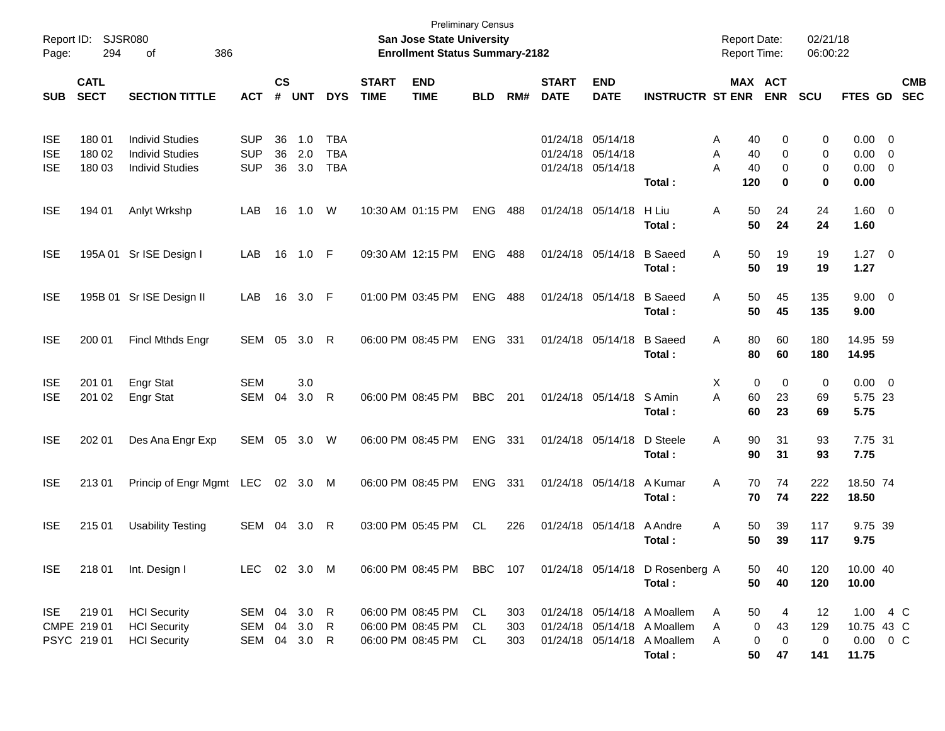| Report ID:<br>Page:                    | 294                                 | <b>SJSR080</b><br>386<br>οf                                                |                                        |                    |                   |                                        |                             | <b>Preliminary Census</b><br><b>San Jose State University</b><br><b>Enrollment Status Summary-2182</b> |                |                   |                                                             |                           |                                                                                   | <b>Report Date:</b><br>Report Time:  |                                   | 02/21/18<br>06:00:22  |                                                  |                                  |                          |
|----------------------------------------|-------------------------------------|----------------------------------------------------------------------------|----------------------------------------|--------------------|-------------------|----------------------------------------|-----------------------------|--------------------------------------------------------------------------------------------------------|----------------|-------------------|-------------------------------------------------------------|---------------------------|-----------------------------------------------------------------------------------|--------------------------------------|-----------------------------------|-----------------------|--------------------------------------------------|----------------------------------|--------------------------|
| <b>SUB</b>                             | <b>CATL</b><br><b>SECT</b>          | <b>SECTION TITTLE</b>                                                      | <b>ACT</b>                             | $\mathsf{cs}$<br># | <b>UNT</b>        | <b>DYS</b>                             | <b>START</b><br><b>TIME</b> | <b>END</b><br><b>TIME</b>                                                                              | <b>BLD</b>     | RM#               | <b>START</b><br><b>DATE</b>                                 | <b>END</b><br><b>DATE</b> | <b>INSTRUCTR ST ENR</b>                                                           |                                      | MAX ACT<br><b>ENR</b>             | <b>SCU</b>            | FTES GD                                          |                                  | <b>CMB</b><br><b>SEC</b> |
| <b>ISE</b><br><b>ISE</b><br><b>ISE</b> | 180 01<br>180 02<br>180 03          | <b>Individ Studies</b><br><b>Individ Studies</b><br><b>Individ Studies</b> | <b>SUP</b><br><b>SUP</b><br><b>SUP</b> | 36<br>36<br>36     | 1.0<br>2.0<br>3.0 | <b>TBA</b><br><b>TBA</b><br><b>TBA</b> |                             |                                                                                                        |                |                   | 01/24/18 05/14/18<br>01/24/18 05/14/18<br>01/24/18 05/14/18 |                           | Total:                                                                            | 40<br>A<br>40<br>A<br>Α<br>40<br>120 | 0<br>0<br>0<br>0                  | 0<br>0<br>0<br>0      | $0.00 \t 0$<br>0.00<br>0.00<br>0.00              | $\overline{0}$<br>$\overline{0}$ |                          |
| <b>ISE</b>                             | 194 01                              | Anlyt Wrkshp                                                               | LAB                                    | 16                 | 1.0               | W                                      |                             | 10:30 AM 01:15 PM                                                                                      | <b>ENG</b>     | 488               | 01/24/18 05/14/18                                           |                           | H Liu<br>Total:                                                                   | Α<br>50<br>50                        | 24<br>24                          | 24<br>24              | 1.60 0<br>1.60                                   |                                  |                          |
| <b>ISE</b>                             | 195A 01                             | Sr ISE Design I                                                            | LAB                                    | 16                 | 1.0               | $\mathsf{F}$                           |                             | 09:30 AM 12:15 PM                                                                                      | <b>ENG</b>     | 488               | 01/24/18 05/14/18                                           |                           | <b>B</b> Saeed<br>Total:                                                          | 50<br>Α<br>50                        | 19<br>19                          | 19<br>19              | $1.27 \t 0$<br>1.27                              |                                  |                          |
| <b>ISE</b>                             | 195B 01                             | Sr ISE Design II                                                           | LAB                                    | 16                 | 3.0               | -F                                     |                             | 01:00 PM 03:45 PM                                                                                      | <b>ENG</b>     | 488               | 01/24/18 05/14/18                                           |                           | <b>B</b> Saeed<br>Total:                                                          | 50<br>A<br>50                        | 45<br>45                          | 135<br>135            | $9.00 \t 0$<br>9.00                              |                                  |                          |
| <b>ISE</b>                             | 200 01                              | Fincl Mthds Engr                                                           | <b>SEM</b>                             | 05                 | 3.0               | R                                      |                             | 06:00 PM 08:45 PM                                                                                      | <b>ENG</b>     | 331               | 01/24/18 05/14/18                                           |                           | <b>B</b> Saeed<br>Total:                                                          | 80<br>Α<br>80                        | 60<br>60                          | 180<br>180            | 14.95 59<br>14.95                                |                                  |                          |
| <b>ISE</b><br><b>ISE</b>               | 201 01<br>201 02                    | <b>Engr Stat</b><br><b>Engr Stat</b>                                       | <b>SEM</b><br><b>SEM</b>               | 04                 | 3.0<br>3.0        | R                                      |                             | 06:00 PM 08:45 PM                                                                                      | <b>BBC</b>     | 201               |                                                             | 01/24/18 05/14/18         | S Amin<br>Total:                                                                  | X<br>0<br>A<br>60<br>60              | 0<br>23<br>23                     | 0<br>69<br>69         | $0.00 \t 0$<br>5.75 23<br>5.75                   |                                  |                          |
| <b>ISE</b>                             | 202 01                              | Des Ana Engr Exp                                                           | SEM                                    | 05                 | 3.0               | W                                      |                             | 06:00 PM 08:45 PM                                                                                      | <b>ENG</b>     | 331               | 01/24/18 05/14/18                                           |                           | D Steele<br>Total:                                                                | A<br>90<br>90                        | 31<br>31                          | 93<br>93              | 7.75 31<br>7.75                                  |                                  |                          |
| <b>ISE</b>                             | 21301                               | Princip of Engr Mgmt LEC                                                   |                                        | 02                 | 3.0               | M                                      |                             | 06:00 PM 08:45 PM                                                                                      | <b>ENG</b>     | 331               |                                                             | 01/24/18 05/14/18         | A Kumar<br>Total:                                                                 | A<br>70<br>70                        | 74<br>74                          | 222<br>222            | 18.50 74<br>18.50                                |                                  |                          |
| <b>ISE</b>                             | 215 01                              | <b>Usability Testing</b>                                                   | SEM                                    | 04                 | 3.0               | R                                      |                             | 03:00 PM 05:45 PM                                                                                      | <b>CL</b>      | 226               |                                                             | 01/24/18 05/14/18         | A Andre<br>Total:                                                                 | 50<br>A<br>50                        | 39<br>39                          | 117<br>117            | 9.75 39<br>9.75                                  |                                  |                          |
| <b>ISE</b>                             | 218 01                              | Int. Design I                                                              | LEC 02 3.0 M                           |                    |                   |                                        |                             | 06:00 PM 08:45 PM                                                                                      | BBC            | 107               |                                                             |                           | 01/24/18 05/14/18 D Rosenberg A<br>Total:                                         | 50<br>50                             | 40<br>40                          | 120<br>120            | 10.00 40<br>10.00                                |                                  |                          |
| ISE.                                   | 219 01<br>CMPE 219 01<br>PSYC 21901 | <b>HCI</b> Security<br><b>HCI Security</b><br><b>HCI</b> Security          | SEM 04 3.0<br><b>SEM</b><br>SEM        | 04<br>04           | 3.0<br>3.0        | R<br>$\mathsf{R}$<br>R.                |                             | 06:00 PM 08:45 PM<br>06:00 PM 08:45 PM<br>06:00 PM 08:45 PM                                            | CL<br>CL<br>CL | 303<br>303<br>303 |                                                             | 01/24/18 05/14/18         | 01/24/18 05/14/18 A Moallem<br>01/24/18 05/14/18 A Moallem<br>A Moallem<br>Total: | 50<br>A<br>Α<br>0<br>Α<br>50         | 4<br>43<br>0<br>$\mathbf 0$<br>47 | 12<br>129<br>0<br>141 | 1.00 4 C<br>10.75 43 C<br>$0.00 \t 0 C$<br>11.75 |                                  |                          |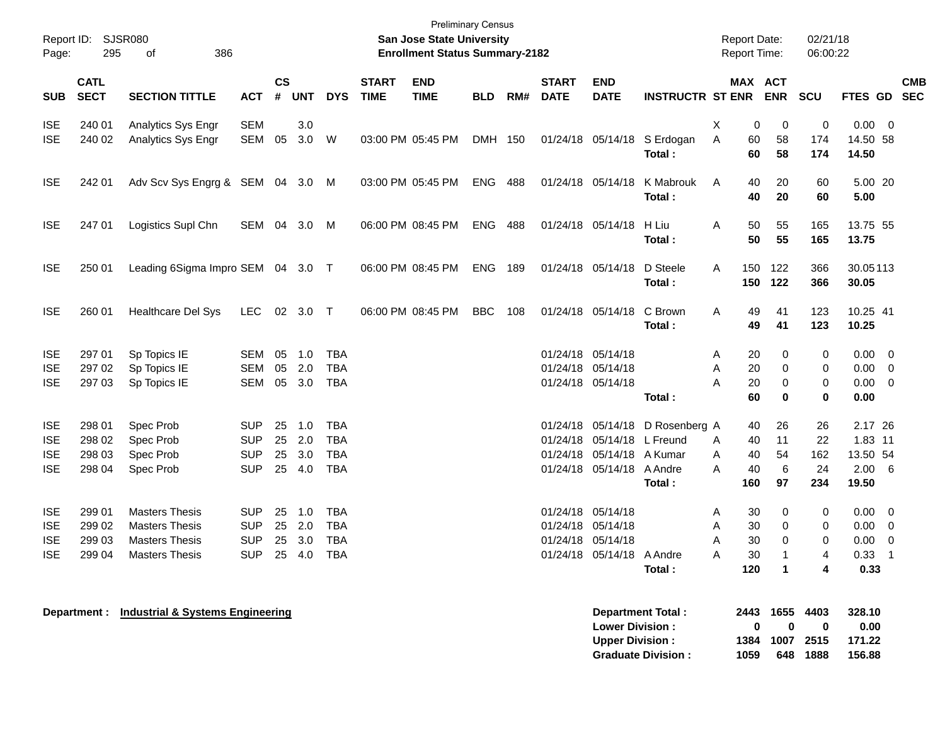| Report ID:<br>Page:      | 295                        | <b>SJSR080</b><br>386<br>οf                   |                   |                |            |            |                             | <b>Preliminary Census</b><br>San Jose State University<br><b>Enrollment Status Summary-2182</b> |            |     |                             |                                                  |                                                       | <b>Report Date:</b><br><b>Report Time:</b> |                                  | 02/21/18<br>06:00:22  |                                    |                          |
|--------------------------|----------------------------|-----------------------------------------------|-------------------|----------------|------------|------------|-----------------------------|-------------------------------------------------------------------------------------------------|------------|-----|-----------------------------|--------------------------------------------------|-------------------------------------------------------|--------------------------------------------|----------------------------------|-----------------------|------------------------------------|--------------------------|
| <b>SUB</b>               | <b>CATL</b><br><b>SECT</b> | <b>SECTION TITTLE</b>                         | <b>ACT</b>        | <b>CS</b><br># | <b>UNT</b> | <b>DYS</b> | <b>START</b><br><b>TIME</b> | <b>END</b><br><b>TIME</b>                                                                       | <b>BLD</b> | RM# | <b>START</b><br><b>DATE</b> | <b>END</b><br><b>DATE</b>                        | <b>INSTRUCTR ST ENR</b>                               |                                            | MAX ACT<br><b>ENR</b>            | <b>SCU</b>            | <b>FTES GD</b>                     | <b>CMB</b><br><b>SEC</b> |
| <b>ISE</b><br><b>ISE</b> | 240 01<br>240 02           | Analytics Sys Engr<br>Analytics Sys Engr      | <b>SEM</b><br>SEM | 05             | 3.0<br>3.0 | W          |                             | 03:00 PM 05:45 PM                                                                               | DMH 150    |     |                             |                                                  | 01/24/18 05/14/18 S Erdogan<br>Total:                 | X<br>60<br>Α<br>60                         | 0<br>0<br>58<br>58               | 0<br>174<br>174       | $0.00 \t 0$<br>14.50 58<br>14.50   |                          |
| <b>ISE</b>               | 242 01                     | Adv Scv Sys Engrg & SEM 04 3.0 M              |                   |                |            |            |                             | 03:00 PM 05:45 PM                                                                               | ENG        | 488 |                             | 01/24/18 05/14/18                                | K Mabrouk<br>Total:                                   | 40<br>A<br>40                              | 20<br>20                         | 60<br>60              | 5.00 20<br>5.00                    |                          |
| <b>ISE</b>               | 247 01                     | Logistics Supl Chn                            | SEM 04            |                | 3.0 M      |            |                             | 06:00 PM 08:45 PM                                                                               | ENG        | 488 |                             | 01/24/18 05/14/18                                | H Liu<br>Total :                                      | Α<br>50<br>50                              | 55<br>55                         | 165<br>165            | 13.75 55<br>13.75                  |                          |
| <b>ISE</b>               | 250 01                     | Leading 6Sigma Impro SEM 04 3.0 T             |                   |                |            |            |                             | 06:00 PM 08:45 PM                                                                               | <b>ENG</b> | 189 |                             | 01/24/18 05/14/18                                | D Steele<br>Total:                                    | 150<br>Α<br>150                            | 122<br>122                       | 366<br>366            | 30.05113<br>30.05                  |                          |
| <b>ISE</b>               | 260 01                     | <b>Healthcare Del Sys</b>                     | LEC               |                | 02 3.0 T   |            |                             | 06:00 PM 08:45 PM                                                                               | <b>BBC</b> | 108 |                             | 01/24/18 05/14/18                                | C Brown<br>Total:                                     | Α<br>49<br>49                              | 41<br>41                         | 123<br>123            | 10.25 41<br>10.25                  |                          |
| <b>ISE</b>               | 297 01                     | Sp Topics IE                                  | SEM               | 05             | 1.0        | <b>TBA</b> |                             |                                                                                                 |            |     |                             | 01/24/18 05/14/18                                |                                                       | 20<br>A                                    | 0                                | 0                     | $0.00 \t 0$                        |                          |
| <b>ISE</b>               | 297 02                     | Sp Topics IE                                  | <b>SEM</b>        | 05             | 2.0        | <b>TBA</b> |                             |                                                                                                 |            |     |                             | 01/24/18 05/14/18                                |                                                       | 20<br>A                                    | 0                                | 0                     | $0.00 \t 0$                        |                          |
| <b>ISE</b>               | 297 03                     | Sp Topics IE                                  | SEM               | 05             | 3.0        | <b>TBA</b> |                             |                                                                                                 |            |     |                             | 01/24/18 05/14/18                                |                                                       | 20<br>Α                                    | 0                                | 0                     | $0.00 \t 0$                        |                          |
|                          |                            |                                               |                   |                |            |            |                             |                                                                                                 |            |     |                             |                                                  | Total:                                                | 60                                         | 0                                | 0                     | 0.00                               |                          |
| <b>ISE</b>               | 298 01                     | Spec Prob                                     | <b>SUP</b>        | 25             | 1.0        | <b>TBA</b> |                             |                                                                                                 |            |     |                             |                                                  | 01/24/18 05/14/18 D Rosenberg A                       | 40                                         | 26                               | 26                    | 2.17 26                            |                          |
| <b>ISE</b>               | 298 02                     | Spec Prob                                     | <b>SUP</b>        | 25             | 2.0        | <b>TBA</b> |                             |                                                                                                 |            |     |                             | 01/24/18 05/14/18 L Freund                       |                                                       | 40<br>A                                    | 11                               | 22                    | 1.83 11                            |                          |
| <b>ISE</b>               | 298 03                     | Spec Prob                                     | <b>SUP</b>        | 25             | 3.0        | <b>TBA</b> |                             |                                                                                                 |            |     |                             | 01/24/18 05/14/18 A Kumar                        |                                                       | 40<br>A                                    | 54                               | 162                   | 13.50 54                           |                          |
| <b>ISE</b>               | 298 04                     | Spec Prob                                     | <b>SUP</b>        |                | 25 4.0     | <b>TBA</b> |                             |                                                                                                 |            |     |                             | 01/24/18 05/14/18 A Andre                        |                                                       | 40<br>A                                    | 6                                | 24                    | $2.00\quad 6$                      |                          |
|                          |                            |                                               |                   |                |            |            |                             |                                                                                                 |            |     |                             |                                                  | Total:                                                | 160                                        | 97                               | 234                   | 19.50                              |                          |
| <b>ISE</b>               | 299 01                     | <b>Masters Thesis</b>                         | <b>SUP</b>        | 25             | 1.0        | <b>TBA</b> |                             |                                                                                                 |            |     |                             | 01/24/18 05/14/18                                |                                                       | 30<br>A                                    | 0                                | 0                     | $0.00 \t 0$                        |                          |
| <b>ISE</b>               | 299 02                     | <b>Masters Thesis</b>                         | <b>SUP</b>        | 25             | 2.0        | <b>TBA</b> |                             |                                                                                                 |            |     |                             | 01/24/18 05/14/18                                |                                                       | 30<br>Α                                    | 0                                | 0                     | $0.00 \t 0$                        |                          |
| <b>ISE</b>               | 299 03                     | <b>Masters Thesis</b>                         | <b>SUP</b>        | 25             | 3.0        | <b>TBA</b> |                             |                                                                                                 |            |     |                             | 01/24/18 05/14/18                                |                                                       | 30<br>Α                                    | 0                                | 0                     | $0.00 \ 0$                         |                          |
| <b>ISE</b>               | 299 04                     | <b>Masters Thesis</b>                         | <b>SUP</b>        |                | 25 4.0     | <b>TBA</b> |                             |                                                                                                 |            |     |                             | 01/24/18 05/14/18 A Andre                        |                                                       | 30<br>A                                    |                                  | 4                     | $0.33 - 1$                         |                          |
|                          |                            |                                               |                   |                |            |            |                             |                                                                                                 |            |     |                             |                                                  | Total:                                                | 120                                        | 1                                | 4                     | 0.33                               |                          |
|                          |                            | Department : Industrial & Systems Engineering |                   |                |            |            |                             |                                                                                                 |            |     |                             | <b>Lower Division:</b><br><b>Upper Division:</b> | <b>Department Total:</b><br><b>Graduate Division:</b> | 1384<br>1059                               | 2443 1655 4403<br>0<br>0<br>1007 | 0<br>2515<br>648 1888 | 328.10<br>0.00<br>171.22<br>156.88 |                          |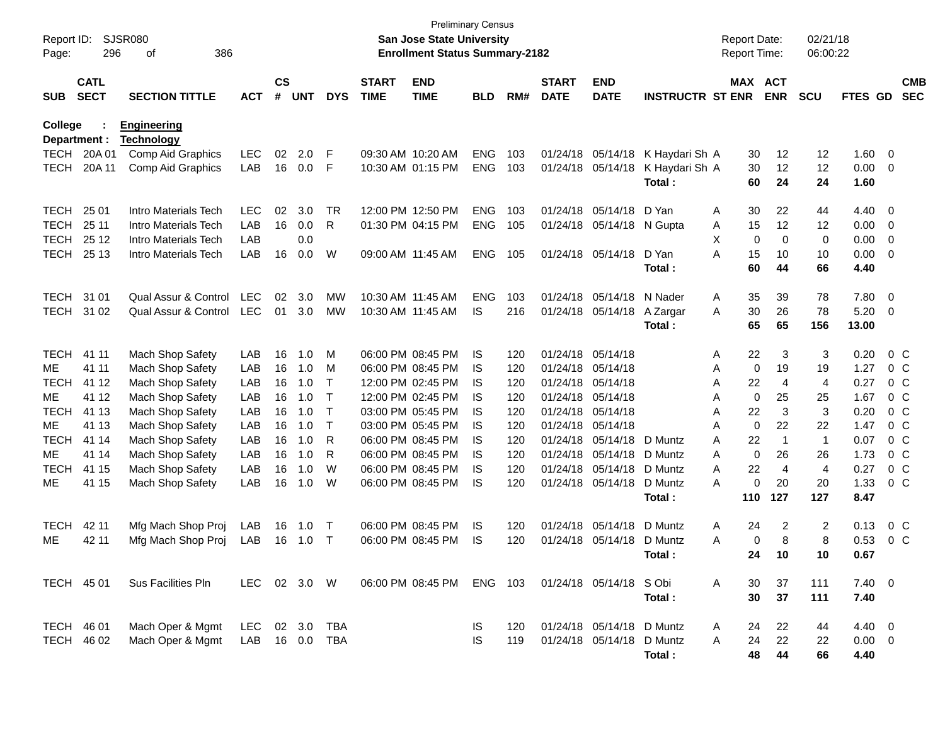| Report ID:<br>Page:     | 296                        | <b>SJSR080</b><br>386<br>οf             |              |                    |            |              |                             | <b>Preliminary Census</b><br>San Jose State University<br><b>Enrollment Status Summary-2182</b> |            |     |                             |                           |                          |   | <b>Report Date:</b><br>Report Time: |                | 02/21/18<br>06:00:22 |              |                         |                          |
|-------------------------|----------------------------|-----------------------------------------|--------------|--------------------|------------|--------------|-----------------------------|-------------------------------------------------------------------------------------------------|------------|-----|-----------------------------|---------------------------|--------------------------|---|-------------------------------------|----------------|----------------------|--------------|-------------------------|--------------------------|
| <b>SUB</b>              | <b>CATL</b><br><b>SECT</b> | <b>SECTION TITTLE</b>                   | <b>ACT</b>   | $\mathsf{cs}$<br># | <b>UNT</b> | <b>DYS</b>   | <b>START</b><br><b>TIME</b> | <b>END</b><br><b>TIME</b>                                                                       | <b>BLD</b> | RM# | <b>START</b><br><b>DATE</b> | <b>END</b><br><b>DATE</b> | <b>INSTRUCTR ST ENR</b>  |   | MAX ACT                             | <b>ENR</b>     | <b>SCU</b>           | FTES GD      |                         | <b>CMB</b><br><b>SEC</b> |
| College<br>Department : |                            | <b>Engineering</b><br><b>Technology</b> |              |                    |            |              |                             |                                                                                                 |            |     |                             |                           |                          |   |                                     |                |                      |              |                         |                          |
| TECH                    | 20A 01                     | Comp Aid Graphics                       | <b>LEC</b>   | 02                 | 2.0        | F            |                             | 09:30 AM 10:20 AM                                                                               | <b>ENG</b> | 103 | 01/24/18                    | 05/14/18                  | K Haydari Sh A           |   | 30                                  | 12             | 12                   | 1.60         | $\overline{\mathbf{0}}$ |                          |
| <b>TECH</b>             | 20A 11                     | Comp Aid Graphics                       | LAB          | 16                 | 0.0        | F            |                             | 10:30 AM 01:15 PM                                                                               | <b>ENG</b> | 103 | 01/24/18                    | 05/14/18                  | K Haydari Sh A<br>Total: |   | 30<br>60                            | 12<br>24       | 12<br>24             | 0.00<br>1.60 | $\overline{\mathbf{0}}$ |                          |
| <b>TECH</b>             | 25 01                      | Intro Materials Tech                    | <b>LEC</b>   | 02                 | 3.0        | TR           |                             | 12:00 PM 12:50 PM                                                                               | <b>ENG</b> | 103 | 01/24/18                    | 05/14/18                  | D Yan                    | Α | 30                                  | 22             | 44                   | 4.40         | 0                       |                          |
| <b>TECH</b>             | 25 11                      | Intro Materials Tech                    | LAB          | 16                 | 0.0        | R            |                             | 01:30 PM 04:15 PM                                                                               | <b>ENG</b> | 105 | 01/24/18                    | 05/14/18                  | N Gupta                  | A | 15                                  | 12             | 12                   | 0.00         | 0                       |                          |
| <b>TECH</b>             | 25 12                      | Intro Materials Tech                    | LAB          |                    | 0.0        |              |                             |                                                                                                 |            |     |                             |                           |                          | X | 0                                   | $\mathbf 0$    | 0                    | 0.00         | 0                       |                          |
| <b>TECH</b>             | 25 13                      | Intro Materials Tech                    | LAB          | 16                 | 0.0        | W            | 09:00 AM 11:45 AM           |                                                                                                 | <b>ENG</b> | 105 |                             | 01/24/18 05/14/18         | D Yan                    | A | 15                                  | 10             | 10                   | 0.00         | $\overline{0}$          |                          |
|                         |                            |                                         |              |                    |            |              |                             |                                                                                                 |            |     |                             |                           | Total:                   |   | 60                                  | 44             | 66                   | 4.40         |                         |                          |
| <b>TECH</b>             | 31 01                      | Qual Assur & Control                    | <b>LEC</b>   | 02                 | 3.0        | <b>MW</b>    | 10:30 AM 11:45 AM           |                                                                                                 | <b>ENG</b> | 103 | 01/24/18                    | 05/14/18                  | N Nader                  | Α | 35                                  | 39             | 78                   | 7.80         | $\overline{0}$          |                          |
| <b>TECH</b>             | 31 02                      | Qual Assur & Control                    | <b>LEC</b>   | 01                 | 3.0        | MW           |                             | 10:30 AM 11:45 AM                                                                               | IS         | 216 |                             | 01/24/18 05/14/18         | A Zargar                 | A | 30                                  | 26             | 78                   | 5.20         | $\overline{\mathbf{0}}$ |                          |
|                         |                            |                                         |              |                    |            |              |                             |                                                                                                 |            |     |                             |                           | Total:                   |   | 65                                  | 65             | 156                  | 13.00        |                         |                          |
| <b>TECH</b>             | 41 11                      | Mach Shop Safety                        | LAB          | 16                 | 1.0        | M            |                             | 06:00 PM 08:45 PM                                                                               | IS         | 120 | 01/24/18                    | 05/14/18                  |                          | Α | 22                                  | 3              | 3                    | 0.20         | 0 <sup>C</sup>          |                          |
| ME                      | 41 11                      | Mach Shop Safety                        | LAB          | 16                 | 1.0        | M            |                             | 06:00 PM 08:45 PM                                                                               | IS         | 120 | 01/24/18                    | 05/14/18                  |                          | Α | 0                                   | 19             | 19                   | 1.27         | 0 <sup>C</sup>          |                          |
| <b>TECH</b>             | 41 12                      | Mach Shop Safety                        | LAB          | 16                 | 1.0        | $\mathsf{T}$ |                             | 12:00 PM 02:45 PM                                                                               | IS         | 120 | 01/24/18                    | 05/14/18                  |                          | Α | 22                                  | $\overline{4}$ | $\overline{4}$       | 0.27         | 0 <sup>C</sup>          |                          |
| <b>ME</b>               | 41 12                      | Mach Shop Safety                        | LAB          | 16                 | 1.0        | $\mathsf{T}$ |                             | 12:00 PM 02:45 PM                                                                               | IS         | 120 | 01/24/18                    | 05/14/18                  |                          | Α | 0                                   | 25             | 25                   | 1.67         | 0 <sup>C</sup>          |                          |
| <b>TECH</b>             | 41 13                      | Mach Shop Safety                        | LAB          | 16                 | 1.0        | $\mathsf{T}$ |                             | 03:00 PM 05:45 PM                                                                               | IS         | 120 | 01/24/18                    | 05/14/18                  |                          | Α | 22                                  | 3              | 3                    | 0.20         | 0 <sup>C</sup>          |                          |
| <b>ME</b>               | 41 13                      | Mach Shop Safety                        | LAB          | 16                 | 1.0        | т            |                             | 03:00 PM 05:45 PM                                                                               | IS         | 120 | 01/24/18                    | 05/14/18                  |                          | A | $\mathbf 0$                         | 22             | 22                   | 1.47         | 0 <sup>C</sup>          |                          |
| <b>TECH</b>             | 41 14                      | Mach Shop Safety                        | LAB          | 16                 | 1.0        | R            |                             | 06:00 PM 08:45 PM                                                                               | IS         | 120 | 01/24/18                    | 05/14/18                  | D Muntz                  | A | 22                                  | $\overline{1}$ | $\mathbf{1}$         | 0.07         | 0 <sup>C</sup>          |                          |
| МE                      | 41 14                      | Mach Shop Safety                        | LAB          | 16                 | 1.0        | R            |                             | 06:00 PM 08:45 PM                                                                               | IS         | 120 | 01/24/18                    | 05/14/18                  | D Muntz                  | A | 0                                   | 26             | 26                   | 1.73         | 0 <sup>C</sup>          |                          |
| <b>TECH</b>             | 41 15                      | Mach Shop Safety                        | LAB          | 16                 | 1.0        | W            |                             | 06:00 PM 08:45 PM                                                                               | IS         | 120 | 01/24/18                    | 05/14/18                  | D Muntz                  | A | 22                                  | $\overline{4}$ | $\overline{4}$       | 0.27         | 0 <sup>C</sup>          |                          |
| ME                      | 41 15                      | Mach Shop Safety                        | LAB          | 16                 | 1.0        | W            |                             | 06:00 PM 08:45 PM                                                                               | IS         | 120 |                             | 01/24/18 05/14/18         | D Muntz                  | A | 0                                   | 20             | 20                   | 1.33         | 0 <sup>C</sup>          |                          |
|                         |                            |                                         |              |                    |            |              |                             |                                                                                                 |            |     |                             |                           | Total:                   |   | 110                                 | 127            | 127                  | 8.47         |                         |                          |
| <b>TECH</b>             | 42 11                      | Mfg Mach Shop Proj                      | LAB          | 16                 | 1.0        | Т            |                             | 06:00 PM 08:45 PM                                                                               | IS         | 120 | 01/24/18                    | 05/14/18                  | D Muntz                  | Α | 24                                  | 2              | 2                    | 0.13         | $0\,C$                  |                          |
| ME                      | 42 11                      | Mfg Mach Shop Proj                      | LAB          | 16                 | 1.0        | Т            |                             | 06:00 PM 08:45 PM                                                                               | IS         | 120 | 01/24/18                    | 05/14/18                  | D Muntz                  | A | 0                                   | 8              | 8                    | 0.53         | 0 <sup>C</sup>          |                          |
|                         |                            |                                         |              |                    |            |              |                             |                                                                                                 |            |     |                             |                           | Total:                   |   | 24                                  | 10             | 10                   | 0.67         |                         |                          |
| TECH 45 01              |                            | Sus Facilities Pln                      | LEC 02 3.0 W |                    |            |              |                             | 06:00 PM 08:45 PM                                                                               | ENG 103    |     |                             | 01/24/18 05/14/18 SObi    |                          | A | 30                                  | 37             | 111                  | $7.40 \ 0$   |                         |                          |
|                         |                            |                                         |              |                    |            |              |                             |                                                                                                 |            |     |                             |                           | Total:                   |   | 30                                  | 37             | 111                  | 7.40         |                         |                          |
| TECH 46 01              |                            | Mach Oper & Mgmt                        | <b>LEC</b>   |                    | 02 3.0     | TBA          |                             |                                                                                                 | IS.        | 120 |                             | 01/24/18 05/14/18 D Muntz |                          | A | 24                                  | 22             | 44                   | 4.40 0       |                         |                          |
| TECH 46 02              |                            | Mach Oper & Mgmt                        | LAB          |                    | 16 0.0     | <b>TBA</b>   |                             |                                                                                                 | <b>IS</b>  | 119 |                             | 01/24/18 05/14/18         | D Muntz                  | A | 24                                  | 22             | 22                   | $0.00 \t 0$  |                         |                          |
|                         |                            |                                         |              |                    |            |              |                             |                                                                                                 |            |     |                             |                           | Total:                   |   | 48                                  | 44             | 66                   | 4.40         |                         |                          |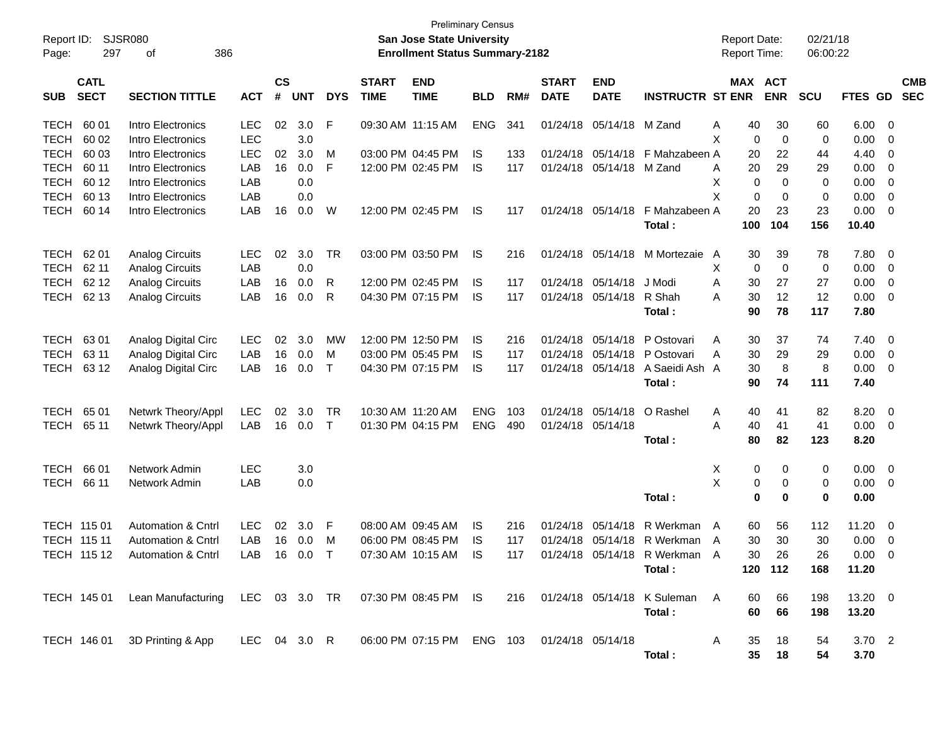| Report ID:<br>297<br>Page:               | <b>SJSR080</b><br>386<br>οf                                                                         |              |                    |            |            |                             | <b>Preliminary Census</b><br>San Jose State University<br><b>Enrollment Status Summary-2182</b> |            |     |                             |                           |                                 | <b>Report Date:</b><br><b>Report Time:</b> |     |                       | 02/21/18<br>06:00:22 |                |                         |                          |
|------------------------------------------|-----------------------------------------------------------------------------------------------------|--------------|--------------------|------------|------------|-----------------------------|-------------------------------------------------------------------------------------------------|------------|-----|-----------------------------|---------------------------|---------------------------------|--------------------------------------------|-----|-----------------------|----------------------|----------------|-------------------------|--------------------------|
| <b>CATL</b><br><b>SECT</b><br><b>SUB</b> | <b>SECTION TITTLE</b>                                                                               | <b>ACT</b>   | $\mathsf{cs}$<br># | <b>UNT</b> | <b>DYS</b> | <b>START</b><br><b>TIME</b> | <b>END</b><br><b>TIME</b>                                                                       | <b>BLD</b> | RM# | <b>START</b><br><b>DATE</b> | <b>END</b><br><b>DATE</b> | <b>INSTRUCTR ST ENR</b>         |                                            |     | MAX ACT<br><b>ENR</b> | <b>SCU</b>           | <b>FTES GD</b> |                         | <b>CMB</b><br><b>SEC</b> |
| <b>TECH</b><br>60 01                     | Intro Electronics                                                                                   | <b>LEC</b>   | 02                 | 3.0        | F          |                             | 09:30 AM 11:15 AM                                                                               | <b>ENG</b> | 341 |                             | 01/24/18 05/14/18 M Zand  |                                 | A                                          | 40  | 30                    | 60                   | 6.00           | - 0                     |                          |
| <b>TECH</b><br>60 02                     | Intro Electronics                                                                                   | <b>LEC</b>   |                    | 3.0        |            |                             |                                                                                                 |            |     |                             |                           |                                 | X                                          | 0   | $\mathbf 0$           | 0                    | 0.00           | 0                       |                          |
| <b>TECH</b><br>60 03                     | Intro Electronics                                                                                   | <b>LEC</b>   | 02                 | 3.0        | м          |                             | 03:00 PM 04:45 PM                                                                               | IS         | 133 |                             |                           | 01/24/18 05/14/18 F Mahzabeen A |                                            | 20  | 22                    | 44                   | 4.40           | 0                       |                          |
| <b>TECH</b><br>60 11                     | Intro Electronics                                                                                   | LAB          | 16                 | 0.0        | F          |                             | 12:00 PM 02:45 PM                                                                               | <b>IS</b>  | 117 |                             | 01/24/18 05/14/18 M Zand  |                                 | A                                          | 20  | 29                    | 29                   | 0.00           | 0                       |                          |
| <b>TECH</b><br>60 12                     | Intro Electronics                                                                                   | LAB          |                    | 0.0        |            |                             |                                                                                                 |            |     |                             |                           |                                 | X                                          | 0   | $\Omega$              | 0                    | 0.00           | 0                       |                          |
| <b>TECH</b><br>60 13                     | Intro Electronics                                                                                   | LAB          |                    | 0.0        |            |                             |                                                                                                 |            |     |                             |                           |                                 | X                                          | 0   | 0                     | 0                    | 0.00           | 0                       |                          |
| <b>TECH</b><br>60 14                     | Intro Electronics                                                                                   | LAB          | 16                 | 0.0        | W          |                             | 12:00 PM 02:45 PM                                                                               | IS         | 117 |                             | 01/24/18 05/14/18         | F Mahzabeen A                   |                                            | 20  | 23                    | 23                   | 0.00           | $\overline{0}$          |                          |
|                                          |                                                                                                     |              |                    |            |            |                             |                                                                                                 |            |     |                             |                           | Total:                          |                                            | 100 | 104                   | 156                  | 10.40          |                         |                          |
| 62 01<br><b>TECH</b>                     | <b>Analog Circuits</b>                                                                              | <b>LEC</b>   | 02                 | 3.0        | TR         |                             | 03:00 PM 03:50 PM                                                                               | IS         | 216 |                             | 01/24/18 05/14/18         | M Mortezaie A                   |                                            | 30  | 39                    | 78                   | 7.80           | 0                       |                          |
| <b>TECH</b><br>62 11                     | <b>Analog Circuits</b>                                                                              | LAB          |                    | 0.0        |            |                             |                                                                                                 |            |     |                             |                           |                                 | Х                                          | 0   | $\mathbf 0$           | 0                    | 0.00           | $\overline{\mathbf{0}}$ |                          |
| <b>TECH</b><br>62 12                     | <b>Analog Circuits</b>                                                                              | LAB          | 16                 | 0.0        | R          |                             | 12:00 PM 02:45 PM                                                                               | IS         | 117 |                             | 01/24/18 05/14/18         | J Modi                          | A                                          | 30  | 27                    | 27                   | 0.00           | 0                       |                          |
| 62 13<br><b>TECH</b>                     | <b>Analog Circuits</b>                                                                              | LAB          | 16                 | 0.0        | R          |                             | 04:30 PM 07:15 PM                                                                               | IS         | 117 |                             | 01/24/18 05/14/18         | R Shah                          | A                                          | 30  | 12                    | 12                   | 0.00           | $\overline{\mathbf{0}}$ |                          |
|                                          |                                                                                                     |              |                    |            |            |                             |                                                                                                 |            |     |                             |                           | Total:                          |                                            | 90  | 78                    | 117                  | 7.80           |                         |                          |
| 6301<br><b>TECH</b>                      | Analog Digital Circ                                                                                 | <b>LEC</b>   | 02                 | 3.0        | МW         |                             | 12:00 PM 12:50 PM                                                                               | IS         | 216 |                             | 01/24/18 05/14/18         | P Ostovari                      | A                                          | 30  | 37                    | 74                   | 7.40           | - 0                     |                          |
| <b>TECH</b><br>63 11                     | Analog Digital Circ                                                                                 | LAB          | 16                 | 0.0        | м          |                             | 03:00 PM 05:45 PM                                                                               | IS         | 117 | 01/24/18                    | 05/14/18                  | P Ostovari                      | A                                          | 30  | 29                    | 29                   | 0.00           | $\overline{\mathbf{0}}$ |                          |
| 63 12<br><b>TECH</b>                     | Analog Digital Circ                                                                                 | LAB          | 16                 | 0.0        | $\top$     |                             | 04:30 PM 07:15 PM                                                                               | IS         | 117 |                             | 01/24/18 05/14/18         | A Saeidi Ash A                  |                                            | 30  | 8                     | 8                    | 0.00           | $\overline{\mathbf{0}}$ |                          |
|                                          |                                                                                                     |              |                    |            |            |                             |                                                                                                 |            |     |                             |                           | Total:                          |                                            | 90  | 74                    | 111                  | 7.40           |                         |                          |
| 65 01<br><b>TECH</b>                     | Netwrk Theory/Appl                                                                                  | <b>LEC</b>   | 02                 | 3.0        | TR         |                             | 10:30 AM 11:20 AM                                                                               | <b>ENG</b> | 103 | 01/24/18                    | 05/14/18                  | O Rashel                        | A                                          | 40  | 41                    | 82                   | 8.20           | - 0                     |                          |
| <b>TECH</b><br>65 11                     | Netwrk Theory/Appl                                                                                  | LAB          | 16                 | 0.0        | $\top$     |                             | 01:30 PM 04:15 PM                                                                               | <b>ENG</b> | 490 | 01/24/18 05/14/18           |                           |                                 | A                                          | 40  | 41                    | 41                   | 0.00           | $\overline{\mathbf{0}}$ |                          |
|                                          |                                                                                                     |              |                    |            |            |                             |                                                                                                 |            |     |                             |                           | Total:                          |                                            | 80  | 82                    | 123                  | 8.20           |                         |                          |
| 66 01<br><b>TECH</b>                     | Network Admin                                                                                       | <b>LEC</b>   |                    | 3.0        |            |                             |                                                                                                 |            |     |                             |                           |                                 | Х                                          | 0   | 0                     | 0                    | 0.00           | $\overline{\mathbf{0}}$ |                          |
| <b>TECH</b><br>66 11                     | Network Admin                                                                                       | LAB          |                    | 0.0        |            |                             |                                                                                                 |            |     |                             |                           |                                 | X                                          | 0   | 0                     | 0                    | 0.00           | $\overline{\mathbf{0}}$ |                          |
|                                          |                                                                                                     |              |                    |            |            |                             |                                                                                                 |            |     |                             |                           | Total:                          |                                            | 0   | $\bf{0}$              | 0                    | 0.00           |                         |                          |
| <b>TECH 11501</b>                        | <b>Automation &amp; Cntrl</b>                                                                       | <b>LEC</b>   | 02                 | 3.0        | F          |                             | 08:00 AM 09:45 AM                                                                               | IS.        | 216 | 01/24/18                    | 05/14/18                  | R Werkman                       | A                                          | 60  | 56                    | 112                  | 11.20          | - 0                     |                          |
| TECH 115 11                              | <b>Automation &amp; Cntrl</b>                                                                       | LAB          | 16                 | 0.0        | M          |                             | 06:00 PM 08:45 PM                                                                               | IS         | 117 |                             |                           | 01/24/18 05/14/18 R Werkman A   |                                            | 30  | 30                    | 30                   | 0.00           | $\overline{\mathbf{0}}$ |                          |
|                                          | TECH 115 12 Automation & Cntrl LAB 16 0.0 T 07:30 AM 10:15 AM IS 117 01/24/18 05/14/18 R Werkman A  |              |                    |            |            |                             |                                                                                                 |            |     |                             |                           |                                 |                                            | 30  | 26                    | 26                   | $0.00 \t 0$    |                         |                          |
|                                          |                                                                                                     |              |                    |            |            |                             |                                                                                                 |            |     |                             |                           | Total:                          |                                            |     | 120 112               | 168                  | 11.20          |                         |                          |
|                                          | TECH 145 01 Lean Manufacturing LEC 03 3.0 TR 07:30 PM 08:45 PM IS 216 01/24/18 05/14/18 K Suleman A |              |                    |            |            |                             |                                                                                                 |            |     |                             |                           |                                 |                                            | 60  | 66                    | 198                  | 13.20 0        |                         |                          |
|                                          |                                                                                                     |              |                    |            |            |                             |                                                                                                 |            |     |                             |                           | Total:                          |                                            | 60  | 66                    | 198                  | 13.20          |                         |                          |
|                                          | TECH 146 01 3D Printing & App                                                                       | LEC 04 3.0 R |                    |            |            |                             | 06:00 PM 07:15 PM ENG 103 01/24/18 05/14/18                                                     |            |     |                             |                           |                                 | A                                          | 35  | 18                    | 54                   | $3.70$ 2       |                         |                          |
|                                          |                                                                                                     |              |                    |            |            |                             |                                                                                                 |            |     |                             |                           | Total:                          |                                            | 35  | 18                    | 54                   | 3.70           |                         |                          |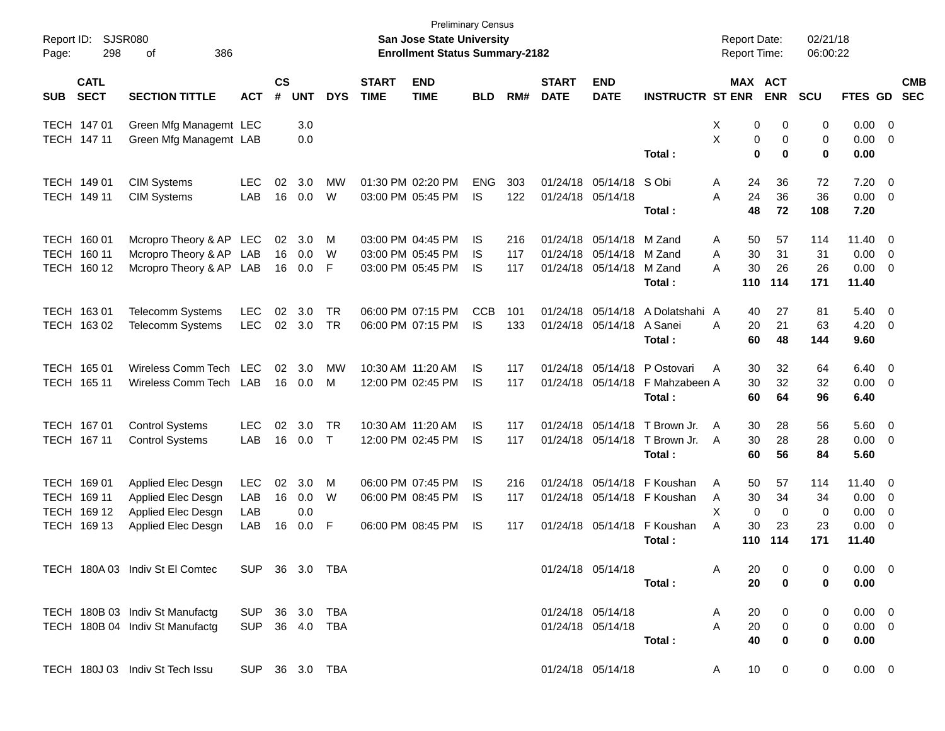| Report ID:<br>Page: | 298                        | SJSR080<br>386<br>оf                               |                |                |            |            |                             | San Jose State University<br><b>Enrollment Status Summary-2182</b> | <b>Preliminary Census</b> |            |                             |                               |                             | <b>Report Date:</b><br>Report Time: |               | 02/21/18<br>06:00:22 |                     |                          |                          |
|---------------------|----------------------------|----------------------------------------------------|----------------|----------------|------------|------------|-----------------------------|--------------------------------------------------------------------|---------------------------|------------|-----------------------------|-------------------------------|-----------------------------|-------------------------------------|---------------|----------------------|---------------------|--------------------------|--------------------------|
| <b>SUB</b>          | <b>CATL</b><br><b>SECT</b> | <b>SECTION TITTLE</b>                              | <b>ACT</b>     | <b>CS</b><br># | <b>UNT</b> | <b>DYS</b> | <b>START</b><br><b>TIME</b> | <b>END</b><br><b>TIME</b>                                          | <b>BLD</b>                | RM#        | <b>START</b><br><b>DATE</b> | <b>END</b><br><b>DATE</b>     | <b>INSTRUCTR ST ENR</b>     | <b>MAX ACT</b>                      | <b>ENR</b>    | SCU                  | FTES GD             |                          | <b>CMB</b><br><b>SEC</b> |
|                     | TECH 147 01                | Green Mfg Managemt LEC                             |                |                | 3.0        |            |                             |                                                                    |                           |            |                             |                               |                             | X<br>0                              | 0             | 0                    | $0.00 \t 0$         |                          |                          |
|                     | TECH 147 11                | Green Mfg Managemt LAB                             |                |                | 0.0        |            |                             |                                                                    |                           |            |                             |                               | Total:                      | X<br>0<br>$\bf{0}$                  | 0<br>$\bf{0}$ | 0<br>0               | $0.00 \t 0$<br>0.00 |                          |                          |
|                     |                            |                                                    |                |                |            |            |                             |                                                                    |                           |            |                             |                               |                             |                                     |               |                      |                     |                          |                          |
|                     | TECH 149 01                | <b>CIM Systems</b>                                 | <b>LEC</b>     | 02             | 3.0        | <b>MW</b>  |                             | 01:30 PM 02:20 PM                                                  | <b>ENG</b>                | 303        |                             | 01/24/18 05/14/18             | S Obi                       | 24<br>A                             | 36            | 72                   | 7.20                | - 0                      |                          |
|                     | TECH 149 11                | <b>CIM Systems</b>                                 | LAB            | 16             | 0.0        | W          |                             | 03:00 PM 05:45 PM                                                  | IS                        | 122        |                             | 01/24/18 05/14/18             | Total:                      | 24<br>A<br>48                       | 36<br>72      | 36<br>108            | $0.00 \t 0$<br>7.20 |                          |                          |
|                     |                            |                                                    |                |                |            |            |                             |                                                                    |                           |            |                             |                               |                             |                                     |               |                      |                     |                          |                          |
|                     | TECH 160 01<br>TECH 160 11 | Mcropro Theory & AP LEC                            |                | 02<br>16       | 3.0<br>0.0 | M<br>W     |                             | 03:00 PM 04:45 PM<br>03:00 PM 05:45 PM                             | IS<br>IS                  | 216<br>117 | 01/24/18                    | 01/24/18 05/14/18<br>05/14/18 | M Zand<br>M Zand            | 50<br>A<br>30<br>A                  | 57<br>31      | 114<br>31            | $11.40 \ 0$<br>0.00 | $\overline{\phantom{0}}$ |                          |
|                     | TECH 160 12                | Mcropro Theory & AP LAB<br>Mcropro Theory & AP LAB |                | 16             | 0.0        | F          |                             | 03:00 PM 05:45 PM                                                  | IS                        | 117        |                             | 01/24/18 05/14/18             | M Zand                      | 30<br>A                             | 26            | 26                   | $0.00 \t 0$         |                          |                          |
|                     |                            |                                                    |                |                |            |            |                             |                                                                    |                           |            |                             |                               | Total:                      | 110                                 | 114           | 171                  | 11.40               |                          |                          |
|                     | TECH 163 01                | <b>Telecomm Systems</b>                            | <b>LEC</b>     | 02             | 3.0        | <b>TR</b>  |                             | 06:00 PM 07:15 PM                                                  | <b>CCB</b>                | 101        |                             | 01/24/18 05/14/18             | A Dolatshahi A              | 40                                  | 27            | 81                   | $5.40 \ 0$          |                          |                          |
|                     | TECH 163 02                | <b>Telecomm Systems</b>                            | <b>LEC</b>     | 02             | 3.0        | <b>TR</b>  |                             | 06:00 PM 07:15 PM                                                  | IS                        | 133        |                             | 01/24/18 05/14/18 A Sanei     |                             | A<br>20                             | 21            | 63                   | 4.20                | $\overline{\phantom{0}}$ |                          |
|                     |                            |                                                    |                |                |            |            |                             |                                                                    |                           |            |                             |                               | Total:                      | 60                                  | 48            | 144                  | 9.60                |                          |                          |
|                     | TECH 165 01                | Wireless Comm Tech                                 | <b>LEC</b>     | 02             | 3.0        | МW         |                             | 10:30 AM 11:20 AM                                                  | IS                        | 117        |                             | 01/24/18 05/14/18             | P Ostovari                  | 30<br>A                             | 32            | 64                   | $6.40 \quad 0$      |                          |                          |
|                     | TECH 165 11                | Wireless Comm Tech                                 | LAB            | 16             | 0.0        | м          |                             | 12:00 PM 02:45 PM                                                  | IS                        | 117        |                             | 01/24/18 05/14/18             | F Mahzabeen A               | 30                                  | 32            | 32                   | $0.00 \t 0$         |                          |                          |
|                     |                            |                                                    |                |                |            |            |                             |                                                                    |                           |            |                             |                               | Total :                     | 60                                  | 64            | 96                   | 6.40                |                          |                          |
|                     | TECH 167 01                | <b>Control Systems</b>                             | <b>LEC</b>     | 02             | 3.0        | <b>TR</b>  |                             | 10:30 AM 11:20 AM                                                  | IS                        | 117        |                             | 01/24/18 05/14/18             | T Brown Jr.                 | 30<br>A                             | 28            | 56                   | $5.60$ 0            |                          |                          |
|                     | TECH 167 11                | <b>Control Systems</b>                             | LAB            | 16             | 0.0        | $\top$     |                             | 12:00 PM 02:45 PM                                                  | IS                        | 117        |                             | 01/24/18 05/14/18             | T Brown Jr.                 | 30<br>A                             | 28            | 28                   | $0.00 \t 0$         |                          |                          |
|                     |                            |                                                    |                |                |            |            |                             |                                                                    |                           |            |                             |                               | Total :                     | 60                                  | 56            | 84                   | 5.60                |                          |                          |
|                     | TECH 169 01                | Applied Elec Desgn                                 | <b>LEC</b>     | 02             | 3.0        | M          |                             | 06:00 PM 07:45 PM                                                  | IS                        | 216        |                             | 01/24/18 05/14/18             | F Koushan                   | 50<br>A                             | 57            | 114                  | $11.40 \ 0$         |                          |                          |
|                     | TECH 169 11                | Applied Elec Desgn                                 | LAB            | 16             | 0.0        | W          |                             | 06:00 PM 08:45 PM                                                  | <b>IS</b>                 | 117        |                             |                               | 01/24/18 05/14/18 F Koushan | 30<br>A                             | 34            | 34                   | $0.00 \t 0$         |                          |                          |
|                     | TECH 169 12                | Applied Elec Desgn                                 | LAB            |                | 0.0        |            |                             |                                                                    |                           |            |                             |                               |                             | X<br>$\mathbf 0$                    | $\mathbf 0$   | $\mathbf 0$          | 0.00                | 0                        |                          |
|                     | TECH 169 13                | Applied Elec Desgn                                 | LAB            | 16             | 0.0        | F          |                             | 06:00 PM 08:45 PM                                                  | <b>IS</b>                 | 117        |                             | 01/24/18 05/14/18             | F Koushan                   | 30<br>A                             | 23            | 23                   | 0.00                | - 0                      |                          |
|                     |                            |                                                    |                |                |            |            |                             |                                                                    |                           |            |                             |                               | Total :                     | 110                                 | 114           | 171                  | 11.40               |                          |                          |
|                     |                            | TECH 180A 03 Indiv St El Comtec                    | SUP 36 3.0 TBA |                |            |            |                             |                                                                    |                           |            |                             | 01/24/18 05/14/18             |                             | 20<br>A                             | 0             | 0                    | $0.00 \t 0$         |                          |                          |
|                     |                            |                                                    |                |                |            |            |                             |                                                                    |                           |            |                             |                               | Total:                      | 20                                  | $\bf{0}$      | 0                    | 0.00                |                          |                          |
|                     |                            | TECH 180B 03 Indiv St Manufactg                    | SUP            |                |            | 36 3.0 TBA |                             |                                                                    |                           |            |                             | 01/24/18 05/14/18             |                             | 20<br>A                             | 0             | 0                    | $0.00 \t 0$         |                          |                          |
|                     |                            | TECH 180B 04 Indiv St Manufactg                    | SUP 36 4.0 TBA |                |            |            |                             |                                                                    |                           |            |                             | 01/24/18 05/14/18             |                             | A<br>20                             | 0             | 0                    | $0.00 \t 0$         |                          |                          |
|                     |                            |                                                    |                |                |            |            |                             |                                                                    |                           |            |                             |                               | Total:                      | 40                                  | 0             | 0                    | 0.00                |                          |                          |
|                     |                            | TECH 180J 03 Indiv St Tech Issu                    | SUP 36 3.0 TBA |                |            |            |                             |                                                                    |                           |            |                             | 01/24/18 05/14/18             |                             | 10<br>A                             | 0             | 0                    | $0.00 \t 0$         |                          |                          |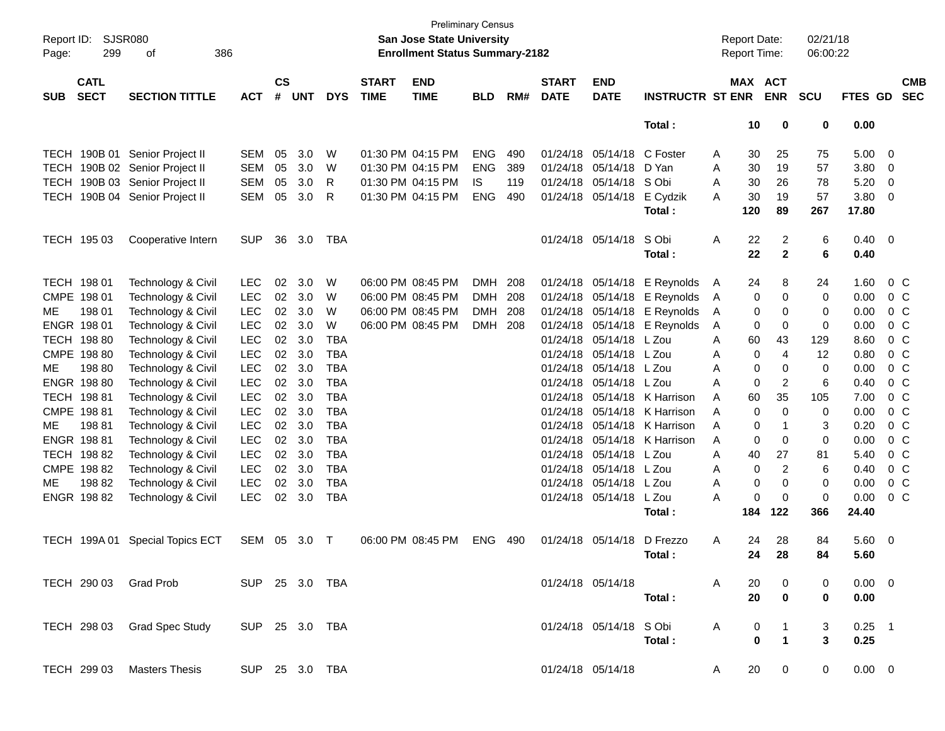| Page:       | Report ID: SJSR080<br>299<br>386<br>of<br><b>CATL</b> |                                         |                |                    |            |            |                             | <b>San Jose State University</b><br><b>Enrollment Status Summary-2182</b> | <b>Preliminary Census</b> |     |                             |                           |                              |              | <b>Report Date:</b><br><b>Report Time:</b> |                | 02/21/18<br>06:00:22 |                |                         |                          |
|-------------|-------------------------------------------------------|-----------------------------------------|----------------|--------------------|------------|------------|-----------------------------|---------------------------------------------------------------------------|---------------------------|-----|-----------------------------|---------------------------|------------------------------|--------------|--------------------------------------------|----------------|----------------------|----------------|-------------------------|--------------------------|
| <b>SUB</b>  | <b>SECT</b>                                           | <b>SECTION TITTLE</b>                   | <b>ACT</b>     | $\mathsf{cs}$<br># | <b>UNT</b> | <b>DYS</b> | <b>START</b><br><b>TIME</b> | <b>END</b><br><b>TIME</b>                                                 | <b>BLD</b>                | RM# | <b>START</b><br><b>DATE</b> | <b>END</b><br><b>DATE</b> | <b>INSTRUCTR ST ENR</b>      |              | MAX ACT                                    | <b>ENR</b>     | <b>SCU</b>           | FTES GD        |                         | <b>CMB</b><br><b>SEC</b> |
|             |                                                       |                                         |                |                    |            |            |                             |                                                                           |                           |     |                             |                           | Total:                       |              | 10                                         | 0              | 0                    | 0.00           |                         |                          |
|             | TECH 190B 01                                          | Senior Project II                       | <b>SEM</b>     | 05                 | 3.0        | W          |                             | 01:30 PM 04:15 PM                                                         | <b>ENG</b>                | 490 | 01/24/18                    | 05/14/18                  | C Foster                     | A            | 30                                         | 25             | 75                   | 5.00           | 0                       |                          |
| <b>TECH</b> |                                                       | 190B 02 Senior Project II               | <b>SEM</b>     | 05                 | 3.0        | W          |                             | 01:30 PM 04:15 PM                                                         | <b>ENG</b>                | 389 | 01/24/18                    | 05/14/18                  | D Yan                        | A            | 30                                         | 19             | 57                   | 3.80           | 0                       |                          |
| <b>TECH</b> |                                                       | 190B 03 Senior Project II               | <b>SEM</b>     | 05                 | 3.0        | R          |                             | 01:30 PM 04:15 PM                                                         | IS                        | 119 | 01/24/18                    | 05/14/18 S Obi            |                              | A            | 30                                         | 26             | 78                   | 5.20           | 0                       |                          |
| TECH        |                                                       | 190B 04 Senior Project II               | <b>SEM</b>     | 05                 | 3.0        | R          |                             | 01:30 PM 04:15 PM                                                         | <b>ENG</b>                | 490 | 01/24/18                    | 05/14/18                  | E Cydzik                     | A            | 30                                         | 19             | 57                   | 3.80           | 0                       |                          |
|             |                                                       |                                         |                |                    |            |            |                             |                                                                           |                           |     |                             |                           | Total:                       |              | 120                                        | 89             | 267                  | 17.80          |                         |                          |
|             | TECH 195 03                                           | Cooperative Intern                      | <b>SUP</b>     | 36                 | 3.0        | TBA        |                             |                                                                           |                           |     |                             | 01/24/18 05/14/18         | S Obi                        | Α            | 22                                         | $\overline{2}$ | 6                    | 0.40           | - 0                     |                          |
|             |                                                       |                                         |                |                    |            |            |                             |                                                                           |                           |     |                             |                           | Total:                       |              | 22                                         | $\mathbf{2}$   | 6                    | 0.40           |                         |                          |
|             | TECH 198 01                                           | Technology & Civil                      | <b>LEC</b>     | 02                 | 3.0        | W          |                             | 06:00 PM 08:45 PM                                                         | DMH 208                   |     |                             |                           | 01/24/18 05/14/18 E Reynolds | A            | 24                                         | 8              | 24                   | 1.60           |                         | $0\,C$                   |
|             | CMPE 198 01                                           | Technology & Civil                      | <b>LEC</b>     | 02                 | 3.0        | W          |                             | 06:00 PM 08:45 PM                                                         | <b>DMH</b>                | 208 | 01/24/18                    |                           | $05/14/18$ E Reynolds        | A            | 0                                          | 0              | 0                    | 0.00           |                         | $0\,C$                   |
| МE          | 198 01                                                | Technology & Civil                      | <b>LEC</b>     | 02                 | 3.0        | W          |                             | 06:00 PM 08:45 PM                                                         | <b>DMH</b>                | 208 | 01/24/18                    |                           | 05/14/18 E Reynolds          | A            | 0                                          | 0              | 0                    | 0.00           |                         | 0 <sup>C</sup>           |
|             | ENGR 198 01                                           | Technology & Civil                      | <b>LEC</b>     | $02\,$             | 3.0        | W          |                             | 06:00 PM 08:45 PM                                                         | DMH 208                   |     | 01/24/18                    |                           | $05/14/18$ E Reynolds        | A            | 0                                          | 0              | 0                    | 0.00           |                         | 0 <sup>o</sup>           |
|             | TECH 198 80                                           | Technology & Civil                      | <b>LEC</b>     | 02 <sub>o</sub>    | 3.0        | <b>TBA</b> |                             |                                                                           |                           |     | 01/24/18                    | 05/14/18 L Zou            |                              | A            | 60                                         | 43             | 129                  | 8.60           |                         | 0 <sub>C</sub>           |
|             | CMPE 198 80                                           | Technology & Civil                      | <b>LEC</b>     | $02\,$             | 3.0        | <b>TBA</b> |                             |                                                                           |                           |     | 01/24/18                    | 05/14/18 L Zou            |                              | A            | 0                                          | 4              | 12                   | 0.80           |                         | 0 <sub>C</sub>           |
| МE          | 198 80                                                | Technology & Civil                      | <b>LEC</b>     | $02\,$             | 3.0        | <b>TBA</b> |                             |                                                                           |                           |     | 01/24/18                    | 05/14/18 L Zou            |                              | A            | 0                                          | 0              | 0                    | 0.00           |                         | 0 <sub>C</sub>           |
|             | ENGR 198 80                                           | Technology & Civil                      | <b>LEC</b>     | 02 <sub>o</sub>    | 3.0        | <b>TBA</b> |                             |                                                                           |                           |     | 01/24/18                    | 05/14/18 L Zou            |                              | A            | 0                                          | $\overline{2}$ | 6                    | 0.40           |                         | 0 <sub>C</sub>           |
|             | TECH 198 81                                           | Technology & Civil                      | <b>LEC</b>     | 02 <sub>o</sub>    | 3.0        | <b>TBA</b> |                             |                                                                           |                           |     | 01/24/18                    |                           | 05/14/18 K Harrison          | A            | 60                                         | 35             | 105                  | 7.00           |                         | 0 <sub>C</sub>           |
|             | CMPE 198 81                                           | Technology & Civil                      | <b>LEC</b>     | $02\,$             | 3.0        | <b>TBA</b> |                             |                                                                           |                           |     | 01/24/18                    |                           | 05/14/18 K Harrison          | A            | 0                                          | $\mathbf 0$    | 0                    | 0.00           |                         | 0 <sub>C</sub>           |
| МE          | 19881                                                 | Technology & Civil                      | <b>LEC</b>     | 02 <sub>o</sub>    | 3.0        | <b>TBA</b> |                             |                                                                           |                           |     | 01/24/18                    |                           | 05/14/18 K Harrison          | A            | 0                                          | $\mathbf 1$    | 3                    | 0.20           |                         | 0 <sub>C</sub>           |
|             | ENGR 198 81                                           | Technology & Civil                      | <b>LEC</b>     | 02 <sub>o</sub>    | 3.0        | <b>TBA</b> |                             |                                                                           |                           |     | 01/24/18                    |                           | 05/14/18 K Harrison          | A            | 0                                          | $\mathbf 0$    | 0                    | 0.00           |                         | 0 <sub>C</sub>           |
|             | TECH 198 82                                           | Technology & Civil                      | <b>LEC</b>     | 02                 | 3.0        | <b>TBA</b> |                             |                                                                           |                           |     | 01/24/18                    | 05/14/18 L Zou            |                              | A            | 40                                         | 27             | 81                   | 5.40           |                         | 0 <sub>C</sub>           |
|             | CMPE 198 82                                           | Technology & Civil                      | <b>LEC</b>     | 02                 | 3.0        | <b>TBA</b> |                             |                                                                           |                           |     | 01/24/18                    | 05/14/18 L Zou            |                              | A            | 0                                          | 2              | 6                    | 0.40           |                         | 0 <sub>C</sub>           |
| МE          | 19882                                                 | Technology & Civil                      | <b>LEC</b>     | 02                 | 3.0        | <b>TBA</b> |                             |                                                                           |                           |     | 01/24/18                    | 05/14/18 L Zou            |                              | A            | 0                                          | $\mathbf 0$    | 0                    | 0.00           |                         | 0 <sub>C</sub>           |
|             | ENGR 198 82                                           | Technology & Civil                      | <b>LEC</b>     | 02 <sub>o</sub>    | 3.0        | <b>TBA</b> |                             |                                                                           |                           |     |                             | 01/24/18 05/14/18 L Zou   |                              | Α            | 0                                          | $\mathbf 0$    | 0                    | 0.00           |                         | 0 <sub>C</sub>           |
|             |                                                       |                                         |                |                    |            |            |                             |                                                                           |                           |     |                             |                           |                              |              | 184                                        | 122            | 366                  | 24.40          |                         |                          |
|             |                                                       |                                         |                |                    |            |            |                             |                                                                           |                           |     |                             |                           | Total:                       |              |                                            |                |                      |                |                         |                          |
|             |                                                       | TECH 199A 01 Special Topics ECT         | SEM 05         |                    | 3.0        | $\top$     |                             | 06:00 PM 08:45 PM                                                         | <b>ENG</b>                | 490 |                             | 01/24/18 05/14/18         | D Frezzo                     | A            | 24                                         | 28             | 84                   | 5.60           | $\overline{\mathbf{0}}$ |                          |
|             |                                                       |                                         |                |                    |            |            |                             |                                                                           |                           |     |                             |                           | Total:                       |              | 24                                         | 28             | 84                   | 5.60           |                         |                          |
|             |                                                       | TECH 290 03 Grad Prob<br>SUP 25 3.0 TBA |                |                    |            |            |                             |                                                                           |                           |     |                             | 01/24/18 05/14/18         |                              | $\mathsf{A}$ | 20                                         | 0              |                      | $0.00 \quad 0$ |                         |                          |
|             |                                                       |                                         |                |                    |            |            |                             |                                                                           |                           |     |                             |                           | Total:                       |              | 20                                         | $\mathbf 0$    | 0                    | 0.00           |                         |                          |
|             |                                                       | TECH 298 03 Grad Spec Study             | SUP 25 3.0 TBA |                    |            |            |                             |                                                                           |                           |     |                             | 01/24/18 05/14/18 SObi    |                              | A            | $\mathbf 0$                                | $\mathbf{1}$   | 3                    | $0.25$ 1       |                         |                          |
|             |                                                       |                                         |                |                    |            |            |                             |                                                                           |                           |     |                             |                           | Total:                       |              | $\bf{0}$                                   | $\mathbf{1}$   | 3                    | 0.25           |                         |                          |
|             |                                                       | TECH 299 03 Masters Thesis              | SUP 25 3.0 TBA |                    |            |            |                             |                                                                           |                           |     |                             | 01/24/18 05/14/18         |                              | A            | 20                                         | $\mathbf 0$    | $\mathbf 0$          | $0.00 \t 0$    |                         |                          |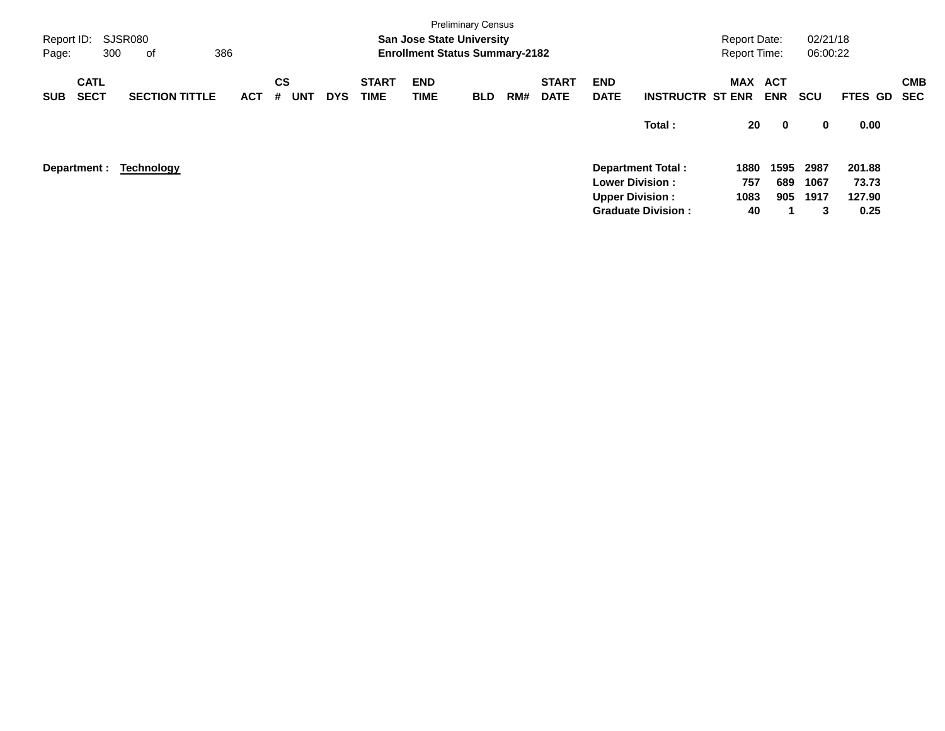| Report ID:<br>Page: | 300                        | <b>SJSR080</b><br>οf  | 386        |                              |            |                             | <b>San Jose State University</b><br><b>Enrollment Status Summary-2182</b> | <b>Preliminary Census</b> |     |                             |                                                  |                           | <b>Report Date:</b><br><b>Report Time:</b> |                          | 02/21/18<br>06:00:22 |                 |                          |
|---------------------|----------------------------|-----------------------|------------|------------------------------|------------|-----------------------------|---------------------------------------------------------------------------|---------------------------|-----|-----------------------------|--------------------------------------------------|---------------------------|--------------------------------------------|--------------------------|----------------------|-----------------|--------------------------|
| <b>SUB</b>          | <b>CATL</b><br><b>SECT</b> | <b>SECTION TITTLE</b> | <b>ACT</b> | <b>CS</b><br>#<br><b>UNT</b> | <b>DYS</b> | <b>START</b><br><b>TIME</b> | <b>END</b><br>TIME                                                        | <b>BLD</b>                | RM# | <b>START</b><br><b>DATE</b> | <b>END</b><br><b>DATE</b>                        | <b>INSTRUCTR ST ENR</b>   | <b>MAX</b>                                 | <b>ACT</b><br><b>ENR</b> | <b>SCU</b>           | <b>FTES GD</b>  | <b>CMB</b><br><b>SEC</b> |
|                     |                            |                       |            |                              |            |                             |                                                                           |                           |     |                             |                                                  | Total:                    | 20                                         | $\bf{0}$                 | 0                    | 0.00            |                          |
|                     | Department :               | <b>Technology</b>     |            |                              |            |                             |                                                                           |                           |     |                             |                                                  | Department Total:         | 1880                                       | 1595                     | 2987                 | 201.88          |                          |
|                     |                            |                       |            |                              |            |                             |                                                                           |                           |     |                             | <b>Lower Division:</b><br><b>Upper Division:</b> |                           | 757<br>1083                                | 689<br>905               | 1067<br>1917         | 73.73<br>127.90 |                          |
|                     |                            |                       |            |                              |            |                             |                                                                           |                           |     |                             |                                                  | <b>Graduate Division:</b> | 40                                         |                          | 3                    | 0.25            |                          |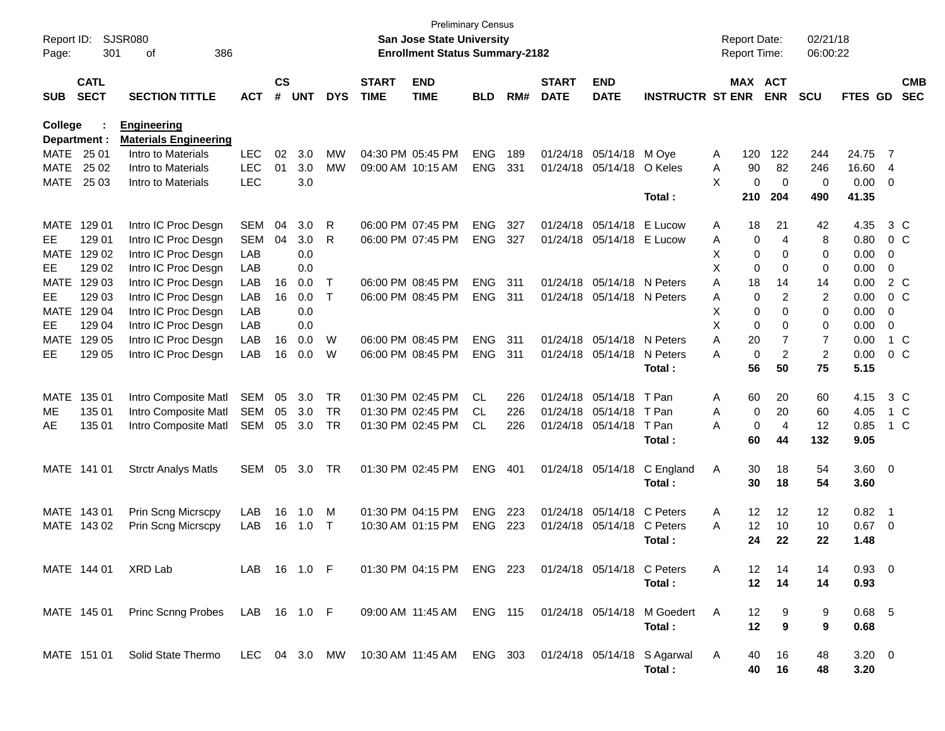| Report ID:<br>Page:        | 301                        | SJSR080<br>386<br>οf                               |              |                    |            |              |                             | <b>San Jose State University</b><br><b>Enrollment Status Summary-2182</b> | <b>Preliminary Census</b> |            |                             |                           |                                                                     |        | <b>Report Date:</b><br><b>Report Time:</b> |                | 02/21/18<br>06:00:22 |                |                            |                          |
|----------------------------|----------------------------|----------------------------------------------------|--------------|--------------------|------------|--------------|-----------------------------|---------------------------------------------------------------------------|---------------------------|------------|-----------------------------|---------------------------|---------------------------------------------------------------------|--------|--------------------------------------------|----------------|----------------------|----------------|----------------------------|--------------------------|
| <b>SUB</b>                 | <b>CATL</b><br><b>SECT</b> | <b>SECTION TITTLE</b>                              | <b>ACT</b>   | $\mathsf{cs}$<br># | <b>UNT</b> | <b>DYS</b>   | <b>START</b><br><b>TIME</b> | <b>END</b><br><b>TIME</b>                                                 | <b>BLD</b>                | RM#        | <b>START</b><br><b>DATE</b> | <b>END</b><br><b>DATE</b> | <b>INSTRUCTR ST ENR</b>                                             |        | MAX ACT                                    | <b>ENR</b>     | <b>SCU</b>           | FTES GD        |                            | <b>CMB</b><br><b>SEC</b> |
| College                    |                            | <b>Engineering</b>                                 |              |                    |            |              |                             |                                                                           |                           |            |                             |                           |                                                                     |        |                                            |                |                      |                |                            |                          |
|                            | Department :               | <b>Materials Engineering</b><br>Intro to Materials | <b>LEC</b>   |                    |            | <b>MW</b>    |                             |                                                                           |                           |            |                             |                           |                                                                     |        |                                            |                |                      |                |                            |                          |
| <b>MATE</b><br><b>MATE</b> | 25 01<br>25 02             | Intro to Materials                                 | <b>LEC</b>   | 02<br>01           | 3.0<br>3.0 | MW           |                             | 04:30 PM 05:45 PM<br>09:00 AM 10:15 AM                                    | <b>ENG</b><br><b>ENG</b>  | 189<br>331 | 01/24/18<br>01/24/18        | 05/14/18<br>05/14/18      | M Ove<br>O Keles                                                    | A<br>A | 120<br>90                                  | 122<br>82      | 244<br>246           | 24.75<br>16.60 | - 7                        |                          |
| <b>MATE</b>                | 25 03                      | Intro to Materials                                 | <b>LEC</b>   |                    | 3.0        |              |                             |                                                                           |                           |            |                             |                           |                                                                     | X      | 0                                          | 0              | 0                    | 0.00           | 4<br>0                     |                          |
|                            |                            |                                                    |              |                    |            |              |                             |                                                                           |                           |            |                             |                           | Total:                                                              |        | 210                                        | 204            | 490                  | 41.35          |                            |                          |
| <b>MATE</b>                | 129 01                     | Intro IC Proc Desgn                                | <b>SEM</b>   | 04                 | 3.0        | R            |                             | 06:00 PM 07:45 PM                                                         | <b>ENG</b>                | 327        | 01/24/18                    | 05/14/18                  | E Lucow                                                             | A      | 18                                         | 21             | 42                   | 4.35           |                            | $3\,C$                   |
| <b>EE</b>                  | 129 01                     | Intro IC Proc Desgn                                | <b>SEM</b>   | 04                 | 3.0        | R            |                             | 06:00 PM 07:45 PM                                                         | <b>ENG</b>                | 327        | 01/24/18                    | 05/14/18                  | E Lucow                                                             | A      | 0                                          | $\overline{4}$ | 8                    | 0.80           |                            | 0 <sup>C</sup>           |
| <b>MATE</b>                | 129 02                     | Intro IC Proc Desgn                                | LAB          |                    | 0.0        |              |                             |                                                                           |                           |            |                             |                           |                                                                     | X      | 0                                          | 0              | 0                    | 0.00           | 0                          |                          |
| EE                         | 129 02                     | Intro IC Proc Desgn                                | LAB          |                    | 0.0        |              |                             |                                                                           |                           |            |                             |                           |                                                                     | X      | 0                                          | 0              | 0                    | 0.00           | $\mathbf 0$                |                          |
| <b>MATE</b>                | 129 03                     | Intro IC Proc Desgn                                | LAB          | 16                 | 0.0        | $\mathsf{T}$ |                             | 06:00 PM 08:45 PM                                                         | <b>ENG</b>                | 311        | 01/24/18                    | 05/14/18                  | N Peters                                                            | A      | 18                                         | 14             | 14                   | 0.00           |                            | 2 C                      |
| <b>EE</b>                  | 129 03                     | Intro IC Proc Desgn                                | LAB          | 16                 | 0.0        | $\mathsf{T}$ |                             | 06:00 PM 08:45 PM                                                         | <b>ENG</b>                | 311        | 01/24/18                    | 05/14/18                  | N Peters                                                            | A      | 0                                          | $\overline{c}$ | $\overline{2}$       | 0.00           |                            | 0 <sup>C</sup>           |
| <b>MATE</b>                | 129 04                     | Intro IC Proc Desgn                                | LAB          |                    | 0.0        |              |                             |                                                                           |                           |            |                             |                           |                                                                     | X      | 0                                          | 0              | 0                    | 0.00           | 0                          |                          |
| <b>EE</b>                  | 129 04                     | Intro IC Proc Desgn                                | <b>LAB</b>   |                    | 0.0        |              |                             |                                                                           |                           |            |                             |                           |                                                                     | X      | 0                                          | 0              | 0                    | 0.00           | $\mathbf 0$                |                          |
| <b>MATE</b>                | 129 05                     | Intro IC Proc Desgn                                | LAB          | 16                 | 0.0        | W            |                             | 06:00 PM 08:45 PM                                                         | <b>ENG</b>                | 311        | 01/24/18                    | 05/14/18                  | N Peters                                                            | A      | 20                                         | 7              | $\overline{7}$       | 0.00           |                            | $1\,C$                   |
| EE                         | 129 05                     | Intro IC Proc Desgn                                | LAB          | 16                 | 0.0        | W            |                             | 06:00 PM 08:45 PM                                                         | <b>ENG</b>                | 311        | 01/24/18                    | 05/14/18                  | N Peters                                                            | А      | 0                                          | $\overline{c}$ | $\overline{2}$       | 0.00           |                            | 0 <sup>C</sup>           |
|                            |                            |                                                    |              |                    |            |              |                             |                                                                           |                           |            |                             |                           | Total:                                                              |        | 56                                         | 50             | 75                   | 5.15           |                            |                          |
| <b>MATE</b>                | 135 01                     | Intro Composite Matl                               | <b>SEM</b>   | 05                 | 3.0        | <b>TR</b>    |                             | 01:30 PM 02:45 PM                                                         | CL.                       | 226        | 01/24/18                    | 05/14/18                  | T Pan                                                               | Α      | 60                                         | 20             | 60                   | 4.15           |                            | $3\,C$                   |
| ME                         | 135 01                     | Intro Composite Matl                               | <b>SEM</b>   | 05                 | 3.0        | <b>TR</b>    |                             | 01:30 PM 02:45 PM                                                         | CL                        | 226        | 01/24/18                    | 05/14/18                  | T Pan                                                               | A      | 0                                          | 20             | 60                   | 4.05           |                            | 1 C                      |
| AE                         | 135 01                     | Intro Composite Matl                               | <b>SEM</b>   | 05                 | 3.0        | <b>TR</b>    |                             | 01:30 PM 02:45 PM                                                         | <b>CL</b>                 | 226        | 01/24/18                    | 05/14/18                  | T Pan                                                               | А      | 0                                          | $\overline{4}$ | 12                   | 0.85           |                            | 1 C                      |
|                            |                            |                                                    |              |                    |            |              |                             |                                                                           |                           |            |                             |                           | Total:                                                              |        | 60                                         | 44             | 132                  | 9.05           |                            |                          |
|                            | MATE 141 01                | <b>Strctr Analys Matls</b>                         | <b>SEM</b>   | 05                 | 3.0        | <b>TR</b>    |                             | 01:30 PM 02:45 PM                                                         | <b>ENG</b>                | 401        |                             | 01/24/18 05/14/18         | C England                                                           | Α      | 30                                         | 18             | 54                   | 3.60           | $\overline{\mathbf{0}}$    |                          |
|                            |                            |                                                    |              |                    |            |              |                             |                                                                           |                           |            |                             |                           | Total:                                                              |        | 30                                         | 18             | 54                   | 3.60           |                            |                          |
| <b>MATE</b>                | 14301                      | Prin Scng Micrscpy                                 | LAB          | 16                 | 1.0        | M            |                             | 01:30 PM 04:15 PM                                                         | <b>ENG</b>                | 223        | 01/24/18                    | 05/14/18                  | C Peters                                                            | A      | 12                                         | 12             | 12                   | 0.82           | $\overline{\phantom{0}}$ 1 |                          |
|                            | MATE 143 02                | Prin Scng Micrscpy                                 | LAB          | 16                 | 1.0        | $\top$       |                             | 10:30 AM 01:15 PM                                                         | <b>ENG</b>                | 223        | 01/24/18                    | 05/14/18                  | C Peters                                                            | A      | 12                                         | 10             | 10                   | 0.67           | $\overline{0}$             |                          |
|                            |                            |                                                    |              |                    |            |              |                             |                                                                           |                           |            |                             |                           | Total:                                                              |        | 24                                         | 22             | 22                   | 1.48           |                            |                          |
|                            |                            | MATE 144 01 XRD Lab                                | LAB 16 1.0 F |                    |            |              |                             | 01:30 PM 04:15 PM ENG 223                                                 |                           |            | 01/24/18 05/14/18 C Peters  |                           |                                                                     | A      | 12                                         | 14             | 14                   | $0.93 \quad 0$ |                            |                          |
|                            |                            |                                                    |              |                    |            |              |                             |                                                                           |                           |            |                             |                           | Total:                                                              |        | 12                                         | 14             | 14                   | 0.93           |                            |                          |
|                            |                            | MATE 145 01 Princ Scnng Probes LAB 16 1.0 F        |              |                    |            |              |                             |                                                                           |                           |            |                             |                           | 09:00 AM 11:45 AM ENG 115 01/24/18 05/14/18 M Goedert               | A      | 12                                         | 9              | 9                    | $0.68$ 5       |                            |                          |
|                            |                            |                                                    |              |                    |            |              |                             |                                                                           |                           |            |                             |                           | Total:                                                              |        | 12                                         | 9              | 9                    | 0.68           |                            |                          |
|                            |                            |                                                    |              |                    |            |              |                             |                                                                           |                           |            |                             |                           |                                                                     |        |                                            |                |                      |                |                            |                          |
|                            |                            | MATE 151 01 Solid State Thermo                     |              |                    |            |              |                             |                                                                           |                           |            |                             |                           | LEC 04 3.0 MW 10:30 AM 11:45 AM ENG 303 01/24/18 05/14/18 S Agarwal | A      | 40                                         | 16             | 48                   | $3.20 \ 0$     |                            |                          |
|                            |                            |                                                    |              |                    |            |              |                             |                                                                           |                           |            |                             |                           | Total:                                                              |        | 40                                         | 16             | 48                   | 3.20           |                            |                          |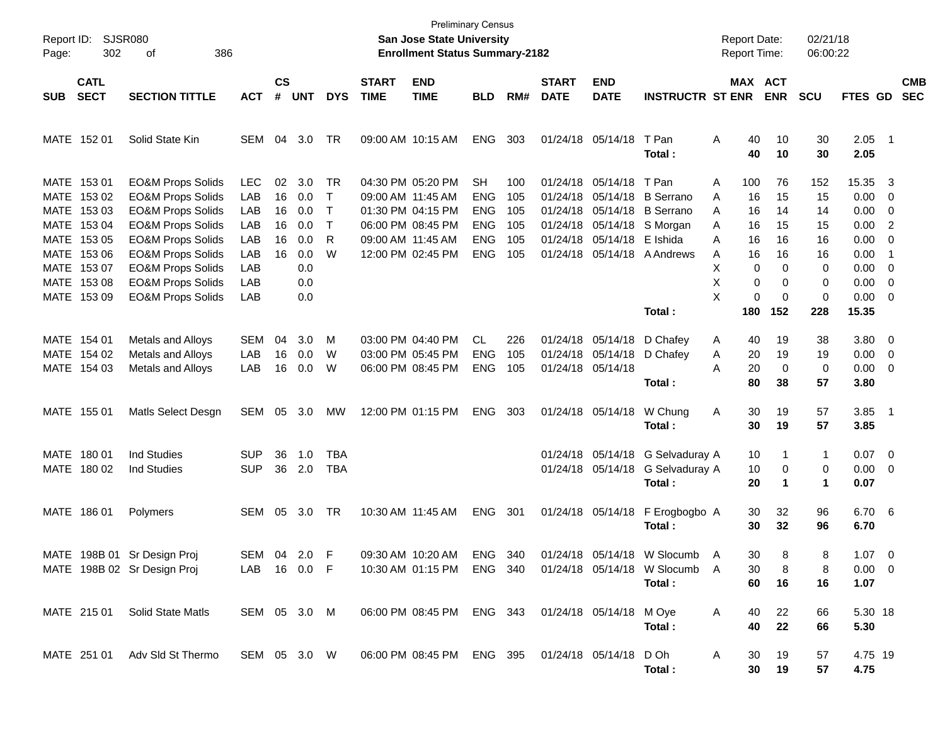| Report ID:<br>302<br>Page:                                                                                                          | SJSR080<br>386<br>оf                                                                                                                                                                                                                                                                         |                                                                    |                                  |                                                             |                                                                         |                             | <b>San Jose State University</b><br><b>Enrollment Status Summary-2182</b>                                                  | <b>Preliminary Census</b>                                                       |                                        |                                                          |                                                                                                    |                                                                                                        | <b>Report Date:</b><br><b>Report Time:</b>                                                                  |                                                                                | 02/21/18<br>06:00:22                                                               |                                                                                              |                                                                                                                                   |
|-------------------------------------------------------------------------------------------------------------------------------------|----------------------------------------------------------------------------------------------------------------------------------------------------------------------------------------------------------------------------------------------------------------------------------------------|--------------------------------------------------------------------|----------------------------------|-------------------------------------------------------------|-------------------------------------------------------------------------|-----------------------------|----------------------------------------------------------------------------------------------------------------------------|---------------------------------------------------------------------------------|----------------------------------------|----------------------------------------------------------|----------------------------------------------------------------------------------------------------|--------------------------------------------------------------------------------------------------------|-------------------------------------------------------------------------------------------------------------|--------------------------------------------------------------------------------|------------------------------------------------------------------------------------|----------------------------------------------------------------------------------------------|-----------------------------------------------------------------------------------------------------------------------------------|
| <b>CATL</b><br><b>SECT</b><br><b>SUB</b>                                                                                            | <b>SECTION TITTLE</b>                                                                                                                                                                                                                                                                        | <b>ACT</b>                                                         | $\mathsf{cs}$<br>#               | UNT                                                         | <b>DYS</b>                                                              | <b>START</b><br><b>TIME</b> | <b>END</b><br><b>TIME</b>                                                                                                  | <b>BLD</b>                                                                      | RM#                                    | <b>START</b><br><b>DATE</b>                              | <b>END</b><br><b>DATE</b>                                                                          | <b>INSTRUCTR ST ENR</b>                                                                                |                                                                                                             | <b>MAX ACT</b><br><b>ENR</b>                                                   | <b>SCU</b>                                                                         | FTES GD                                                                                      | <b>CMB</b><br><b>SEC</b>                                                                                                          |
| MATE 152 01                                                                                                                         | Solid State Kin                                                                                                                                                                                                                                                                              | <b>SEM</b>                                                         | 04                               | 3.0                                                         | TR                                                                      |                             | 09:00 AM 10:15 AM                                                                                                          | <b>ENG</b>                                                                      | 303                                    |                                                          | 01/24/18 05/14/18                                                                                  | T Pan<br>Total:                                                                                        | 40<br>Α<br>40                                                                                               | 10<br>10                                                                       | 30<br>30                                                                           | $2.05$ 1<br>2.05                                                                             |                                                                                                                                   |
| MATE 153 01<br>MATE 153 02<br>MATE 153 03<br>MATE 153 04<br>MATE 153 05<br>MATE 153 06<br>MATE 153 07<br>MATE 153 08<br>MATE 153 09 | <b>EO&amp;M Props Solids</b><br><b>EO&amp;M Props Solids</b><br><b>EO&amp;M Props Solids</b><br><b>EO&amp;M Props Solids</b><br><b>EO&amp;M Props Solids</b><br><b>EO&amp;M Props Solids</b><br><b>EO&amp;M Props Solids</b><br><b>EO&amp;M Props Solids</b><br><b>EO&amp;M Props Solids</b> | <b>LEC</b><br>LAB<br>LAB<br>LAB<br>LAB<br>LAB<br>LAB<br>LAB<br>LAB | 02<br>16<br>16<br>16<br>16<br>16 | 3.0<br>0.0<br>0.0<br>0.0<br>0.0<br>0.0<br>0.0<br>0.0<br>0.0 | TR<br>$\mathsf{T}$<br>$\mathsf{T}$<br>$\mathsf{T}$<br>$\mathsf{R}$<br>W |                             | 04:30 PM 05:20 PM<br>09:00 AM 11:45 AM<br>01:30 PM 04:15 PM<br>06:00 PM 08:45 PM<br>09:00 AM 11:45 AM<br>12:00 PM 02:45 PM | <b>SH</b><br><b>ENG</b><br><b>ENG</b><br><b>ENG</b><br><b>ENG</b><br><b>ENG</b> | 100<br>105<br>105<br>105<br>105<br>105 | 01/24/18<br>01/24/18<br>01/24/18<br>01/24/18<br>01/24/18 | 05/14/18 T Pan<br>05/14/18 E Ishida                                                                | 05/14/18 B Serrano<br>05/14/18 B Serrano<br>05/14/18 S Morgan<br>01/24/18 05/14/18 A Andrews<br>Total: | 100<br>A<br>16<br>A<br>A<br>16<br>16<br>A<br>16<br>A<br>16<br>Α<br>X<br>$\Omega$<br>X<br>0<br>X<br>0<br>180 | 76<br>15<br>14<br>15<br>16<br>16<br>$\Omega$<br>$\Omega$<br>$\mathbf 0$<br>152 | 152<br>15<br>14<br>15<br>16<br>16<br>$\Omega$<br>$\mathbf 0$<br>$\mathbf 0$<br>228 | 15.35<br>$0.00 \t 0$<br>0.00<br>0.00<br>0.00<br>0.00<br>0.00<br>0.00<br>$0.00 \t 0$<br>15.35 | 3<br>$\overline{\phantom{0}}$<br>$\overline{2}$<br>$\overline{0}$<br>$\overline{\phantom{0}}$ 1<br>$\overline{\mathbf{0}}$<br>- 0 |
| MATE 154 01<br>MATE 154 02<br>MATE 154 03<br>MATE 155 01                                                                            | Metals and Alloys<br>Metals and Alloys<br>Metals and Alloys<br>Matls Select Desgn                                                                                                                                                                                                            | SEM<br>LAB<br>LAB<br>SEM                                           | 04<br>16<br>16<br>05             | 3.0<br>0.0<br>0.0<br>3.0                                    | M<br>W<br>W<br>MW                                                       |                             | 03:00 PM 04:40 PM<br>03:00 PM 05:45 PM<br>06:00 PM 08:45 PM<br>12:00 PM 01:15 PM                                           | CL<br><b>ENG</b><br><b>ENG</b><br><b>ENG</b>                                    | 226<br>105<br>105<br>303               |                                                          | 01/24/18 05/14/18 D Chafey<br>01/24/18 05/14/18 D Chafey<br>01/24/18 05/14/18<br>01/24/18 05/14/18 | Total:<br>W Chung                                                                                      | 40<br>A<br>20<br>Α<br>A<br>20<br>80<br>30<br>Α                                                              | 19<br>19<br>0<br>38<br>19                                                      | 38<br>19<br>$\mathbf 0$<br>57<br>57                                                | 3.80 0<br>0.00<br>$0.00 \t 0$<br>3.80<br>3.85                                                | $\overline{\phantom{0}}$<br>- 1                                                                                                   |
| MATE 180 01<br>MATE 180 02                                                                                                          | <b>Ind Studies</b><br><b>Ind Studies</b>                                                                                                                                                                                                                                                     | SUP<br><b>SUP</b>                                                  | 36<br>36                         | 1.0<br>2.0                                                  | <b>TBA</b><br><b>TBA</b>                                                |                             |                                                                                                                            |                                                                                 |                                        |                                                          |                                                                                                    | Total:<br>01/24/18 05/14/18 G Selvaduray A<br>01/24/18 05/14/18 G Selvaduray A<br>Total:               | 30<br>10<br>10<br>20                                                                                        | 19<br>1<br>0<br>1                                                              | 57<br>1<br>0<br>1                                                                  | 3.85<br>$0.07$ 0<br>$0.00 \t 0$<br>0.07                                                      |                                                                                                                                   |
| MATE 186 01                                                                                                                         | Polymers<br>MATE 198B 01 Sr Design Proj<br>MATE 198B 02 Sr Design Proj                                                                                                                                                                                                                       | SEM<br>SEM 04 2.0 F<br>LAB 16 0.0 F                                | 05                               | 3.0                                                         | TR                                                                      |                             | 10:30 AM 11:45 AM<br>09:30 AM 10:20 AM<br>10:30 AM 01:15 PM                                                                | <b>ENG</b><br>ENG 340<br>ENG 340                                                | 301                                    |                                                          | 01/24/18 05/14/18                                                                                  | F Erogbogbo A<br>Total:<br>01/24/18 05/14/18 W Slocumb<br>01/24/18 05/14/18 W Slocumb<br>Total:        | 30<br>30<br>30<br>A<br>A<br>30<br>60                                                                        | 32<br>32<br>8<br>8<br>16                                                       | 96<br>96<br>8<br>8<br>16                                                           | 6.70 6<br>6.70<br>$1.07 \t 0$<br>$0.00 \t 0$<br>1.07                                         |                                                                                                                                   |
| MATE 215 01                                                                                                                         | Solid State Matls                                                                                                                                                                                                                                                                            | SEM 05 3.0 M                                                       |                                  |                                                             |                                                                         |                             | 06:00 PM 08:45 PM                                                                                                          | ENG 343                                                                         |                                        |                                                          | 01/24/18 05/14/18 M Oye                                                                            | Total :                                                                                                | 40<br>A<br>40                                                                                               | 22<br>22                                                                       | 66<br>66                                                                           | 5.30 18<br>5.30                                                                              |                                                                                                                                   |
| MATE 251 01                                                                                                                         | Adv Sld St Thermo                                                                                                                                                                                                                                                                            | SEM 05 3.0 W                                                       |                                  |                                                             |                                                                         |                             | 06:00 PM 08:45 PM ENG 395                                                                                                  |                                                                                 |                                        |                                                          | 01/24/18 05/14/18 D Oh                                                                             | Total:                                                                                                 | 30<br>A<br>30                                                                                               | 19<br>19                                                                       | 57<br>57                                                                           | 4.75 19<br>4.75                                                                              |                                                                                                                                   |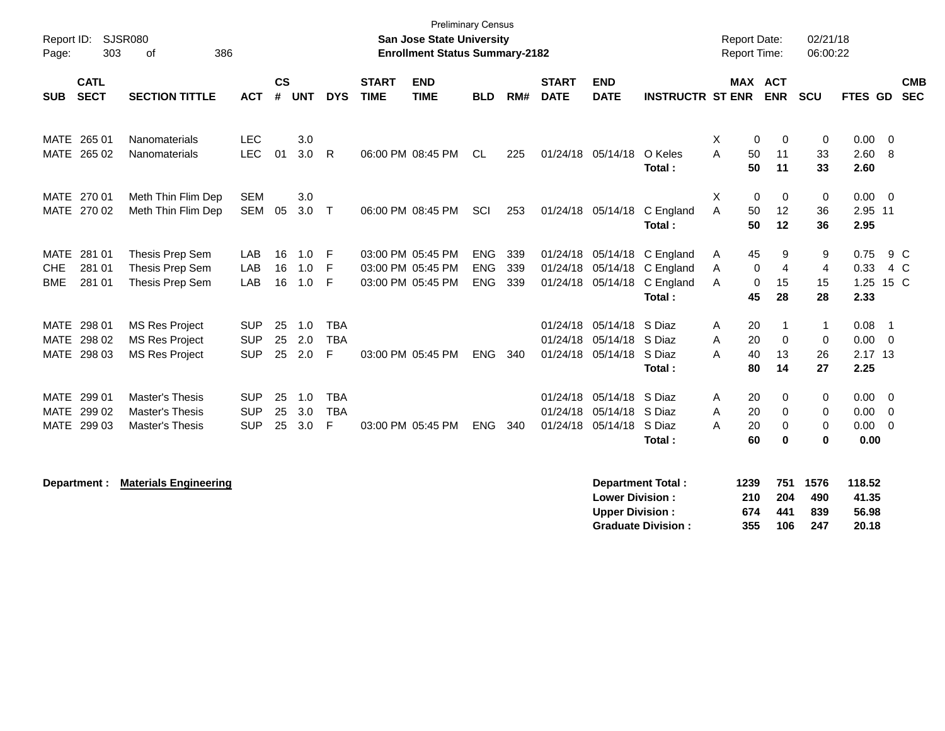| Report ID:<br>303<br>Page:                                            | <b>SJSR080</b><br>386<br>οf                                                |                                        |                |                   |                               |                             | <b>Preliminary Census</b><br>San Jose State University<br><b>Enrollment Status Summary-2182</b> |                                        |                   |                             |                                                                                  |                                                                                   |             |                           | <b>Report Date:</b><br>Report Time: | 02/21/18<br>06:00:22              |                                     |                                           |                          |
|-----------------------------------------------------------------------|----------------------------------------------------------------------------|----------------------------------------|----------------|-------------------|-------------------------------|-----------------------------|-------------------------------------------------------------------------------------------------|----------------------------------------|-------------------|-----------------------------|----------------------------------------------------------------------------------|-----------------------------------------------------------------------------------|-------------|---------------------------|-------------------------------------|-----------------------------------|-------------------------------------|-------------------------------------------|--------------------------|
| <b>CATL</b><br><b>SECT</b><br><b>SUB</b>                              | <b>SECTION TITTLE</b>                                                      | <b>ACT</b>                             | <b>CS</b><br># | <b>UNT</b>        | <b>DYS</b>                    | <b>START</b><br><b>TIME</b> | <b>END</b><br><b>TIME</b>                                                                       | <b>BLD</b>                             | RM#               | <b>START</b><br><b>DATE</b> | <b>END</b><br><b>DATE</b>                                                        | <b>INSTRUCTR ST ENR ENR</b>                                                       |             |                           | <b>MAX ACT</b>                      | <b>SCU</b>                        | FTES GD                             |                                           | <b>CMB</b><br><b>SEC</b> |
| MATE 265 01<br>MATE 265 02                                            | Nanomaterials<br>Nanomaterials                                             | <b>LEC</b><br><b>LEC</b>               | 01             | 3.0<br>3.0        | $\mathsf{R}$                  |                             | 06:00 PM 08:45 PM                                                                               | CL                                     | 225               |                             | 01/24/18 05/14/18                                                                | O Keles<br>Total:                                                                 | Χ<br>A      | 0<br>50<br>50             | $\mathbf 0$<br>11<br>11             | $\mathbf 0$<br>33<br>33           | 0.00<br>2.60<br>2.60                | $\overline{0}$<br>- 8                     |                          |
| MATE 270 01<br>MATE 270 02                                            | Meth Thin Flim Dep<br>Meth Thin Flim Dep                                   | <b>SEM</b><br><b>SEM</b>               | 05             | 3.0<br>$3.0\,$    | $\mathsf{T}$                  |                             | 06:00 PM 08:45 PM                                                                               | SCI                                    | 253               |                             | 01/24/18 05/14/18                                                                | C England<br>Total:                                                               | X<br>A      | 0<br>50<br>50             | $\mathbf 0$<br>12<br>12             | 0<br>36<br>36                     | $0.00 \t 0$<br>2.95 11<br>2.95      |                                           |                          |
| <b>MATE</b><br>281 01<br>281 01<br><b>CHE</b><br><b>BME</b><br>281 01 | Thesis Prep Sem<br>Thesis Prep Sem<br>Thesis Prep Sem                      | LAB<br>LAB<br>LAB                      | 16<br>16<br>16 | 1.0<br>1.0<br>1.0 | -F<br>-F<br>-F                |                             | 03:00 PM 05:45 PM<br>03:00 PM 05:45 PM<br>03:00 PM 05:45 PM                                     | <b>ENG</b><br><b>ENG</b><br><b>ENG</b> | 339<br>339<br>339 |                             | 01/24/18 05/14/18                                                                | C England<br>01/24/18 05/14/18 C England<br>01/24/18 05/14/18 C England<br>Total: | A<br>A<br>A | 45<br>0<br>0<br>45        | 9<br>$\overline{4}$<br>15<br>28     | 9<br>$\overline{4}$<br>15<br>28   | 0.75<br>0.33<br>1.25 15 C<br>2.33   |                                           | 9 C<br>4 C               |
| MATE 298 01<br>298 02<br><b>MATE</b><br>MATE 298 03                   | <b>MS Res Project</b><br><b>MS Res Project</b><br><b>MS Res Project</b>    | <b>SUP</b><br><b>SUP</b><br><b>SUP</b> | 25<br>25<br>25 | 1.0<br>2.0<br>2.0 | <b>TBA</b><br><b>TBA</b><br>F |                             | 03:00 PM 05:45 PM                                                                               | <b>ENG</b>                             | 340               |                             | 01/24/18 05/14/18<br>01/24/18 05/14/18<br>01/24/18 05/14/18 S Diaz               | S Diaz<br>S Diaz<br>Total:                                                        | Α<br>A<br>Α | 20<br>20<br>40<br>80      | $\mathbf 0$<br>13<br>14             | 1<br>0<br>26<br>27                | 0.08<br>0.00<br>2.17 13<br>2.25     | $\overline{1}$<br>$\overline{\mathbf{0}}$ |                          |
| MATE 299 01<br>MATE 299 02<br>MATE 299 03                             | <b>Master's Thesis</b><br><b>Master's Thesis</b><br><b>Master's Thesis</b> | <b>SUP</b><br><b>SUP</b><br><b>SUP</b> | 25<br>25<br>25 | 1.0<br>3.0<br>3.0 | <b>TBA</b><br><b>TBA</b><br>F |                             | 03:00 PM 05:45 PM                                                                               | ENG                                    | 340               |                             | 01/24/18 05/14/18 S Diaz<br>01/24/18 05/14/18 S Diaz<br>01/24/18 05/14/18 S Diaz | Total:                                                                            | A<br>A<br>Α | 20<br>20<br>20<br>60      | 0<br>$\Omega$<br>$\Omega$<br>0      | 0<br>0<br>$\mathbf 0$<br>$\bf{0}$ | 0.00<br>0.00<br>$0.00 \t 0$<br>0.00 | $\overline{0}$<br>$\overline{0}$          |                          |
| Department :                                                          | <b>Materials Engineering</b>                                               |                                        |                |                   |                               |                             |                                                                                                 |                                        |                   |                             | <b>Lower Division:</b><br><b>Upper Division:</b>                                 | <b>Department Total:</b><br><b>Graduate Division:</b>                             |             | 1239<br>210<br>674<br>355 | 751<br>204<br>441<br>106            | 1576<br>490<br>839<br>247         | 118.52<br>41.35<br>56.98<br>20.18   |                                           |                          |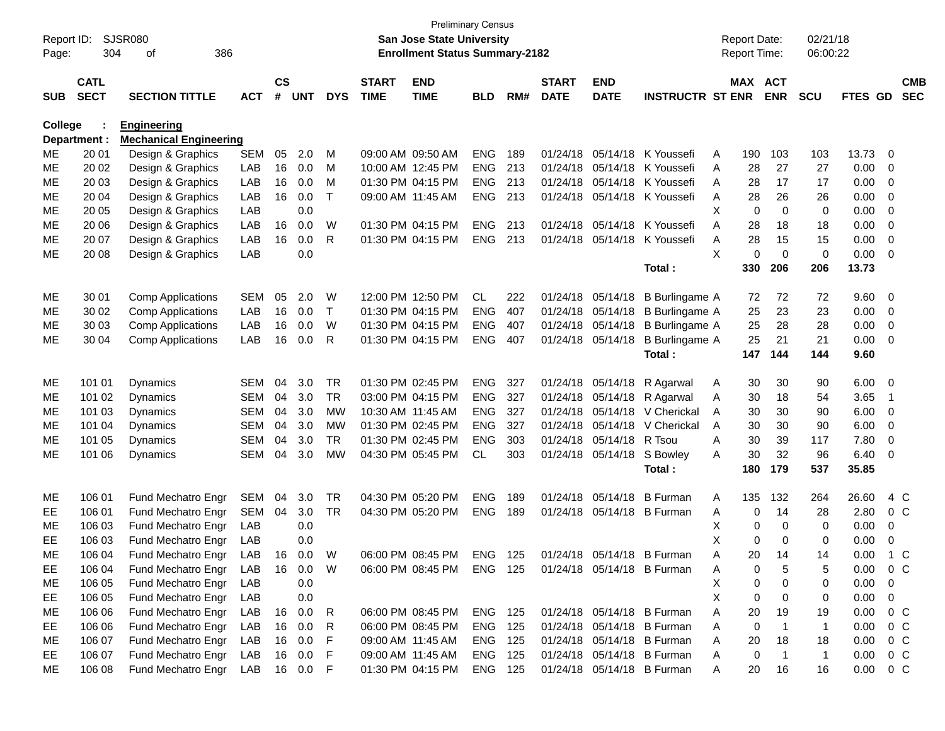| Report ID:     |              | <b>SJSR080</b>                |              |               |            |              |              | <b>San Jose State University</b>      | <b>Preliminary Census</b> |     |              |                   |                            |    | <b>Report Date:</b> |                | 02/21/18     |               |                          |            |
|----------------|--------------|-------------------------------|--------------|---------------|------------|--------------|--------------|---------------------------------------|---------------------------|-----|--------------|-------------------|----------------------------|----|---------------------|----------------|--------------|---------------|--------------------------|------------|
| Page:          | 304          | 386<br>οf                     |              |               |            |              |              | <b>Enrollment Status Summary-2182</b> |                           |     |              |                   |                            |    | <b>Report Time:</b> |                | 06:00:22     |               |                          |            |
|                | <b>CATL</b>  |                               |              | $\mathsf{cs}$ |            |              | <b>START</b> | <b>END</b>                            |                           |     | <b>START</b> | <b>END</b>        |                            |    | MAX ACT             |                |              |               |                          | <b>CMB</b> |
| <b>SUB</b>     | <b>SECT</b>  | <b>SECTION TITTLE</b>         | <b>ACT</b>   | #             | <b>UNT</b> | <b>DYS</b>   | <b>TIME</b>  | <b>TIME</b>                           | <b>BLD</b>                | RM# | <b>DATE</b>  | <b>DATE</b>       | <b>INSTRUCTR ST ENR</b>    |    |                     | <b>ENR</b>     | <b>SCU</b>   | FTES GD       |                          | <b>SEC</b> |
| <b>College</b> |              | <b>Engineering</b>            |              |               |            |              |              |                                       |                           |     |              |                   |                            |    |                     |                |              |               |                          |            |
|                | Department : | <b>Mechanical Engineering</b> |              |               |            |              |              |                                       |                           |     |              |                   |                            |    |                     |                |              |               |                          |            |
| ME             | 20 01        | Design & Graphics             | <b>SEM</b>   | 05            | 2.0        | M            |              | 09:00 AM 09:50 AM                     | <b>ENG</b>                | 189 | 01/24/18     | 05/14/18          | K Youssefi                 | A  | 190                 | 103            | 103          | 13.73         | - 0                      |            |
| MЕ             | 20 02        | Design & Graphics             | LAB          | 16            | 0.0        | м            |              | 10:00 AM 12:45 PM                     | <b>ENG</b>                | 213 | 01/24/18     |                   | 05/14/18 K Youssefi        | A  | 28                  | 27             | 27           | 0.00          | - 0                      |            |
| MЕ             | 20 03        | Design & Graphics             | LAB          | 16            | 0.0        | M            |              | 01:30 PM 04:15 PM                     | <b>ENG</b>                | 213 | 01/24/18     |                   | 05/14/18 K Youssefi        | A  | 28                  | 17             | 17           | 0.00          | 0                        |            |
| MЕ             | 20 04        | Design & Graphics             | LAB          | 16            | 0.0        | Т            |              | 09:00 AM 11:45 AM                     | <b>ENG</b>                | 213 | 01/24/18     |                   | 05/14/18 K Youssefi        | A  | 28                  | 26             | 26           | 0.00          | 0                        |            |
| MЕ             | 20 05        | Design & Graphics             | LAB          |               | 0.0        |              |              |                                       |                           |     |              |                   |                            | X  | $\mathbf 0$         | $\mathbf 0$    | 0            | 0.00          | 0                        |            |
| MЕ             | 20 06        | Design & Graphics             | LAB          | 16            | 0.0        | W            |              | 01:30 PM 04:15 PM                     | <b>ENG</b>                | 213 | 01/24/18     | 05/14/18          | K Youssefi                 | A  | 28                  | 18             | 18           | 0.00          | 0                        |            |
| ME             | 20 07        | Design & Graphics             | LAB          | 16            | 0.0        | R            |              | 01:30 PM 04:15 PM                     | <b>ENG</b>                | 213 | 01/24/18     | 05/14/18          | K Youssefi                 | A  | 28                  | 15             | 15           | 0.00          | $\mathbf 0$              |            |
| MЕ             | 20 08        | Design & Graphics             | LAB          |               | 0.0        |              |              |                                       |                           |     |              |                   |                            | X  | $\Omega$            | $\mathbf 0$    | $\mathbf 0$  | 0.00          | 0                        |            |
|                |              |                               |              |               |            |              |              |                                       |                           |     |              |                   | Total:                     |    | 330                 | 206            | 206          | 13.73         |                          |            |
| ME             | 30 01        | <b>Comp Applications</b>      | <b>SEM</b>   | 05            | 2.0        | W            |              | 12:00 PM 12:50 PM                     | CL.                       | 222 |              | 01/24/18 05/14/18 | <b>B</b> Burlingame A      |    | 72                  | 72             | 72           | 9.60          | - 0                      |            |
| ME             | 30 02        | <b>Comp Applications</b>      | LAB          | 16            | 0.0        | $\mathsf{T}$ |              | 01:30 PM 04:15 PM                     | <b>ENG</b>                | 407 | 01/24/18     | 05/14/18          | <b>B</b> Burlingame A      |    | 25                  | 23             | 23           | 0.00          | $\overline{0}$           |            |
| ME             | 30 03        | <b>Comp Applications</b>      | LAB          | 16            | 0.0        | W            |              | 01:30 PM 04:15 PM                     | <b>ENG</b>                | 407 | 01/24/18     | 05/14/18          | B Burlingame A             |    | 25                  | 28             | 28           | 0.00          | 0                        |            |
| MЕ             | 30 04        | <b>Comp Applications</b>      | LAB          | 16            | 0.0        | R            |              | 01:30 PM 04:15 PM                     | <b>ENG</b>                | 407 |              | 01/24/18 05/14/18 | <b>B</b> Burlingame A      |    | 25                  | 21             | 21           | 0.00          | $\overline{0}$           |            |
|                |              |                               |              |               |            |              |              |                                       |                           |     |              |                   | Total:                     |    | 147                 | 144            | 144          | 9.60          |                          |            |
| ME             | 101 01       | Dynamics                      | SEM          | 04            | 3.0        | <b>TR</b>    |              | 01:30 PM 02:45 PM                     | <b>ENG</b>                | 327 |              | 01/24/18 05/14/18 | R Agarwal                  | A  | 30                  | 30             | 90           | 6.00          | $\overline{\phantom{0}}$ |            |
| ME             | 101 02       | <b>Dynamics</b>               | SEM          | 04            | 3.0        | <b>TR</b>    |              | 03:00 PM 04:15 PM                     | <b>ENG</b>                | 327 | 01/24/18     | 05/14/18          | R Agarwal                  | A  | 30                  | 18             | 54           | 3.65          | - 1                      |            |
| ME             | 101 03       | <b>Dynamics</b>               | <b>SEM</b>   | 04            | 3.0        | <b>MW</b>    |              | 10:30 AM 11:45 AM                     | <b>ENG</b>                | 327 | 01/24/18     | 05/14/18          | V Cherickal                | A  | 30                  | 30             | 90           | 6.00          | 0                        |            |
| ME             | 101 04       | <b>Dynamics</b>               | <b>SEM</b>   | 04            | 3.0        | МW           |              | 01:30 PM 02:45 PM                     | <b>ENG</b>                | 327 | 01/24/18     | 05/14/18          | V Cherickal                | A  | 30                  | 30             | 90           | 6.00          | 0                        |            |
| MЕ             | 101 05       | <b>Dynamics</b>               | <b>SEM</b>   | 04            | 3.0        | <b>TR</b>    |              | 01:30 PM 02:45 PM                     | <b>ENG</b>                | 303 | 01/24/18     | 05/14/18 R Tsou   |                            | A  | 30                  | 39             | 117          | 7.80          | $\overline{0}$           |            |
| MЕ             | 101 06       | Dynamics                      | <b>SEM</b>   | 04            | 3.0        | <b>MW</b>    |              | 04:30 PM 05:45 PM                     | <b>CL</b>                 | 303 |              | 01/24/18 05/14/18 | S Bowley                   | A  | 30                  | 32             | 96           | 6.40          | 0                        |            |
|                |              |                               |              |               |            |              |              |                                       |                           |     |              |                   | Total:                     |    | 180                 | 179            | 537          | 35.85         |                          |            |
| ME             | 106 01       | Fund Mechatro Engr            | <b>SEM</b>   | 04            | 3.0        | <b>TR</b>    |              | 04:30 PM 05:20 PM                     | <b>ENG</b>                | 189 | 01/24/18     | 05/14/18          | <b>B</b> Furman            | Α  | 135                 | 132            | 264          | 26.60         |                          | 4 C        |
| EЕ             | 106 01       | Fund Mechatro Engr            | SEM          | 04            | 3.0        | <b>TR</b>    |              | 04:30 PM 05:20 PM                     | <b>ENG</b>                | 189 | 01/24/18     |                   | 05/14/18 B Furman          | A  | 0                   | 14             | 28           | 2.80          | $0\,C$                   |            |
| MЕ             | 106 03       | Fund Mechatro Engr            | LAB          |               | 0.0        |              |              |                                       |                           |     |              |                   |                            | х  | 0                   | 0              | 0            | 0.00          | 0                        |            |
| EЕ             | 106 03       | Fund Mechatro Engr            | LAB          |               | 0.0        |              |              |                                       |                           |     |              |                   |                            | X  | $\Omega$            | 0              | 0            | 0.00          | 0                        |            |
| ME             | 106 04       | Fund Mechatro Engr LAB 16 0.0 |              |               |            | W            |              | 06:00 PM 08:45 PM                     | <b>ENG 125</b>            |     |              |                   | 01/24/18 05/14/18 B Furman | A  | 20                  | 14             | 14           | 0.00          |                          | 1 C        |
| EE             | 106 04       | Fund Mechatro Engr            | LAB          |               | 16  0.0  W |              |              | 06:00 PM 08:45 PM ENG 125             |                           |     |              |                   | 01/24/18 05/14/18 B Furman | Α  | 0                   | 5              | 5            | $0.00 \t 0 C$ |                          |            |
| ME             | 106 05       | Fund Mechatro Engr            | LAB          |               | 0.0        |              |              |                                       |                           |     |              |                   |                            | X  | 0                   | 0              | 0            | $0.00 \t 0$   |                          |            |
| EE.            | 106 05       | Fund Mechatro Engr            | LAB          |               | 0.0        |              |              |                                       |                           |     |              |                   |                            | X. | 0                   | 0              | 0            | $0.00 \t 0$   |                          |            |
| ME             | 106 06       | Fund Mechatro Engr            | LAB          |               | 16  0.0    | R            |              | 06:00 PM 08:45 PM                     | <b>ENG 125</b>            |     |              |                   | 01/24/18 05/14/18 B Furman | A  | 20                  | 19             | 19           | $0.00 \t 0 C$ |                          |            |
| EE.            | 106 06       | Fund Mechatro Engr            | LAB          |               | 16  0.0    | R            |              | 06:00 PM 08:45 PM                     | ENG 125                   |     |              |                   | 01/24/18 05/14/18 B Furman | A  | 0                   | $\overline{1}$ | $\mathbf{1}$ | $0.00 \t 0 C$ |                          |            |
| ME             | 106 07       | Fund Mechatro Engr            | LAB          |               | 16 0.0     | F            |              | 09:00 AM 11:45 AM                     | ENG 125                   |     |              |                   | 01/24/18 05/14/18 B Furman | A  | 20                  | 18             | 18           | $0.00 \t 0 C$ |                          |            |
| EE.            | 106 07       | Fund Mechatro Engr            | LAB          |               | 16 0.0     | -F           |              | 09:00 AM 11:45 AM                     | ENG 125                   |     |              |                   | 01/24/18 05/14/18 B Furman | A  | $\mathbf 0$         | $\overline{1}$ | $\mathbf{1}$ | $0.00 \t 0 C$ |                          |            |
| ME             | 106 08       | Fund Mechatro Engr            | LAB 16 0.0 F |               |            |              |              | 01:30 PM 04:15 PM                     | ENG 125                   |     |              |                   | 01/24/18 05/14/18 B Furman | A  | 20                  | 16             | 16           | $0.00 \t 0 C$ |                          |            |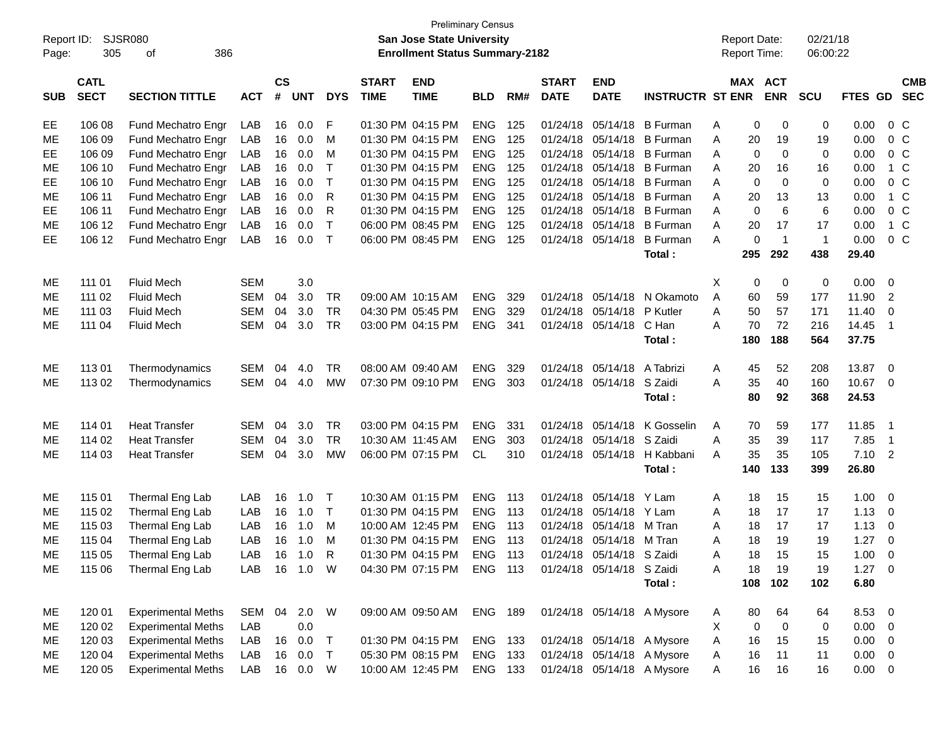| <b>Preliminary Census</b><br><b>SJSR080</b><br>02/21/18<br>Report ID:<br><b>San Jose State University</b><br><b>Report Date:</b> |                            |                           |            |                                       |            |              |                             |                           |            |      |                             |                           |                            |         |                       |              |             |                          |  |
|----------------------------------------------------------------------------------------------------------------------------------|----------------------------|---------------------------|------------|---------------------------------------|------------|--------------|-----------------------------|---------------------------|------------|------|-----------------------------|---------------------------|----------------------------|---------|-----------------------|--------------|-------------|--------------------------|--|
| Page:                                                                                                                            | 305                        | 386<br>οf                 |            | <b>Enrollment Status Summary-2182</b> |            |              |                             |                           |            |      |                             |                           |                            |         | Report Time:          | 06:00:22     |             |                          |  |
| <b>SUB</b>                                                                                                                       | <b>CATL</b><br><b>SECT</b> | <b>SECTION TITTLE</b>     | <b>ACT</b> | <b>CS</b><br>#                        | <b>UNT</b> | <b>DYS</b>   | <b>START</b><br><b>TIME</b> | <b>END</b><br><b>TIME</b> | <b>BLD</b> | RM#  | <b>START</b><br><b>DATE</b> | <b>END</b><br><b>DATE</b> | <b>INSTRUCTR ST ENR</b>    |         | MAX ACT<br><b>ENR</b> | <b>SCU</b>   | FTES GD SEC | <b>CMB</b>               |  |
| EE                                                                                                                               | 106 08                     | Fund Mechatro Engr        | LAB        | 16                                    | 0.0        | F            |                             | 01:30 PM 04:15 PM         | <b>ENG</b> | 125  |                             | 01/24/18 05/14/18         | <b>B</b> Furman            | Α       | 0<br>0                | 0            | 0.00        | 0 C                      |  |
| ME                                                                                                                               | 106 09                     | Fund Mechatro Engr        | LAB        | 16                                    | 0.0        | м            |                             | 01:30 PM 04:15 PM         | <b>ENG</b> | 125  |                             | 01/24/18 05/14/18         | <b>B</b> Furman            | Α<br>20 | 19                    | 19           | 0.00        | 0 C                      |  |
| EE                                                                                                                               | 106 09                     | Fund Mechatro Engr        | LAB        | 16                                    | 0.0        | м            |                             | 01:30 PM 04:15 PM         | <b>ENG</b> | 125  |                             | 01/24/18 05/14/18         | <b>B</b> Furman            | Α       | $\mathbf 0$<br>0      | 0            | 0.00        | 0 C                      |  |
| ME                                                                                                                               | 106 10                     | Fund Mechatro Engr        | LAB        | 16                                    | 0.0        | $\mathsf{T}$ |                             | 01:30 PM 04:15 PM         | <b>ENG</b> | 125  |                             | 01/24/18 05/14/18         | <b>B</b> Furman            | A<br>20 | 16                    | 16           | 0.00        | 1 C                      |  |
| EE                                                                                                                               | 106 10                     | Fund Mechatro Engr        | LAB        | 16                                    | 0.0        | $\mathsf{T}$ |                             | 01:30 PM 04:15 PM         | <b>ENG</b> | 125  |                             | 01/24/18 05/14/18         | <b>B</b> Furman            | Α       | 0<br>$\mathbf 0$      | 0            | 0.00        | 0 <sup>o</sup>           |  |
| ME                                                                                                                               | 106 11                     | Fund Mechatro Engr        | LAB        | 16                                    | 0.0        | R            |                             | 01:30 PM 04:15 PM         | <b>ENG</b> | 125  |                             | 01/24/18 05/14/18         | <b>B</b> Furman            | Α<br>20 | 13                    | 13           | 0.00        | 1 C                      |  |
| EE                                                                                                                               | 106 11                     | Fund Mechatro Engr        | LAB        | 16                                    | 0.0        | R            |                             | 01:30 PM 04:15 PM         | <b>ENG</b> | 125  |                             | 01/24/18 05/14/18         | <b>B</b> Furman            | A       | 6<br>0                | 6            | 0.00        | 0 <sup>o</sup>           |  |
| ME                                                                                                                               | 106 12                     | Fund Mechatro Engr        | LAB        | 16                                    | 0.0        | $\mathsf{T}$ |                             | 06:00 PM 08:45 PM         | <b>ENG</b> | 125  |                             | 01/24/18 05/14/18         | <b>B</b> Furman            | A<br>20 | 17                    | 17           | 0.00        | 1 C                      |  |
| EE                                                                                                                               | 106 12                     | Fund Mechatro Engr        | LAB        | 16                                    | 0.0        | $\top$       |                             | 06:00 PM 08:45 PM         | <b>ENG</b> | 125  |                             | 01/24/18 05/14/18         | <b>B</b> Furman            | A       | 0<br>$\overline{1}$   | $\mathbf{1}$ | 0.00        | 0 <sup>o</sup>           |  |
|                                                                                                                                  |                            |                           |            |                                       |            |              |                             |                           |            |      |                             |                           | Total:                     | 295     | 292                   | 438          | 29.40       |                          |  |
| ME                                                                                                                               | 111 01                     | <b>Fluid Mech</b>         | <b>SEM</b> |                                       | 3.0        |              |                             |                           |            |      |                             |                           |                            | X       | 0<br>0                | 0            | 0.00        | $\overline{\mathbf{0}}$  |  |
| MЕ                                                                                                                               | 111 02                     | <b>Fluid Mech</b>         | SEM        | 04                                    | 3.0        | TR           |                             | 09:00 AM 10:15 AM         | <b>ENG</b> | 329  |                             | 01/24/18 05/14/18         | N Okamoto                  | Α<br>60 | 59                    | 177          | 11.90       | $\overline{2}$           |  |
| МE                                                                                                                               | 111 03                     | <b>Fluid Mech</b>         | <b>SEM</b> | 04                                    | 3.0        | TR           |                             | 04:30 PM 05:45 PM         | <b>ENG</b> | 329  |                             | 01/24/18 05/14/18         | P Kutler                   | Α<br>50 | 57                    | 171          | 11.40       | 0                        |  |
| ME                                                                                                                               | 111 04                     | <b>Fluid Mech</b>         | SEM        | 04                                    | 3.0        | TR           |                             | 03:00 PM 04:15 PM         | <b>ENG</b> | -341 |                             | 01/24/18 05/14/18         | C Han                      | A<br>70 | 72                    | 216          | 14.45       | $\overline{\phantom{1}}$ |  |
|                                                                                                                                  |                            |                           |            |                                       |            |              |                             |                           |            |      |                             |                           | Total:                     | 180     | 188                   | 564          | 37.75       |                          |  |
| ME                                                                                                                               | 11301                      | Thermodynamics            | SEM        | 04                                    | 4.0        | <b>TR</b>    |                             | 08:00 AM 09:40 AM         | <b>ENG</b> | 329  |                             | 01/24/18 05/14/18         | A Tabrizi                  | 45<br>A | 52                    | 208          | 13.87       | $\overline{\phantom{0}}$ |  |
| ME                                                                                                                               | 113 02                     | Thermodynamics            | SEM        | 04                                    | 4.0        | MW           |                             | 07:30 PM 09:10 PM         | <b>ENG</b> | 303  |                             | 01/24/18 05/14/18         | S Zaidi                    | 35<br>A | 40                    | 160          | 10.67 0     |                          |  |
|                                                                                                                                  |                            |                           |            |                                       |            |              |                             |                           |            |      |                             |                           | Total:                     | 80      | 92                    | 368          | 24.53       |                          |  |
| ME                                                                                                                               | 114 01                     | <b>Heat Transfer</b>      | SEM        | 04                                    | 3.0        | <b>TR</b>    |                             | 03:00 PM 04:15 PM         | <b>ENG</b> | 331  |                             | 01/24/18 05/14/18         | K Gosselin                 | A<br>70 | 59                    | 177          | 11.85       | - 1                      |  |
| МE                                                                                                                               | 114 02                     | <b>Heat Transfer</b>      | <b>SEM</b> | 04                                    | 3.0        | TR           |                             | 10:30 AM 11:45 AM         | <b>ENG</b> | 303  |                             | 01/24/18 05/14/18         | S Zaidi                    | Α<br>35 | 39                    | 117          | 7.85        | $\overline{1}$           |  |
| ME                                                                                                                               | 114 03                     | <b>Heat Transfer</b>      | SEM        | 04                                    | 3.0        | МW           |                             | 06:00 PM 07:15 PM         | CL         | 310  |                             | 01/24/18 05/14/18         | H Kabbani                  | 35<br>A | 35                    | 105          | $7.10$ 2    |                          |  |
|                                                                                                                                  |                            |                           |            |                                       |            |              |                             |                           |            |      |                             |                           | Total:                     | 140     | 133                   | 399          | 26.80       |                          |  |
| МE                                                                                                                               | 115 01                     | Thermal Eng Lab           | LAB        | 16                                    | 1.0        | $\top$       |                             | 10:30 AM 01:15 PM         | <b>ENG</b> | 113  |                             | 01/24/18 05/14/18         | Y Lam                      | 18<br>A | 15                    | 15           | 1.00        | $\overline{0}$           |  |
| MЕ                                                                                                                               | 115 02                     | Thermal Eng Lab           | LAB        | 16                                    | 1.0        | $\top$       |                             | 01:30 PM 04:15 PM         | <b>ENG</b> | 113  |                             | 01/24/18 05/14/18         | Y Lam                      | Α<br>18 | 17                    | 17           | 1.13        | $\overline{0}$           |  |
| MЕ                                                                                                                               | 115 03                     | Thermal Eng Lab           | LAB        | 16                                    | 1.0        | M            |                             | 10:00 AM 12:45 PM         | <b>ENG</b> | 113  |                             | 01/24/18 05/14/18         | M Tran                     | Α<br>18 | 17                    | 17           | 1.13        | $\overline{0}$           |  |
| ME                                                                                                                               | 115 04                     | Thermal Eng Lab           | LAB        | 16                                    | 1.0        | м            |                             | 01:30 PM 04:15 PM         | <b>ENG</b> | 113  |                             | 01/24/18 05/14/18 M Tran  |                            | 18<br>Α | 19                    | 19           | 1.27        | $\mathbf{0}$             |  |
| ME                                                                                                                               | 115 05                     | Thermal Eng Lab           | LAB        | 16                                    | 1.0        | $\mathsf{R}$ |                             | 01:30 PM 04:15 PM         | ENG        | 113  |                             | 01/24/18 05/14/18 S Zaidi |                            | Α       | 15<br>18              | 15           | 1.00        | $\overline{0}$           |  |
| ME                                                                                                                               | 115 06                     | Thermal Eng Lab           | LAB        | 16                                    | 1.0 W      |              |                             | 04:30 PM 07:15 PM         | ENG 113    |      |                             | 01/24/18 05/14/18 S Zaidi |                            | 18<br>A | 19                    | 19           | $1.27 \t 0$ |                          |  |
|                                                                                                                                  |                            |                           |            |                                       |            |              |                             |                           |            |      |                             |                           | Total :                    | 108     | 102                   | 102          | 6.80        |                          |  |
| ME                                                                                                                               | 120 01                     | <b>Experimental Meths</b> | SEM        | 04                                    | 2.0        | W            |                             | 09:00 AM 09:50 AM         | ENG 189    |      |                             |                           | 01/24/18 05/14/18 A Mysore | 80<br>A | 64                    | 64           | 8.53 0      |                          |  |
| ME                                                                                                                               | 120 02                     | <b>Experimental Meths</b> | LAB        |                                       | 0.0        |              |                             |                           |            |      |                             |                           |                            | X       | 0<br>$\mathbf 0$      | 0            | $0.00 \t 0$ |                          |  |
| ME                                                                                                                               | 120 03                     | <b>Experimental Meths</b> | LAB        | 16                                    | 0.0        | $\top$       |                             | 01:30 PM 04:15 PM         | ENG 133    |      |                             |                           | 01/24/18 05/14/18 A Mysore | Α<br>16 | 15                    | 15           | $0.00 \t 0$ |                          |  |
| ME                                                                                                                               | 120 04                     | <b>Experimental Meths</b> | LAB        | 16                                    | 0.0        | $\top$       |                             | 05:30 PM 08:15 PM         | <b>ENG</b> | 133  |                             |                           | 01/24/18 05/14/18 A Mysore | 16<br>Α | 11                    | 11           | $0.00 \t 0$ |                          |  |
| ME                                                                                                                               | 120 05                     | <b>Experimental Meths</b> | LAB        |                                       | 16 0.0     | W            |                             | 10:00 AM 12:45 PM         | ENG 133    |      |                             |                           | 01/24/18 05/14/18 A Mysore | 16<br>Α | 16                    | 16           | $0.00 \t 0$ |                          |  |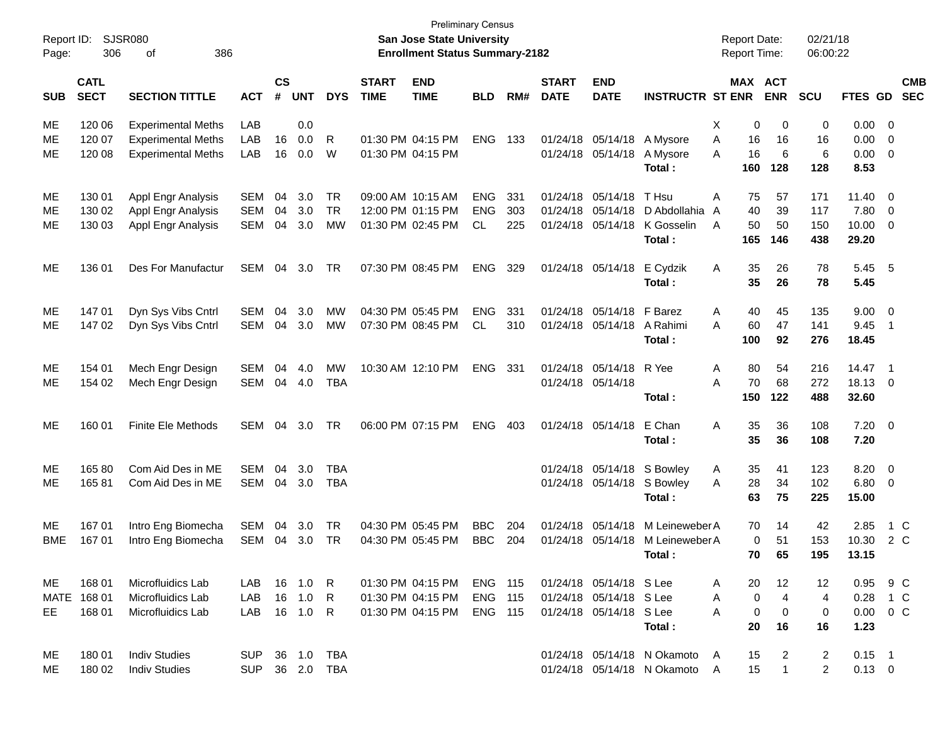| Report ID:<br>Page: | 306                        | <b>SJSR080</b><br>386<br>οf |            |                    |              |              | <b>Preliminary Census</b><br><b>San Jose State University</b><br><b>Enrollment Status Summary-2182</b> |                           |                |     | <b>Report Date:</b><br><b>Report Time:</b> | 02/21/18<br>06:00:22      |                             |   |     |                       |                |            |                |                          |
|---------------------|----------------------------|-----------------------------|------------|--------------------|--------------|--------------|--------------------------------------------------------------------------------------------------------|---------------------------|----------------|-----|--------------------------------------------|---------------------------|-----------------------------|---|-----|-----------------------|----------------|------------|----------------|--------------------------|
| <b>SUB</b>          | <b>CATL</b><br><b>SECT</b> | <b>SECTION TITTLE</b>       | <b>ACT</b> | $\mathsf{cs}$<br># | <b>UNT</b>   | <b>DYS</b>   | <b>START</b><br><b>TIME</b>                                                                            | <b>END</b><br><b>TIME</b> | <b>BLD</b>     | RM# | <b>START</b><br><b>DATE</b>                | <b>END</b><br><b>DATE</b> | <b>INSTRUCTR ST ENR</b>     |   |     | MAX ACT<br><b>ENR</b> | <b>SCU</b>     | FTES GD    |                | <b>CMB</b><br><b>SEC</b> |
| ME                  | 120 06                     | <b>Experimental Meths</b>   | LAB        |                    | 0.0          |              |                                                                                                        |                           |                |     |                                            |                           |                             | Χ | 0   | 0                     | 0              | 0.00       | - 0            |                          |
| МE                  | 120 07                     | <b>Experimental Meths</b>   | LAB        | 16                 | 0.0          | R            |                                                                                                        | 01:30 PM 04:15 PM         | <b>ENG</b>     | 133 |                                            | 01/24/18 05/14/18         | A Mysore                    | A | 16  | 16                    | 16             | 0.00       | 0              |                          |
| ME                  | 120 08                     | <b>Experimental Meths</b>   | LAB        | 16                 | 0.0          | W            |                                                                                                        | 01:30 PM 04:15 PM         |                |     |                                            | 01/24/18 05/14/18         | A Mysore                    | A | 16  | 6                     | 6              | 0.00       | 0              |                          |
|                     |                            |                             |            |                    |              |              |                                                                                                        |                           |                |     |                                            |                           | Total:                      |   | 160 | 128                   | 128            | 8.53       |                |                          |
| ME                  | 130 01                     | Appl Engr Analysis          | <b>SEM</b> | 04                 | 3.0          | <b>TR</b>    |                                                                                                        | 09:00 AM 10:15 AM         | <b>ENG</b>     | 331 | 01/24/18                                   | 05/14/18                  | T Hsu                       | Α | 75  | 57                    | 171            | 11.40      | 0              |                          |
| ME                  | 130 02                     | Appl Engr Analysis          | <b>SEM</b> | 04                 | 3.0          | <b>TR</b>    |                                                                                                        | 12:00 PM 01:15 PM         | <b>ENG</b>     | 303 |                                            | 01/24/18 05/14/18         | D Abdollahia                | A | 40  | 39                    | 117            | 7.80       | 0              |                          |
| ME                  | 130 03                     | Appl Engr Analysis          | <b>SEM</b> | 04                 | 3.0          | <b>MW</b>    |                                                                                                        | 01:30 PM 02:45 PM         | CL.            | 225 |                                            | 01/24/18 05/14/18         | K Gosselin                  | A | 50  | 50                    | 150            | 10.00      | 0              |                          |
|                     |                            |                             |            |                    |              |              |                                                                                                        |                           |                |     |                                            |                           | Total:                      |   | 165 | 146                   | 438            | 29.20      |                |                          |
| ME                  | 136 01                     | Des For Manufactur          | SEM        | 04                 | 3.0          | TR           |                                                                                                        | 07:30 PM 08:45 PM         | <b>ENG</b>     | 329 |                                            | 01/24/18 05/14/18         | E Cydzik                    | Α | 35  | 26                    | 78             | 5.45       | $-5$           |                          |
|                     |                            |                             |            |                    |              |              |                                                                                                        |                           |                |     |                                            |                           | Total:                      |   | 35  | 26                    | 78             | 5.45       |                |                          |
| ME                  | 147 01                     | Dyn Sys Vibs Cntrl          | <b>SEM</b> | 04                 | 3.0          | <b>MW</b>    |                                                                                                        | 04:30 PM 05:45 PM         | <b>ENG</b>     | 331 |                                            | 01/24/18 05/14/18         | F Barez                     | Α | 40  | 45                    | 135            | 9.00       | $\overline{0}$ |                          |
| ME                  | 147 02                     | Dyn Sys Vibs Cntrl          | <b>SEM</b> |                    | 04 3.0       | <b>MW</b>    |                                                                                                        | 07:30 PM 08:45 PM         | CL             | 310 |                                            | 01/24/18 05/14/18         | A Rahimi                    | A | 60  | 47                    | 141            | 9.45       | $\overline{1}$ |                          |
|                     |                            |                             |            |                    |              |              |                                                                                                        |                           |                |     |                                            |                           | Total:                      |   | 100 | 92                    | 276            | 18.45      |                |                          |
| ME                  | 154 01                     | Mech Engr Design            | <b>SEM</b> | 04                 | 4.0          | <b>MW</b>    |                                                                                                        | 10:30 AM 12:10 PM         | <b>ENG</b>     | 331 |                                            | 01/24/18 05/14/18         | R Yee                       | Α | 80  | 54                    | 216            | $14.47$ 1  |                |                          |
| ME                  | 154 02                     | Mech Engr Design            | SEM        |                    | 04 4.0       | <b>TBA</b>   |                                                                                                        |                           |                |     |                                            | 01/24/18 05/14/18         |                             | A | 70  | 68                    | 272            | 18.13      | $\overline{0}$ |                          |
|                     |                            |                             |            |                    |              |              |                                                                                                        |                           |                |     |                                            |                           | Total:                      |   | 150 | 122                   | 488            | 32.60      |                |                          |
| ME                  | 160 01                     | <b>Finite Ele Methods</b>   | SEM        | 04                 | 3.0          | <b>TR</b>    |                                                                                                        | 06:00 PM 07:15 PM         | <b>ENG</b>     | 403 |                                            | 01/24/18 05/14/18         | E Chan                      | Α | 35  | 36                    | 108            | 7.20       | $\overline{0}$ |                          |
|                     |                            |                             |            |                    |              |              |                                                                                                        |                           |                |     |                                            |                           | Total:                      |   | 35  | 36                    | 108            | 7.20       |                |                          |
| ME                  | 165 80                     | Com Aid Des in ME           | <b>SEM</b> | 04                 | 3.0          | TBA          |                                                                                                        |                           |                |     |                                            | 01/24/18 05/14/18         | S Bowley                    | A | 35  | 41                    | 123            | 8.20       | 0              |                          |
| ME                  | 16581                      | Com Aid Des in ME           | <b>SEM</b> | 04                 | 3.0          | <b>TBA</b>   |                                                                                                        |                           |                |     |                                            | 01/24/18 05/14/18         | S Bowley                    | A | 28  | 34                    | 102            | 6.80       | 0              |                          |
|                     |                            |                             |            |                    |              |              |                                                                                                        |                           |                |     |                                            |                           | Total:                      |   | 63  | 75                    | 225            | 15.00      |                |                          |
| ME                  | 167 01                     | Intro Eng Biomecha          | <b>SEM</b> | 04                 | 3.0          | TR           |                                                                                                        | 04:30 PM 05:45 PM         | <b>BBC</b>     | 204 | 01/24/18                                   | 05/14/18                  | M Leineweber A              |   | 70  | 14                    | 42             | 2.85       |                | $1\,C$                   |
| <b>BME</b>          | 167 01                     | Intro Eng Biomecha          | <b>SEM</b> | 04                 | 3.0          | <b>TR</b>    |                                                                                                        | 04:30 PM 05:45 PM         | <b>BBC</b>     | 204 |                                            | 01/24/18 05/14/18         | M Leineweber A              |   | 0   | 51                    | 153            | 10.30      | 2 C            |                          |
|                     |                            |                             |            |                    |              |              |                                                                                                        |                           |                |     |                                            |                           | Total:                      |   | 70  | 65                    | 195            | 13.15      |                |                          |
| ME                  | 168 01                     | Microfluidics Lab           | LAB        | 16                 | 1.0 R        |              |                                                                                                        | 01:30 PM 04:15 PM         | <b>ENG 115</b> |     |                                            | 01/24/18 05/14/18 S Lee   |                             | A | 20  | 12                    | 12             | 0.95 9 C   |                |                          |
|                     | MATE 168 01                | Microfluidics Lab           | LAB        | 16                 | 1.0          | $\mathsf{R}$ |                                                                                                        | 01:30 PM 04:15 PM         | ENG            | 115 |                                            | 01/24/18 05/14/18 S Lee   |                             | A | 0   | 4                     | 4              | $0.28$ 1 C |                |                          |
| EE                  | 168 01                     | Microfluidics Lab           | LAB        |                    | 16  1.0  R   |              |                                                                                                        | 01:30 PM 04:15 PM         | <b>ENG 115</b> |     |                                            | 01/24/18 05/14/18 S Lee   |                             | Α | 0   | 0                     | 0              | 0.00       | $0\,C$         |                          |
|                     |                            |                             |            |                    |              |              |                                                                                                        |                           |                |     |                                            |                           | Total:                      |   | 20  | 16                    | 16             | 1.23       |                |                          |
| ME                  | 180 01                     | <b>Indiv Studies</b>        | <b>SUP</b> |                    | 36 1.0       | TBA          |                                                                                                        |                           |                |     |                                            |                           | 01/24/18 05/14/18 N Okamoto | A | 15  | 2                     | $\overline{2}$ | $0.15$ 1   |                |                          |
| ME                  | 180 02                     | <b>Indiv Studies</b>        | <b>SUP</b> |                    | 36  2.0  TBA |              |                                                                                                        |                           |                |     |                                            |                           | 01/24/18 05/14/18 N Okamoto | A | 15  | $\mathbf{1}$          | $\overline{2}$ | $0.13 \ 0$ |                |                          |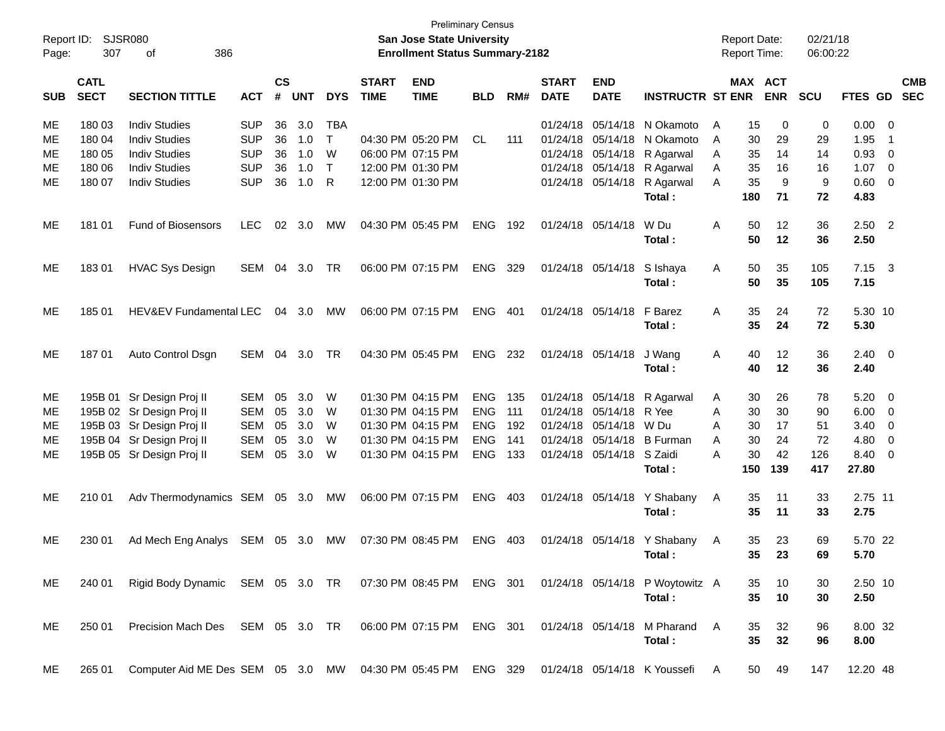| <b>Preliminary Census</b><br>Report ID:<br>SJSR080<br><b>San Jose State University</b><br><b>Report Date:</b><br>307<br>386<br><b>Enrollment Status Summary-2182</b><br><b>Report Time:</b><br>Page:<br>οf |                            |                                                             |            |                    |            |              |                             |                           |            |     | 02/21/18<br>06:00:22        |                           |                                 |   |                 |            |            |                |                         |                          |
|------------------------------------------------------------------------------------------------------------------------------------------------------------------------------------------------------------|----------------------------|-------------------------------------------------------------|------------|--------------------|------------|--------------|-----------------------------|---------------------------|------------|-----|-----------------------------|---------------------------|---------------------------------|---|-----------------|------------|------------|----------------|-------------------------|--------------------------|
| <b>SUB</b>                                                                                                                                                                                                 | <b>CATL</b><br><b>SECT</b> | <b>SECTION TITTLE</b>                                       | <b>ACT</b> | $\mathsf{cs}$<br># | <b>UNT</b> | <b>DYS</b>   | <b>START</b><br><b>TIME</b> | <b>END</b><br><b>TIME</b> | <b>BLD</b> | RM# | <b>START</b><br><b>DATE</b> | <b>END</b><br><b>DATE</b> | <b>INSTRUCTR ST ENR</b>         |   | MAX ACT         | <b>ENR</b> | <b>SCU</b> | FTES GD        |                         | <b>CMB</b><br><b>SEC</b> |
| ME                                                                                                                                                                                                         | 180 03                     | <b>Indiv Studies</b>                                        | <b>SUP</b> | 36                 | 3.0        | <b>TBA</b>   |                             |                           |            |     |                             | 01/24/18 05/14/18         | N Okamoto                       | A | 15              | 0          | 0          | 0.00           | $\overline{\mathbf{0}}$ |                          |
| МE                                                                                                                                                                                                         | 180 04                     | <b>Indiv Studies</b>                                        | <b>SUP</b> | 36                 | 1.0        | T            |                             | 04:30 PM 05:20 PM         | <b>CL</b>  | 111 |                             | 01/24/18 05/14/18         | N Okamoto                       | A | 30              | 29         | 29         | 1.95           | $\overline{1}$          |                          |
| МE                                                                                                                                                                                                         | 180 05                     | <b>Indiv Studies</b>                                        | <b>SUP</b> | 36                 | 1.0        | W            |                             | 06:00 PM 07:15 PM         |            |     |                             | 01/24/18 05/14/18         | R Agarwal                       | A | 35              | 14         | 14         | 0.93           | 0                       |                          |
| МE                                                                                                                                                                                                         | 180 06                     | <b>Indiv Studies</b>                                        | <b>SUP</b> | 36                 | 1.0        | $\mathsf{T}$ |                             | 12:00 PM 01:30 PM         |            |     |                             | 01/24/18 05/14/18         | R Agarwal                       | Α | 35              | 16         | 16         | 1.07           | 0                       |                          |
| МE                                                                                                                                                                                                         | 180 07                     | <b>Indiv Studies</b>                                        | <b>SUP</b> | 36                 | 1.0        | R            |                             | 12:00 PM 01:30 PM         |            |     |                             | 01/24/18 05/14/18         | R Agarwal                       | A | 35              | 9          | 9          | 0.60           | 0                       |                          |
|                                                                                                                                                                                                            |                            |                                                             |            |                    |            |              |                             |                           |            |     |                             |                           | Total:                          |   | 180             | 71         | 72         | 4.83           |                         |                          |
| ME                                                                                                                                                                                                         | 181 01                     | <b>Fund of Biosensors</b>                                   | <b>LEC</b> | 02                 | 3.0        | MW           |                             | 04:30 PM 05:45 PM         | <b>ENG</b> | 192 |                             | 01/24/18 05/14/18         | W Du                            | Α | 50              | $12 \,$    | 36         | 2.50           | $\overline{2}$          |                          |
|                                                                                                                                                                                                            |                            |                                                             |            |                    |            |              |                             |                           |            |     |                             |                           | Total:                          |   | 50              | 12         | 36         | 2.50           |                         |                          |
| ME                                                                                                                                                                                                         | 18301                      | <b>HVAC Sys Design</b>                                      | SEM        | 04                 | 3.0        | <b>TR</b>    |                             | 06:00 PM 07:15 PM         | <b>ENG</b> | 329 |                             | 01/24/18 05/14/18         | S Ishaya                        | Α | 50              | 35         | 105        | $7.15 \quad 3$ |                         |                          |
|                                                                                                                                                                                                            |                            |                                                             |            |                    |            |              |                             |                           |            |     |                             |                           | Total:                          |   | 50              | 35         | 105        | 7.15           |                         |                          |
| ME                                                                                                                                                                                                         | 185 01                     | HEV&EV Fundamental LEC                                      |            |                    | 04 3.0     | МW           |                             | 06:00 PM 07:15 PM         | <b>ENG</b> | 401 |                             | 01/24/18 05/14/18         | F Barez                         | Α | 35              | 24         | 72         | 5.30 10        |                         |                          |
|                                                                                                                                                                                                            |                            |                                                             |            |                    |            |              |                             |                           |            |     |                             |                           | Total:                          |   | 35              | 24         | 72         | 5.30           |                         |                          |
| ME                                                                                                                                                                                                         | 18701                      | Auto Control Dsgn                                           | SEM        |                    | 04 3.0     | <b>TR</b>    |                             | 04:30 PM 05:45 PM         | <b>ENG</b> | 232 |                             | 01/24/18 05/14/18         | J Wang                          | Α | 40              | $12 \,$    | 36         | $2.40 \ 0$     |                         |                          |
|                                                                                                                                                                                                            |                            |                                                             |            |                    |            |              |                             |                           |            |     |                             |                           | Total:                          |   | 40              | 12         | 36         | 2.40           |                         |                          |
| ME                                                                                                                                                                                                         |                            | 195B 01 Sr Design Proj II                                   | <b>SEM</b> | 05                 | 3.0        | W            |                             | 01:30 PM 04:15 PM         | <b>ENG</b> | 135 |                             | 01/24/18 05/14/18         | R Agarwal                       | A | 30              | 26         | 78         | 5.20           | $\overline{0}$          |                          |
| ME                                                                                                                                                                                                         |                            | 195B 02 Sr Design Proj II                                   | <b>SEM</b> | 05                 | 3.0        | W            |                             | 01:30 PM 04:15 PM         | <b>ENG</b> | 111 |                             | 01/24/18 05/14/18         | R Yee                           | A | 30              | 30         | 90         | 6.00           | 0                       |                          |
| ME                                                                                                                                                                                                         |                            | 195B 03 Sr Design Proj II                                   | <b>SEM</b> | 05                 | 3.0        | W            |                             | 01:30 PM 04:15 PM         | <b>ENG</b> | 192 |                             | 01/24/18 05/14/18         | W Du                            | A | 30              | 17         | 51         | 3.40           | 0                       |                          |
| ME                                                                                                                                                                                                         |                            | 195B 04 Sr Design Proj II                                   | <b>SEM</b> | 05                 | 3.0        | W            |                             | 01:30 PM 04:15 PM         | <b>ENG</b> | 141 |                             | 01/24/18 05/14/18         | <b>B</b> Furman                 | A | 30              | 24         | 72         | 4.80           | 0                       |                          |
| ME                                                                                                                                                                                                         |                            | 195B 05 Sr Design Proj II                                   | <b>SEM</b> | 05                 | 3.0        | W            |                             | 01:30 PM 04:15 PM         | <b>ENG</b> | 133 |                             | 01/24/18 05/14/18 S Zaidi |                                 | A | 30              | 42         | 126        | 8.40           | 0                       |                          |
|                                                                                                                                                                                                            |                            |                                                             |            |                    |            |              |                             |                           |            |     |                             |                           | Total:                          |   | 150             | 139        | 417        | 27.80          |                         |                          |
| ME                                                                                                                                                                                                         | 210 01                     | Adv Thermodynamics SEM 05 3.0                               |            |                    |            | MW           |                             | 06:00 PM 07:15 PM         | <b>ENG</b> | 403 |                             | 01/24/18 05/14/18         | Y Shabany                       | Α | 35              | 11         | 33         | 2.75 11        |                         |                          |
|                                                                                                                                                                                                            |                            |                                                             |            |                    |            |              |                             |                           |            |     |                             |                           | Total:                          |   | 35              | 11         | 33         | 2.75           |                         |                          |
| ME                                                                                                                                                                                                         | 230 01                     | Ad Mech Eng Analys SEM 05 3.0                               |            |                    |            | MW           |                             | 07:30 PM 08:45 PM         | <b>ENG</b> | 403 |                             |                           | 01/24/18 05/14/18 Y Shabany     | A | 35              | 23         | 69         | 5.70 22        |                         |                          |
|                                                                                                                                                                                                            |                            |                                                             |            |                    |            |              |                             |                           |            |     |                             |                           | Total:                          |   | 35 <sup>5</sup> | 23         | 69         | 5.70           |                         |                          |
| ME.                                                                                                                                                                                                        | 240 01                     | Rigid Body Dynamic SEM 05 3.0 TR 07:30 PM 08:45 PM ENG 301  |            |                    |            |              |                             |                           |            |     |                             |                           | 01/24/18 05/14/18 P Woytowitz A |   | 35              | 10         | 30         | 2.50 10        |                         |                          |
|                                                                                                                                                                                                            |                            |                                                             |            |                    |            |              |                             |                           |            |     |                             |                           | Total:                          |   | 35              | 10         | 30         | 2.50           |                         |                          |
| ME                                                                                                                                                                                                         | 250 01                     | Precision Mach Des SEM 05 3.0 TR                            |            |                    |            |              |                             | 06:00 PM 07:15 PM ENG 301 |            |     |                             |                           | 01/24/18 05/14/18 M Pharand     | A | 35              | 32         | 96         | 8.00 32        |                         |                          |
|                                                                                                                                                                                                            |                            |                                                             |            |                    |            |              |                             |                           |            |     |                             |                           | Total:                          |   | 35              | 32         | 96         | 8.00           |                         |                          |
| ME                                                                                                                                                                                                         | 265 01                     | Computer Aid ME Des SEM 05 3.0 MW 04:30 PM 05:45 PM ENG 329 |            |                    |            |              |                             |                           |            |     |                             |                           | 01/24/18 05/14/18 K Youssefi    | A | 50              | 49         | 147        | 12.20 48       |                         |                          |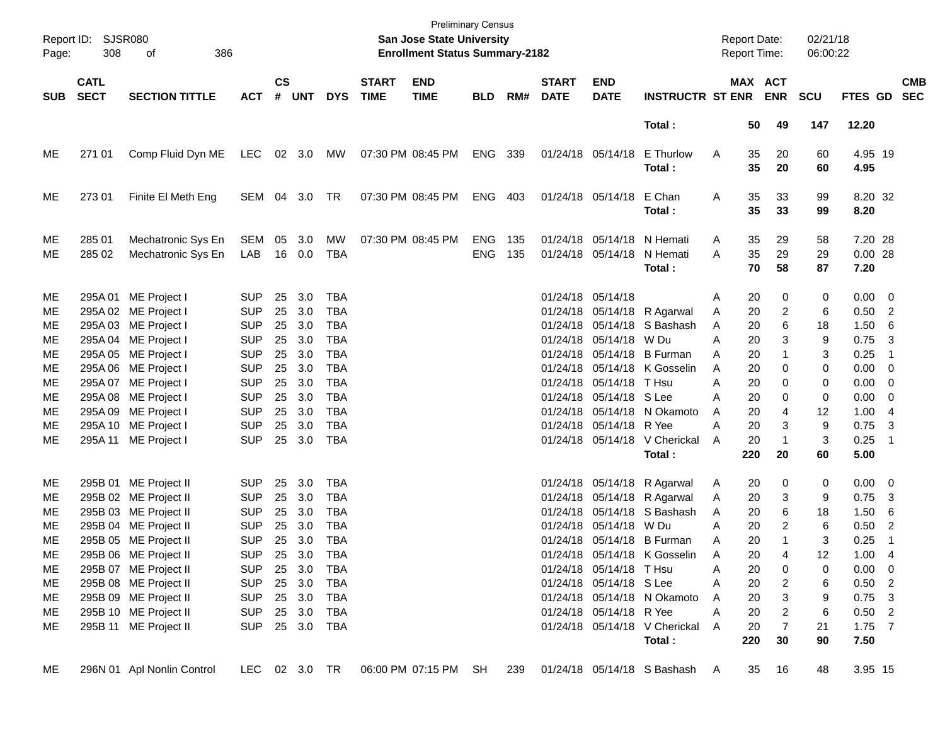| Report ID:<br>Page:                                                          | <b>SJSR080</b><br>308      | 386<br>οf                                                                                                                                                                                                                                                                       |                                                                                                                                                        | <b>Preliminary Census</b><br>San Jose State University<br><b>Enrollment Status Summary-2182</b> |                                                                                                |                                                                                                                                                        |                             |                           |                   |            |                             |                                                                                                         |                                                                                                                                                                                                                                   | <b>Report Date:</b><br>Report Time:                                                      |                                                                                                                                               | 02/21/18<br>06:00:22                                         |                                                                                                                                                   |                                                          |
|------------------------------------------------------------------------------|----------------------------|---------------------------------------------------------------------------------------------------------------------------------------------------------------------------------------------------------------------------------------------------------------------------------|--------------------------------------------------------------------------------------------------------------------------------------------------------|-------------------------------------------------------------------------------------------------|------------------------------------------------------------------------------------------------|--------------------------------------------------------------------------------------------------------------------------------------------------------|-----------------------------|---------------------------|-------------------|------------|-----------------------------|---------------------------------------------------------------------------------------------------------|-----------------------------------------------------------------------------------------------------------------------------------------------------------------------------------------------------------------------------------|------------------------------------------------------------------------------------------|-----------------------------------------------------------------------------------------------------------------------------------------------|--------------------------------------------------------------|---------------------------------------------------------------------------------------------------------------------------------------------------|----------------------------------------------------------|
| <b>SUB</b>                                                                   | <b>CATL</b><br><b>SECT</b> | <b>SECTION TITTLE</b>                                                                                                                                                                                                                                                           | <b>ACT</b>                                                                                                                                             | $\mathsf{cs}$                                                                                   | # UNT                                                                                          | <b>DYS</b>                                                                                                                                             | <b>START</b><br><b>TIME</b> | <b>END</b><br><b>TIME</b> | <b>BLD</b>        | RM#        | <b>START</b><br><b>DATE</b> | <b>END</b><br><b>DATE</b>                                                                               | <b>INSTRUCTR ST ENR ENR</b>                                                                                                                                                                                                       |                                                                                          | MAX ACT                                                                                                                                       | <b>SCU</b>                                                   | FTES GD SEC                                                                                                                                       | <b>CMB</b>                                               |
|                                                                              |                            |                                                                                                                                                                                                                                                                                 |                                                                                                                                                        |                                                                                                 |                                                                                                |                                                                                                                                                        |                             |                           |                   |            |                             |                                                                                                         | Total:                                                                                                                                                                                                                            |                                                                                          | 50<br>49                                                                                                                                      | 147                                                          | 12.20                                                                                                                                             |                                                          |
| ME                                                                           | 271 01                     | Comp Fluid Dyn ME                                                                                                                                                                                                                                                               | LEC                                                                                                                                                    |                                                                                                 | 02 3.0                                                                                         | MW                                                                                                                                                     |                             | 07:30 PM 08:45 PM         | ENG 339           |            |                             | 01/24/18 05/14/18                                                                                       | E Thurlow<br>Total:                                                                                                                                                                                                               | A                                                                                        | 35<br>20<br>35<br>20                                                                                                                          | 60<br>60                                                     | 4.95 19<br>4.95                                                                                                                                   |                                                          |
| ME                                                                           | 273 01                     | Finite El Meth Eng                                                                                                                                                                                                                                                              | SEM 04 3.0                                                                                                                                             |                                                                                                 |                                                                                                | TR                                                                                                                                                     |                             | 07:30 PM 08:45 PM         | ENG 403           |            |                             | 01/24/18 05/14/18 E Chan                                                                                | Total:                                                                                                                                                                                                                            | A                                                                                        | 35<br>33<br>35<br>33                                                                                                                          | 99<br>99                                                     | 8.20 32<br>8.20                                                                                                                                   |                                                          |
| ME<br>ME                                                                     | 285 01<br>285 02           | Mechatronic Sys En<br>Mechatronic Sys En                                                                                                                                                                                                                                        | SEM<br>LAB                                                                                                                                             | 05                                                                                              | 3.0<br>16 0.0                                                                                  | MW<br><b>TBA</b>                                                                                                                                       |                             | 07:30 PM 08:45 PM         | ENG<br><b>ENG</b> | 135<br>135 |                             | 01/24/18 05/14/18 N Hemati<br>01/24/18 05/14/18 N Hemati                                                | Total:                                                                                                                                                                                                                            | A<br>A                                                                                   | 35<br>29<br>35<br>29<br>70<br>58                                                                                                              | 58<br>29<br>87                                               | 7.20 28<br>$0.00$ 28<br>7.20                                                                                                                      |                                                          |
| ME<br>ME<br>МE<br>ME<br>ME<br><b>ME</b><br>ME<br>ME<br>ME<br>ME<br><b>ME</b> | 295A 11                    | 295A 01 ME Project I<br>295A 02 ME Project I<br>295A 03 ME Project I<br>295A 04 ME Project I<br>295A 05 ME Project I<br>295A 06 ME Project I<br>295A 07 ME Project I<br>295A 08 ME Project I<br>295A 09 ME Project I<br>295A 10 ME Project I<br>ME Project I                    | <b>SUP</b><br><b>SUP</b><br><b>SUP</b><br><b>SUP</b><br><b>SUP</b><br><b>SUP</b><br><b>SUP</b><br><b>SUP</b><br><b>SUP</b><br><b>SUP</b><br><b>SUP</b> | 25<br>25<br>25<br>25<br>25<br>25<br>25<br>25<br>25<br>25                                        | 3.0<br>3.0<br>3.0<br>3.0<br>3.0<br>3.0<br>3.0<br>3.0<br>3.0<br>3.0<br>25 3.0                   | <b>TBA</b><br><b>TBA</b><br><b>TBA</b><br><b>TBA</b><br><b>TBA</b><br><b>TBA</b><br><b>TBA</b><br><b>TBA</b><br><b>TBA</b><br><b>TBA</b><br><b>TBA</b> |                             |                           |                   |            | 01/24/18 05/14/18           | 01/24/18 05/14/18 W Du<br>01/24/18 05/14/18 T Hsu<br>01/24/18 05/14/18 S Lee<br>01/24/18 05/14/18 R Yee | 01/24/18 05/14/18 R Agarwal<br>01/24/18 05/14/18 S Bashash<br>01/24/18 05/14/18 B Furman<br>01/24/18 05/14/18 K Gosselin<br>01/24/18 05/14/18 N Okamoto<br>01/24/18 05/14/18 V Cherickal<br>Total:                                | Α<br>Α<br>A<br>Α<br>A<br>A<br>A<br>A<br>A<br>Α<br>A<br>220                               | 20<br>0<br>20<br>2<br>6<br>20<br>3<br>20<br>1<br>20<br>20<br>0<br>20<br>0<br>20<br>0<br>20<br>4<br>20<br>3<br>20<br>$\mathbf{1}$<br>20        | 0<br>6<br>18<br>9<br>3<br>0<br>0<br>0<br>12<br>9<br>3<br>60  | $0.00 \t 0$<br>$0.50$ 2<br>1.506<br>0.75<br>0.25<br>$0.00 \t 0$<br>$0.00 \t 0$<br>$0.00 \t 0$<br>1.004<br>0.75<br>0.25<br>5.00                    | -3<br>$\overline{\phantom{1}}$<br>-3<br>$\blacksquare$ 1 |
| ME<br>ME<br>ME<br>ME<br><b>ME</b><br>ME<br>ME<br>ME<br>ME<br>ME<br>ME        |                            | 295B 01 ME Project II<br>295B 02 ME Project II<br>295B 03 ME Project II<br>295B 04 ME Project II<br>295B 05 ME Project II<br>295B 06 ME Project II<br>295B 07 ME Project II<br>295B 08 ME Project II<br>295B 09 ME Project II<br>295B 10 ME Project II<br>295B 11 ME Project II | <b>SUP</b><br><b>SUP</b><br><b>SUP</b><br><b>SUP</b><br><b>SUP</b><br><b>SUP</b><br><b>SUP</b><br><b>SUP</b><br><b>SUP</b><br><b>SUP</b><br><b>SUP</b> | 25<br>25<br>25<br>25                                                                            | 3.0<br>3.0<br>3.0<br>3.0<br>25 3.0<br>25 3.0<br>25 3.0<br>25 3.0<br>25 3.0<br>25 3.0<br>25 3.0 | <b>TBA</b><br><b>TBA</b><br><b>TBA</b><br><b>TBA</b><br><b>TBA</b><br>TBA<br><b>TBA</b><br><b>TBA</b><br>TBA<br><b>TBA</b><br>TBA                      |                             |                           |                   |            |                             | 01/24/18 05/14/18 W Du<br>01/24/18 05/14/18 T Hsu<br>01/24/18 05/14/18 S Lee<br>01/24/18 05/14/18 R Yee | 01/24/18 05/14/18 R Agarwal<br>01/24/18 05/14/18 R Agarwal<br>01/24/18 05/14/18 S Bashash<br>01/24/18 05/14/18 B Furman<br>01/24/18 05/14/18 K Gosselin<br>01/24/18 05/14/18 N Okamoto<br>01/24/18 05/14/18 V Cherickal<br>Total: | Α<br>A<br>20<br>A<br>А<br>A<br>Α<br>Α<br>20<br>Α<br>20<br>Α<br>20<br>A<br>20<br>A<br>220 | 20<br>0<br>20<br>3<br>6<br>20<br>2<br>20<br>1<br>20<br>4<br>20<br>0<br>$\overline{\mathbf{c}}$<br>3<br>$\overline{c}$<br>$\overline{7}$<br>30 | 0<br>9<br>18<br>6<br>3<br>12<br>0<br>6<br>9<br>6<br>21<br>90 | $0.00 \t 0$<br>$0.75$ 3<br>$1.50\quad 6$<br>0.50<br>0.25<br>$1.00 \quad 4$<br>$0.00 \t 0$<br>$0.50$ 2<br>$0.75$ 3<br>$0.50$ 2<br>$1.75$ 7<br>7.50 | $\overline{c}$<br>$\overline{1}$                         |
| ME.                                                                          |                            | 296N 01 Apl Nonlin Control                                                                                                                                                                                                                                                      | LEC 02 3.0 TR                                                                                                                                          |                                                                                                 |                                                                                                |                                                                                                                                                        |                             | 06:00 PM 07:15 PM SH      |                   | 239        |                             |                                                                                                         | 01/24/18 05/14/18 S Bashash                                                                                                                                                                                                       | A                                                                                        | 35<br>16                                                                                                                                      | 48                                                           | 3.95 15                                                                                                                                           |                                                          |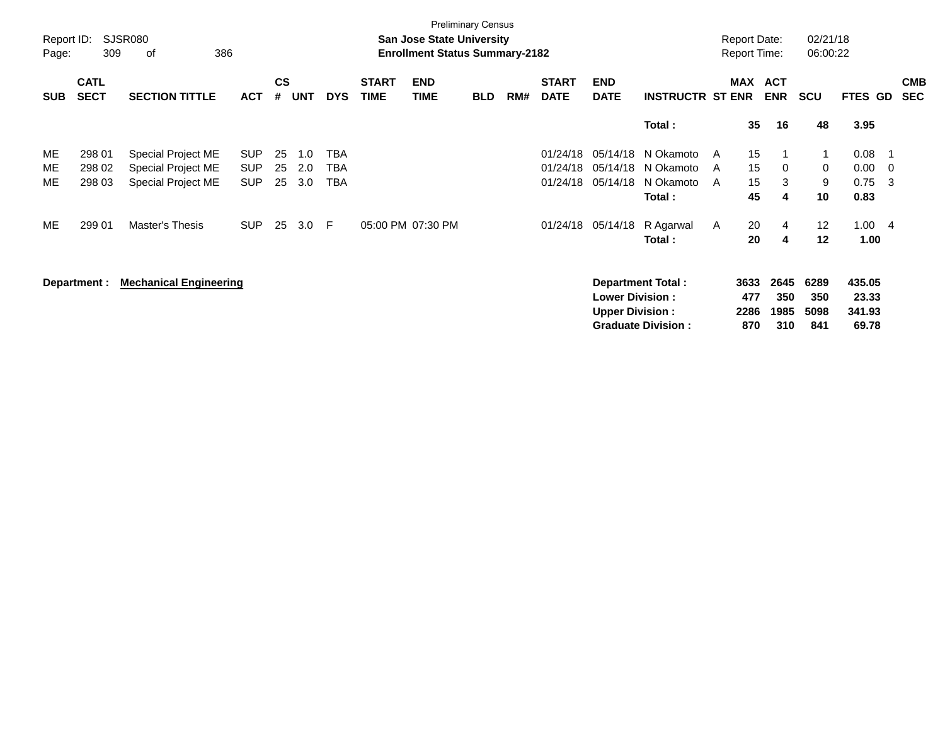|            | <b>Preliminary Census</b><br>Report ID:<br>SJSR080<br>02/21/18<br><b>San Jose State University</b><br><b>Report Date:</b> |                               |            |                |            |            |                                       |                    |            |     |                             |                           |                           |   |                                 |                          |            |                |     |                          |
|------------|---------------------------------------------------------------------------------------------------------------------------|-------------------------------|------------|----------------|------------|------------|---------------------------------------|--------------------|------------|-----|-----------------------------|---------------------------|---------------------------|---|---------------------------------|--------------------------|------------|----------------|-----|--------------------------|
| Page:      | 309                                                                                                                       | 386<br>οf                     |            |                |            |            | <b>Enrollment Status Summary-2182</b> |                    |            |     |                             |                           |                           |   | 06:00:22<br><b>Report Time:</b> |                          |            |                |     |                          |
| <b>SUB</b> | <b>CATL</b><br><b>SECT</b>                                                                                                | <b>SECTION TITTLE</b>         | <b>ACT</b> | <b>CS</b><br># | <b>UNT</b> | <b>DYS</b> | <b>START</b><br><b>TIME</b>           | <b>END</b><br>TIME | <b>BLD</b> | RM# | <b>START</b><br><b>DATE</b> | <b>END</b><br><b>DATE</b> | <b>INSTRUCTR ST ENR</b>   |   | <b>MAX</b>                      | <b>ACT</b><br><b>ENR</b> | <b>SCU</b> | <b>FTES GD</b> |     | <b>CMB</b><br><b>SEC</b> |
|            |                                                                                                                           |                               |            |                |            |            |                                       |                    |            |     |                             |                           | Total:                    |   | 35                              | 16                       | 48         | 3.95           |     |                          |
| ME         | 298 01                                                                                                                    | Special Project ME            | <b>SUP</b> | 25             | 1.0        | TBA        |                                       |                    |            |     | 01/24/18                    | 05/14/18                  | N Okamoto                 | A | 15                              |                          |            | 0.08           | - 1 |                          |
| ME         | 298 02                                                                                                                    | Special Project ME            | <b>SUP</b> | 25             | 2.0        | TBA        |                                       |                    |            |     | 01/24/18                    | 05/14/18                  | N Okamoto                 | A | 15                              | $\mathbf 0$              | 0          | 0.00           | - 0 |                          |
| ME         | 298 03                                                                                                                    | Special Project ME            | <b>SUP</b> | 25             | 3.0        | TBA        |                                       |                    |            |     | 01/24/18                    | 05/14/18                  | N Okamoto                 | A | 15                              | 3                        | 9          | 0.75           | -3  |                          |
|            |                                                                                                                           |                               |            |                |            |            |                                       |                    |            |     |                             |                           | Total:                    |   | 45                              | 4                        | 10         | 0.83           |     |                          |
| ME         | 299 01                                                                                                                    | Master's Thesis               | <b>SUP</b> | 25             | 3.0        | E          |                                       | 05:00 PM 07:30 PM  |            |     | 01/24/18                    | 05/14/18                  | R Agarwal                 | A | 20                              | 4                        | 12         | 1.004          |     |                          |
|            |                                                                                                                           |                               |            |                |            |            |                                       |                    |            |     |                             |                           | Total:                    |   | 20                              | 4                        | $12 \,$    | 1.00           |     |                          |
|            | Department :                                                                                                              | <b>Mechanical Engineering</b> |            |                |            |            |                                       |                    |            |     |                             |                           | <b>Department Total:</b>  |   | 3633                            | 2645                     | 6289       | 435.05         |     |                          |
|            |                                                                                                                           |                               |            |                |            |            |                                       |                    |            |     |                             | <b>Lower Division:</b>    |                           |   | 477                             | 350                      | 350        | 23.33          |     |                          |
|            |                                                                                                                           |                               |            |                |            |            |                                       |                    |            |     |                             | <b>Upper Division:</b>    |                           |   | 2286                            | 1985                     | 5098       | 341.93         |     |                          |
|            |                                                                                                                           |                               |            |                |            |            |                                       |                    |            |     |                             |                           | <b>Graduate Division:</b> |   | 870                             | 310                      | 841        | 69.78          |     |                          |